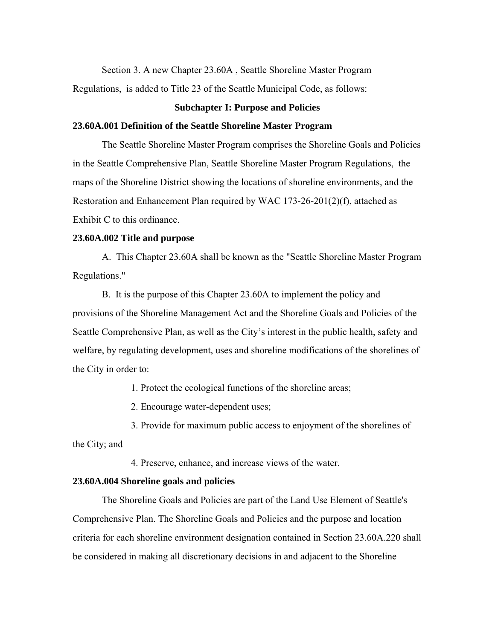Section 3. A new Chapter 23.60A , Seattle Shoreline Master Program

Regulations, is added to Title 23 of the Seattle Municipal Code, as follows:

## **Subchapter I: Purpose and Policies**

#### **23.60A.001 Definition of the Seattle Shoreline Master Program**

The Seattle Shoreline Master Program comprises the Shoreline Goals and Policies in the Seattle Comprehensive Plan, Seattle Shoreline Master Program Regulations, the maps of the Shoreline District showing the locations of shoreline environments, and the Restoration and Enhancement Plan required by WAC 173-26-201(2)(f), attached as Exhibit C to this ordinance.

## **23.60A.002 Title and purpose**

A. This Chapter 23.60A shall be known as the "Seattle Shoreline Master Program Regulations."

B. It is the purpose of this Chapter 23.60A to implement the policy and provisions of the Shoreline Management Act and the Shoreline Goals and Policies of the Seattle Comprehensive Plan, as well as the City's interest in the public health, safety and welfare, by regulating development, uses and shoreline modifications of the shorelines of the City in order to:

1. Protect the ecological functions of the shoreline areas;

2. Encourage water-dependent uses;

3. Provide for maximum public access to enjoyment of the shorelines of the City; and

4. Preserve, enhance, and increase views of the water.

## **23.60A.004 Shoreline goals and policies**

The Shoreline Goals and Policies are part of the Land Use Element of Seattle's Comprehensive Plan. The Shoreline Goals and Policies and the purpose and location criteria for each shoreline environment designation contained in Section 23.60A.220 shall be considered in making all discretionary decisions in and adjacent to the Shoreline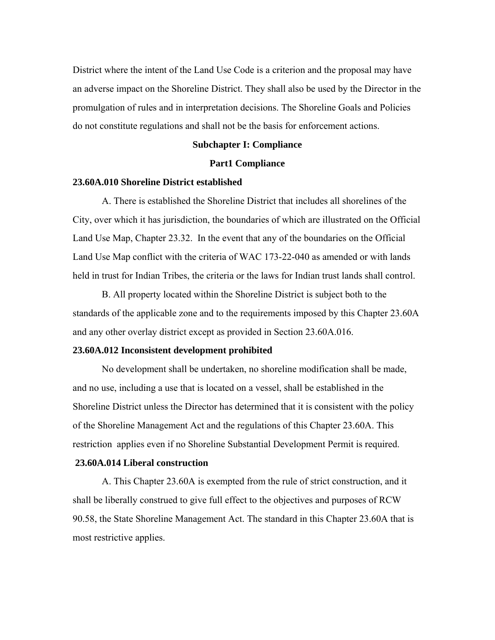District where the intent of the Land Use Code is a criterion and the proposal may have an adverse impact on the Shoreline District. They shall also be used by the Director in the promulgation of rules and in interpretation decisions. The Shoreline Goals and Policies do not constitute regulations and shall not be the basis for enforcement actions.

## **Subchapter I: Compliance**

## **Part1 Compliance**

## **23.60A.010 Shoreline District established**

A. There is established the Shoreline District that includes all shorelines of the City, over which it has jurisdiction, the boundaries of which are illustrated on the Official Land Use Map, Chapter 23.32. In the event that any of the boundaries on the Official Land Use Map conflict with the criteria of WAC 173-22-040 as amended or with lands held in trust for Indian Tribes, the criteria or the laws for Indian trust lands shall control.

B. All property located within the Shoreline District is subject both to the standards of the applicable zone and to the requirements imposed by this Chapter 23.60A and any other overlay district except as provided in Section 23.60A.016.

## **23.60A.012 Inconsistent development prohibited**

No development shall be undertaken, no shoreline modification shall be made, and no use, including a use that is located on a vessel, shall be established in the Shoreline District unless the Director has determined that it is consistent with the policy of the Shoreline Management Act and the regulations of this Chapter 23.60A. This restriction applies even if no Shoreline Substantial Development Permit is required.

#### **23.60A.014 Liberal construction**

A. This Chapter 23.60A is exempted from the rule of strict construction, and it shall be liberally construed to give full effect to the objectives and purposes of RCW 90.58, the State Shoreline Management Act. The standard in this Chapter 23.60A that is most restrictive applies.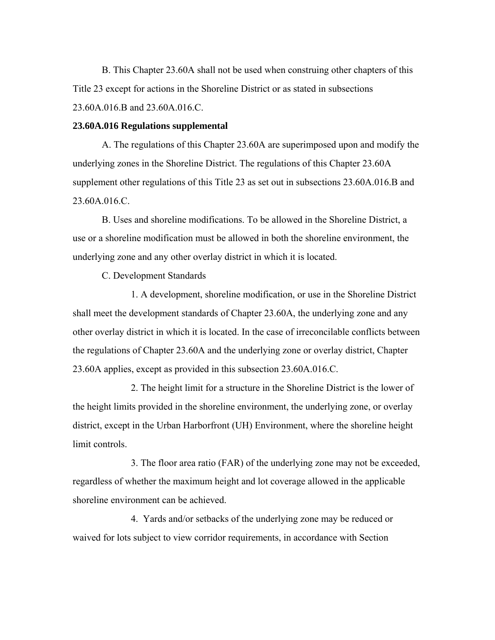B. This Chapter 23.60A shall not be used when construing other chapters of this Title 23 except for actions in the Shoreline District or as stated in subsections 23.60A.016.B and 23.60A.016.C.

## **23.60A.016 Regulations supplemental**

A. The regulations of this Chapter 23.60A are superimposed upon and modify the underlying zones in the Shoreline District. The regulations of this Chapter 23.60A supplement other regulations of this Title 23 as set out in subsections 23.60A.016.B and 23.60A.016.C.

B. Uses and shoreline modifications. To be allowed in the Shoreline District, a use or a shoreline modification must be allowed in both the shoreline environment, the underlying zone and any other overlay district in which it is located.

C. Development Standards

1. A development, shoreline modification, or use in the Shoreline District shall meet the development standards of Chapter 23.60A, the underlying zone and any other overlay district in which it is located. In the case of irreconcilable conflicts between the regulations of Chapter 23.60A and the underlying zone or overlay district, Chapter 23.60A applies, except as provided in this subsection 23.60A.016.C.

2. The height limit for a structure in the Shoreline District is the lower of the height limits provided in the shoreline environment, the underlying zone, or overlay district, except in the Urban Harborfront (UH) Environment, where the shoreline height limit controls.

3. The floor area ratio (FAR) of the underlying zone may not be exceeded, regardless of whether the maximum height and lot coverage allowed in the applicable shoreline environment can be achieved.

4. Yards and/or setbacks of the underlying zone may be reduced or waived for lots subject to view corridor requirements, in accordance with Section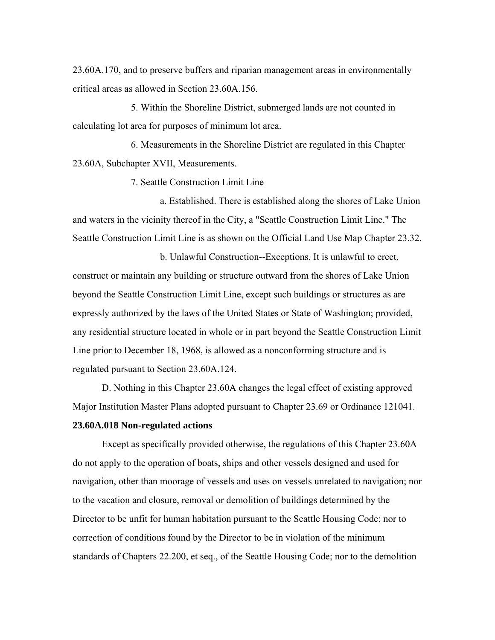23.60A.170, and to preserve buffers and riparian management areas in environmentally critical areas as allowed in Section 23.60A.156.

5. Within the Shoreline District, submerged lands are not counted in calculating lot area for purposes of minimum lot area.

6. Measurements in the Shoreline District are regulated in this Chapter 23.60A, Subchapter XVII, Measurements.

7. Seattle Construction Limit Line

a. Established. There is established along the shores of Lake Union and waters in the vicinity thereof in the City, a "Seattle Construction Limit Line." The Seattle Construction Limit Line is as shown on the Official Land Use Map Chapter 23.32.

b. Unlawful Construction--Exceptions. It is unlawful to erect, construct or maintain any building or structure outward from the shores of Lake Union beyond the Seattle Construction Limit Line, except such buildings or structures as are expressly authorized by the laws of the United States or State of Washington; provided, any residential structure located in whole or in part beyond the Seattle Construction Limit Line prior to December 18, 1968, is allowed as a nonconforming structure and is regulated pursuant to Section 23.60A.124.

D. Nothing in this Chapter 23.60A changes the legal effect of existing approved Major Institution Master Plans adopted pursuant to Chapter 23.69 or Ordinance 121041.

# **23.60A.018 Non-regulated actions**

Except as specifically provided otherwise, the regulations of this Chapter 23.60A do not apply to the operation of boats, ships and other vessels designed and used for navigation, other than moorage of vessels and uses on vessels unrelated to navigation; nor to the vacation and closure, removal or demolition of buildings determined by the Director to be unfit for human habitation pursuant to the Seattle Housing Code; nor to correction of conditions found by the Director to be in violation of the minimum standards of Chapters 22.200, et seq., of the Seattle Housing Code; nor to the demolition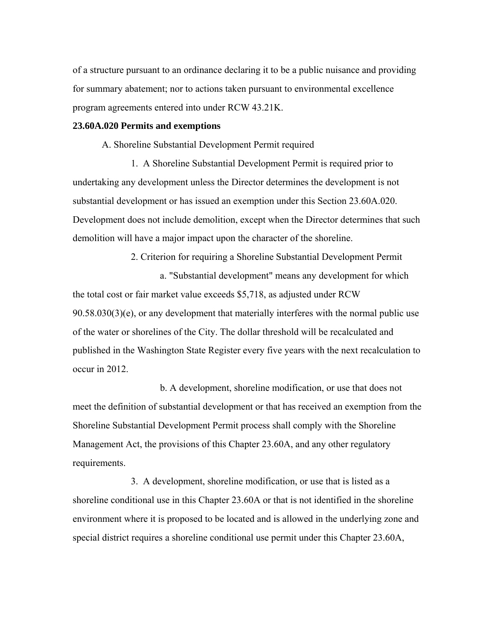of a structure pursuant to an ordinance declaring it to be a public nuisance and providing for summary abatement; nor to actions taken pursuant to environmental excellence program agreements entered into under RCW 43.21K.

## **23.60A.020 Permits and exemptions**

A. Shoreline Substantial Development Permit required

1. A Shoreline Substantial Development Permit is required prior to undertaking any development unless the Director determines the development is not substantial development or has issued an exemption under this Section 23.60A.020. Development does not include demolition, except when the Director determines that such demolition will have a major impact upon the character of the shoreline.

2. Criterion for requiring a Shoreline Substantial Development Permit a. "Substantial development" means any development for which the total cost or fair market value exceeds \$5,718, as adjusted under RCW  $90.58.030(3)(e)$ , or any development that materially interferes with the normal public use of the water or shorelines of the City. The dollar threshold will be recalculated and published in the Washington State Register every five years with the next recalculation to occur in 2012.

b. A development, shoreline modification, or use that does not meet the definition of substantial development or that has received an exemption from the Shoreline Substantial Development Permit process shall comply with the Shoreline Management Act, the provisions of this Chapter 23.60A, and any other regulatory requirements.

3. A development, shoreline modification, or use that is listed as a shoreline conditional use in this Chapter 23.60A or that is not identified in the shoreline environment where it is proposed to be located and is allowed in the underlying zone and special district requires a shoreline conditional use permit under this Chapter 23.60A,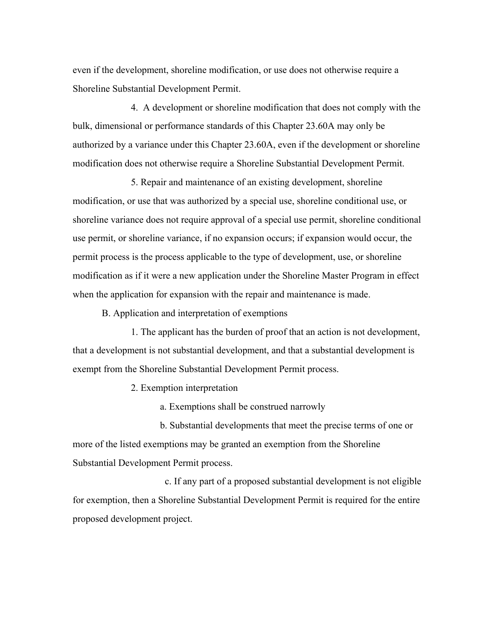even if the development, shoreline modification, or use does not otherwise require a Shoreline Substantial Development Permit.

4. A development or shoreline modification that does not comply with the bulk, dimensional or performance standards of this Chapter 23.60A may only be authorized by a variance under this Chapter 23.60A, even if the development or shoreline modification does not otherwise require a Shoreline Substantial Development Permit.

5. Repair and maintenance of an existing development, shoreline modification, or use that was authorized by a special use, shoreline conditional use, or shoreline variance does not require approval of a special use permit, shoreline conditional use permit, or shoreline variance, if no expansion occurs; if expansion would occur, the permit process is the process applicable to the type of development, use, or shoreline modification as if it were a new application under the Shoreline Master Program in effect when the application for expansion with the repair and maintenance is made.

B. Application and interpretation of exemptions

1. The applicant has the burden of proof that an action is not development, that a development is not substantial development, and that a substantial development is exempt from the Shoreline Substantial Development Permit process.

2. Exemption interpretation

a. Exemptions shall be construed narrowly

b. Substantial developments that meet the precise terms of one or more of the listed exemptions may be granted an exemption from the Shoreline Substantial Development Permit process.

 c. If any part of a proposed substantial development is not eligible for exemption, then a Shoreline Substantial Development Permit is required for the entire proposed development project.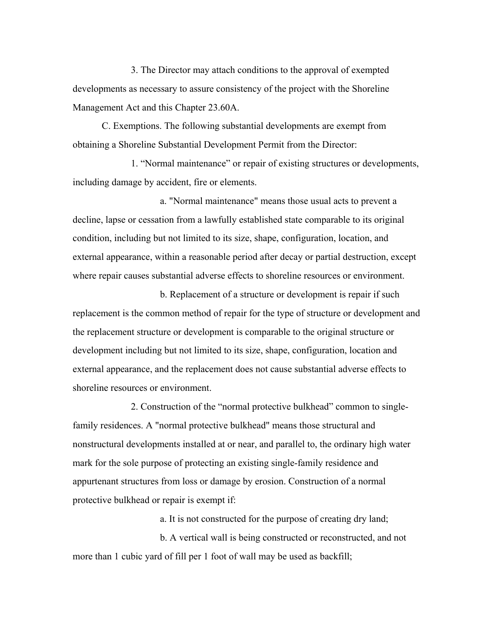3. The Director may attach conditions to the approval of exempted developments as necessary to assure consistency of the project with the Shoreline Management Act and this Chapter 23.60A.

C. Exemptions. The following substantial developments are exempt from obtaining a Shoreline Substantial Development Permit from the Director:

1. "Normal maintenance" or repair of existing structures or developments, including damage by accident, fire or elements.

a. "Normal maintenance" means those usual acts to prevent a decline, lapse or cessation from a lawfully established state comparable to its original condition, including but not limited to its size, shape, configuration, location, and external appearance, within a reasonable period after decay or partial destruction, except where repair causes substantial adverse effects to shoreline resources or environment.

b. Replacement of a structure or development is repair if such replacement is the common method of repair for the type of structure or development and the replacement structure or development is comparable to the original structure or development including but not limited to its size, shape, configuration, location and external appearance, and the replacement does not cause substantial adverse effects to shoreline resources or environment.

2. Construction of the "normal protective bulkhead" common to singlefamily residences. A "normal protective bulkhead" means those structural and nonstructural developments installed at or near, and parallel to, the ordinary high water mark for the sole purpose of protecting an existing single-family residence and appurtenant structures from loss or damage by erosion. Construction of a normal protective bulkhead or repair is exempt if:

a. It is not constructed for the purpose of creating dry land;

b. A vertical wall is being constructed or reconstructed, and not more than 1 cubic yard of fill per 1 foot of wall may be used as backfill;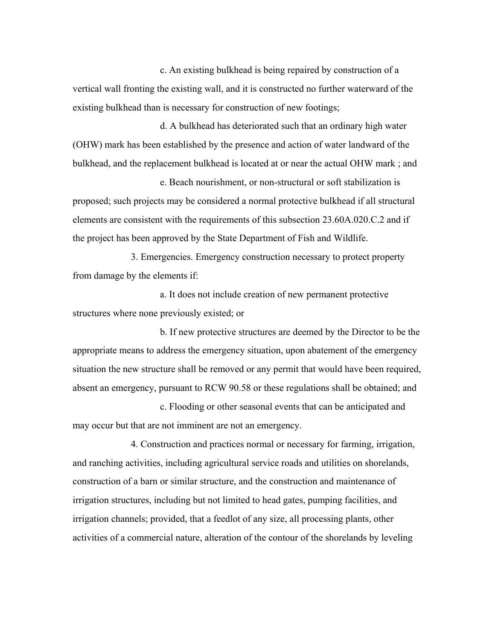c. An existing bulkhead is being repaired by construction of a vertical wall fronting the existing wall, and it is constructed no further waterward of the existing bulkhead than is necessary for construction of new footings;

d. A bulkhead has deteriorated such that an ordinary high water (OHW) mark has been established by the presence and action of water landward of the bulkhead, and the replacement bulkhead is located at or near the actual OHW mark ; and

e. Beach nourishment, or non-structural or soft stabilization is proposed; such projects may be considered a normal protective bulkhead if all structural elements are consistent with the requirements of this subsection 23.60A.020.C.2 and if the project has been approved by the State Department of Fish and Wildlife.

3. Emergencies. Emergency construction necessary to protect property from damage by the elements if:

a. It does not include creation of new permanent protective structures where none previously existed; or

b. If new protective structures are deemed by the Director to be the appropriate means to address the emergency situation, upon abatement of the emergency situation the new structure shall be removed or any permit that would have been required, absent an emergency, pursuant to RCW 90.58 or these regulations shall be obtained; and

c. Flooding or other seasonal events that can be anticipated and may occur but that are not imminent are not an emergency.

4. Construction and practices normal or necessary for farming, irrigation, and ranching activities, including agricultural service roads and utilities on shorelands, construction of a barn or similar structure, and the construction and maintenance of irrigation structures, including but not limited to head gates, pumping facilities, and irrigation channels; provided, that a feedlot of any size, all processing plants, other activities of a commercial nature, alteration of the contour of the shorelands by leveling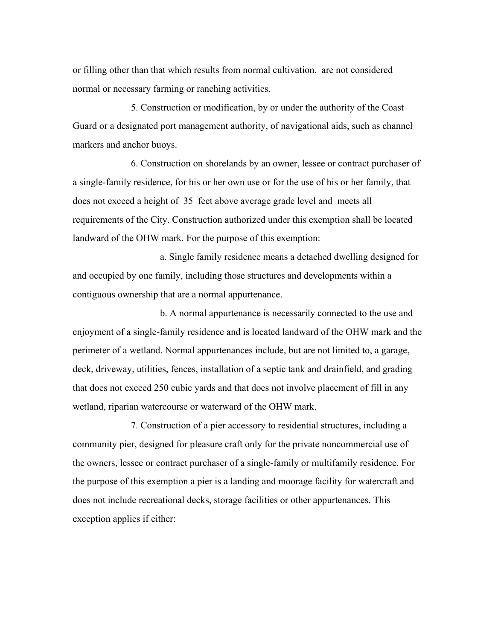or filling other than that which results from normal cultivation, are not considered normal or necessary farming or ranching activities.

5. Construction or modification, by or under the authority of the Coast Guard or a designated port management authority, of navigational aids, such as channel markers and anchor buoys.

6. Construction on shorelands by an owner, lessee or contract purchaser of a single-family residence, for his or her own use or for the use of his or her family, that does not exceed a height of 35 feet above average grade level and meets all requirements of the City. Construction authorized under this exemption shall be located landward of the OHW mark. For the purpose of this exemption:

a. Single family residence means a detached dwelling designed for and occupied by one family, including those structures and developments within a contiguous ownership that are a normal appurtenance.

b. A normal appurtenance is necessarily connected to the use and enjoyment of a single-family residence and is located landward of the OHW mark and the perimeter of a wetland. Normal appurtenances include, but are not limited to, a garage, deck, driveway, utilities, fences, installation of a septic tank and drainfield, and grading that does not exceed 250 cubic yards and that does not involve placement of fill in any wetland, riparian watercourse or waterward of the OHW mark.

7. Construction of a pier accessory to residential structures, including a community pier, designed for pleasure craft only for the private noncommercial use of the owners, lessee or contract purchaser of a single-family or multifamily residence. For the purpose of this exemption a pier is a landing and moorage facility for watercraft and does not include recreational decks, storage facilities or other appurtenances. This exception applies if either: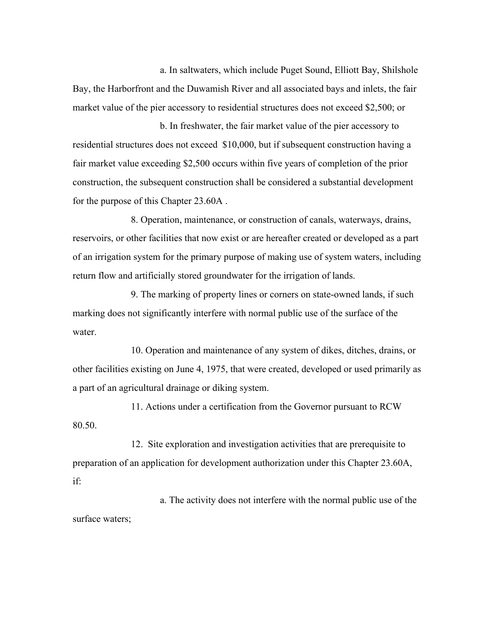a. In saltwaters, which include Puget Sound, Elliott Bay, Shilshole Bay, the Harborfront and the Duwamish River and all associated bays and inlets, the fair market value of the pier accessory to residential structures does not exceed \$2,500; or

b. In freshwater, the fair market value of the pier accessory to residential structures does not exceed \$10,000, but if subsequent construction having a fair market value exceeding \$2,500 occurs within five years of completion of the prior construction, the subsequent construction shall be considered a substantial development for the purpose of this Chapter 23.60A .

8. Operation, maintenance, or construction of canals, waterways, drains, reservoirs, or other facilities that now exist or are hereafter created or developed as a part of an irrigation system for the primary purpose of making use of system waters, including return flow and artificially stored groundwater for the irrigation of lands.

9. The marking of property lines or corners on state-owned lands, if such marking does not significantly interfere with normal public use of the surface of the water.

10. Operation and maintenance of any system of dikes, ditches, drains, or other facilities existing on June 4, 1975, that were created, developed or used primarily as a part of an agricultural drainage or diking system.

11. Actions under a certification from the Governor pursuant to RCW 80.50.

12. Site exploration and investigation activities that are prerequisite to preparation of an application for development authorization under this Chapter 23.60A, if:

a. The activity does not interfere with the normal public use of the surface waters;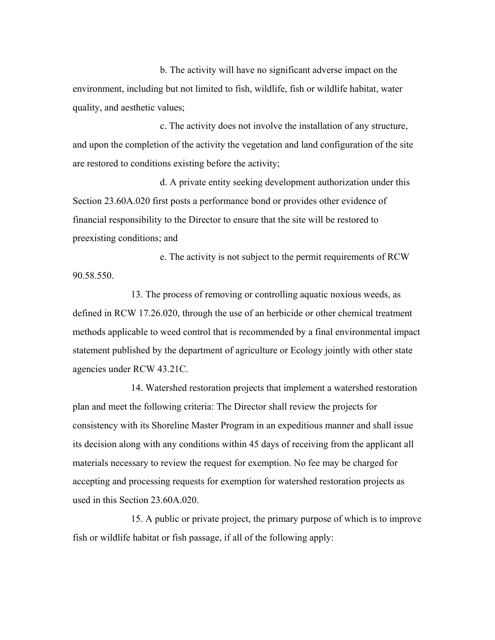b. The activity will have no significant adverse impact on the environment, including but not limited to fish, wildlife, fish or wildlife habitat, water quality, and aesthetic values;

c. The activity does not involve the installation of any structure, and upon the completion of the activity the vegetation and land configuration of the site are restored to conditions existing before the activity;

d. A private entity seeking development authorization under this Section 23.60A.020 first posts a performance bond or provides other evidence of financial responsibility to the Director to ensure that the site will be restored to preexisting conditions; and

e. The activity is not subject to the permit requirements of RCW 90.58.550.

13. The process of removing or controlling aquatic noxious weeds, as defined in RCW 17.26.020, through the use of an herbicide or other chemical treatment methods applicable to weed control that is recommended by a final environmental impact statement published by the department of agriculture or Ecology jointly with other state agencies under RCW 43.21C.

14. Watershed restoration projects that implement a watershed restoration plan and meet the following criteria: The Director shall review the projects for consistency with its Shoreline Master Program in an expeditious manner and shall issue its decision along with any conditions within 45 days of receiving from the applicant all materials necessary to review the request for exemption. No fee may be charged for accepting and processing requests for exemption for watershed restoration projects as used in this Section 23.60A.020.

15. A public or private project, the primary purpose of which is to improve fish or wildlife habitat or fish passage, if all of the following apply: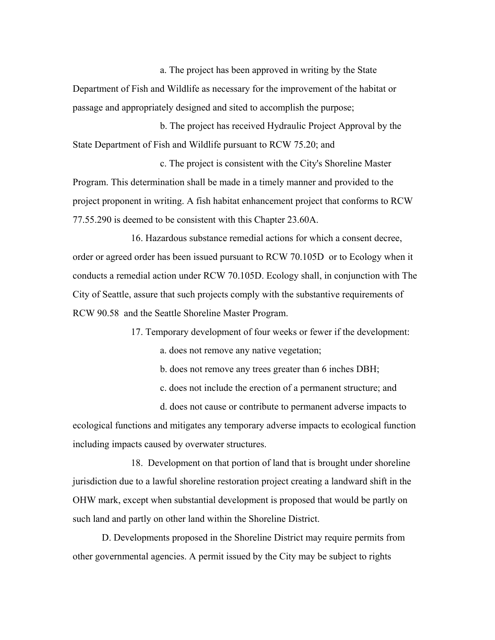a. The project has been approved in writing by the State Department of Fish and Wildlife as necessary for the improvement of the habitat or passage and appropriately designed and sited to accomplish the purpose;

b. The project has received Hydraulic Project Approval by the State Department of Fish and Wildlife pursuant to RCW 75.20; and

c. The project is consistent with the City's Shoreline Master Program. This determination shall be made in a timely manner and provided to the project proponent in writing. A fish habitat enhancement project that conforms to RCW 77.55.290 is deemed to be consistent with this Chapter 23.60A.

16. Hazardous substance remedial actions for which a consent decree, order or agreed order has been issued pursuant to RCW 70.105D or to Ecology when it conducts a remedial action under RCW 70.105D. Ecology shall, in conjunction with The City of Seattle, assure that such projects comply with the substantive requirements of RCW 90.58 and the Seattle Shoreline Master Program.

17. Temporary development of four weeks or fewer if the development:

a. does not remove any native vegetation;

b. does not remove any trees greater than 6 inches DBH;

c. does not include the erection of a permanent structure; and

d. does not cause or contribute to permanent adverse impacts to ecological functions and mitigates any temporary adverse impacts to ecological function including impacts caused by overwater structures.

18. Development on that portion of land that is brought under shoreline jurisdiction due to a lawful shoreline restoration project creating a landward shift in the OHW mark, except when substantial development is proposed that would be partly on such land and partly on other land within the Shoreline District.

D. Developments proposed in the Shoreline District may require permits from other governmental agencies. A permit issued by the City may be subject to rights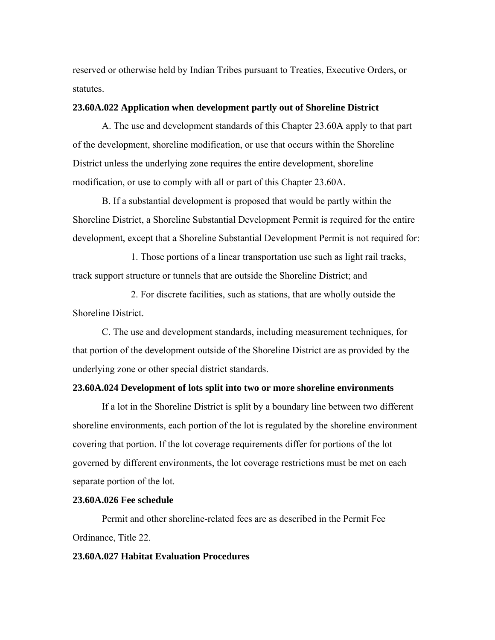reserved or otherwise held by Indian Tribes pursuant to Treaties, Executive Orders, or statutes.

# **23.60A.022 Application when development partly out of Shoreline District**

A. The use and development standards of this Chapter 23.60A apply to that part of the development, shoreline modification, or use that occurs within the Shoreline District unless the underlying zone requires the entire development, shoreline modification, or use to comply with all or part of this Chapter 23.60A.

B. If a substantial development is proposed that would be partly within the Shoreline District, a Shoreline Substantial Development Permit is required for the entire development, except that a Shoreline Substantial Development Permit is not required for:

1. Those portions of a linear transportation use such as light rail tracks, track support structure or tunnels that are outside the Shoreline District; and

2. For discrete facilities, such as stations, that are wholly outside the Shoreline District.

C. The use and development standards, including measurement techniques, for that portion of the development outside of the Shoreline District are as provided by the underlying zone or other special district standards.

## **23.60A.024 Development of lots split into two or more shoreline environments**

If a lot in the Shoreline District is split by a boundary line between two different shoreline environments, each portion of the lot is regulated by the shoreline environment covering that portion. If the lot coverage requirements differ for portions of the lot governed by different environments, the lot coverage restrictions must be met on each separate portion of the lot.

#### **23.60A.026 Fee schedule**

Permit and other shoreline-related fees are as described in the Permit Fee Ordinance, Title 22.

## **23.60A.027 Habitat Evaluation Procedures**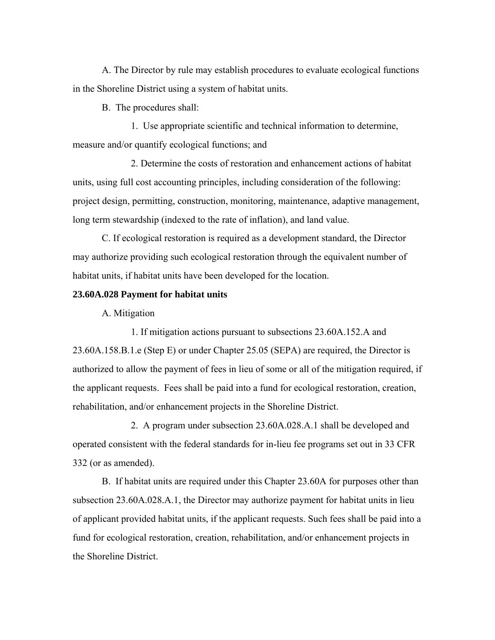A. The Director by rule may establish procedures to evaluate ecological functions in the Shoreline District using a system of habitat units.

B. The procedures shall:

1. Use appropriate scientific and technical information to determine, measure and/or quantify ecological functions; and

2. Determine the costs of restoration and enhancement actions of habitat units, using full cost accounting principles, including consideration of the following: project design, permitting, construction, monitoring, maintenance, adaptive management, long term stewardship (indexed to the rate of inflation), and land value.

 C. If ecological restoration is required as a development standard, the Director may authorize providing such ecological restoration through the equivalent number of habitat units, if habitat units have been developed for the location.

## **23.60A.028 Payment for habitat units**

A. Mitigation

1. If mitigation actions pursuant to subsections 23.60A.152.A and 23.60A.158.B.1.e (Step E) or under Chapter 25.05 (SEPA) are required, the Director is authorized to allow the payment of fees in lieu of some or all of the mitigation required, if the applicant requests. Fees shall be paid into a fund for ecological restoration, creation, rehabilitation, and/or enhancement projects in the Shoreline District.

2. A program under subsection 23.60A.028.A.1 shall be developed and operated consistent with the federal standards for in-lieu fee programs set out in 33 CFR 332 (or as amended).

B. If habitat units are required under this Chapter 23.60A for purposes other than subsection 23.60A.028.A.1, the Director may authorize payment for habitat units in lieu of applicant provided habitat units, if the applicant requests. Such fees shall be paid into a fund for ecological restoration, creation, rehabilitation, and/or enhancement projects in the Shoreline District.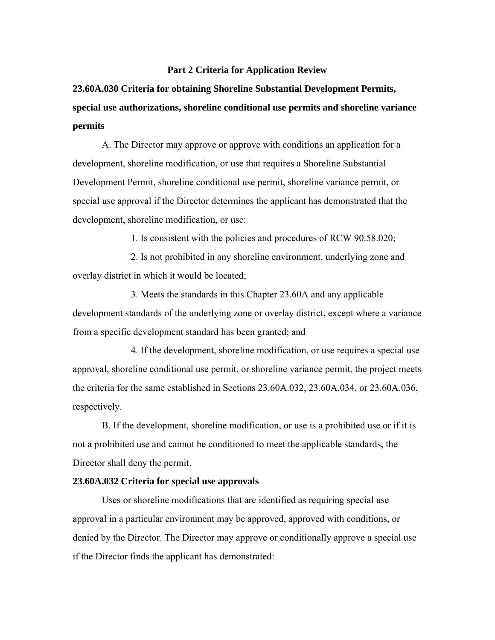#### **Part 2 Criteria for Application Review**

**23.60A.030 Criteria for obtaining Shoreline Substantial Development Permits, special use authorizations, shoreline conditional use permits and shoreline variance permits** 

A. The Director may approve or approve with conditions an application for a development, shoreline modification, or use that requires a Shoreline Substantial Development Permit, shoreline conditional use permit, shoreline variance permit, or special use approval if the Director determines the applicant has demonstrated that the development, shoreline modification, or use:

1. Is consistent with the policies and procedures of RCW 90.58.020;

2. Is not prohibited in any shoreline environment, underlying zone and overlay district in which it would be located;

3. Meets the standards in this Chapter 23.60A and any applicable development standards of the underlying zone or overlay district, except where a variance from a specific development standard has been granted; and

4. If the development, shoreline modification, or use requires a special use approval, shoreline conditional use permit, or shoreline variance permit, the project meets the criteria for the same established in Sections 23.60A.032, 23.60A.034, or 23.60A.036, respectively.

B. If the development, shoreline modification, or use is a prohibited use or if it is not a prohibited use and cannot be conditioned to meet the applicable standards, the Director shall deny the permit.

#### **23.60A.032 Criteria for special use approvals**

Uses or shoreline modifications that are identified as requiring special use approval in a particular environment may be approved, approved with conditions, or denied by the Director. The Director may approve or conditionally approve a special use if the Director finds the applicant has demonstrated: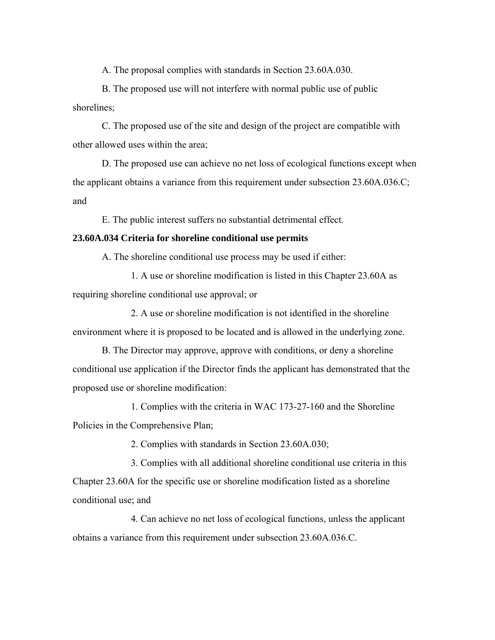A. The proposal complies with standards in Section 23.60A.030.

B. The proposed use will not interfere with normal public use of public shorelines;

C. The proposed use of the site and design of the project are compatible with other allowed uses within the area;

D. The proposed use can achieve no net loss of ecological functions except when the applicant obtains a variance from this requirement under subsection 23.60A.036.C; and

E. The public interest suffers no substantial detrimental effect.

## **23.60A.034 Criteria for shoreline conditional use permits**

A. The shoreline conditional use process may be used if either:

1. A use or shoreline modification is listed in this Chapter 23.60A as requiring shoreline conditional use approval; or

2. A use or shoreline modification is not identified in the shoreline environment where it is proposed to be located and is allowed in the underlying zone.

B. The Director may approve, approve with conditions, or deny a shoreline conditional use application if the Director finds the applicant has demonstrated that the proposed use or shoreline modification:

1. Complies with the criteria in WAC 173-27-160 and the Shoreline Policies in the Comprehensive Plan;

2. Complies with standards in Section 23.60A.030;

3. Complies with all additional shoreline conditional use criteria in this Chapter 23.60A for the specific use or shoreline modification listed as a shoreline conditional use; and

4. Can achieve no net loss of ecological functions, unless the applicant obtains a variance from this requirement under subsection 23.60A.036.C.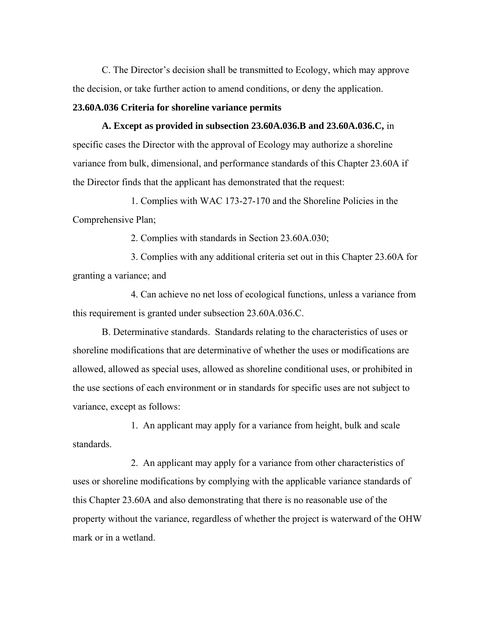C. The Director's decision shall be transmitted to Ecology, which may approve the decision, or take further action to amend conditions, or deny the application.

# **23.60A.036 Criteria for shoreline variance permits**

**A. Except as provided in subsection 23.60A.036.B and 23.60A.036.C,** in specific cases the Director with the approval of Ecology may authorize a shoreline variance from bulk, dimensional, and performance standards of this Chapter 23.60A if the Director finds that the applicant has demonstrated that the request:

1. Complies with WAC 173-27-170 and the Shoreline Policies in the Comprehensive Plan;

2. Complies with standards in Section 23.60A.030;

3. Complies with any additional criteria set out in this Chapter 23.60A for granting a variance; and

4. Can achieve no net loss of ecological functions, unless a variance from this requirement is granted under subsection 23.60A.036.C.

B. Determinative standards. Standards relating to the characteristics of uses or shoreline modifications that are determinative of whether the uses or modifications are allowed, allowed as special uses, allowed as shoreline conditional uses, or prohibited in the use sections of each environment or in standards for specific uses are not subject to variance, except as follows:

1. An applicant may apply for a variance from height, bulk and scale standards.

2. An applicant may apply for a variance from other characteristics of uses or shoreline modifications by complying with the applicable variance standards of this Chapter 23.60A and also demonstrating that there is no reasonable use of the property without the variance, regardless of whether the project is waterward of the OHW mark or in a wetland.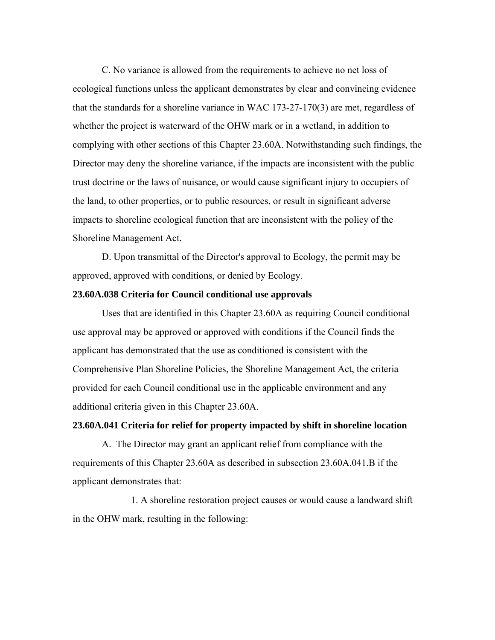C. No variance is allowed from the requirements to achieve no net loss of ecological functions unless the applicant demonstrates by clear and convincing evidence that the standards for a shoreline variance in WAC 173-27-170(3) are met, regardless of whether the project is waterward of the OHW mark or in a wetland, in addition to complying with other sections of this Chapter 23.60A. Notwithstanding such findings, the Director may deny the shoreline variance, if the impacts are inconsistent with the public trust doctrine or the laws of nuisance, or would cause significant injury to occupiers of the land, to other properties, or to public resources, or result in significant adverse impacts to shoreline ecological function that are inconsistent with the policy of the Shoreline Management Act.

D. Upon transmittal of the Director's approval to Ecology, the permit may be approved, approved with conditions, or denied by Ecology.

## **23.60A.038 Criteria for Council conditional use approvals**

Uses that are identified in this Chapter 23.60A as requiring Council conditional use approval may be approved or approved with conditions if the Council finds the applicant has demonstrated that the use as conditioned is consistent with the Comprehensive Plan Shoreline Policies, the Shoreline Management Act, the criteria provided for each Council conditional use in the applicable environment and any additional criteria given in this Chapter 23.60A.

# **23.60A.041 Criteria for relief for property impacted by shift in shoreline location**

A. The Director may grant an applicant relief from compliance with the requirements of this Chapter 23.60A as described in subsection 23.60A.041.B if the applicant demonstrates that:

1. A shoreline restoration project causes or would cause a landward shift in the OHW mark, resulting in the following: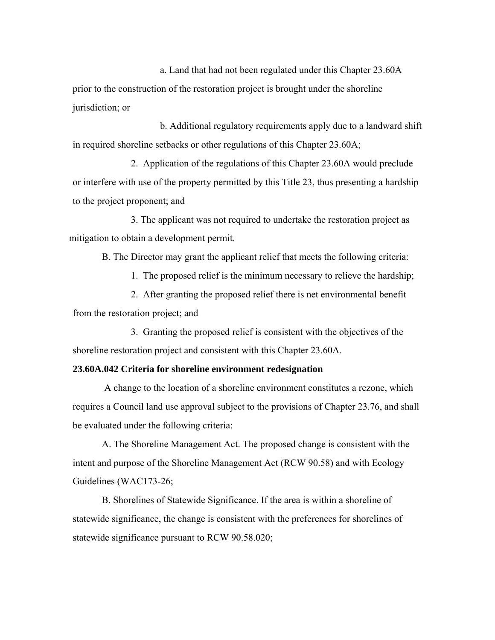a. Land that had not been regulated under this Chapter 23.60A prior to the construction of the restoration project is brought under the shoreline jurisdiction; or

b. Additional regulatory requirements apply due to a landward shift in required shoreline setbacks or other regulations of this Chapter 23.60A;

 2. Application of the regulations of this Chapter 23.60A would preclude or interfere with use of the property permitted by this Title 23, thus presenting a hardship to the project proponent; and

3. The applicant was not required to undertake the restoration project as mitigation to obtain a development permit.

B. The Director may grant the applicant relief that meets the following criteria:

1. The proposed relief is the minimum necessary to relieve the hardship;

 2. After granting the proposed relief there is net environmental benefit from the restoration project; and

3. Granting the proposed relief is consistent with the objectives of the shoreline restoration project and consistent with this Chapter 23.60A.

## **23.60A.042 Criteria for shoreline environment redesignation**

 A change to the location of a shoreline environment constitutes a rezone, which requires a Council land use approval subject to the provisions of Chapter 23.76, and shall be evaluated under the following criteria:

A. The Shoreline Management Act. The proposed change is consistent with the intent and purpose of the Shoreline Management Act (RCW 90.58) and with Ecology Guidelines (WAC173-26;

B. Shorelines of Statewide Significance. If the area is within a shoreline of statewide significance, the change is consistent with the preferences for shorelines of statewide significance pursuant to RCW 90.58.020;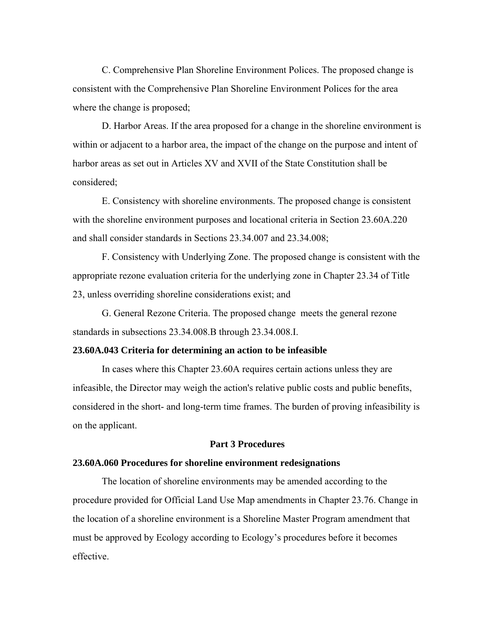C. Comprehensive Plan Shoreline Environment Polices. The proposed change is consistent with the Comprehensive Plan Shoreline Environment Polices for the area where the change is proposed;

D. Harbor Areas. If the area proposed for a change in the shoreline environment is within or adjacent to a harbor area, the impact of the change on the purpose and intent of harbor areas as set out in Articles XV and XVII of the State Constitution shall be considered;

E. Consistency with shoreline environments. The proposed change is consistent with the shoreline environment purposes and locational criteria in Section 23.60A.220 and shall consider standards in Sections 23.34.007 and 23.34.008;

F. Consistency with Underlying Zone. The proposed change is consistent with the appropriate rezone evaluation criteria for the underlying zone in Chapter 23.34 of Title 23, unless overriding shoreline considerations exist; and

G. General Rezone Criteria. The proposed change meets the general rezone standards in subsections 23.34.008.B through 23.34.008.I.

## **23.60A.043 Criteria for determining an action to be infeasible**

In cases where this Chapter 23.60A requires certain actions unless they are infeasible, the Director may weigh the action's relative public costs and public benefits, considered in the short- and long-term time frames. The burden of proving infeasibility is on the applicant.

#### **Part 3 Procedures**

#### **23.60A.060 Procedures for shoreline environment redesignations**

The location of shoreline environments may be amended according to the procedure provided for Official Land Use Map amendments in Chapter 23.76. Change in the location of a shoreline environment is a Shoreline Master Program amendment that must be approved by Ecology according to Ecology's procedures before it becomes effective.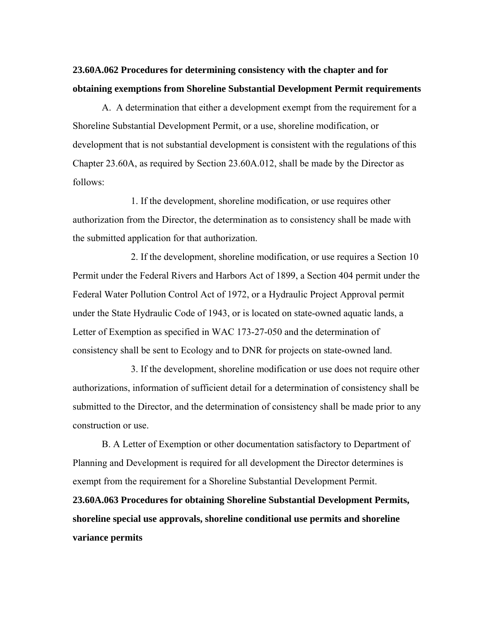# **23.60A.062 Procedures for determining consistency with the chapter and for obtaining exemptions from Shoreline Substantial Development Permit requirements**

A. A determination that either a development exempt from the requirement for a Shoreline Substantial Development Permit, or a use, shoreline modification, or development that is not substantial development is consistent with the regulations of this Chapter 23.60A, as required by Section 23.60A.012, shall be made by the Director as follows:

1. If the development, shoreline modification, or use requires other authorization from the Director, the determination as to consistency shall be made with the submitted application for that authorization.

2. If the development, shoreline modification, or use requires a Section 10 Permit under the Federal Rivers and Harbors Act of 1899, a Section 404 permit under the Federal Water Pollution Control Act of 1972, or a Hydraulic Project Approval permit under the State Hydraulic Code of 1943, or is located on state-owned aquatic lands, a Letter of Exemption as specified in WAC 173-27-050 and the determination of consistency shall be sent to Ecology and to DNR for projects on state-owned land.

3. If the development, shoreline modification or use does not require other authorizations, information of sufficient detail for a determination of consistency shall be submitted to the Director, and the determination of consistency shall be made prior to any construction or use.

B. A Letter of Exemption or other documentation satisfactory to Department of Planning and Development is required for all development the Director determines is exempt from the requirement for a Shoreline Substantial Development Permit.

**23.60A.063 Procedures for obtaining Shoreline Substantial Development Permits, shoreline special use approvals, shoreline conditional use permits and shoreline variance permits**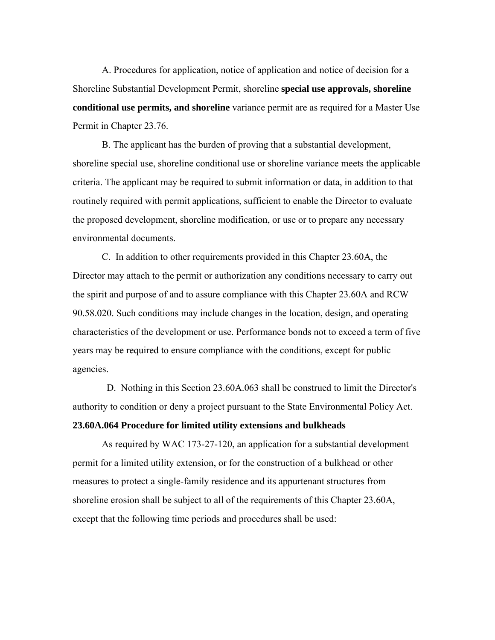A. Procedures for application, notice of application and notice of decision for a Shoreline Substantial Development Permit, shoreline **special use approvals, shoreline conditional use permits, and shoreline** variance permit are as required for a Master Use Permit in Chapter 23.76.

B. The applicant has the burden of proving that a substantial development, shoreline special use, shoreline conditional use or shoreline variance meets the applicable criteria. The applicant may be required to submit information or data, in addition to that routinely required with permit applications, sufficient to enable the Director to evaluate the proposed development, shoreline modification, or use or to prepare any necessary environmental documents.

C. In addition to other requirements provided in this Chapter 23.60A, the Director may attach to the permit or authorization any conditions necessary to carry out the spirit and purpose of and to assure compliance with this Chapter 23.60A and RCW 90.58.020. Such conditions may include changes in the location, design, and operating characteristics of the development or use. Performance bonds not to exceed a term of five years may be required to ensure compliance with the conditions, except for public agencies.

 D. Nothing in this Section 23.60A.063 shall be construed to limit the Director's authority to condition or deny a project pursuant to the State Environmental Policy Act.

# **23.60A.064 Procedure for limited utility extensions and bulkheads**

As required by WAC 173-27-120, an application for a substantial development permit for a limited utility extension, or for the construction of a bulkhead or other measures to protect a single-family residence and its appurtenant structures from shoreline erosion shall be subject to all of the requirements of this Chapter 23.60A, except that the following time periods and procedures shall be used: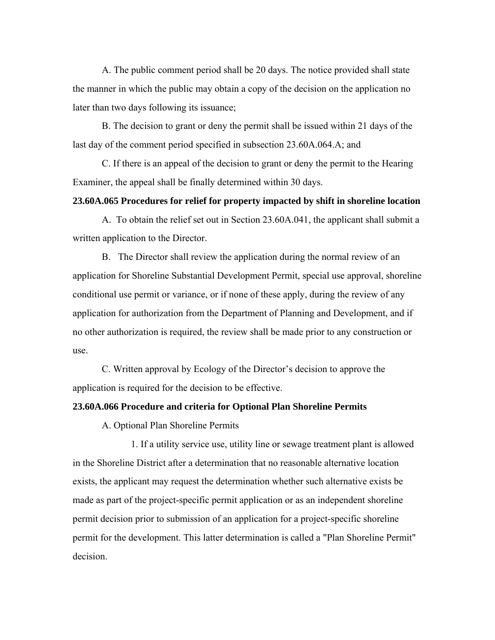A. The public comment period shall be 20 days. The notice provided shall state the manner in which the public may obtain a copy of the decision on the application no later than two days following its issuance;

B. The decision to grant or deny the permit shall be issued within 21 days of the last day of the comment period specified in subsection 23.60A.064.A; and

C. If there is an appeal of the decision to grant or deny the permit to the Hearing Examiner, the appeal shall be finally determined within 30 days.

# **23.60A.065 Procedures for relief for property impacted by shift in shoreline location**

A. To obtain the relief set out in Section 23.60A.041, the applicant shall submit a written application to the Director.

B. The Director shall review the application during the normal review of an application for Shoreline Substantial Development Permit, special use approval, shoreline conditional use permit or variance, or if none of these apply, during the review of any application for authorization from the Department of Planning and Development, and if no other authorization is required, the review shall be made prior to any construction or use.

C. Written approval by Ecology of the Director's decision to approve the application is required for the decision to be effective.

## **23.60A.066 Procedure and criteria for Optional Plan Shoreline Permits**

A. Optional Plan Shoreline Permits

1. If a utility service use, utility line or sewage treatment plant is allowed in the Shoreline District after a determination that no reasonable alternative location exists, the applicant may request the determination whether such alternative exists be made as part of the project-specific permit application or as an independent shoreline permit decision prior to submission of an application for a project-specific shoreline permit for the development. This latter determination is called a "Plan Shoreline Permit" decision.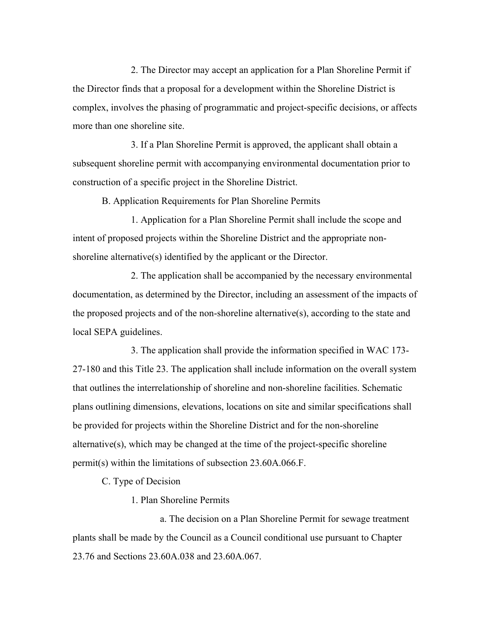2. The Director may accept an application for a Plan Shoreline Permit if the Director finds that a proposal for a development within the Shoreline District is complex, involves the phasing of programmatic and project-specific decisions, or affects more than one shoreline site.

3. If a Plan Shoreline Permit is approved, the applicant shall obtain a subsequent shoreline permit with accompanying environmental documentation prior to construction of a specific project in the Shoreline District.

B. Application Requirements for Plan Shoreline Permits

1. Application for a Plan Shoreline Permit shall include the scope and intent of proposed projects within the Shoreline District and the appropriate nonshoreline alternative(s) identified by the applicant or the Director.

2. The application shall be accompanied by the necessary environmental documentation, as determined by the Director, including an assessment of the impacts of the proposed projects and of the non-shoreline alternative(s), according to the state and local SEPA guidelines.

3. The application shall provide the information specified in WAC 173- 27-180 and this Title 23. The application shall include information on the overall system that outlines the interrelationship of shoreline and non-shoreline facilities. Schematic plans outlining dimensions, elevations, locations on site and similar specifications shall be provided for projects within the Shoreline District and for the non-shoreline alternative(s), which may be changed at the time of the project-specific shoreline permit(s) within the limitations of subsection 23.60A.066.F.

C. Type of Decision

1. Plan Shoreline Permits

a. The decision on a Plan Shoreline Permit for sewage treatment plants shall be made by the Council as a Council conditional use pursuant to Chapter 23.76 and Sections 23.60A.038 and 23.60A.067.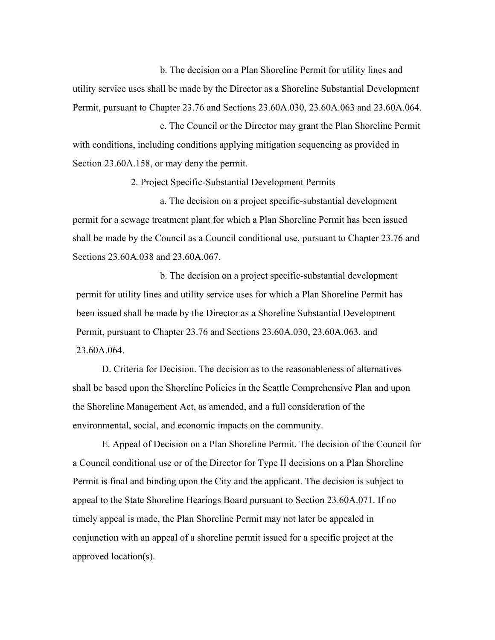b. The decision on a Plan Shoreline Permit for utility lines and utility service uses shall be made by the Director as a Shoreline Substantial Development Permit, pursuant to Chapter 23.76 and Sections 23.60A.030, 23.60A.063 and 23.60A.064.

c. The Council or the Director may grant the Plan Shoreline Permit with conditions, including conditions applying mitigation sequencing as provided in Section 23.60A.158, or may deny the permit.

2. Project Specific-Substantial Development Permits

a. The decision on a project specific-substantial development permit for a sewage treatment plant for which a Plan Shoreline Permit has been issued shall be made by the Council as a Council conditional use, pursuant to Chapter 23.76 and Sections 23.60A.038 and 23.60A.067.

b. The decision on a project specific-substantial development permit for utility lines and utility service uses for which a Plan Shoreline Permit has been issued shall be made by the Director as a Shoreline Substantial Development Permit, pursuant to Chapter 23.76 and Sections 23.60A.030, 23.60A.063, and 23.60A.064.

D. Criteria for Decision. The decision as to the reasonableness of alternatives shall be based upon the Shoreline Policies in the Seattle Comprehensive Plan and upon the Shoreline Management Act, as amended, and a full consideration of the environmental, social, and economic impacts on the community.

E. Appeal of Decision on a Plan Shoreline Permit. The decision of the Council for a Council conditional use or of the Director for Type II decisions on a Plan Shoreline Permit is final and binding upon the City and the applicant. The decision is subject to appeal to the State Shoreline Hearings Board pursuant to Section 23.60A.071. If no timely appeal is made, the Plan Shoreline Permit may not later be appealed in conjunction with an appeal of a shoreline permit issued for a specific project at the approved location(s).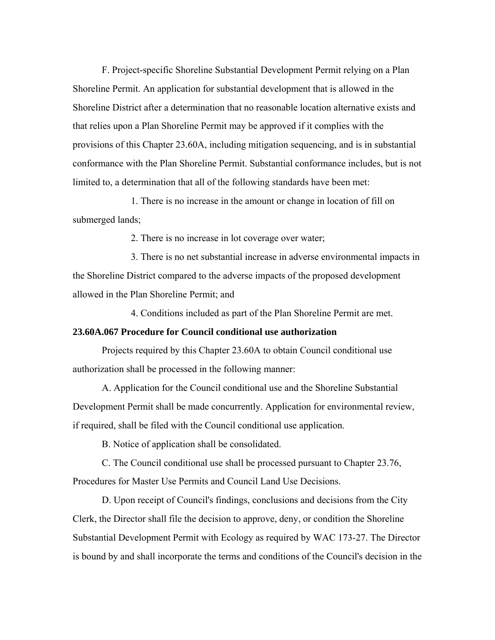F. Project-specific Shoreline Substantial Development Permit relying on a Plan Shoreline Permit. An application for substantial development that is allowed in the Shoreline District after a determination that no reasonable location alternative exists and that relies upon a Plan Shoreline Permit may be approved if it complies with the provisions of this Chapter 23.60A, including mitigation sequencing, and is in substantial conformance with the Plan Shoreline Permit. Substantial conformance includes, but is not limited to, a determination that all of the following standards have been met:

1. There is no increase in the amount or change in location of fill on submerged lands;

2. There is no increase in lot coverage over water;

3. There is no net substantial increase in adverse environmental impacts in the Shoreline District compared to the adverse impacts of the proposed development allowed in the Plan Shoreline Permit; and

4. Conditions included as part of the Plan Shoreline Permit are met.

## **23.60A.067 Procedure for Council conditional use authorization**

Projects required by this Chapter 23.60A to obtain Council conditional use authorization shall be processed in the following manner:

A. Application for the Council conditional use and the Shoreline Substantial Development Permit shall be made concurrently. Application for environmental review, if required, shall be filed with the Council conditional use application.

B. Notice of application shall be consolidated.

C. The Council conditional use shall be processed pursuant to Chapter 23.76, Procedures for Master Use Permits and Council Land Use Decisions.

D. Upon receipt of Council's findings, conclusions and decisions from the City Clerk, the Director shall file the decision to approve, deny, or condition the Shoreline Substantial Development Permit with Ecology as required by WAC 173-27. The Director is bound by and shall incorporate the terms and conditions of the Council's decision in the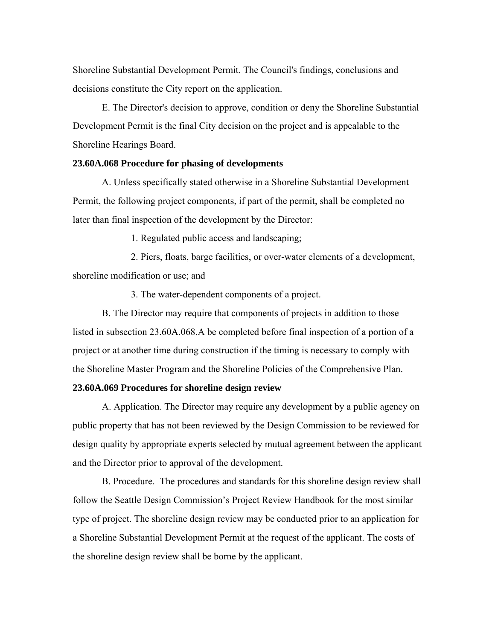Shoreline Substantial Development Permit. The Council's findings, conclusions and decisions constitute the City report on the application.

E. The Director's decision to approve, condition or deny the Shoreline Substantial Development Permit is the final City decision on the project and is appealable to the Shoreline Hearings Board.

## **23.60A.068 Procedure for phasing of developments**

A. Unless specifically stated otherwise in a Shoreline Substantial Development Permit, the following project components, if part of the permit, shall be completed no later than final inspection of the development by the Director:

1. Regulated public access and landscaping;

2. Piers, floats, barge facilities, or over-water elements of a development, shoreline modification or use; and

3. The water-dependent components of a project.

B. The Director may require that components of projects in addition to those listed in subsection 23.60A.068.A be completed before final inspection of a portion of a project or at another time during construction if the timing is necessary to comply with the Shoreline Master Program and the Shoreline Policies of the Comprehensive Plan.

## **23.60A.069 Procedures for shoreline design review**

A. Application. The Director may require any development by a public agency on public property that has not been reviewed by the Design Commission to be reviewed for design quality by appropriate experts selected by mutual agreement between the applicant and the Director prior to approval of the development.

B. Procedure. The procedures and standards for this shoreline design review shall follow the Seattle Design Commission's Project Review Handbook for the most similar type of project. The shoreline design review may be conducted prior to an application for a Shoreline Substantial Development Permit at the request of the applicant. The costs of the shoreline design review shall be borne by the applicant.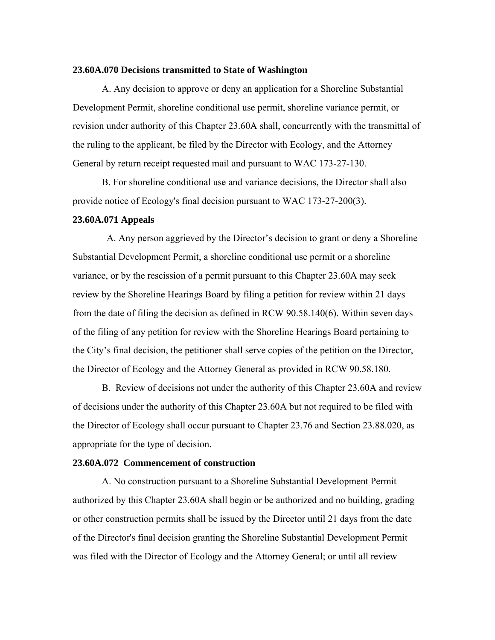#### **23.60A.070 Decisions transmitted to State of Washington**

A. Any decision to approve or deny an application for a Shoreline Substantial Development Permit, shoreline conditional use permit, shoreline variance permit, or revision under authority of this Chapter 23.60A shall, concurrently with the transmittal of the ruling to the applicant, be filed by the Director with Ecology, and the Attorney General by return receipt requested mail and pursuant to WAC 173-27-130.

B. For shoreline conditional use and variance decisions, the Director shall also provide notice of Ecology's final decision pursuant to WAC 173-27-200(3).

#### **23.60A.071 Appeals**

 A. Any person aggrieved by the Director's decision to grant or deny a Shoreline Substantial Development Permit, a shoreline conditional use permit or a shoreline variance, or by the rescission of a permit pursuant to this Chapter 23.60A may seek review by the Shoreline Hearings Board by filing a petition for review within 21 days from the date of filing the decision as defined in RCW 90.58.140(6). Within seven days of the filing of any petition for review with the Shoreline Hearings Board pertaining to the City's final decision, the petitioner shall serve copies of the petition on the Director, the Director of Ecology and the Attorney General as provided in RCW 90.58.180.

B. Review of decisions not under the authority of this Chapter 23.60A and review of decisions under the authority of this Chapter 23.60A but not required to be filed with the Director of Ecology shall occur pursuant to Chapter 23.76 and Section 23.88.020, as appropriate for the type of decision.

#### **23.60A.072 Commencement of construction**

A. No construction pursuant to a Shoreline Substantial Development Permit authorized by this Chapter 23.60A shall begin or be authorized and no building, grading or other construction permits shall be issued by the Director until 21 days from the date of the Director's final decision granting the Shoreline Substantial Development Permit was filed with the Director of Ecology and the Attorney General; or until all review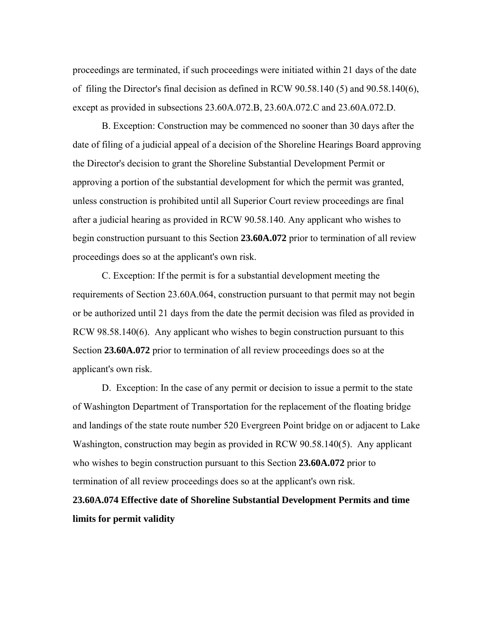proceedings are terminated, if such proceedings were initiated within 21 days of the date of filing the Director's final decision as defined in RCW 90.58.140 (5) and 90.58.140(6), except as provided in subsections 23.60A.072.B, 23.60A.072.C and 23.60A.072.D.

B. Exception: Construction may be commenced no sooner than 30 days after the date of filing of a judicial appeal of a decision of the Shoreline Hearings Board approving the Director's decision to grant the Shoreline Substantial Development Permit or approving a portion of the substantial development for which the permit was granted, unless construction is prohibited until all Superior Court review proceedings are final after a judicial hearing as provided in RCW 90.58.140. Any applicant who wishes to begin construction pursuant to this Section **23.60A.072** prior to termination of all review proceedings does so at the applicant's own risk.

C. Exception: If the permit is for a substantial development meeting the requirements of Section 23.60A.064, construction pursuant to that permit may not begin or be authorized until 21 days from the date the permit decision was filed as provided in RCW 98.58.140(6). Any applicant who wishes to begin construction pursuant to this Section **23.60A.072** prior to termination of all review proceedings does so at the applicant's own risk.

D. Exception: In the case of any permit or decision to issue a permit to the state of Washington Department of Transportation for the replacement of the floating bridge and landings of the state route number 520 Evergreen Point bridge on or adjacent to Lake Washington, construction may begin as provided in RCW 90.58.140(5). Any applicant who wishes to begin construction pursuant to this Section **23.60A.072** prior to termination of all review proceedings does so at the applicant's own risk.

**23.60A.074 Effective date of Shoreline Substantial Development Permits and time limits for permit validity**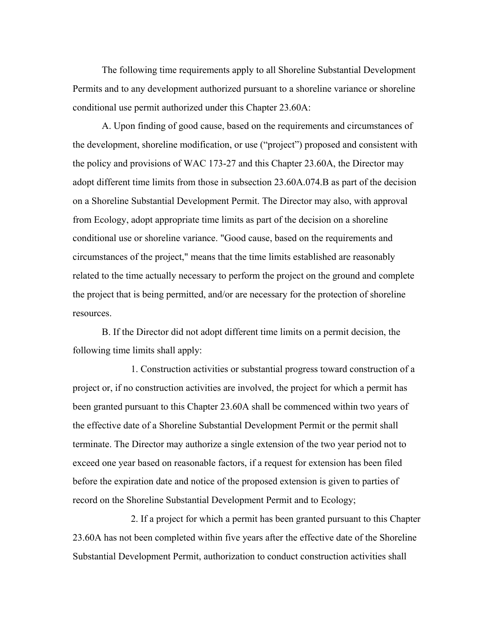The following time requirements apply to all Shoreline Substantial Development Permits and to any development authorized pursuant to a shoreline variance or shoreline conditional use permit authorized under this Chapter 23.60A:

A. Upon finding of good cause, based on the requirements and circumstances of the development, shoreline modification, or use ("project") proposed and consistent with the policy and provisions of WAC 173-27 and this Chapter 23.60A, the Director may adopt different time limits from those in subsection 23.60A.074.B as part of the decision on a Shoreline Substantial Development Permit. The Director may also, with approval from Ecology, adopt appropriate time limits as part of the decision on a shoreline conditional use or shoreline variance. "Good cause, based on the requirements and circumstances of the project," means that the time limits established are reasonably related to the time actually necessary to perform the project on the ground and complete the project that is being permitted, and/or are necessary for the protection of shoreline resources.

B. If the Director did not adopt different time limits on a permit decision, the following time limits shall apply:

1. Construction activities or substantial progress toward construction of a project or, if no construction activities are involved, the project for which a permit has been granted pursuant to this Chapter 23.60A shall be commenced within two years of the effective date of a Shoreline Substantial Development Permit or the permit shall terminate. The Director may authorize a single extension of the two year period not to exceed one year based on reasonable factors, if a request for extension has been filed before the expiration date and notice of the proposed extension is given to parties of record on the Shoreline Substantial Development Permit and to Ecology;

2. If a project for which a permit has been granted pursuant to this Chapter 23.60A has not been completed within five years after the effective date of the Shoreline Substantial Development Permit, authorization to conduct construction activities shall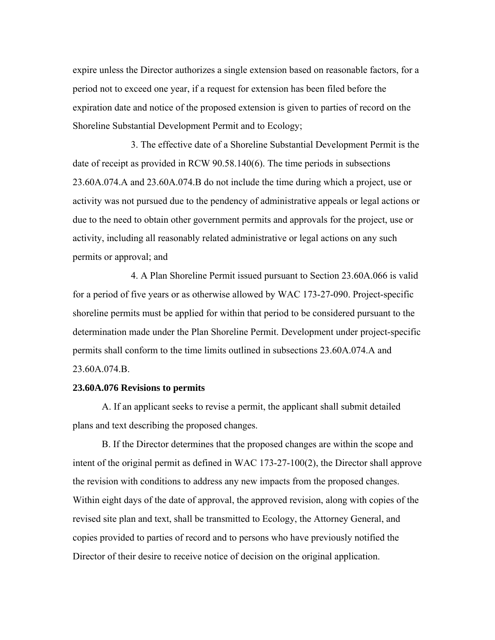expire unless the Director authorizes a single extension based on reasonable factors, for a period not to exceed one year, if a request for extension has been filed before the expiration date and notice of the proposed extension is given to parties of record on the Shoreline Substantial Development Permit and to Ecology;

3. The effective date of a Shoreline Substantial Development Permit is the date of receipt as provided in RCW 90.58.140(6). The time periods in subsections 23.60A.074.A and 23.60A.074.B do not include the time during which a project, use or activity was not pursued due to the pendency of administrative appeals or legal actions or due to the need to obtain other government permits and approvals for the project, use or activity, including all reasonably related administrative or legal actions on any such permits or approval; and

4. A Plan Shoreline Permit issued pursuant to Section 23.60A.066 is valid for a period of five years or as otherwise allowed by WAC 173-27-090. Project-specific shoreline permits must be applied for within that period to be considered pursuant to the determination made under the Plan Shoreline Permit. Development under project-specific permits shall conform to the time limits outlined in subsections 23.60A.074.A and 23.60A.074.B.

## **23.60A.076 Revisions to permits**

A. If an applicant seeks to revise a permit, the applicant shall submit detailed plans and text describing the proposed changes.

B. If the Director determines that the proposed changes are within the scope and intent of the original permit as defined in WAC 173-27-100(2), the Director shall approve the revision with conditions to address any new impacts from the proposed changes. Within eight days of the date of approval, the approved revision, along with copies of the revised site plan and text, shall be transmitted to Ecology, the Attorney General, and copies provided to parties of record and to persons who have previously notified the Director of their desire to receive notice of decision on the original application.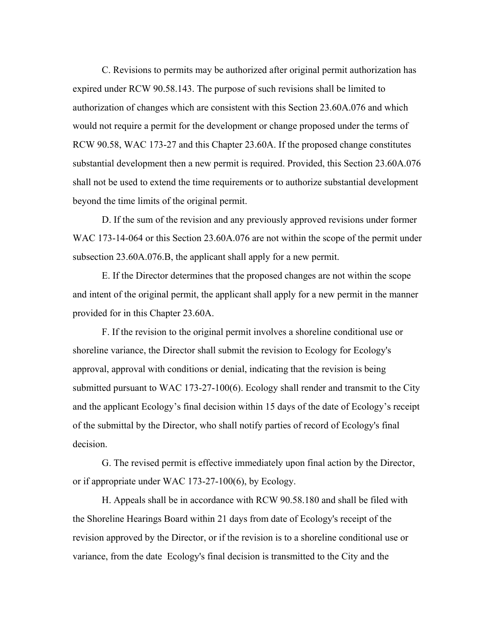C. Revisions to permits may be authorized after original permit authorization has expired under RCW 90.58.143. The purpose of such revisions shall be limited to authorization of changes which are consistent with this Section 23.60A.076 and which would not require a permit for the development or change proposed under the terms of RCW 90.58, WAC 173-27 and this Chapter 23.60A. If the proposed change constitutes substantial development then a new permit is required. Provided, this Section 23.60A.076 shall not be used to extend the time requirements or to authorize substantial development beyond the time limits of the original permit.

 D. If the sum of the revision and any previously approved revisions under former WAC 173-14-064 or this Section 23.60A.076 are not within the scope of the permit under subsection 23.60A.076.B, the applicant shall apply for a new permit.

E. If the Director determines that the proposed changes are not within the scope and intent of the original permit, the applicant shall apply for a new permit in the manner provided for in this Chapter 23.60A.

F. If the revision to the original permit involves a shoreline conditional use or shoreline variance, the Director shall submit the revision to Ecology for Ecology's approval, approval with conditions or denial, indicating that the revision is being submitted pursuant to WAC 173-27-100(6). Ecology shall render and transmit to the City and the applicant Ecology's final decision within 15 days of the date of Ecology's receipt of the submittal by the Director, who shall notify parties of record of Ecology's final decision.

G. The revised permit is effective immediately upon final action by the Director, or if appropriate under WAC 173-27-100(6), by Ecology.

H. Appeals shall be in accordance with RCW 90.58.180 and shall be filed with the Shoreline Hearings Board within 21 days from date of Ecology's receipt of the revision approved by the Director, or if the revision is to a shoreline conditional use or variance, from the date Ecology's final decision is transmitted to the City and the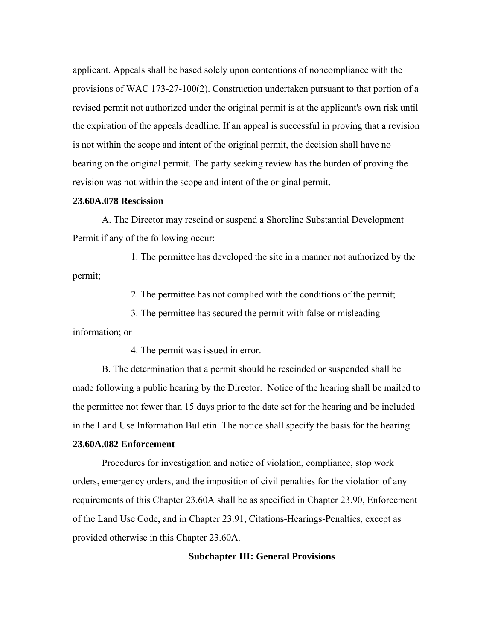applicant. Appeals shall be based solely upon contentions of noncompliance with the provisions of WAC 173-27-100(2). Construction undertaken pursuant to that portion of a revised permit not authorized under the original permit is at the applicant's own risk until the expiration of the appeals deadline. If an appeal is successful in proving that a revision is not within the scope and intent of the original permit, the decision shall have no bearing on the original permit. The party seeking review has the burden of proving the revision was not within the scope and intent of the original permit.

## **23.60A.078 Rescission**

A. The Director may rescind or suspend a Shoreline Substantial Development Permit if any of the following occur:

1. The permittee has developed the site in a manner not authorized by the permit;

2. The permittee has not complied with the conditions of the permit;

3. The permittee has secured the permit with false or misleading

information; or

4. The permit was issued in error.

B. The determination that a permit should be rescinded or suspended shall be made following a public hearing by the Director. Notice of the hearing shall be mailed to the permittee not fewer than 15 days prior to the date set for the hearing and be included in the Land Use Information Bulletin. The notice shall specify the basis for the hearing.

## **23.60A.082 Enforcement**

Procedures for investigation and notice of violation, compliance, stop work orders, emergency orders, and the imposition of civil penalties for the violation of any requirements of this Chapter 23.60A shall be as specified in Chapter 23.90, Enforcement of the Land Use Code, and in Chapter 23.91, Citations-Hearings-Penalties, except as provided otherwise in this Chapter 23.60A.

## **Subchapter III: General Provisions**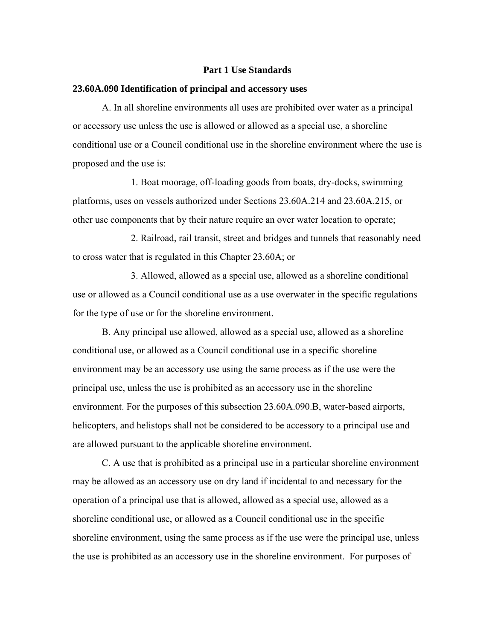#### **Part 1 Use Standards**

#### **23.60A.090 Identification of principal and accessory uses**

A. In all shoreline environments all uses are prohibited over water as a principal or accessory use unless the use is allowed or allowed as a special use, a shoreline conditional use or a Council conditional use in the shoreline environment where the use is proposed and the use is:

1. Boat moorage, off-loading goods from boats, dry-docks, swimming platforms, uses on vessels authorized under Sections 23.60A.214 and 23.60A.215, or other use components that by their nature require an over water location to operate;

2. Railroad, rail transit, street and bridges and tunnels that reasonably need to cross water that is regulated in this Chapter 23.60A; or

3. Allowed, allowed as a special use, allowed as a shoreline conditional use or allowed as a Council conditional use as a use overwater in the specific regulations for the type of use or for the shoreline environment.

B. Any principal use allowed, allowed as a special use, allowed as a shoreline conditional use, or allowed as a Council conditional use in a specific shoreline environment may be an accessory use using the same process as if the use were the principal use, unless the use is prohibited as an accessory use in the shoreline environment. For the purposes of this subsection 23.60A.090.B, water-based airports, helicopters, and helistops shall not be considered to be accessory to a principal use and are allowed pursuant to the applicable shoreline environment.

C. A use that is prohibited as a principal use in a particular shoreline environment may be allowed as an accessory use on dry land if incidental to and necessary for the operation of a principal use that is allowed, allowed as a special use, allowed as a shoreline conditional use, or allowed as a Council conditional use in the specific shoreline environment, using the same process as if the use were the principal use, unless the use is prohibited as an accessory use in the shoreline environment. For purposes of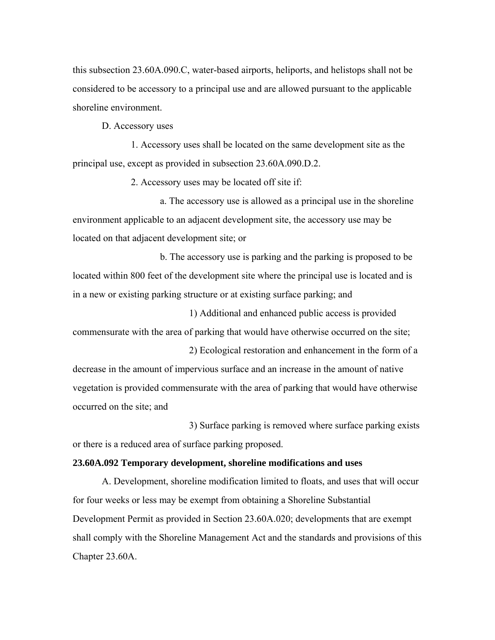this subsection 23.60A.090.C, water-based airports, heliports, and helistops shall not be considered to be accessory to a principal use and are allowed pursuant to the applicable shoreline environment.

D. Accessory uses

1. Accessory uses shall be located on the same development site as the principal use, except as provided in subsection 23.60A.090.D.2.

2. Accessory uses may be located off site if:

a. The accessory use is allowed as a principal use in the shoreline environment applicable to an adjacent development site, the accessory use may be located on that adjacent development site; or

b. The accessory use is parking and the parking is proposed to be located within 800 feet of the development site where the principal use is located and is in a new or existing parking structure or at existing surface parking; and

1) Additional and enhanced public access is provided commensurate with the area of parking that would have otherwise occurred on the site;

2) Ecological restoration and enhancement in the form of a decrease in the amount of impervious surface and an increase in the amount of native vegetation is provided commensurate with the area of parking that would have otherwise occurred on the site; and

3) Surface parking is removed where surface parking exists or there is a reduced area of surface parking proposed.

## **23.60A.092 Temporary development, shoreline modifications and uses**

A. Development, shoreline modification limited to floats, and uses that will occur for four weeks or less may be exempt from obtaining a Shoreline Substantial Development Permit as provided in Section 23.60A.020; developments that are exempt shall comply with the Shoreline Management Act and the standards and provisions of this Chapter 23.60A.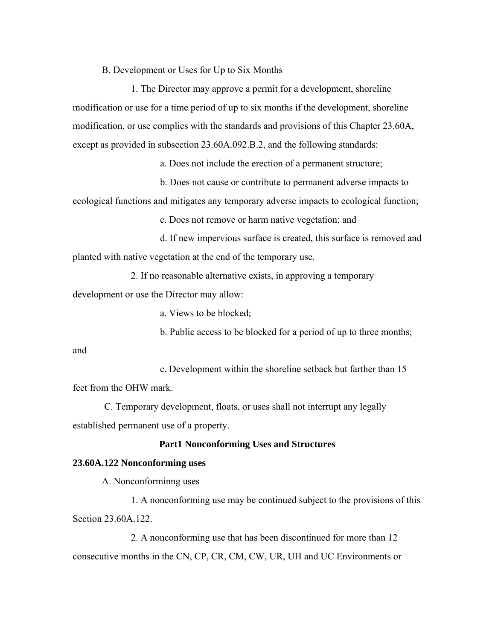B. Development or Uses for Up to Six Months

1. The Director may approve a permit for a development, shoreline modification or use for a time period of up to six months if the development, shoreline modification, or use complies with the standards and provisions of this Chapter 23.60A, except as provided in subsection 23.60A.092.B.2, and the following standards:

a. Does not include the erection of a permanent structure;

b. Does not cause or contribute to permanent adverse impacts to ecological functions and mitigates any temporary adverse impacts to ecological function;

c. Does not remove or harm native vegetation; and

d. If new impervious surface is created, this surface is removed and planted with native vegetation at the end of the temporary use.

2. If no reasonable alternative exists, in approving a temporary

development or use the Director may allow:

a. Views to be blocked;

b. Public access to be blocked for a period of up to three months;

and

c. Development within the shoreline setback but farther than 15 feet from the OHW mark.

 C. Temporary development, floats, or uses shall not interrupt any legally established permanent use of a property.

# **Part1 Nonconforming Uses and Structures**

#### **23.60A.122 Nonconforming uses**

A. Nonconforminng uses

1. A nonconforming use may be continued subject to the provisions of this Section 23.60A.122.

2. A nonconforming use that has been discontinued for more than 12 consecutive months in the CN, CP, CR, CM, CW, UR, UH and UC Environments or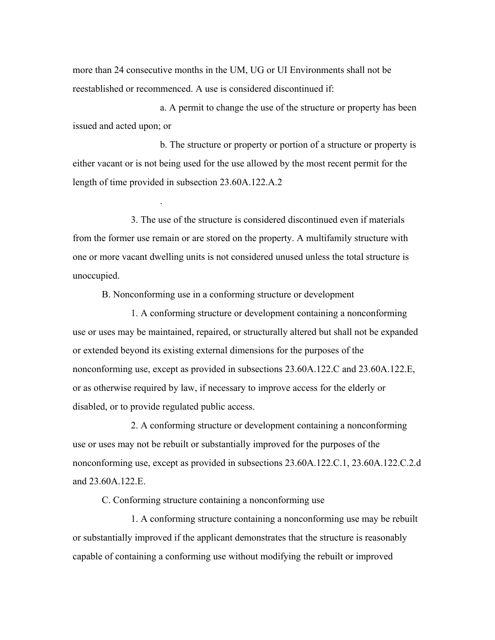more than 24 consecutive months in the UM, UG or UI Environments shall not be reestablished or recommenced. A use is considered discontinued if:

a. A permit to change the use of the structure or property has been issued and acted upon; or

b. The structure or property or portion of a structure or property is either vacant or is not being used for the use allowed by the most recent permit for the length of time provided in subsection 23.60A.122.A.2

3. The use of the structure is considered discontinued even if materials from the former use remain or are stored on the property. A multifamily structure with one or more vacant dwelling units is not considered unused unless the total structure is unoccupied.

B. Nonconforming use in a conforming structure or development

.

1. A conforming structure or development containing a nonconforming use or uses may be maintained, repaired, or structurally altered but shall not be expanded or extended beyond its existing external dimensions for the purposes of the nonconforming use, except as provided in subsections 23.60A.122.C and 23.60A.122.E, or as otherwise required by law, if necessary to improve access for the elderly or disabled, or to provide regulated public access.

2. A conforming structure or development containing a nonconforming use or uses may not be rebuilt or substantially improved for the purposes of the nonconforming use, except as provided in subsections 23.60A.122.C.1, 23.60A.122.C.2.d and 23.60A.122.E.

C. Conforming structure containing a nonconforming use

1. A conforming structure containing a nonconforming use may be rebuilt or substantially improved if the applicant demonstrates that the structure is reasonably capable of containing a conforming use without modifying the rebuilt or improved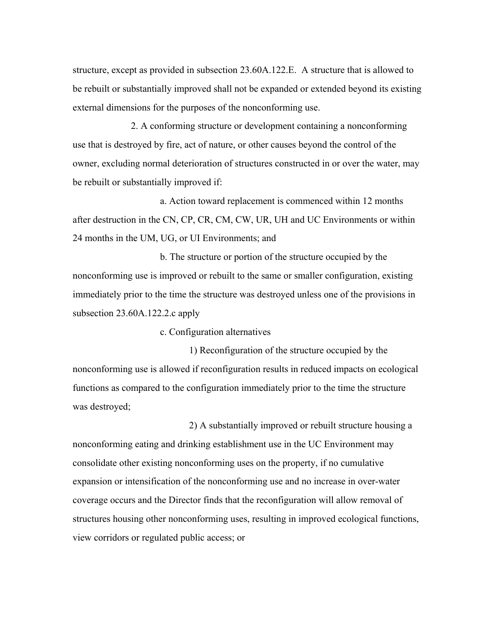structure, except as provided in subsection 23.60A.122.E. A structure that is allowed to be rebuilt or substantially improved shall not be expanded or extended beyond its existing external dimensions for the purposes of the nonconforming use.

2. A conforming structure or development containing a nonconforming use that is destroyed by fire, act of nature, or other causes beyond the control of the owner, excluding normal deterioration of structures constructed in or over the water, may be rebuilt or substantially improved if:

a. Action toward replacement is commenced within 12 months after destruction in the CN, CP, CR, CM, CW, UR, UH and UC Environments or within 24 months in the UM, UG, or UI Environments; and

b. The structure or portion of the structure occupied by the nonconforming use is improved or rebuilt to the same or smaller configuration, existing immediately prior to the time the structure was destroyed unless one of the provisions in subsection 23.60A.122.2.c apply

c. Configuration alternatives

1) Reconfiguration of the structure occupied by the nonconforming use is allowed if reconfiguration results in reduced impacts on ecological functions as compared to the configuration immediately prior to the time the structure was destroyed;

2) A substantially improved or rebuilt structure housing a nonconforming eating and drinking establishment use in the UC Environment may consolidate other existing nonconforming uses on the property, if no cumulative expansion or intensification of the nonconforming use and no increase in over-water coverage occurs and the Director finds that the reconfiguration will allow removal of structures housing other nonconforming uses, resulting in improved ecological functions, view corridors or regulated public access; or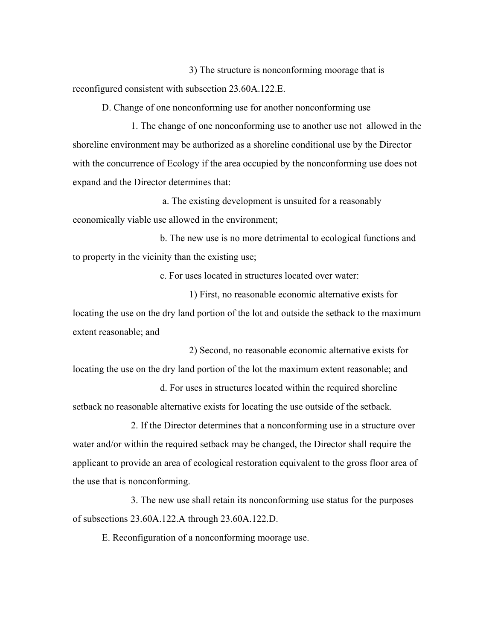3) The structure is nonconforming moorage that is reconfigured consistent with subsection 23.60A.122.E.

D. Change of one nonconforming use for another nonconforming use

1. The change of one nonconforming use to another use not allowed in the shoreline environment may be authorized as a shoreline conditional use by the Director with the concurrence of Ecology if the area occupied by the nonconforming use does not expand and the Director determines that:

 a. The existing development is unsuited for a reasonably economically viable use allowed in the environment;

b. The new use is no more detrimental to ecological functions and to property in the vicinity than the existing use;

c. For uses located in structures located over water:

1) First, no reasonable economic alternative exists for locating the use on the dry land portion of the lot and outside the setback to the maximum extent reasonable; and

2) Second, no reasonable economic alternative exists for locating the use on the dry land portion of the lot the maximum extent reasonable; and

d. For uses in structures located within the required shoreline setback no reasonable alternative exists for locating the use outside of the setback.

2. If the Director determines that a nonconforming use in a structure over water and/or within the required setback may be changed, the Director shall require the applicant to provide an area of ecological restoration equivalent to the gross floor area of the use that is nonconforming.

3. The new use shall retain its nonconforming use status for the purposes of subsections 23.60A.122.A through 23.60A.122.D.

E. Reconfiguration of a nonconforming moorage use.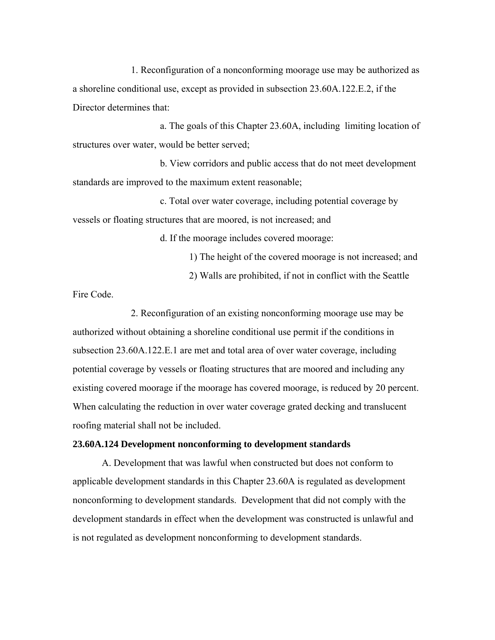1. Reconfiguration of a nonconforming moorage use may be authorized as a shoreline conditional use, except as provided in subsection 23.60A.122.E.2, if the Director determines that:

a. The goals of this Chapter 23.60A, including limiting location of structures over water, would be better served;

b. View corridors and public access that do not meet development standards are improved to the maximum extent reasonable;

c. Total over water coverage, including potential coverage by vessels or floating structures that are moored, is not increased; and

d. If the moorage includes covered moorage:

1) The height of the covered moorage is not increased; and 2) Walls are prohibited, if not in conflict with the Seattle

Fire Code.

2. Reconfiguration of an existing nonconforming moorage use may be authorized without obtaining a shoreline conditional use permit if the conditions in subsection 23.60A.122.E.1 are met and total area of over water coverage, including potential coverage by vessels or floating structures that are moored and including any existing covered moorage if the moorage has covered moorage, is reduced by 20 percent. When calculating the reduction in over water coverage grated decking and translucent roofing material shall not be included.

## **23.60A.124 Development nonconforming to development standards**

A. Development that was lawful when constructed but does not conform to applicable development standards in this Chapter 23.60A is regulated as development nonconforming to development standards. Development that did not comply with the development standards in effect when the development was constructed is unlawful and is not regulated as development nonconforming to development standards.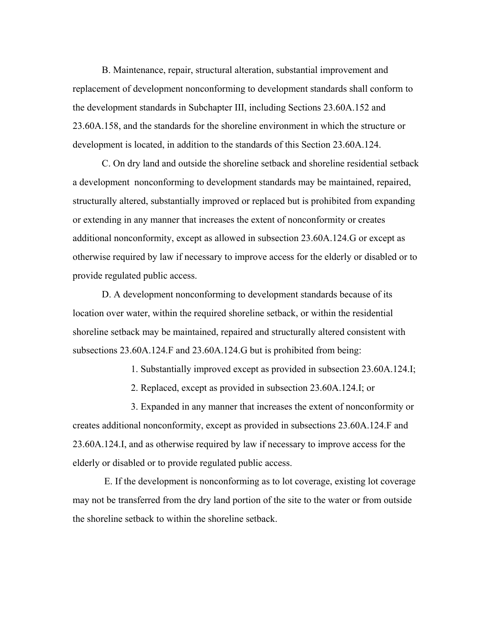B. Maintenance, repair, structural alteration, substantial improvement and replacement of development nonconforming to development standards shall conform to the development standards in Subchapter III, including Sections 23.60A.152 and 23.60A.158, and the standards for the shoreline environment in which the structure or development is located, in addition to the standards of this Section 23.60A.124.

C. On dry land and outside the shoreline setback and shoreline residential setback a development nonconforming to development standards may be maintained, repaired, structurally altered, substantially improved or replaced but is prohibited from expanding or extending in any manner that increases the extent of nonconformity or creates additional nonconformity, except as allowed in subsection 23.60A.124.G or except as otherwise required by law if necessary to improve access for the elderly or disabled or to provide regulated public access.

D. A development nonconforming to development standards because of its location over water, within the required shoreline setback, or within the residential shoreline setback may be maintained, repaired and structurally altered consistent with subsections 23.60A.124.F and 23.60A.124.G but is prohibited from being:

1. Substantially improved except as provided in subsection 23.60A.124.I;

2. Replaced, except as provided in subsection 23.60A.124.I; or

3. Expanded in any manner that increases the extent of nonconformity or creates additional nonconformity, except as provided in subsections 23.60A.124.F and 23.60A.124.I, and as otherwise required by law if necessary to improve access for the elderly or disabled or to provide regulated public access.

 E. If the development is nonconforming as to lot coverage, existing lot coverage may not be transferred from the dry land portion of the site to the water or from outside the shoreline setback to within the shoreline setback.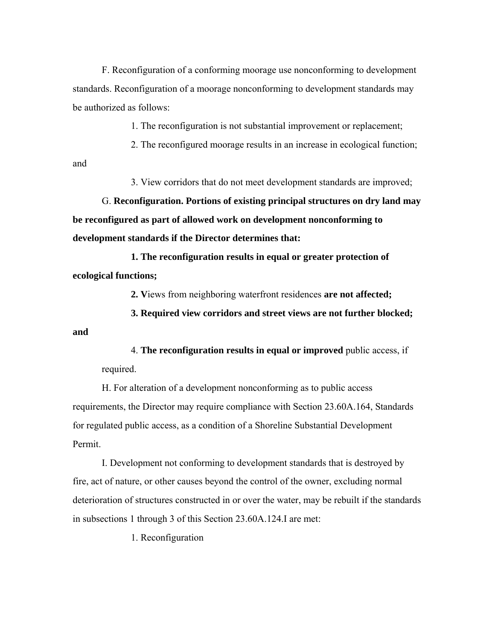F. Reconfiguration of a conforming moorage use nonconforming to development standards. Reconfiguration of a moorage nonconforming to development standards may be authorized as follows:

1. The reconfiguration is not substantial improvement or replacement;

2. The reconfigured moorage results in an increase in ecological function;

and

3. View corridors that do not meet development standards are improved;

G. **Reconfiguration. Portions of existing principal structures on dry land may be reconfigured as part of allowed work on development nonconforming to development standards if the Director determines that:**

**1. The reconfiguration results in equal or greater protection of ecological functions;**

**2. V**iews from neighboring waterfront residences **are not affected;**

**3. Required view corridors and street views are not further blocked;** 

**and**

4. **The reconfiguration results in equal or improved** public access, if required.

H. For alteration of a development nonconforming as to public access requirements, the Director may require compliance with Section 23.60A.164, Standards for regulated public access, as a condition of a Shoreline Substantial Development Permit.

I. Development not conforming to development standards that is destroyed by fire, act of nature, or other causes beyond the control of the owner, excluding normal deterioration of structures constructed in or over the water, may be rebuilt if the standards in subsections 1 through 3 of this Section 23.60A.124.I are met:

1. Reconfiguration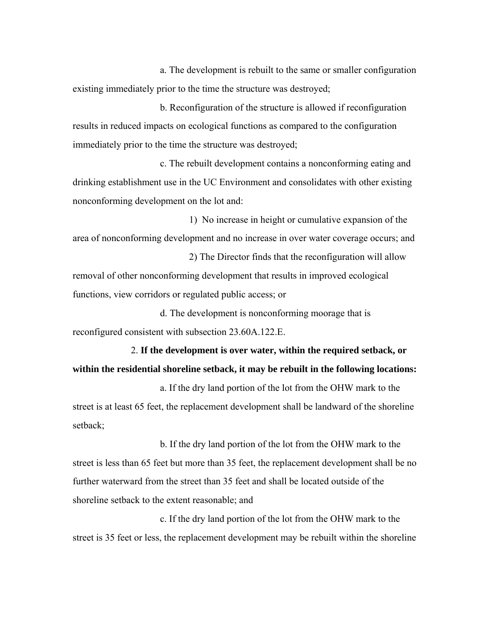a. The development is rebuilt to the same or smaller configuration existing immediately prior to the time the structure was destroyed;

b. Reconfiguration of the structure is allowed if reconfiguration results in reduced impacts on ecological functions as compared to the configuration immediately prior to the time the structure was destroyed;

c. The rebuilt development contains a nonconforming eating and drinking establishment use in the UC Environment and consolidates with other existing nonconforming development on the lot and:

1) No increase in height or cumulative expansion of the area of nonconforming development and no increase in over water coverage occurs; and

2) The Director finds that the reconfiguration will allow removal of other nonconforming development that results in improved ecological functions, view corridors or regulated public access; or

d. The development is nonconforming moorage that is reconfigured consistent with subsection 23.60A.122.E.

# 2. **If the development is over water, within the required setback, or within the residential shoreline setback, it may be rebuilt in the following locations:**

a. If the dry land portion of the lot from the OHW mark to the street is at least 65 feet, the replacement development shall be landward of the shoreline setback;

b. If the dry land portion of the lot from the OHW mark to the street is less than 65 feet but more than 35 feet, the replacement development shall be no further waterward from the street than 35 feet and shall be located outside of the shoreline setback to the extent reasonable; and

c. If the dry land portion of the lot from the OHW mark to the street is 35 feet or less, the replacement development may be rebuilt within the shoreline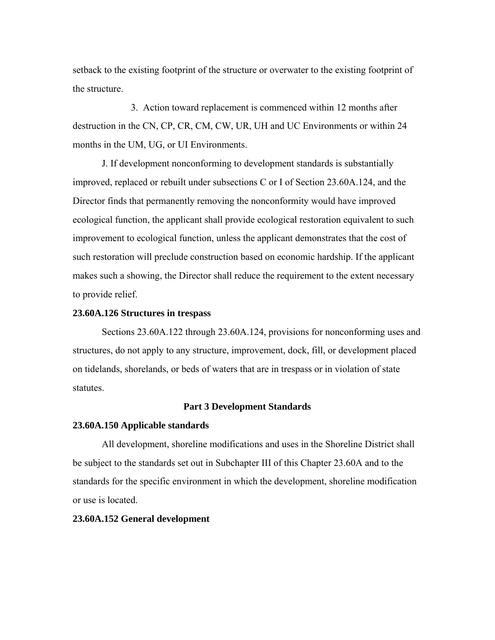setback to the existing footprint of the structure or overwater to the existing footprint of the structure.

3. Action toward replacement is commenced within 12 months after destruction in the CN, CP, CR, CM, CW, UR, UH and UC Environments or within 24 months in the UM, UG, or UI Environments.

J. If development nonconforming to development standards is substantially improved, replaced or rebuilt under subsections C or I of Section 23.60A.124, and the Director finds that permanently removing the nonconformity would have improved ecological function, the applicant shall provide ecological restoration equivalent to such improvement to ecological function, unless the applicant demonstrates that the cost of such restoration will preclude construction based on economic hardship. If the applicant makes such a showing, the Director shall reduce the requirement to the extent necessary to provide relief.

### **23.60A.126 Structures in trespass**

Sections 23.60A.122 through 23.60A.124, provisions for nonconforming uses and structures, do not apply to any structure, improvement, dock, fill, or development placed on tidelands, shorelands, or beds of waters that are in trespass or in violation of state statutes.

### **Part 3 Development Standards**

#### **23.60A.150 Applicable standards**

All development, shoreline modifications and uses in the Shoreline District shall be subject to the standards set out in Subchapter III of this Chapter 23.60A and to the standards for the specific environment in which the development, shoreline modification or use is located.

#### **23.60A.152 General development**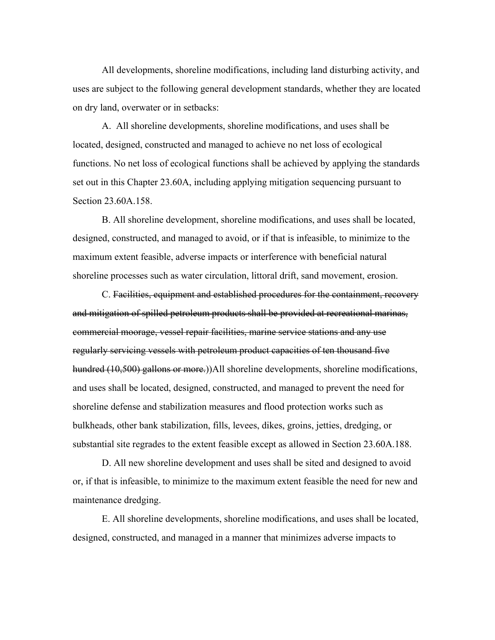All developments, shoreline modifications, including land disturbing activity, and uses are subject to the following general development standards, whether they are located on dry land, overwater or in setbacks:

A. All shoreline developments, shoreline modifications, and uses shall be located, designed, constructed and managed to achieve no net loss of ecological functions. No net loss of ecological functions shall be achieved by applying the standards set out in this Chapter 23.60A, including applying mitigation sequencing pursuant to Section 23.60A.158.

B. All shoreline development, shoreline modifications, and uses shall be located, designed, constructed, and managed to avoid, or if that is infeasible, to minimize to the maximum extent feasible, adverse impacts or interference with beneficial natural shoreline processes such as water circulation, littoral drift, sand movement, erosion.

C. Facilities, equipment and established procedures for the containment, recovery and mitigation of spilled petroleum products shall be provided at recreational marinas, commercial moorage, vessel repair facilities, marine service stations and any use regularly servicing vessels with petroleum product capacities of ten thousand five hundred (10,500) gallons or more.))All shoreline developments, shoreline modifications, and uses shall be located, designed, constructed, and managed to prevent the need for shoreline defense and stabilization measures and flood protection works such as bulkheads, other bank stabilization, fills, levees, dikes, groins, jetties, dredging, or substantial site regrades to the extent feasible except as allowed in Section 23.60A.188.

D. All new shoreline development and uses shall be sited and designed to avoid or, if that is infeasible, to minimize to the maximum extent feasible the need for new and maintenance dredging.

E. All shoreline developments, shoreline modifications, and uses shall be located, designed, constructed, and managed in a manner that minimizes adverse impacts to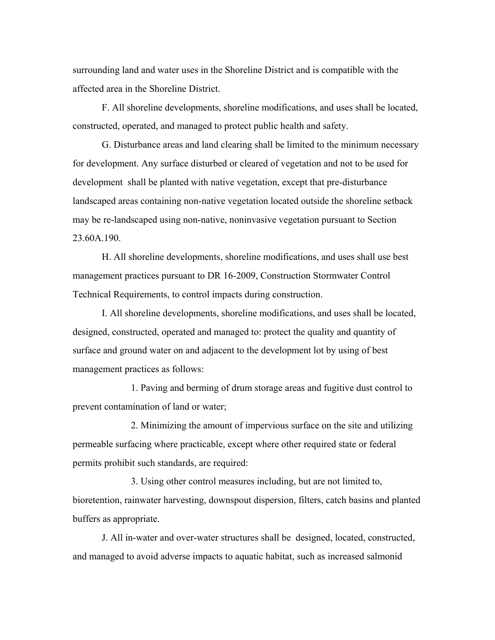surrounding land and water uses in the Shoreline District and is compatible with the affected area in the Shoreline District.

F. All shoreline developments, shoreline modifications, and uses shall be located, constructed, operated, and managed to protect public health and safety.

G. Disturbance areas and land clearing shall be limited to the minimum necessary for development. Any surface disturbed or cleared of vegetation and not to be used for development shall be planted with native vegetation, except that pre-disturbance landscaped areas containing non-native vegetation located outside the shoreline setback may be re-landscaped using non-native, noninvasive vegetation pursuant to Section 23.60A.190.

H. All shoreline developments, shoreline modifications, and uses shall use best management practices pursuant to DR 16-2009, Construction Stormwater Control Technical Requirements, to control impacts during construction.

I. All shoreline developments, shoreline modifications, and uses shall be located, designed, constructed, operated and managed to: protect the quality and quantity of surface and ground water on and adjacent to the development lot by using of best management practices as follows:

1. Paving and berming of drum storage areas and fugitive dust control to prevent contamination of land or water;

2. Minimizing the amount of impervious surface on the site and utilizing permeable surfacing where practicable, except where other required state or federal permits prohibit such standards, are required:

3. Using other control measures including, but are not limited to, bioretention, rainwater harvesting, downspout dispersion, filters, catch basins and planted buffers as appropriate.

J. All in-water and over-water structures shall be designed, located, constructed, and managed to avoid adverse impacts to aquatic habitat, such as increased salmonid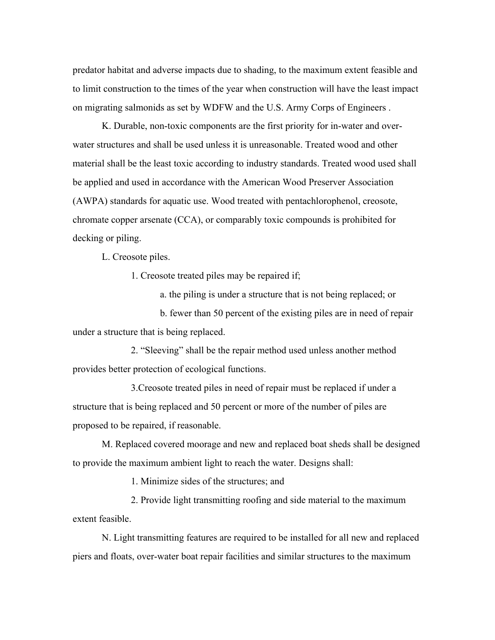predator habitat and adverse impacts due to shading, to the maximum extent feasible and to limit construction to the times of the year when construction will have the least impact on migrating salmonids as set by WDFW and the U.S. Army Corps of Engineers .

K. Durable, non-toxic components are the first priority for in-water and overwater structures and shall be used unless it is unreasonable. Treated wood and other material shall be the least toxic according to industry standards. Treated wood used shall be applied and used in accordance with the American Wood Preserver Association (AWPA) standards for aquatic use. Wood treated with pentachlorophenol, creosote, chromate copper arsenate (CCA), or comparably toxic compounds is prohibited for decking or piling.

L. Creosote piles.

1. Creosote treated piles may be repaired if;

a. the piling is under a structure that is not being replaced; or

b. fewer than 50 percent of the existing piles are in need of repair under a structure that is being replaced.

2. "Sleeving" shall be the repair method used unless another method provides better protection of ecological functions.

3.Creosote treated piles in need of repair must be replaced if under a structure that is being replaced and 50 percent or more of the number of piles are proposed to be repaired, if reasonable.

M. Replaced covered moorage and new and replaced boat sheds shall be designed to provide the maximum ambient light to reach the water. Designs shall:

1. Minimize sides of the structures; and

2. Provide light transmitting roofing and side material to the maximum extent feasible.

N. Light transmitting features are required to be installed for all new and replaced piers and floats, over-water boat repair facilities and similar structures to the maximum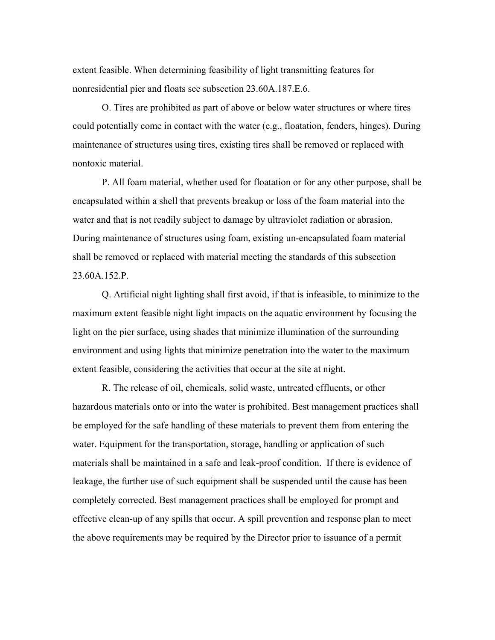extent feasible. When determining feasibility of light transmitting features for nonresidential pier and floats see subsection 23.60A.187.E.6.

O. Tires are prohibited as part of above or below water structures or where tires could potentially come in contact with the water (e.g., floatation, fenders, hinges). During maintenance of structures using tires, existing tires shall be removed or replaced with nontoxic material.

P. All foam material, whether used for floatation or for any other purpose, shall be encapsulated within a shell that prevents breakup or loss of the foam material into the water and that is not readily subject to damage by ultraviolet radiation or abrasion. During maintenance of structures using foam, existing un-encapsulated foam material shall be removed or replaced with material meeting the standards of this subsection 23.60A.152.P.

Q. Artificial night lighting shall first avoid, if that is infeasible, to minimize to the maximum extent feasible night light impacts on the aquatic environment by focusing the light on the pier surface, using shades that minimize illumination of the surrounding environment and using lights that minimize penetration into the water to the maximum extent feasible, considering the activities that occur at the site at night.

R. The release of oil, chemicals, solid waste, untreated effluents, or other hazardous materials onto or into the water is prohibited. Best management practices shall be employed for the safe handling of these materials to prevent them from entering the water. Equipment for the transportation, storage, handling or application of such materials shall be maintained in a safe and leak-proof condition. If there is evidence of leakage, the further use of such equipment shall be suspended until the cause has been completely corrected. Best management practices shall be employed for prompt and effective clean-up of any spills that occur. A spill prevention and response plan to meet the above requirements may be required by the Director prior to issuance of a permit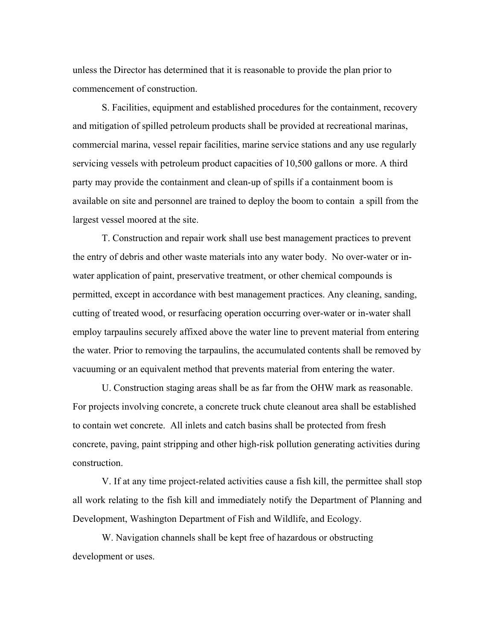unless the Director has determined that it is reasonable to provide the plan prior to commencement of construction.

S. Facilities, equipment and established procedures for the containment, recovery and mitigation of spilled petroleum products shall be provided at recreational marinas, commercial marina, vessel repair facilities, marine service stations and any use regularly servicing vessels with petroleum product capacities of 10,500 gallons or more. A third party may provide the containment and clean-up of spills if a containment boom is available on site and personnel are trained to deploy the boom to contain a spill from the largest vessel moored at the site.

T. Construction and repair work shall use best management practices to prevent the entry of debris and other waste materials into any water body. No over-water or inwater application of paint, preservative treatment, or other chemical compounds is permitted, except in accordance with best management practices. Any cleaning, sanding, cutting of treated wood, or resurfacing operation occurring over-water or in-water shall employ tarpaulins securely affixed above the water line to prevent material from entering the water. Prior to removing the tarpaulins, the accumulated contents shall be removed by vacuuming or an equivalent method that prevents material from entering the water.

U. Construction staging areas shall be as far from the OHW mark as reasonable. For projects involving concrete, a concrete truck chute cleanout area shall be established to contain wet concrete. All inlets and catch basins shall be protected from fresh concrete, paving, paint stripping and other high-risk pollution generating activities during construction.

V. If at any time project-related activities cause a fish kill, the permittee shall stop all work relating to the fish kill and immediately notify the Department of Planning and Development, Washington Department of Fish and Wildlife, and Ecology.

W. Navigation channels shall be kept free of hazardous or obstructing development or uses.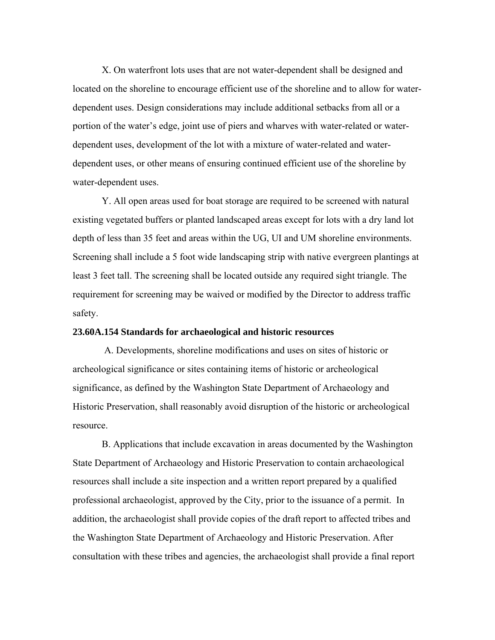X. On waterfront lots uses that are not water-dependent shall be designed and located on the shoreline to encourage efficient use of the shoreline and to allow for waterdependent uses. Design considerations may include additional setbacks from all or a portion of the water's edge, joint use of piers and wharves with water-related or waterdependent uses, development of the lot with a mixture of water-related and waterdependent uses, or other means of ensuring continued efficient use of the shoreline by water-dependent uses.

Y. All open areas used for boat storage are required to be screened with natural existing vegetated buffers or planted landscaped areas except for lots with a dry land lot depth of less than 35 feet and areas within the UG, UI and UM shoreline environments. Screening shall include a 5 foot wide landscaping strip with native evergreen plantings at least 3 feet tall. The screening shall be located outside any required sight triangle. The requirement for screening may be waived or modified by the Director to address traffic safety.

#### **23.60A.154 Standards for archaeological and historic resources**

A. Developments, shoreline modifications and uses on sites of historic or archeological significance or sites containing items of historic or archeological significance, as defined by the Washington State Department of Archaeology and Historic Preservation, shall reasonably avoid disruption of the historic or archeological resource.

B. Applications that include excavation in areas documented by the Washington State Department of Archaeology and Historic Preservation to contain archaeological resources shall include a site inspection and a written report prepared by a qualified professional archaeologist, approved by the City, prior to the issuance of a permit. In addition, the archaeologist shall provide copies of the draft report to affected tribes and the Washington State Department of Archaeology and Historic Preservation. After consultation with these tribes and agencies, the archaeologist shall provide a final report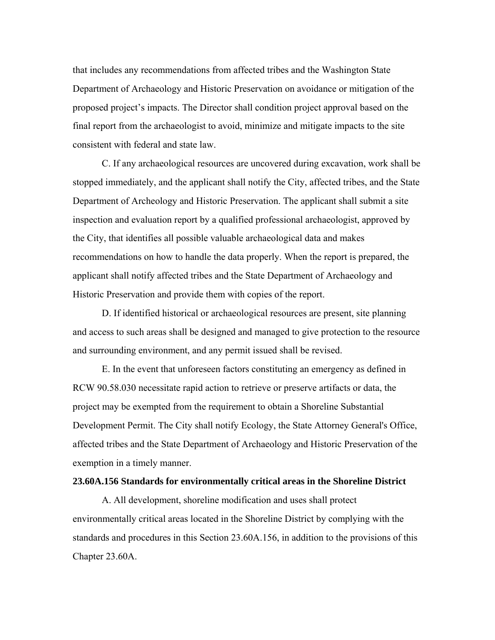that includes any recommendations from affected tribes and the Washington State Department of Archaeology and Historic Preservation on avoidance or mitigation of the proposed project's impacts. The Director shall condition project approval based on the final report from the archaeologist to avoid, minimize and mitigate impacts to the site consistent with federal and state law.

C. If any archaeological resources are uncovered during excavation, work shall be stopped immediately, and the applicant shall notify the City, affected tribes, and the State Department of Archeology and Historic Preservation. The applicant shall submit a site inspection and evaluation report by a qualified professional archaeologist, approved by the City, that identifies all possible valuable archaeological data and makes recommendations on how to handle the data properly. When the report is prepared, the applicant shall notify affected tribes and the State Department of Archaeology and Historic Preservation and provide them with copies of the report.

D. If identified historical or archaeological resources are present, site planning and access to such areas shall be designed and managed to give protection to the resource and surrounding environment, and any permit issued shall be revised.

E. In the event that unforeseen factors constituting an emergency as defined in RCW 90.58.030 necessitate rapid action to retrieve or preserve artifacts or data, the project may be exempted from the requirement to obtain a Shoreline Substantial Development Permit. The City shall notify Ecology, the State Attorney General's Office, affected tribes and the State Department of Archaeology and Historic Preservation of the exemption in a timely manner.

#### **23.60A.156 Standards for environmentally critical areas in the Shoreline District**

A. All development, shoreline modification and uses shall protect environmentally critical areas located in the Shoreline District by complying with the standards and procedures in this Section 23.60A.156, in addition to the provisions of this Chapter 23.60A.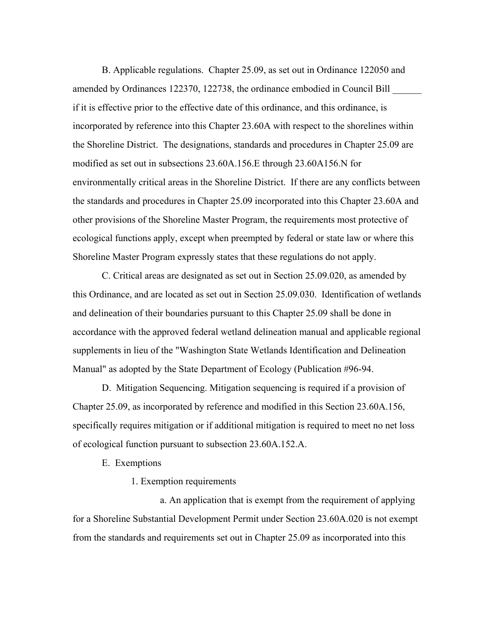B. Applicable regulations. Chapter 25.09, as set out in Ordinance 122050 and amended by Ordinances 122370, 122738, the ordinance embodied in Council Bill if it is effective prior to the effective date of this ordinance, and this ordinance, is incorporated by reference into this Chapter 23.60A with respect to the shorelines within the Shoreline District. The designations, standards and procedures in Chapter 25.09 are modified as set out in subsections 23.60A.156.E through 23.60A156.N for environmentally critical areas in the Shoreline District. If there are any conflicts between the standards and procedures in Chapter 25.09 incorporated into this Chapter 23.60A and other provisions of the Shoreline Master Program, the requirements most protective of ecological functions apply, except when preempted by federal or state law or where this Shoreline Master Program expressly states that these regulations do not apply.

C. Critical areas are designated as set out in Section 25.09.020, as amended by this Ordinance, and are located as set out in Section 25.09.030. Identification of wetlands and delineation of their boundaries pursuant to this Chapter 25.09 shall be done in accordance with the approved federal wetland delineation manual and applicable regional supplements in lieu of the "Washington State Wetlands Identification and Delineation Manual" as adopted by the State Department of Ecology (Publication #96-94.

D. Mitigation Sequencing. Mitigation sequencing is required if a provision of Chapter 25.09, as incorporated by reference and modified in this Section 23.60A.156, specifically requires mitigation or if additional mitigation is required to meet no net loss of ecological function pursuant to subsection 23.60A.152.A.

E. Exemptions

1. Exemption requirements

a. An application that is exempt from the requirement of applying for a Shoreline Substantial Development Permit under Section 23.60A.020 is not exempt from the standards and requirements set out in Chapter 25.09 as incorporated into this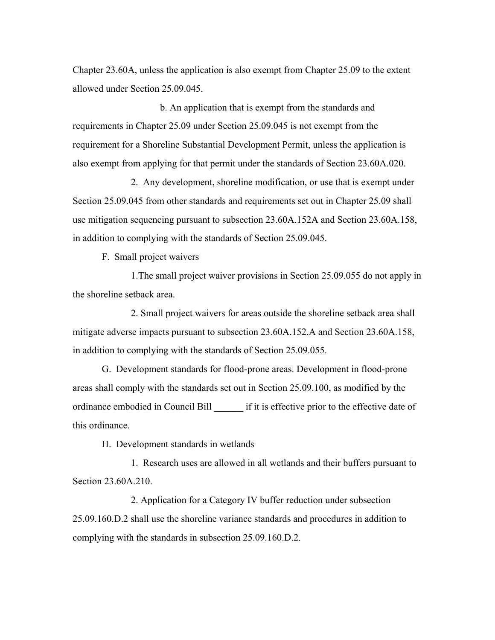Chapter 23.60A, unless the application is also exempt from Chapter 25.09 to the extent allowed under Section 25.09.045.

b. An application that is exempt from the standards and requirements in Chapter 25.09 under Section 25.09.045 is not exempt from the requirement for a Shoreline Substantial Development Permit, unless the application is also exempt from applying for that permit under the standards of Section 23.60A.020.

2. Any development, shoreline modification, or use that is exempt under Section 25.09.045 from other standards and requirements set out in Chapter 25.09 shall use mitigation sequencing pursuant to subsection 23.60A.152A and Section 23.60A.158, in addition to complying with the standards of Section 25.09.045.

F. Small project waivers

1.The small project waiver provisions in Section 25.09.055 do not apply in the shoreline setback area.

2. Small project waivers for areas outside the shoreline setback area shall mitigate adverse impacts pursuant to subsection 23.60A.152.A and Section 23.60A.158, in addition to complying with the standards of Section 25.09.055.

G. Development standards for flood-prone areas. Development in flood-prone areas shall comply with the standards set out in Section 25.09.100, as modified by the ordinance embodied in Council Bill \_\_\_\_\_\_ if it is effective prior to the effective date of this ordinance.

H. Development standards in wetlands

1. Research uses are allowed in all wetlands and their buffers pursuant to Section 23.60A.210.

2. Application for a Category IV buffer reduction under subsection 25.09.160.D.2 shall use the shoreline variance standards and procedures in addition to complying with the standards in subsection 25.09.160.D.2.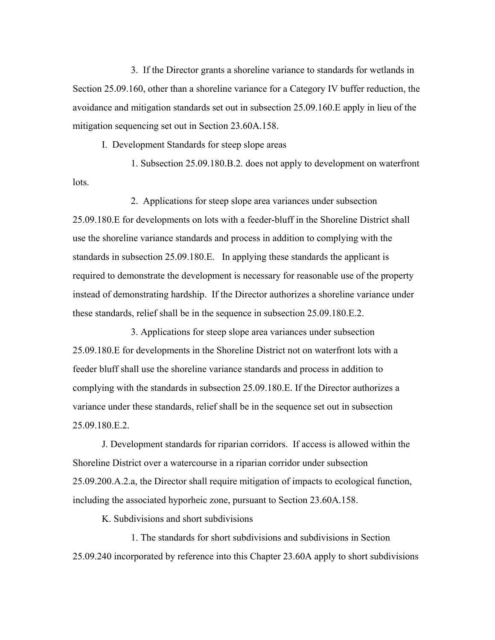3. If the Director grants a shoreline variance to standards for wetlands in Section 25.09.160, other than a shoreline variance for a Category IV buffer reduction, the avoidance and mitigation standards set out in subsection 25.09.160.E apply in lieu of the mitigation sequencing set out in Section 23.60A.158.

I. Development Standards for steep slope areas

1. Subsection 25.09.180.B.2. does not apply to development on waterfront lots.

2. Applications for steep slope area variances under subsection 25.09.180.E for developments on lots with a feeder-bluff in the Shoreline District shall use the shoreline variance standards and process in addition to complying with the standards in subsection 25.09.180.E. In applying these standards the applicant is required to demonstrate the development is necessary for reasonable use of the property instead of demonstrating hardship. If the Director authorizes a shoreline variance under these standards, relief shall be in the sequence in subsection 25.09.180.E.2.

3. Applications for steep slope area variances under subsection 25.09.180.E for developments in the Shoreline District not on waterfront lots with a feeder bluff shall use the shoreline variance standards and process in addition to complying with the standards in subsection 25.09.180.E. If the Director authorizes a variance under these standards, relief shall be in the sequence set out in subsection 25.09.180.E.2.

J. Development standards for riparian corridors. If access is allowed within the Shoreline District over a watercourse in a riparian corridor under subsection 25.09.200.A.2.a, the Director shall require mitigation of impacts to ecological function, including the associated hyporheic zone, pursuant to Section 23.60A.158.

K. Subdivisions and short subdivisions

1. The standards for short subdivisions and subdivisions in Section 25.09.240 incorporated by reference into this Chapter 23.60A apply to short subdivisions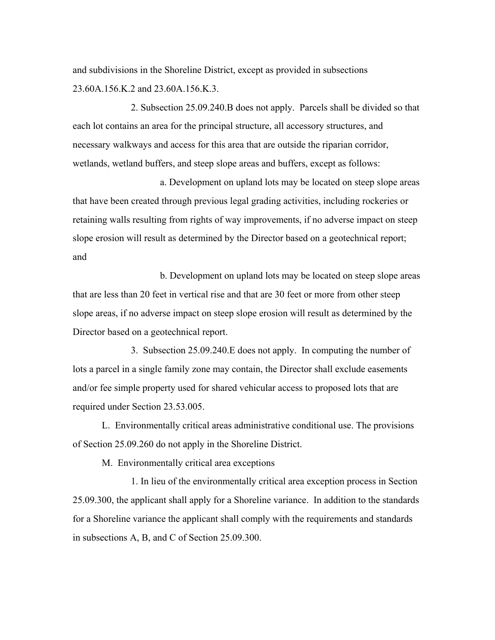and subdivisions in the Shoreline District, except as provided in subsections 23.60A.156.K.2 and 23.60A.156.K.3.

2. Subsection 25.09.240.B does not apply. Parcels shall be divided so that each lot contains an area for the principal structure, all accessory structures, and necessary walkways and access for this area that are outside the riparian corridor, wetlands, wetland buffers, and steep slope areas and buffers, except as follows:

a. Development on upland lots may be located on steep slope areas that have been created through previous legal grading activities, including rockeries or retaining walls resulting from rights of way improvements, if no adverse impact on steep slope erosion will result as determined by the Director based on a geotechnical report; and

b. Development on upland lots may be located on steep slope areas that are less than 20 feet in vertical rise and that are 30 feet or more from other steep slope areas, if no adverse impact on steep slope erosion will result as determined by the Director based on a geotechnical report.

3. Subsection 25.09.240.E does not apply. In computing the number of lots a parcel in a single family zone may contain, the Director shall exclude easements and/or fee simple property used for shared vehicular access to proposed lots that are required under Section 23.53.005.

L. Environmentally critical areas administrative conditional use. The provisions of Section 25.09.260 do not apply in the Shoreline District.

M. Environmentally critical area exceptions

1. In lieu of the environmentally critical area exception process in Section 25.09.300, the applicant shall apply for a Shoreline variance. In addition to the standards for a Shoreline variance the applicant shall comply with the requirements and standards in subsections A, B, and C of Section 25.09.300.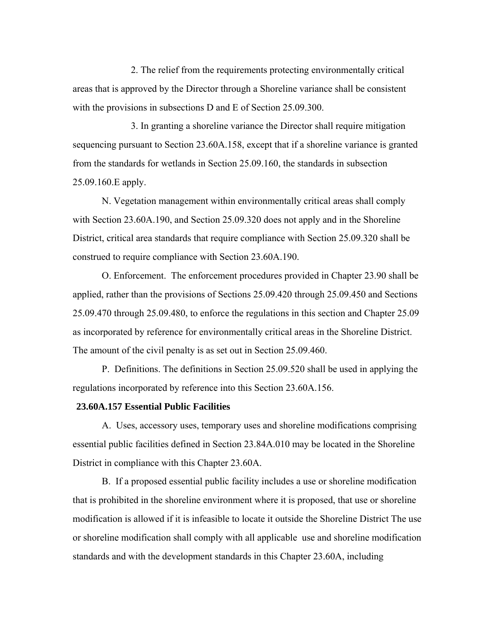2. The relief from the requirements protecting environmentally critical areas that is approved by the Director through a Shoreline variance shall be consistent with the provisions in subsections D and E of Section 25.09.300.

3. In granting a shoreline variance the Director shall require mitigation sequencing pursuant to Section 23.60A.158, except that if a shoreline variance is granted from the standards for wetlands in Section 25.09.160, the standards in subsection 25.09.160.E apply.

N. Vegetation management within environmentally critical areas shall comply with Section 23.60A.190, and Section 25.09.320 does not apply and in the Shoreline District, critical area standards that require compliance with Section 25.09.320 shall be construed to require compliance with Section 23.60A.190.

O. Enforcement. The enforcement procedures provided in Chapter 23.90 shall be applied, rather than the provisions of Sections 25.09.420 through 25.09.450 and Sections 25.09.470 through 25.09.480, to enforce the regulations in this section and Chapter 25.09 as incorporated by reference for environmentally critical areas in the Shoreline District. The amount of the civil penalty is as set out in Section 25.09.460.

P. Definitions. The definitions in Section 25.09.520 shall be used in applying the regulations incorporated by reference into this Section 23.60A.156.

## **23.60A.157 Essential Public Facilities**

A. Uses, accessory uses, temporary uses and shoreline modifications comprising essential public facilities defined in Section 23.84A.010 may be located in the Shoreline District in compliance with this Chapter 23.60A.

B. If a proposed essential public facility includes a use or shoreline modification that is prohibited in the shoreline environment where it is proposed, that use or shoreline modification is allowed if it is infeasible to locate it outside the Shoreline District The use or shoreline modification shall comply with all applicable use and shoreline modification standards and with the development standards in this Chapter 23.60A, including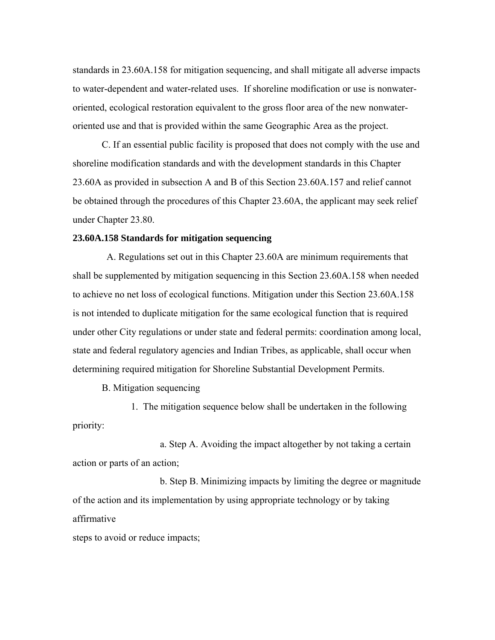standards in 23.60A.158 for mitigation sequencing, and shall mitigate all adverse impacts to water-dependent and water-related uses. If shoreline modification or use is nonwateroriented, ecological restoration equivalent to the gross floor area of the new nonwateroriented use and that is provided within the same Geographic Area as the project.

C. If an essential public facility is proposed that does not comply with the use and shoreline modification standards and with the development standards in this Chapter 23.60A as provided in subsection A and B of this Section 23.60A.157 and relief cannot be obtained through the procedures of this Chapter 23.60A, the applicant may seek relief under Chapter 23.80.

## **23.60A.158 Standards for mitigation sequencing**

 A. Regulations set out in this Chapter 23.60A are minimum requirements that shall be supplemented by mitigation sequencing in this Section 23.60A.158 when needed to achieve no net loss of ecological functions. Mitigation under this Section 23.60A.158 is not intended to duplicate mitigation for the same ecological function that is required under other City regulations or under state and federal permits: coordination among local, state and federal regulatory agencies and Indian Tribes, as applicable, shall occur when determining required mitigation for Shoreline Substantial Development Permits.

B. Mitigation sequencing

1. The mitigation sequence below shall be undertaken in the following priority:

a. Step A. Avoiding the impact altogether by not taking a certain action or parts of an action;

b. Step B. Minimizing impacts by limiting the degree or magnitude of the action and its implementation by using appropriate technology or by taking affirmative

steps to avoid or reduce impacts;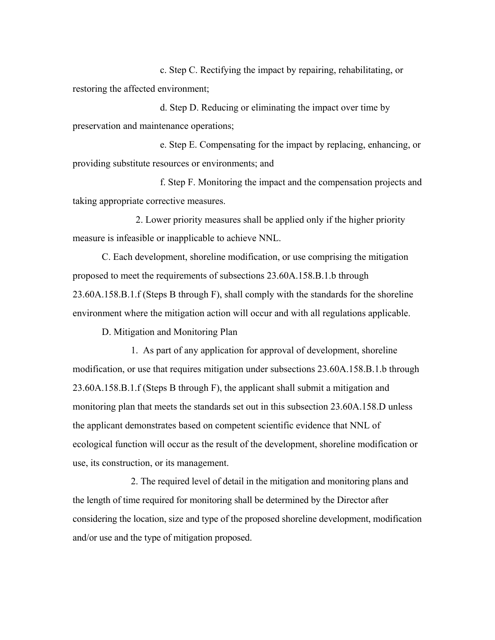c. Step C. Rectifying the impact by repairing, rehabilitating, or restoring the affected environment;

d. Step D. Reducing or eliminating the impact over time by preservation and maintenance operations;

e. Step E. Compensating for the impact by replacing, enhancing, or providing substitute resources or environments; and

f. Step F. Monitoring the impact and the compensation projects and taking appropriate corrective measures.

 2. Lower priority measures shall be applied only if the higher priority measure is infeasible or inapplicable to achieve NNL.

C. Each development, shoreline modification, or use comprising the mitigation proposed to meet the requirements of subsections 23.60A.158.B.1.b through 23.60A.158.B.1.f (Steps B through F), shall comply with the standards for the shoreline environment where the mitigation action will occur and with all regulations applicable.

D. Mitigation and Monitoring Plan

1. As part of any application for approval of development, shoreline modification, or use that requires mitigation under subsections 23.60A.158.B.1.b through 23.60A.158.B.1.f (Steps B through F), the applicant shall submit a mitigation and monitoring plan that meets the standards set out in this subsection 23.60A.158.D unless the applicant demonstrates based on competent scientific evidence that NNL of ecological function will occur as the result of the development, shoreline modification or use, its construction, or its management.

2. The required level of detail in the mitigation and monitoring plans and the length of time required for monitoring shall be determined by the Director after considering the location, size and type of the proposed shoreline development, modification and/or use and the type of mitigation proposed.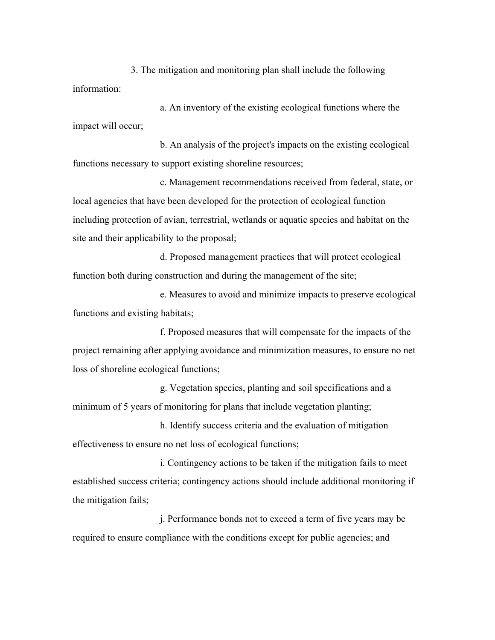3. The mitigation and monitoring plan shall include the following information:

a. An inventory of the existing ecological functions where the impact will occur;

b. An analysis of the project's impacts on the existing ecological functions necessary to support existing shoreline resources;

c. Management recommendations received from federal, state, or local agencies that have been developed for the protection of ecological function including protection of avian, terrestrial, wetlands or aquatic species and habitat on the site and their applicability to the proposal;

d. Proposed management practices that will protect ecological function both during construction and during the management of the site;

e. Measures to avoid and minimize impacts to preserve ecological functions and existing habitats;

f. Proposed measures that will compensate for the impacts of the project remaining after applying avoidance and minimization measures, to ensure no net loss of shoreline ecological functions;

g. Vegetation species, planting and soil specifications and a minimum of 5 years of monitoring for plans that include vegetation planting;

h. Identify success criteria and the evaluation of mitigation effectiveness to ensure no net loss of ecological functions;

i. Contingency actions to be taken if the mitigation fails to meet established success criteria; contingency actions should include additional monitoring if the mitigation fails;

j. Performance bonds not to exceed a term of five years may be required to ensure compliance with the conditions except for public agencies; and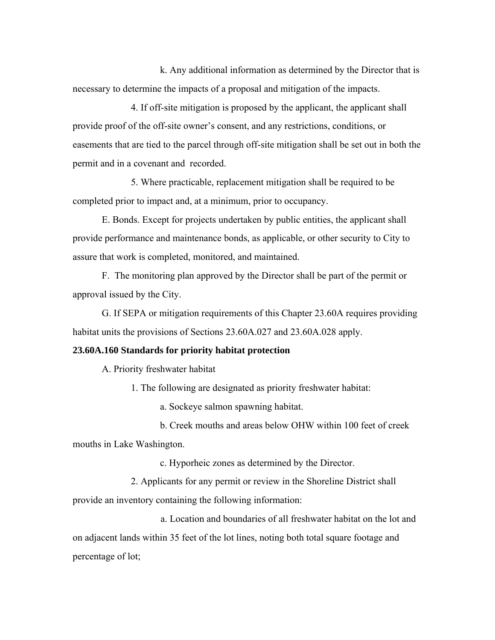k. Any additional information as determined by the Director that is necessary to determine the impacts of a proposal and mitigation of the impacts.

4. If off-site mitigation is proposed by the applicant, the applicant shall provide proof of the off-site owner's consent, and any restrictions, conditions, or easements that are tied to the parcel through off-site mitigation shall be set out in both the permit and in a covenant and recorded.

5. Where practicable, replacement mitigation shall be required to be completed prior to impact and, at a minimum, prior to occupancy.

E. Bonds. Except for projects undertaken by public entities, the applicant shall provide performance and maintenance bonds, as applicable, or other security to City to assure that work is completed, monitored, and maintained.

F. The monitoring plan approved by the Director shall be part of the permit or approval issued by the City.

G. If SEPA or mitigation requirements of this Chapter 23.60A requires providing habitat units the provisions of Sections 23.60A.027 and 23.60A.028 apply.

## **23.60A.160 Standards for priority habitat protection**

A. Priority freshwater habitat

1. The following are designated as priority freshwater habitat:

a. Sockeye salmon spawning habitat.

b. Creek mouths and areas below OHW within 100 feet of creek mouths in Lake Washington.

c. Hyporheic zones as determined by the Director.

2. Applicants for any permit or review in the Shoreline District shall

provide an inventory containing the following information:

a. Location and boundaries of all freshwater habitat on the lot and on adjacent lands within 35 feet of the lot lines, noting both total square footage and percentage of lot;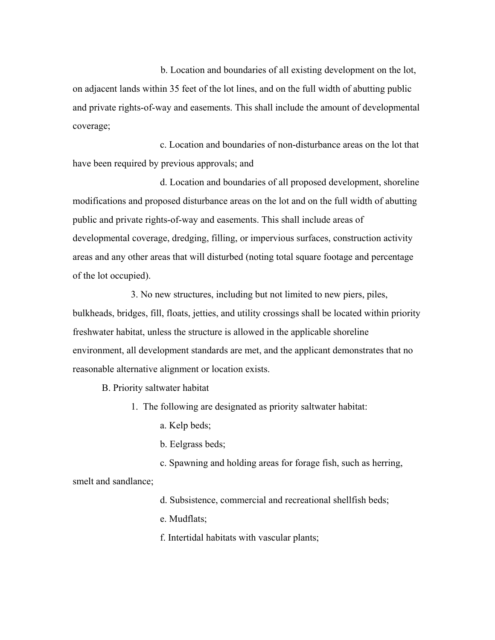b. Location and boundaries of all existing development on the lot, on adjacent lands within 35 feet of the lot lines, and on the full width of abutting public and private rights-of-way and easements. This shall include the amount of developmental coverage;

c. Location and boundaries of non-disturbance areas on the lot that have been required by previous approvals; and

d. Location and boundaries of all proposed development, shoreline modifications and proposed disturbance areas on the lot and on the full width of abutting public and private rights-of-way and easements. This shall include areas of developmental coverage, dredging, filling, or impervious surfaces, construction activity areas and any other areas that will disturbed (noting total square footage and percentage of the lot occupied).

3. No new structures, including but not limited to new piers, piles, bulkheads, bridges, fill, floats, jetties, and utility crossings shall be located within priority freshwater habitat, unless the structure is allowed in the applicable shoreline environment, all development standards are met, and the applicant demonstrates that no reasonable alternative alignment or location exists.

B. Priority saltwater habitat

1. The following are designated as priority saltwater habitat:

a. Kelp beds;

b. Eelgrass beds;

c. Spawning and holding areas for forage fish, such as herring,

smelt and sandlance;

d. Subsistence, commercial and recreational shellfish beds;

e. Mudflats;

f. Intertidal habitats with vascular plants;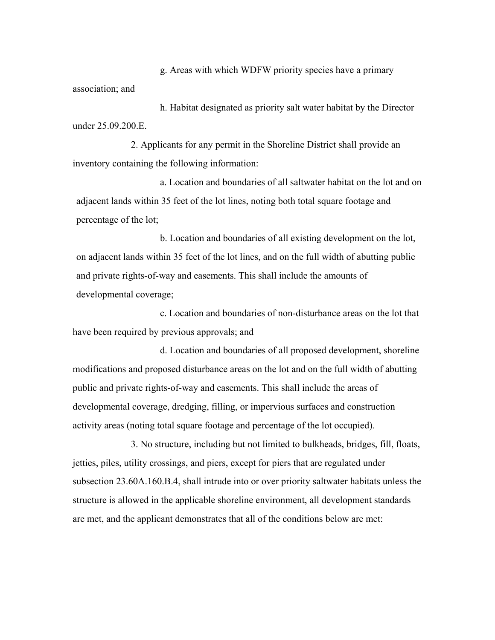g. Areas with which WDFW priority species have a primary association; and

h. Habitat designated as priority salt water habitat by the Director under 25.09.200.E.

2. Applicants for any permit in the Shoreline District shall provide an inventory containing the following information:

a. Location and boundaries of all saltwater habitat on the lot and on adjacent lands within 35 feet of the lot lines, noting both total square footage and percentage of the lot;

b. Location and boundaries of all existing development on the lot, on adjacent lands within 35 feet of the lot lines, and on the full width of abutting public and private rights-of-way and easements. This shall include the amounts of developmental coverage;

c. Location and boundaries of non-disturbance areas on the lot that have been required by previous approvals; and

d. Location and boundaries of all proposed development, shoreline modifications and proposed disturbance areas on the lot and on the full width of abutting public and private rights-of-way and easements. This shall include the areas of developmental coverage, dredging, filling, or impervious surfaces and construction activity areas (noting total square footage and percentage of the lot occupied).

3. No structure, including but not limited to bulkheads, bridges, fill, floats, jetties, piles, utility crossings, and piers, except for piers that are regulated under subsection 23.60A.160.B.4, shall intrude into or over priority saltwater habitats unless the structure is allowed in the applicable shoreline environment, all development standards are met, and the applicant demonstrates that all of the conditions below are met: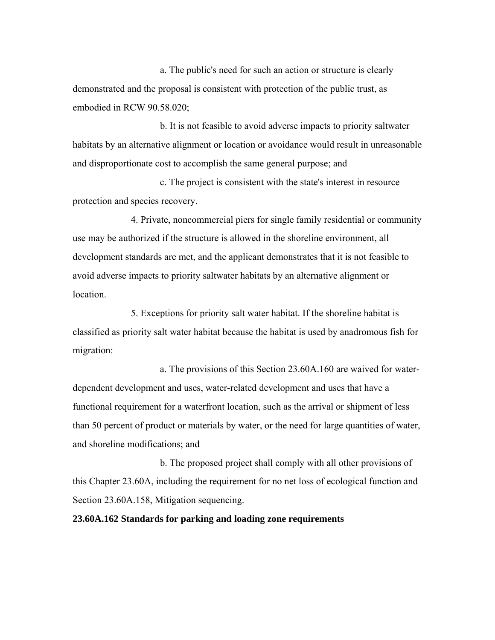a. The public's need for such an action or structure is clearly demonstrated and the proposal is consistent with protection of the public trust, as embodied in RCW 90.58.020;

b. It is not feasible to avoid adverse impacts to priority saltwater habitats by an alternative alignment or location or avoidance would result in unreasonable and disproportionate cost to accomplish the same general purpose; and

c. The project is consistent with the state's interest in resource protection and species recovery.

4. Private, noncommercial piers for single family residential or community use may be authorized if the structure is allowed in the shoreline environment, all development standards are met, and the applicant demonstrates that it is not feasible to avoid adverse impacts to priority saltwater habitats by an alternative alignment or location.

5. Exceptions for priority salt water habitat. If the shoreline habitat is classified as priority salt water habitat because the habitat is used by anadromous fish for migration:

a. The provisions of this Section 23.60A.160 are waived for waterdependent development and uses, water-related development and uses that have a functional requirement for a waterfront location, such as the arrival or shipment of less than 50 percent of product or materials by water, or the need for large quantities of water, and shoreline modifications; and

b. The proposed project shall comply with all other provisions of this Chapter 23.60A, including the requirement for no net loss of ecological function and Section 23.60A.158, Mitigation sequencing.

**23.60A.162 Standards for parking and loading zone requirements**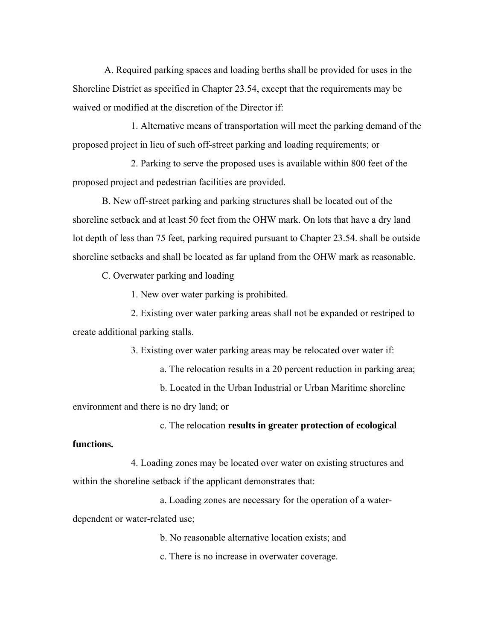A. Required parking spaces and loading berths shall be provided for uses in the Shoreline District as specified in Chapter 23.54, except that the requirements may be waived or modified at the discretion of the Director if:

1. Alternative means of transportation will meet the parking demand of the proposed project in lieu of such off-street parking and loading requirements; or

2. Parking to serve the proposed uses is available within 800 feet of the proposed project and pedestrian facilities are provided.

B. New off-street parking and parking structures shall be located out of the shoreline setback and at least 50 feet from the OHW mark. On lots that have a dry land lot depth of less than 75 feet, parking required pursuant to Chapter 23.54. shall be outside shoreline setbacks and shall be located as far upland from the OHW mark as reasonable.

C. Overwater parking and loading

1. New over water parking is prohibited.

2. Existing over water parking areas shall not be expanded or restriped to create additional parking stalls.

3. Existing over water parking areas may be relocated over water if:

a. The relocation results in a 20 percent reduction in parking area;

b. Located in the Urban Industrial or Urban Maritime shoreline environment and there is no dry land; or

c. The relocation **results in greater protection of ecological** 

## **functions.**

4. Loading zones may be located over water on existing structures and within the shoreline setback if the applicant demonstrates that:

a. Loading zones are necessary for the operation of a waterdependent or water-related use;

b. No reasonable alternative location exists; and

c. There is no increase in overwater coverage.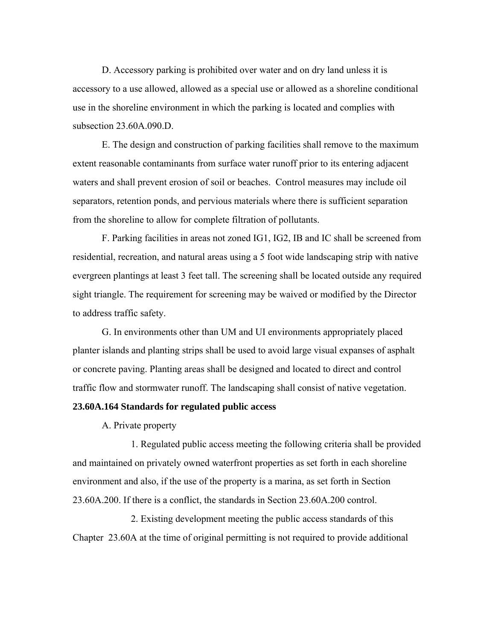D. Accessory parking is prohibited over water and on dry land unless it is accessory to a use allowed, allowed as a special use or allowed as a shoreline conditional use in the shoreline environment in which the parking is located and complies with subsection 23.60A.090.D.

E. The design and construction of parking facilities shall remove to the maximum extent reasonable contaminants from surface water runoff prior to its entering adjacent waters and shall prevent erosion of soil or beaches. Control measures may include oil separators, retention ponds, and pervious materials where there is sufficient separation from the shoreline to allow for complete filtration of pollutants.

F. Parking facilities in areas not zoned IG1, IG2, IB and IC shall be screened from residential, recreation, and natural areas using a 5 foot wide landscaping strip with native evergreen plantings at least 3 feet tall. The screening shall be located outside any required sight triangle. The requirement for screening may be waived or modified by the Director to address traffic safety.

G. In environments other than UM and UI environments appropriately placed planter islands and planting strips shall be used to avoid large visual expanses of asphalt or concrete paving. Planting areas shall be designed and located to direct and control traffic flow and stormwater runoff. The landscaping shall consist of native vegetation.

# **23.60A.164 Standards for regulated public access**

A. Private property

1. Regulated public access meeting the following criteria shall be provided and maintained on privately owned waterfront properties as set forth in each shoreline environment and also, if the use of the property is a marina, as set forth in Section 23.60A.200. If there is a conflict, the standards in Section 23.60A.200 control.

2. Existing development meeting the public access standards of this Chapter 23.60A at the time of original permitting is not required to provide additional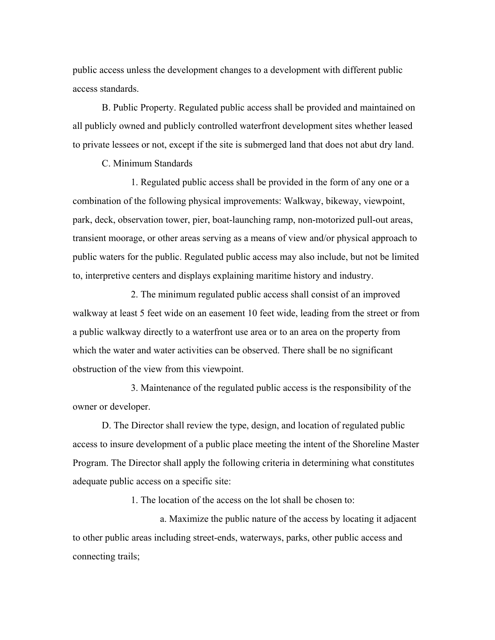public access unless the development changes to a development with different public access standards.

B. Public Property. Regulated public access shall be provided and maintained on all publicly owned and publicly controlled waterfront development sites whether leased to private lessees or not, except if the site is submerged land that does not abut dry land.

C. Minimum Standards

1. Regulated public access shall be provided in the form of any one or a combination of the following physical improvements: Walkway, bikeway, viewpoint, park, deck, observation tower, pier, boat-launching ramp, non-motorized pull-out areas, transient moorage, or other areas serving as a means of view and/or physical approach to public waters for the public. Regulated public access may also include, but not be limited to, interpretive centers and displays explaining maritime history and industry.

2. The minimum regulated public access shall consist of an improved walkway at least 5 feet wide on an easement 10 feet wide, leading from the street or from a public walkway directly to a waterfront use area or to an area on the property from which the water and water activities can be observed. There shall be no significant obstruction of the view from this viewpoint.

3. Maintenance of the regulated public access is the responsibility of the owner or developer.

D. The Director shall review the type, design, and location of regulated public access to insure development of a public place meeting the intent of the Shoreline Master Program. The Director shall apply the following criteria in determining what constitutes adequate public access on a specific site:

1. The location of the access on the lot shall be chosen to:

a. Maximize the public nature of the access by locating it adjacent to other public areas including street-ends, waterways, parks, other public access and connecting trails;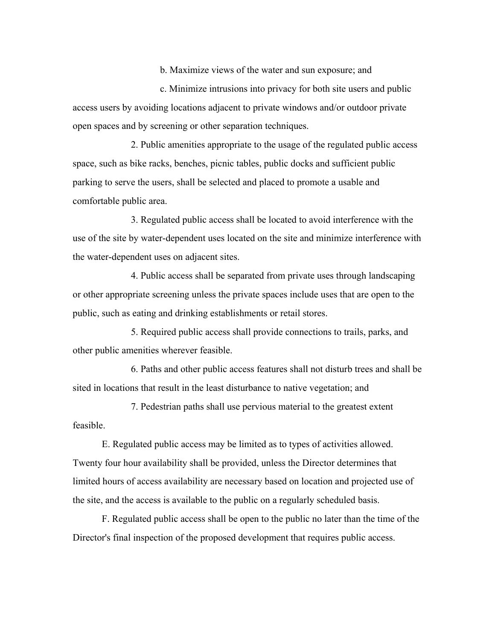b. Maximize views of the water and sun exposure; and

c. Minimize intrusions into privacy for both site users and public access users by avoiding locations adjacent to private windows and/or outdoor private open spaces and by screening or other separation techniques.

2. Public amenities appropriate to the usage of the regulated public access space, such as bike racks, benches, picnic tables, public docks and sufficient public parking to serve the users, shall be selected and placed to promote a usable and comfortable public area.

3. Regulated public access shall be located to avoid interference with the use of the site by water-dependent uses located on the site and minimize interference with the water-dependent uses on adjacent sites.

4. Public access shall be separated from private uses through landscaping or other appropriate screening unless the private spaces include uses that are open to the public, such as eating and drinking establishments or retail stores.

5. Required public access shall provide connections to trails, parks, and other public amenities wherever feasible.

6. Paths and other public access features shall not disturb trees and shall be sited in locations that result in the least disturbance to native vegetation; and

7. Pedestrian paths shall use pervious material to the greatest extent feasible.

E. Regulated public access may be limited as to types of activities allowed. Twenty four hour availability shall be provided, unless the Director determines that limited hours of access availability are necessary based on location and projected use of the site, and the access is available to the public on a regularly scheduled basis.

F. Regulated public access shall be open to the public no later than the time of the Director's final inspection of the proposed development that requires public access.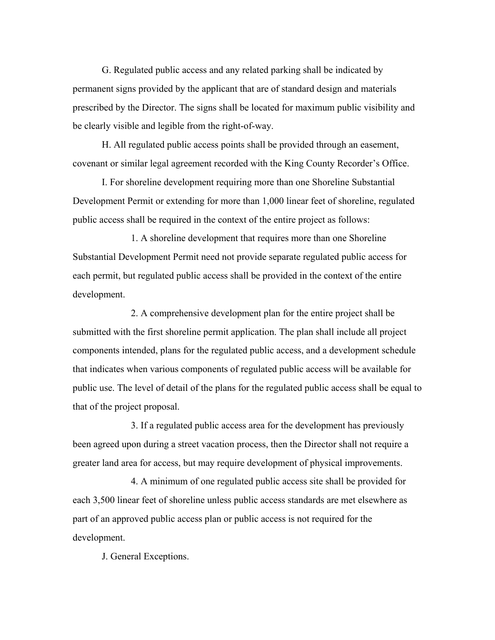G. Regulated public access and any related parking shall be indicated by permanent signs provided by the applicant that are of standard design and materials prescribed by the Director. The signs shall be located for maximum public visibility and be clearly visible and legible from the right-of-way.

H. All regulated public access points shall be provided through an easement, covenant or similar legal agreement recorded with the King County Recorder's Office.

I. For shoreline development requiring more than one Shoreline Substantial Development Permit or extending for more than 1,000 linear feet of shoreline, regulated public access shall be required in the context of the entire project as follows:

1. A shoreline development that requires more than one Shoreline Substantial Development Permit need not provide separate regulated public access for each permit, but regulated public access shall be provided in the context of the entire development.

2. A comprehensive development plan for the entire project shall be submitted with the first shoreline permit application. The plan shall include all project components intended, plans for the regulated public access, and a development schedule that indicates when various components of regulated public access will be available for public use. The level of detail of the plans for the regulated public access shall be equal to that of the project proposal.

3. If a regulated public access area for the development has previously been agreed upon during a street vacation process, then the Director shall not require a greater land area for access, but may require development of physical improvements.

4. A minimum of one regulated public access site shall be provided for each 3,500 linear feet of shoreline unless public access standards are met elsewhere as part of an approved public access plan or public access is not required for the development.

J. General Exceptions.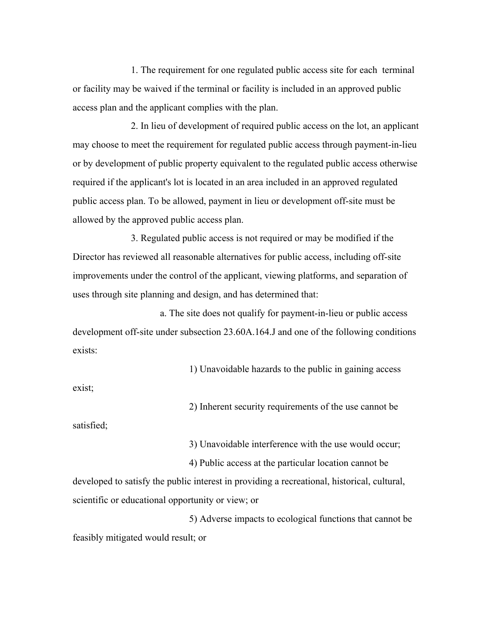1. The requirement for one regulated public access site for each terminal or facility may be waived if the terminal or facility is included in an approved public access plan and the applicant complies with the plan.

2. In lieu of development of required public access on the lot, an applicant may choose to meet the requirement for regulated public access through payment-in-lieu or by development of public property equivalent to the regulated public access otherwise required if the applicant's lot is located in an area included in an approved regulated public access plan. To be allowed, payment in lieu or development off-site must be allowed by the approved public access plan.

3. Regulated public access is not required or may be modified if the Director has reviewed all reasonable alternatives for public access, including off-site improvements under the control of the applicant, viewing platforms, and separation of uses through site planning and design, and has determined that:

a. The site does not qualify for payment-in-lieu or public access development off-site under subsection 23.60A.164.J and one of the following conditions exists:

1) Unavoidable hazards to the public in gaining access

exist;

2) Inherent security requirements of the use cannot be

satisfied;

3) Unavoidable interference with the use would occur;

4) Public access at the particular location cannot be developed to satisfy the public interest in providing a recreational, historical, cultural, scientific or educational opportunity or view; or

5) Adverse impacts to ecological functions that cannot be feasibly mitigated would result; or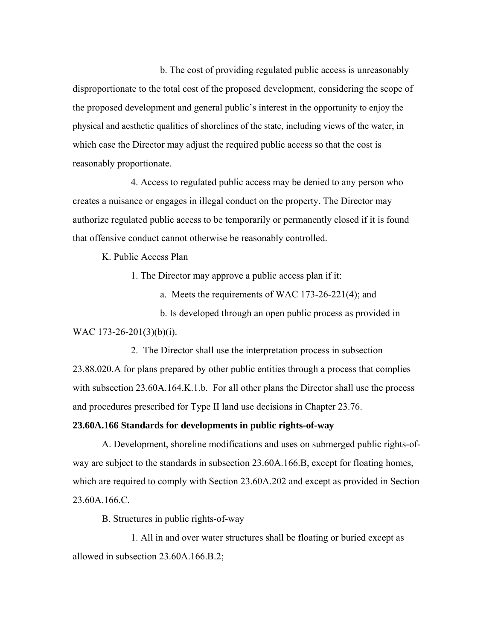b. The cost of providing regulated public access is unreasonably disproportionate to the total cost of the proposed development, considering the scope of the proposed development and general public's interest in the opportunity to enjoy the physical and aesthetic qualities of shorelines of the state, including views of the water, in which case the Director may adjust the required public access so that the cost is reasonably proportionate.

4. Access to regulated public access may be denied to any person who creates a nuisance or engages in illegal conduct on the property. The Director may authorize regulated public access to be temporarily or permanently closed if it is found that offensive conduct cannot otherwise be reasonably controlled.

K. Public Access Plan

1. The Director may approve a public access plan if it:

a. Meets the requirements of WAC 173-26-221(4); and

b. Is developed through an open public process as provided in WAC 173-26-201(3)(b)(i).

2. The Director shall use the interpretation process in subsection 23.88.020.A for plans prepared by other public entities through a process that complies with subsection 23.60A.164.K.1.b. For all other plans the Director shall use the process and procedures prescribed for Type II land use decisions in Chapter 23.76.

### **23.60A.166 Standards for developments in public rights-of-way**

A. Development, shoreline modifications and uses on submerged public rights-ofway are subject to the standards in subsection 23.60A.166.B, except for floating homes, which are required to comply with Section 23.60A.202 and except as provided in Section 23.60A.166.C.

B. Structures in public rights-of-way

1. All in and over water structures shall be floating or buried except as allowed in subsection 23.60A.166.B.2;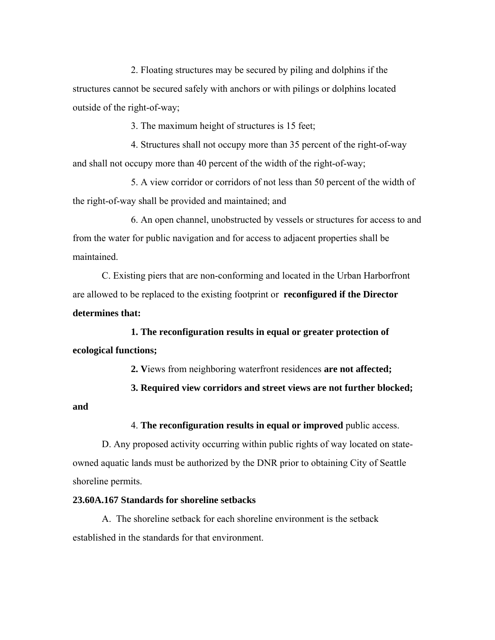2. Floating structures may be secured by piling and dolphins if the structures cannot be secured safely with anchors or with pilings or dolphins located outside of the right-of-way;

3. The maximum height of structures is 15 feet;

4. Structures shall not occupy more than 35 percent of the right-of-way and shall not occupy more than 40 percent of the width of the right-of-way;

5. A view corridor or corridors of not less than 50 percent of the width of the right-of-way shall be provided and maintained; and

6. An open channel, unobstructed by vessels or structures for access to and from the water for public navigation and for access to adjacent properties shall be maintained.

C. Existing piers that are non-conforming and located in the Urban Harborfront are allowed to be replaced to the existing footprint or **reconfigured if the Director determines that:**

**1. The reconfiguration results in equal or greater protection of ecological functions;**

**2. V**iews from neighboring waterfront residences **are not affected;**

**3. Required view corridors and street views are not further blocked;** 

#### **and**

4. **The reconfiguration results in equal or improved** public access.

D. Any proposed activity occurring within public rights of way located on stateowned aquatic lands must be authorized by the DNR prior to obtaining City of Seattle shoreline permits.

# **23.60A.167 Standards for shoreline setbacks**

A. The shoreline setback for each shoreline environment is the setback established in the standards for that environment.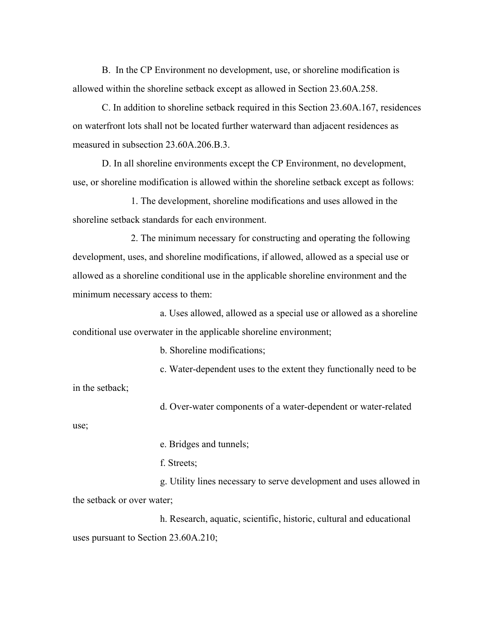B. In the CP Environment no development, use, or shoreline modification is allowed within the shoreline setback except as allowed in Section 23.60A.258.

C. In addition to shoreline setback required in this Section 23.60A.167, residences on waterfront lots shall not be located further waterward than adjacent residences as measured in subsection 23.60A.206.B.3.

D. In all shoreline environments except the CP Environment, no development, use, or shoreline modification is allowed within the shoreline setback except as follows:

1. The development, shoreline modifications and uses allowed in the shoreline setback standards for each environment.

2. The minimum necessary for constructing and operating the following development, uses, and shoreline modifications, if allowed, allowed as a special use or allowed as a shoreline conditional use in the applicable shoreline environment and the minimum necessary access to them:

a. Uses allowed, allowed as a special use or allowed as a shoreline conditional use overwater in the applicable shoreline environment;

b. Shoreline modifications;

c. Water-dependent uses to the extent they functionally need to be in the setback;

d. Over-water components of a water-dependent or water-related

use;

e. Bridges and tunnels;

f. Streets;

g. Utility lines necessary to serve development and uses allowed in the setback or over water;

h. Research, aquatic, scientific, historic, cultural and educational uses pursuant to Section 23.60A.210;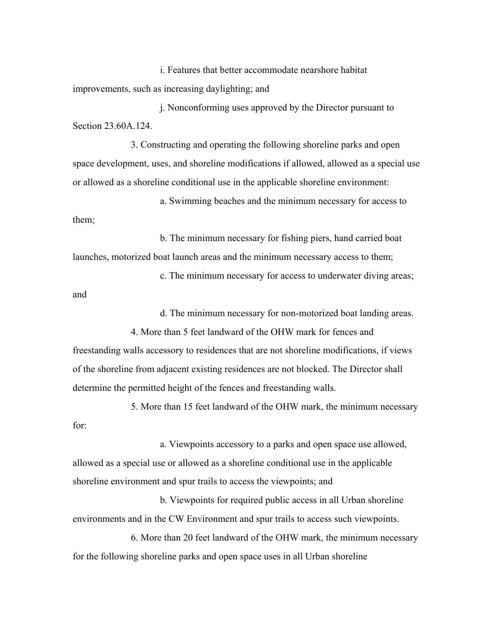i. Features that better accommodate nearshore habitat improvements, such as increasing daylighting; and

j. Nonconforming uses approved by the Director pursuant to Section 23.60A.124

3. Constructing and operating the following shoreline parks and open space development, uses, and shoreline modifications if allowed, allowed as a special use or allowed as a shoreline conditional use in the applicable shoreline environment:

a. Swimming beaches and the minimum necessary for access to them;

b. The minimum necessary for fishing piers, hand carried boat launches, motorized boat launch areas and the minimum necessary access to them;

c. The minimum necessary for access to underwater diving areas; and

d. The minimum necessary for non-motorized boat landing areas.

4. More than 5 feet landward of the OHW mark for fences and freestanding walls accessory to residences that are not shoreline modifications, if views of the shoreline from adjacent existing residences are not blocked. The Director shall determine the permitted height of the fences and freestanding walls.

5. More than 15 feet landward of the OHW mark, the minimum necessary for:

a. Viewpoints accessory to a parks and open space use allowed, allowed as a special use or allowed as a shoreline conditional use in the applicable shoreline environment and spur trails to access the viewpoints; and

b. Viewpoints for required public access in all Urban shoreline environments and in the CW Environment and spur trails to access such viewpoints.

6. More than 20 feet landward of the OHW mark, the minimum necessary for the following shoreline parks and open space uses in all Urban shoreline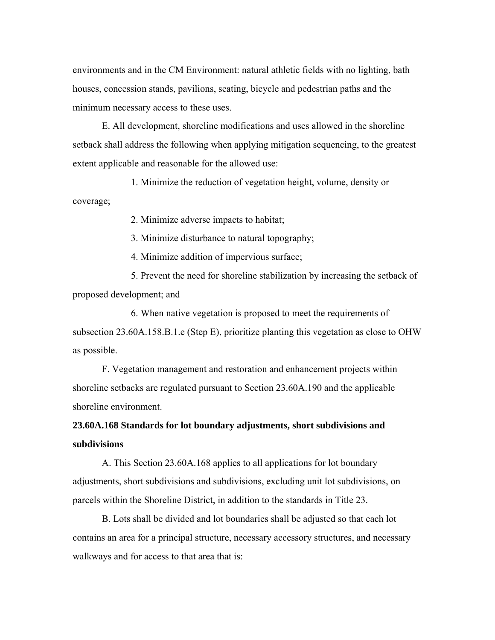environments and in the CM Environment: natural athletic fields with no lighting, bath houses, concession stands, pavilions, seating, bicycle and pedestrian paths and the minimum necessary access to these uses.

E. All development, shoreline modifications and uses allowed in the shoreline setback shall address the following when applying mitigation sequencing, to the greatest extent applicable and reasonable for the allowed use:

 1. Minimize the reduction of vegetation height, volume, density or coverage;

2. Minimize adverse impacts to habitat;

3. Minimize disturbance to natural topography;

4. Minimize addition of impervious surface;

 5. Prevent the need for shoreline stabilization by increasing the setback of proposed development; and

 6. When native vegetation is proposed to meet the requirements of subsection 23.60A.158.B.1.e (Step E), prioritize planting this vegetation as close to OHW as possible.

F. Vegetation management and restoration and enhancement projects within shoreline setbacks are regulated pursuant to Section 23.60A.190 and the applicable shoreline environment.

# **23.60A.168 Standards for lot boundary adjustments, short subdivisions and subdivisions**

A. This Section 23.60A.168 applies to all applications for lot boundary adjustments, short subdivisions and subdivisions, excluding unit lot subdivisions, on parcels within the Shoreline District, in addition to the standards in Title 23.

B. Lots shall be divided and lot boundaries shall be adjusted so that each lot contains an area for a principal structure, necessary accessory structures, and necessary walkways and for access to that area that is: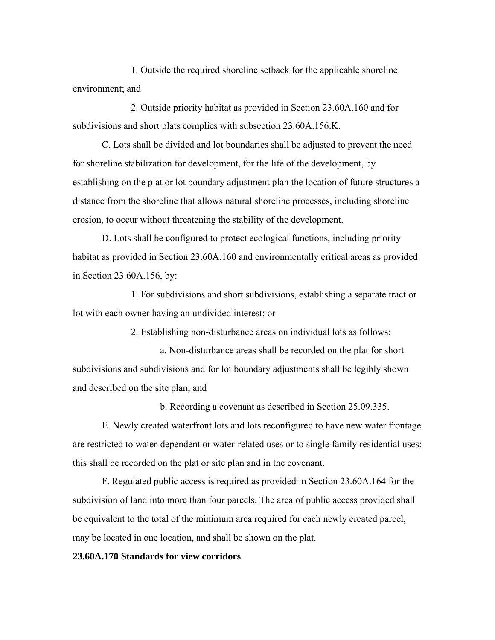1. Outside the required shoreline setback for the applicable shoreline environment; and

2. Outside priority habitat as provided in Section 23.60A.160 and for subdivisions and short plats complies with subsection 23.60A.156.K.

C. Lots shall be divided and lot boundaries shall be adjusted to prevent the need for shoreline stabilization for development, for the life of the development, by establishing on the plat or lot boundary adjustment plan the location of future structures a distance from the shoreline that allows natural shoreline processes, including shoreline erosion, to occur without threatening the stability of the development.

D. Lots shall be configured to protect ecological functions, including priority habitat as provided in Section 23.60A.160 and environmentally critical areas as provided in Section 23.60A.156, by:

1. For subdivisions and short subdivisions, establishing a separate tract or lot with each owner having an undivided interest; or

2. Establishing non-disturbance areas on individual lots as follows:

a. Non-disturbance areas shall be recorded on the plat for short subdivisions and subdivisions and for lot boundary adjustments shall be legibly shown and described on the site plan; and

b. Recording a covenant as described in Section 25.09.335.

E. Newly created waterfront lots and lots reconfigured to have new water frontage are restricted to water-dependent or water-related uses or to single family residential uses; this shall be recorded on the plat or site plan and in the covenant.

F. Regulated public access is required as provided in Section 23.60A.164 for the subdivision of land into more than four parcels. The area of public access provided shall be equivalent to the total of the minimum area required for each newly created parcel, may be located in one location, and shall be shown on the plat.

# **23.60A.170 Standards for view corridors**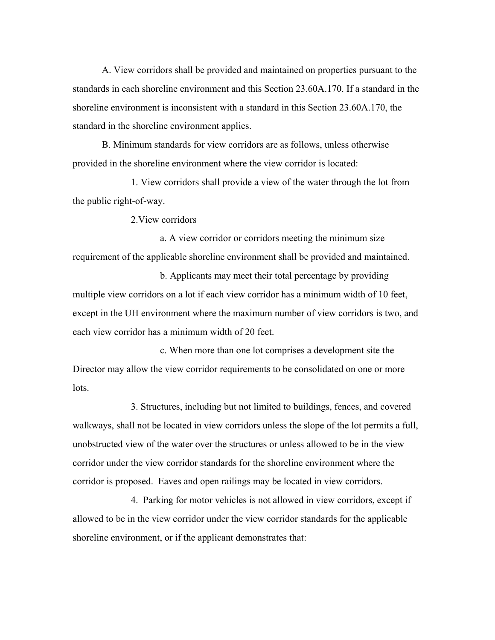A. View corridors shall be provided and maintained on properties pursuant to the standards in each shoreline environment and this Section 23.60A.170. If a standard in the shoreline environment is inconsistent with a standard in this Section 23.60A.170, the standard in the shoreline environment applies.

B. Minimum standards for view corridors are as follows, unless otherwise provided in the shoreline environment where the view corridor is located:

1. View corridors shall provide a view of the water through the lot from the public right-of-way.

2.View corridors

a. A view corridor or corridors meeting the minimum size requirement of the applicable shoreline environment shall be provided and maintained.

b. Applicants may meet their total percentage by providing multiple view corridors on a lot if each view corridor has a minimum width of 10 feet, except in the UH environment where the maximum number of view corridors is two, and each view corridor has a minimum width of 20 feet.

c. When more than one lot comprises a development site the Director may allow the view corridor requirements to be consolidated on one or more lots.

3. Structures, including but not limited to buildings, fences, and covered walkways, shall not be located in view corridors unless the slope of the lot permits a full, unobstructed view of the water over the structures or unless allowed to be in the view corridor under the view corridor standards for the shoreline environment where the corridor is proposed. Eaves and open railings may be located in view corridors.

4. Parking for motor vehicles is not allowed in view corridors, except if allowed to be in the view corridor under the view corridor standards for the applicable shoreline environment, or if the applicant demonstrates that: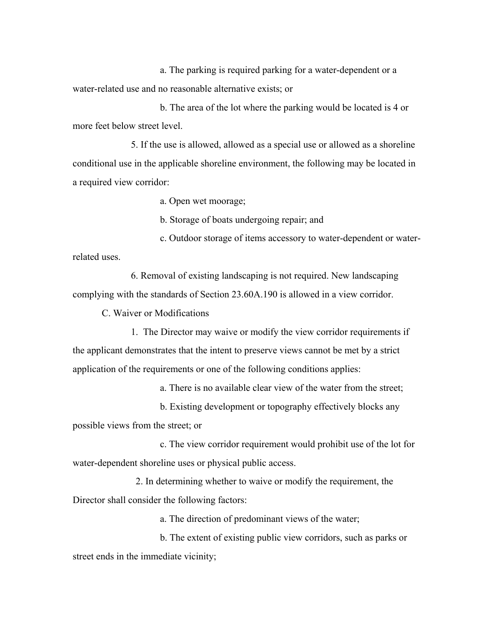a. The parking is required parking for a water-dependent or a water-related use and no reasonable alternative exists; or

b. The area of the lot where the parking would be located is 4 or more feet below street level.

5. If the use is allowed, allowed as a special use or allowed as a shoreline conditional use in the applicable shoreline environment, the following may be located in a required view corridor:

a. Open wet moorage;

b. Storage of boats undergoing repair; and

c. Outdoor storage of items accessory to water-dependent or waterrelated uses.

6. Removal of existing landscaping is not required. New landscaping complying with the standards of Section 23.60A.190 is allowed in a view corridor.

C. Waiver or Modifications

1. The Director may waive or modify the view corridor requirements if the applicant demonstrates that the intent to preserve views cannot be met by a strict application of the requirements or one of the following conditions applies:

a. There is no available clear view of the water from the street;

b. Existing development or topography effectively blocks any possible views from the street; or

c. The view corridor requirement would prohibit use of the lot for water-dependent shoreline uses or physical public access.

 2. In determining whether to waive or modify the requirement, the Director shall consider the following factors:

a. The direction of predominant views of the water;

b. The extent of existing public view corridors, such as parks or street ends in the immediate vicinity;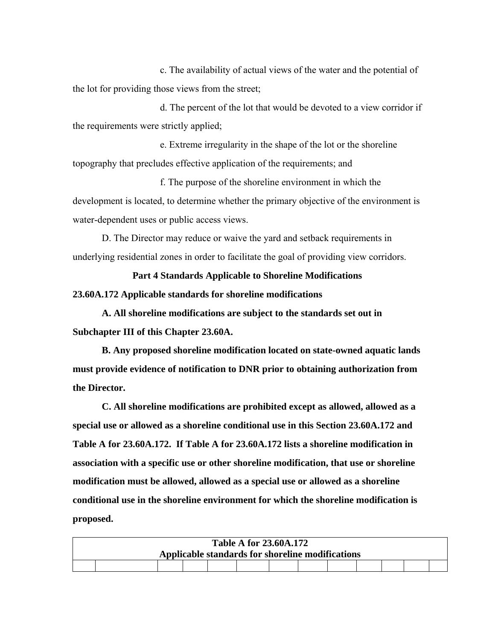c. The availability of actual views of the water and the potential of the lot for providing those views from the street;

d. The percent of the lot that would be devoted to a view corridor if the requirements were strictly applied;

e. Extreme irregularity in the shape of the lot or the shoreline topography that precludes effective application of the requirements; and

f. The purpose of the shoreline environment in which the development is located, to determine whether the primary objective of the environment is water-dependent uses or public access views.

D. The Director may reduce or waive the yard and setback requirements in underlying residential zones in order to facilitate the goal of providing view corridors.

**Part 4 Standards Applicable to Shoreline Modifications 23.60A.172 Applicable standards for shoreline modifications** 

**A. All shoreline modifications are subject to the standards set out in Subchapter III of this Chapter 23.60A.** 

**B. Any proposed shoreline modification located on state-owned aquatic lands must provide evidence of notification to DNR prior to obtaining authorization from the Director.** 

**C. All shoreline modifications are prohibited except as allowed, allowed as a special use or allowed as a shoreline conditional use in this Section 23.60A.172 and Table A for 23.60A.172. If Table A for 23.60A.172 lists a shoreline modification in association with a specific use or other shoreline modification, that use or shoreline modification must be allowed, allowed as a special use or allowed as a shoreline conditional use in the shoreline environment for which the shoreline modification is proposed.**

| <b>Table A for 23.60A.172</b>                    |  |  |  |  |  |  |  |  |  |  |  |  |  |
|--------------------------------------------------|--|--|--|--|--|--|--|--|--|--|--|--|--|
| Applicable standards for shoreline modifications |  |  |  |  |  |  |  |  |  |  |  |  |  |
|                                                  |  |  |  |  |  |  |  |  |  |  |  |  |  |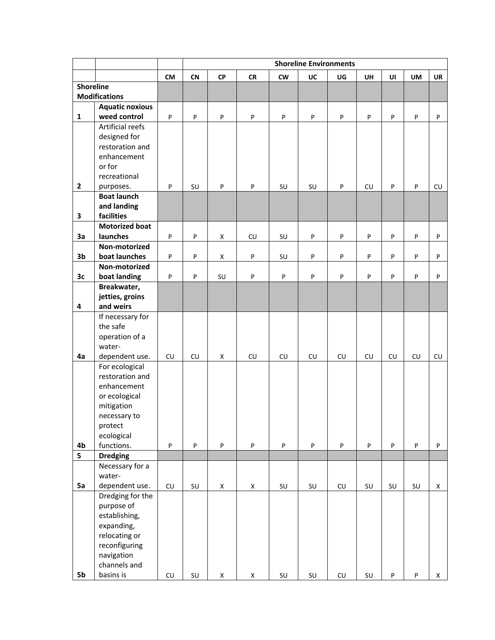|                  |                                | <b>Shoreline Environments</b> |            |                    |                    |                  |                        |                  |            |           |            |                           |  |
|------------------|--------------------------------|-------------------------------|------------|--------------------|--------------------|------------------|------------------------|------------------|------------|-----------|------------|---------------------------|--|
|                  |                                | <b>CM</b>                     | CN         | CP                 | CR                 | cw               | UC                     | UG               | <b>UH</b>  | UI        | <b>UM</b>  | <b>UR</b>                 |  |
| <b>Shoreline</b> |                                |                               |            |                    |                    |                  |                        |                  |            |           |            |                           |  |
|                  | <b>Modifications</b>           |                               |            |                    |                    |                  |                        |                  |            |           |            |                           |  |
|                  | <b>Aquatic noxious</b>         |                               |            |                    |                    |                  |                        |                  |            |           |            |                           |  |
| $\mathbf 1$      | weed control                   | P                             | P          | P                  | P                  | P                | P                      | P                | P          | ${\sf P}$ | P          | $\sf P$                   |  |
|                  | Artificial reefs               |                               |            |                    |                    |                  |                        |                  |            |           |            |                           |  |
|                  | designed for                   |                               |            |                    |                    |                  |                        |                  |            |           |            |                           |  |
|                  | restoration and<br>enhancement |                               |            |                    |                    |                  |                        |                  |            |           |            |                           |  |
|                  | or for                         |                               |            |                    |                    |                  |                        |                  |            |           |            |                           |  |
|                  | recreational                   |                               |            |                    |                    |                  |                        |                  |            |           |            |                           |  |
| $\overline{2}$   | purposes.                      | P                             | SU         | P                  | P                  | SU               | SU                     | P                | CU         | P         | ${\sf P}$  | CU                        |  |
|                  | <b>Boat launch</b>             |                               |            |                    |                    |                  |                        |                  |            |           |            |                           |  |
|                  | and landing                    |                               |            |                    |                    |                  |                        |                  |            |           |            |                           |  |
| $\mathbf 3$      | facilities                     |                               |            |                    |                    |                  |                        |                  |            |           |            |                           |  |
|                  | <b>Motorized boat</b>          |                               |            |                    |                    |                  |                        |                  |            |           |            |                           |  |
| 3a               | launches                       | P                             | P          | X                  | <b>CU</b>          | SU               | P                      | ${\sf P}$        | P          | P         | P          | $\sf P$                   |  |
|                  | Non-motorized                  |                               |            |                    |                    |                  |                        |                  |            |           |            |                           |  |
| 3 <sub>b</sub>   | boat launches                  | P                             | P          | $\mathsf X$        | P                  | SU               | P                      | P                | P          | P         | P          | P                         |  |
|                  | Non-motorized                  |                               |            |                    |                    |                  |                        |                  |            |           |            |                           |  |
| 3c               | boat landing                   | P                             | P          | SU                 | P                  | P                | P                      | $\sf P$          | P          | P         | P          | $\sf P$                   |  |
|                  | Breakwater,<br>jetties, groins |                               |            |                    |                    |                  |                        |                  |            |           |            |                           |  |
| $\pmb{4}$        | and weirs                      |                               |            |                    |                    |                  |                        |                  |            |           |            |                           |  |
|                  | If necessary for               |                               |            |                    |                    |                  |                        |                  |            |           |            |                           |  |
|                  | the safe                       |                               |            |                    |                    |                  |                        |                  |            |           |            |                           |  |
|                  | operation of a                 |                               |            |                    |                    |                  |                        |                  |            |           |            |                           |  |
|                  | water-                         |                               |            |                    |                    |                  |                        |                  |            |           |            |                           |  |
| 4a               | dependent use.                 | ${\sf CU}$                    | ${\sf CU}$ | X                  | CU                 | ${\sf C}{\sf U}$ | ${\sf CU}$             | ${\sf C}{\sf U}$ | ${\sf CU}$ | CU        | ${\sf CU}$ | ${\sf C}{\sf U}$          |  |
|                  | For ecological                 |                               |            |                    |                    |                  |                        |                  |            |           |            |                           |  |
|                  | restoration and                |                               |            |                    |                    |                  |                        |                  |            |           |            |                           |  |
|                  | enhancement                    |                               |            |                    |                    |                  |                        |                  |            |           |            |                           |  |
|                  | or ecological                  |                               |            |                    |                    |                  |                        |                  |            |           |            |                           |  |
|                  | mitigation<br>necessary to     |                               |            |                    |                    |                  |                        |                  |            |           |            |                           |  |
|                  | protect                        |                               |            |                    |                    |                  |                        |                  |            |           |            |                           |  |
|                  | ecological                     |                               |            |                    |                    |                  |                        |                  |            |           |            |                           |  |
| 4b               | functions.                     | P                             | $\sf{P}$   | P                  | P                  | P                | P                      | $\sf P$          | P          | $\sf P$   | $\sf P$    | $\boldsymbol{\mathsf{P}}$ |  |
| 5                | <b>Dredging</b>                |                               |            |                    |                    |                  |                        |                  |            |           |            |                           |  |
|                  | Necessary for a                |                               |            |                    |                    |                  |                        |                  |            |           |            |                           |  |
|                  | water-                         |                               |            |                    |                    |                  |                        |                  |            |           |            |                           |  |
| 5a               | dependent use.                 | CU                            | SU         | $\mathsf X$        | $\mathsf X$        | SU               | SU                     | ${\sf C}{\sf U}$ | SU         | SU        | SU         | $\mathsf X$               |  |
|                  | Dredging for the               |                               |            |                    |                    |                  |                        |                  |            |           |            |                           |  |
|                  | purpose of                     |                               |            |                    |                    |                  |                        |                  |            |           |            |                           |  |
|                  | establishing,                  |                               |            |                    |                    |                  |                        |                  |            |           |            |                           |  |
|                  | expanding,<br>relocating or    |                               |            |                    |                    |                  |                        |                  |            |           |            |                           |  |
|                  | reconfiguring                  |                               |            |                    |                    |                  |                        |                  |            |           |            |                           |  |
|                  | navigation                     |                               |            |                    |                    |                  |                        |                  |            |           |            |                           |  |
|                  | channels and                   |                               |            |                    |                    |                  |                        |                  |            |           |            |                           |  |
| 5b               | basins is                      | CU                            | SU         | $\pmb{\mathsf{X}}$ | $\pmb{\mathsf{X}}$ | SU               | $\mathsf{S}\mathsf{U}$ | CU               | SU         | $\sf P$   | P          | X                         |  |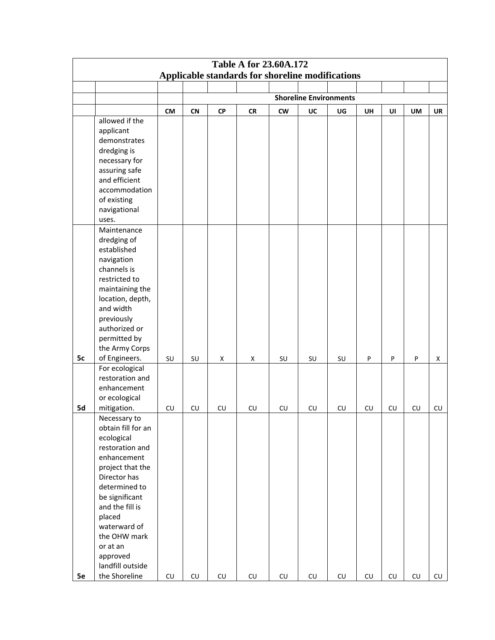| <b>Table A for 23.60A.172</b><br>Applicable standards for shoreline modifications |                              |                  |            |            |            |                  |                               |    |    |                  |    |                  |
|-----------------------------------------------------------------------------------|------------------------------|------------------|------------|------------|------------|------------------|-------------------------------|----|----|------------------|----|------------------|
|                                                                                   |                              |                  |            |            |            |                  |                               |    |    |                  |    |                  |
|                                                                                   |                              |                  |            |            |            |                  |                               |    |    |                  |    |                  |
|                                                                                   |                              |                  |            |            |            |                  | <b>Shoreline Environments</b> |    |    |                  |    |                  |
|                                                                                   |                              | <b>CM</b>        | CN         | <b>CP</b>  | <b>CR</b>  | <b>CW</b>        | UC                            | UG | UH | UI               | UM | UR               |
|                                                                                   | allowed if the               |                  |            |            |            |                  |                               |    |    |                  |    |                  |
|                                                                                   | applicant                    |                  |            |            |            |                  |                               |    |    |                  |    |                  |
|                                                                                   | demonstrates                 |                  |            |            |            |                  |                               |    |    |                  |    |                  |
|                                                                                   | dredging is<br>necessary for |                  |            |            |            |                  |                               |    |    |                  |    |                  |
|                                                                                   | assuring safe                |                  |            |            |            |                  |                               |    |    |                  |    |                  |
|                                                                                   | and efficient                |                  |            |            |            |                  |                               |    |    |                  |    |                  |
|                                                                                   | accommodation                |                  |            |            |            |                  |                               |    |    |                  |    |                  |
|                                                                                   | of existing                  |                  |            |            |            |                  |                               |    |    |                  |    |                  |
|                                                                                   | navigational                 |                  |            |            |            |                  |                               |    |    |                  |    |                  |
|                                                                                   | uses.                        |                  |            |            |            |                  |                               |    |    |                  |    |                  |
|                                                                                   | Maintenance                  |                  |            |            |            |                  |                               |    |    |                  |    |                  |
|                                                                                   | dredging of                  |                  |            |            |            |                  |                               |    |    |                  |    |                  |
|                                                                                   | established                  |                  |            |            |            |                  |                               |    |    |                  |    |                  |
|                                                                                   | navigation                   |                  |            |            |            |                  |                               |    |    |                  |    |                  |
|                                                                                   | channels is<br>restricted to |                  |            |            |            |                  |                               |    |    |                  |    |                  |
|                                                                                   | maintaining the              |                  |            |            |            |                  |                               |    |    |                  |    |                  |
|                                                                                   | location, depth,             |                  |            |            |            |                  |                               |    |    |                  |    |                  |
|                                                                                   | and width                    |                  |            |            |            |                  |                               |    |    |                  |    |                  |
|                                                                                   | previously                   |                  |            |            |            |                  |                               |    |    |                  |    |                  |
|                                                                                   | authorized or                |                  |            |            |            |                  |                               |    |    |                  |    |                  |
|                                                                                   | permitted by                 |                  |            |            |            |                  |                               |    |    |                  |    |                  |
|                                                                                   | the Army Corps               |                  |            |            |            |                  |                               |    |    |                  |    |                  |
| 5c                                                                                | of Engineers.                | SU               | SU         | X          | X          | SU               | SU                            | SU | P  | P                | P  | X                |
|                                                                                   | For ecological               |                  |            |            |            |                  |                               |    |    |                  |    |                  |
|                                                                                   | restoration and              |                  |            |            |            |                  |                               |    |    |                  |    |                  |
|                                                                                   | enhancement<br>or ecological |                  |            |            |            |                  |                               |    |    |                  |    |                  |
| 5d                                                                                | mitigation.                  | ${\sf C}{\sf U}$ | CU         | CU         | CU         | ${\sf CU}$       | ${\sf C}{\sf U}$              | CU | CU | ${\sf C}{\sf U}$ | CU | ${\sf CU}$       |
|                                                                                   | Necessary to                 |                  |            |            |            |                  |                               |    |    |                  |    |                  |
|                                                                                   | obtain fill for an           |                  |            |            |            |                  |                               |    |    |                  |    |                  |
|                                                                                   | ecological                   |                  |            |            |            |                  |                               |    |    |                  |    |                  |
|                                                                                   | restoration and              |                  |            |            |            |                  |                               |    |    |                  |    |                  |
|                                                                                   | enhancement                  |                  |            |            |            |                  |                               |    |    |                  |    |                  |
|                                                                                   | project that the             |                  |            |            |            |                  |                               |    |    |                  |    |                  |
|                                                                                   | Director has                 |                  |            |            |            |                  |                               |    |    |                  |    |                  |
|                                                                                   | determined to                |                  |            |            |            |                  |                               |    |    |                  |    |                  |
|                                                                                   | be significant               |                  |            |            |            |                  |                               |    |    |                  |    |                  |
|                                                                                   | and the fill is              |                  |            |            |            |                  |                               |    |    |                  |    |                  |
|                                                                                   | placed<br>waterward of       |                  |            |            |            |                  |                               |    |    |                  |    |                  |
|                                                                                   | the OHW mark                 |                  |            |            |            |                  |                               |    |    |                  |    |                  |
|                                                                                   | or at an                     |                  |            |            |            |                  |                               |    |    |                  |    |                  |
|                                                                                   | approved                     |                  |            |            |            |                  |                               |    |    |                  |    |                  |
|                                                                                   | landfill outside             |                  |            |            |            |                  |                               |    |    |                  |    |                  |
| 5e                                                                                | the Shoreline                | CU               | ${\sf CU}$ | ${\sf CU}$ | ${\sf CU}$ | ${\sf C}{\sf U}$ | ${\sf C}{\sf U}$              | CU | CU | CU               | CU | ${\sf C}{\sf U}$ |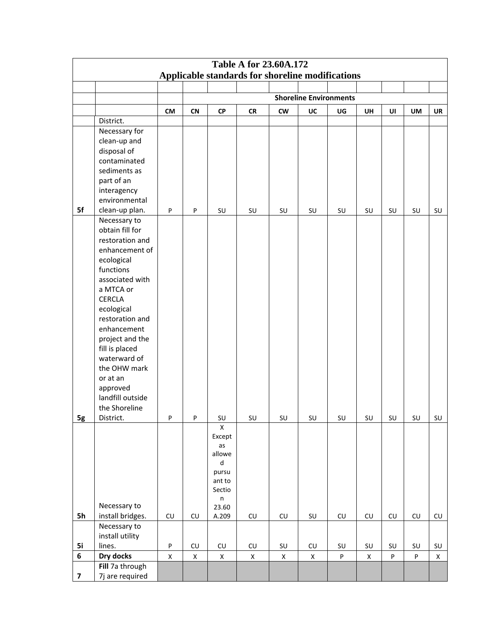| <b>Table A for 23.60A.172</b> |                             |             |                  |                    |                                                  |                      |                               |                  |             |         |                  |             |
|-------------------------------|-----------------------------|-------------|------------------|--------------------|--------------------------------------------------|----------------------|-------------------------------|------------------|-------------|---------|------------------|-------------|
|                               |                             |             |                  |                    | Applicable standards for shoreline modifications |                      |                               |                  |             |         |                  |             |
|                               |                             |             |                  |                    |                                                  |                      |                               |                  |             |         |                  |             |
|                               |                             |             |                  |                    |                                                  |                      | <b>Shoreline Environments</b> |                  |             |         |                  |             |
|                               |                             | <b>CM</b>   | <b>CN</b>        | ${\sf CP}$         | <b>CR</b>                                        | <b>CW</b>            | UC                            | UG               | UH          | UI      | UM               | UR          |
|                               | District.                   |             |                  |                    |                                                  |                      |                               |                  |             |         |                  |             |
|                               | Necessary for               |             |                  |                    |                                                  |                      |                               |                  |             |         |                  |             |
|                               | clean-up and                |             |                  |                    |                                                  |                      |                               |                  |             |         |                  |             |
|                               | disposal of<br>contaminated |             |                  |                    |                                                  |                      |                               |                  |             |         |                  |             |
|                               | sediments as                |             |                  |                    |                                                  |                      |                               |                  |             |         |                  |             |
|                               | part of an                  |             |                  |                    |                                                  |                      |                               |                  |             |         |                  |             |
|                               | interagency                 |             |                  |                    |                                                  |                      |                               |                  |             |         |                  |             |
|                               | environmental               |             |                  |                    |                                                  |                      |                               |                  |             |         |                  |             |
| 5f                            | clean-up plan.              | ${\sf P}$   | P                | SU                 | SU                                               | SU                   | SU                            | SU               | SU          | SU      | SU               | SU          |
|                               | Necessary to                |             |                  |                    |                                                  |                      |                               |                  |             |         |                  |             |
|                               | obtain fill for             |             |                  |                    |                                                  |                      |                               |                  |             |         |                  |             |
|                               | restoration and             |             |                  |                    |                                                  |                      |                               |                  |             |         |                  |             |
|                               | enhancement of              |             |                  |                    |                                                  |                      |                               |                  |             |         |                  |             |
|                               | ecological                  |             |                  |                    |                                                  |                      |                               |                  |             |         |                  |             |
|                               | functions                   |             |                  |                    |                                                  |                      |                               |                  |             |         |                  |             |
|                               | associated with             |             |                  |                    |                                                  |                      |                               |                  |             |         |                  |             |
|                               | a MTCA or<br><b>CERCLA</b>  |             |                  |                    |                                                  |                      |                               |                  |             |         |                  |             |
|                               | ecological                  |             |                  |                    |                                                  |                      |                               |                  |             |         |                  |             |
|                               | restoration and             |             |                  |                    |                                                  |                      |                               |                  |             |         |                  |             |
|                               | enhancement                 |             |                  |                    |                                                  |                      |                               |                  |             |         |                  |             |
|                               | project and the             |             |                  |                    |                                                  |                      |                               |                  |             |         |                  |             |
|                               | fill is placed              |             |                  |                    |                                                  |                      |                               |                  |             |         |                  |             |
|                               | waterward of                |             |                  |                    |                                                  |                      |                               |                  |             |         |                  |             |
|                               | the OHW mark                |             |                  |                    |                                                  |                      |                               |                  |             |         |                  |             |
|                               | or at an                    |             |                  |                    |                                                  |                      |                               |                  |             |         |                  |             |
|                               | approved                    |             |                  |                    |                                                  |                      |                               |                  |             |         |                  |             |
|                               | landfill outside            |             |                  |                    |                                                  |                      |                               |                  |             |         |                  |             |
|                               | the Shoreline<br>District.  |             | P                |                    |                                                  |                      |                               |                  |             |         |                  |             |
| 5g                            |                             | P           |                  | SU<br>$\mathsf{X}$ | SU                                               | SU                   | SU                            | SU               | SU          | SU      | SU               | SU          |
|                               |                             |             |                  | Except             |                                                  |                      |                               |                  |             |         |                  |             |
|                               |                             |             |                  | as                 |                                                  |                      |                               |                  |             |         |                  |             |
|                               |                             |             |                  | allowe             |                                                  |                      |                               |                  |             |         |                  |             |
|                               |                             |             |                  | $\sf d$            |                                                  |                      |                               |                  |             |         |                  |             |
|                               |                             |             |                  | pursu<br>ant to    |                                                  |                      |                               |                  |             |         |                  |             |
|                               |                             |             |                  | Sectio             |                                                  |                      |                               |                  |             |         |                  |             |
|                               |                             |             |                  | $\sf n$            |                                                  |                      |                               |                  |             |         |                  |             |
|                               | Necessary to                |             |                  | 23.60              |                                                  |                      |                               |                  |             |         |                  |             |
| 5h                            | install bridges.            | ${\sf CU}$  | ${\sf C}{\sf U}$ | A.209              | ${\sf C}{\sf U}$                                 | ${\sf CU}$           | $\mathsf{SU}$                 | ${\sf C}{\sf U}$ | ${\sf CU}$  | CU      | ${\sf C}{\sf U}$ | ${\sf CU}$  |
|                               | Necessary to                |             |                  |                    |                                                  |                      |                               |                  |             |         |                  |             |
| 5i                            | install utility<br>lines.   | ${\sf P}$   | ${\sf C}{\sf U}$ | ${\sf C}{\sf U}$   | ${\sf CU}$                                       | $\textsf{SU}\xspace$ | ${\sf CU}$                    | SU               | SU          | SU      | SU               | SU          |
| 6                             | Dry docks                   | $\mathsf X$ | X                | $\mathsf X$        | $\pmb{\mathsf{X}}$                               | X                    | X                             | $\sf P$          | $\mathsf X$ | $\sf P$ | $\sf P$          | $\mathsf X$ |
|                               | Fill 7a through             |             |                  |                    |                                                  |                      |                               |                  |             |         |                  |             |
| $\overline{\mathbf{z}}$       | 7j are required             |             |                  |                    |                                                  |                      |                               |                  |             |         |                  |             |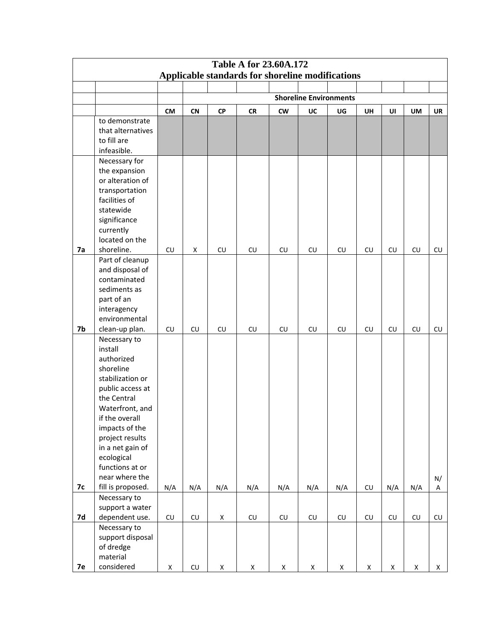| <b>Table A for 23.60A.172</b> |                                                                                                                                                                                                                                                                                 |             |                  |             |                                                  |                  |                               |             |                  |             |                    |             |
|-------------------------------|---------------------------------------------------------------------------------------------------------------------------------------------------------------------------------------------------------------------------------------------------------------------------------|-------------|------------------|-------------|--------------------------------------------------|------------------|-------------------------------|-------------|------------------|-------------|--------------------|-------------|
|                               |                                                                                                                                                                                                                                                                                 |             |                  |             | Applicable standards for shoreline modifications |                  |                               |             |                  |             |                    |             |
|                               |                                                                                                                                                                                                                                                                                 |             |                  |             |                                                  |                  |                               |             |                  |             |                    |             |
|                               |                                                                                                                                                                                                                                                                                 |             |                  |             |                                                  |                  | <b>Shoreline Environments</b> |             |                  |             |                    |             |
|                               |                                                                                                                                                                                                                                                                                 | <b>CM</b>   | <b>CN</b>        | <b>CP</b>   | <b>CR</b>                                        | <b>CW</b>        | UC                            | UG          | <b>UH</b>        | UI          | <b>UM</b>          | <b>UR</b>   |
|                               | to demonstrate<br>that alternatives<br>to fill are<br>infeasible.                                                                                                                                                                                                               |             |                  |             |                                                  |                  |                               |             |                  |             |                    |             |
| 7a                            | Necessary for<br>the expansion<br>or alteration of<br>transportation<br>facilities of<br>statewide<br>significance<br>currently<br>located on the<br>shoreline.                                                                                                                 | CU          | X                | CU          | ${\sf CU}$                                       | ${\sf C}{\sf U}$ | CU                            | CU          | CU               | CU          | CU                 | ${\sf CU}$  |
|                               | Part of cleanup<br>and disposal of<br>contaminated<br>sediments as<br>part of an<br>interagency<br>environmental                                                                                                                                                                |             |                  |             |                                                  |                  |                               |             |                  |             |                    |             |
| 7b                            | clean-up plan.                                                                                                                                                                                                                                                                  | CU          | CU               | CU          | CU                                               | CU               | CU                            | CU          | CU               | CU          | CU                 | ${\sf CU}$  |
| <b>7c</b>                     | Necessary to<br>install<br>authorized<br>shoreline<br>stabilization or<br>public access at<br>the Central<br>Waterfront, and<br>if the overall<br>impacts of the<br>project results<br>in a net gain of<br>ecological<br>functions at or<br>near where the<br>fill is proposed. | N/A         | N/A              | N/A         | N/A                                              | N/A              | N/A                           | N/A         | ${\sf C}{\sf U}$ | N/A         | N/A                | N/<br>A     |
|                               | Necessary to                                                                                                                                                                                                                                                                    |             |                  |             |                                                  |                  |                               |             |                  |             |                    |             |
| 7d                            | support a water<br>dependent use.                                                                                                                                                                                                                                               | ${\sf CU}$  | ${\sf C}{\sf U}$ | $\mathsf X$ | ${\sf C}{\sf U}$                                 | ${\sf CU}$       | ${\sf CU}$                    | ${\sf CU}$  | ${\sf C}{\sf U}$ | CU          | ${\sf CU}$         | ${\sf CU}$  |
| 7e                            | Necessary to<br>support disposal<br>of dredge<br>material<br>considered                                                                                                                                                                                                         | $\mathsf X$ | ${\sf C}{\sf U}$ | $\mathsf X$ | $\mathsf X$                                      | $\mathsf X$      | $\mathsf X$                   | $\mathsf X$ | $\mathsf X$      | $\mathsf X$ | $\pmb{\mathsf{X}}$ | $\mathsf X$ |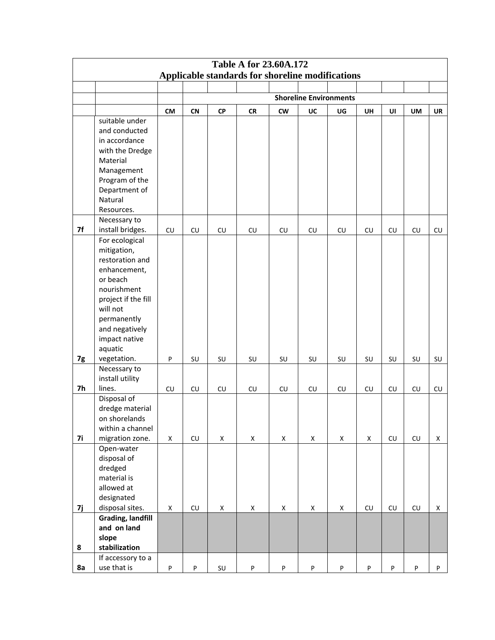|    | <b>Table A for 23.60A.172</b><br>Applicable standards for shoreline modifications |                    |                  |            |                    |                  |                               |                    |                  |                  |                                                                                |             |  |
|----|-----------------------------------------------------------------------------------|--------------------|------------------|------------|--------------------|------------------|-------------------------------|--------------------|------------------|------------------|--------------------------------------------------------------------------------|-------------|--|
|    |                                                                                   |                    |                  |            |                    |                  |                               |                    |                  |                  |                                                                                |             |  |
|    |                                                                                   |                    |                  |            |                    |                  |                               |                    |                  |                  |                                                                                |             |  |
|    |                                                                                   |                    |                  |            |                    |                  | <b>Shoreline Environments</b> |                    |                  |                  |                                                                                |             |  |
|    |                                                                                   | <b>CM</b>          | CN               | ${\sf CP}$ | <b>CR</b>          | <b>CW</b>        | UC                            | UG                 | <b>UH</b>        | UI               | UM                                                                             | UR          |  |
|    | suitable under                                                                    |                    |                  |            |                    |                  |                               |                    |                  |                  |                                                                                |             |  |
|    | and conducted                                                                     |                    |                  |            |                    |                  |                               |                    |                  |                  |                                                                                |             |  |
|    | in accordance                                                                     |                    |                  |            |                    |                  |                               |                    |                  |                  |                                                                                |             |  |
|    | with the Dredge                                                                   |                    |                  |            |                    |                  |                               |                    |                  |                  |                                                                                |             |  |
|    | Material                                                                          |                    |                  |            |                    |                  |                               |                    |                  |                  |                                                                                |             |  |
|    | Management                                                                        |                    |                  |            |                    |                  |                               |                    |                  |                  |                                                                                |             |  |
|    | Program of the                                                                    |                    |                  |            |                    |                  |                               |                    |                  |                  |                                                                                |             |  |
|    | Department of                                                                     |                    |                  |            |                    |                  |                               |                    |                  |                  |                                                                                |             |  |
|    | Natural                                                                           |                    |                  |            |                    |                  |                               |                    |                  |                  |                                                                                |             |  |
|    | Resources.                                                                        |                    |                  |            |                    |                  |                               |                    |                  |                  |                                                                                |             |  |
|    | Necessary to                                                                      |                    |                  |            |                    |                  |                               |                    |                  |                  |                                                                                |             |  |
| 7f | install bridges.                                                                  | ${\sf CU}$         | ${\sf CU}$       | CU         | ${\sf CU}$         | ${\sf C}{\sf U}$ | ${\sf C}{\sf U}$              | ${\sf C}{\sf U}$   | ${\sf CU}$       | CU               | CU                                                                             | ${\sf CU}$  |  |
|    | For ecological                                                                    |                    |                  |            |                    |                  |                               |                    |                  |                  |                                                                                |             |  |
|    | mitigation,<br>restoration and                                                    |                    |                  |            |                    |                  |                               |                    |                  |                  |                                                                                |             |  |
|    | enhancement,                                                                      |                    |                  |            |                    |                  |                               |                    |                  |                  |                                                                                |             |  |
|    | or beach                                                                          |                    |                  |            |                    |                  |                               |                    |                  |                  |                                                                                |             |  |
|    | nourishment                                                                       |                    |                  |            |                    |                  |                               |                    |                  |                  |                                                                                |             |  |
|    | project if the fill                                                               |                    |                  |            |                    |                  |                               |                    |                  |                  |                                                                                |             |  |
|    | will not                                                                          |                    |                  |            |                    |                  |                               |                    |                  |                  |                                                                                |             |  |
|    | permanently                                                                       |                    |                  |            |                    |                  |                               |                    |                  |                  |                                                                                |             |  |
|    | and negatively                                                                    |                    |                  |            |                    |                  |                               |                    |                  |                  |                                                                                |             |  |
|    | impact native                                                                     |                    |                  |            |                    |                  |                               |                    |                  |                  |                                                                                |             |  |
|    | aquatic                                                                           |                    |                  |            |                    |                  |                               |                    |                  |                  |                                                                                |             |  |
| 7g | vegetation.                                                                       | P                  | SU               | SU         | SU                 | SU               | SU                            | SU                 | SU               | SU               | SU                                                                             | SU          |  |
|    | Necessary to                                                                      |                    |                  |            |                    |                  |                               |                    |                  |                  |                                                                                |             |  |
|    | install utility                                                                   |                    |                  |            |                    |                  |                               |                    |                  |                  |                                                                                |             |  |
| 7h | lines.                                                                            | ${\sf C}{\sf U}$   | ${\sf CU}$       | CU         | CU                 | CU               | ${\sf C}{\sf U}$              | ${\sf C}{\sf U}$   | ${\sf CU}$       | ${\sf C}{\sf U}$ | CU                                                                             | ${\sf CU}$  |  |
|    | Disposal of                                                                       |                    |                  |            |                    |                  |                               |                    |                  |                  |                                                                                |             |  |
|    | dredge material                                                                   |                    |                  |            |                    |                  |                               |                    |                  |                  |                                                                                |             |  |
|    | on shorelands                                                                     |                    |                  |            |                    |                  |                               |                    |                  |                  |                                                                                |             |  |
|    | within a channel                                                                  |                    |                  |            |                    |                  |                               |                    |                  |                  |                                                                                |             |  |
| 7i | migration zone.                                                                   | X                  | CU               | X          | X                  | X                | $\mathsf X$                   | $\pmb{\mathsf{X}}$ | X                | CU               | CU                                                                             | X           |  |
|    | Open-water                                                                        |                    |                  |            |                    |                  |                               |                    |                  |                  |                                                                                |             |  |
|    | disposal of                                                                       |                    |                  |            |                    |                  |                               |                    |                  |                  |                                                                                |             |  |
|    | dredged                                                                           |                    |                  |            |                    |                  |                               |                    |                  |                  |                                                                                |             |  |
|    | material is                                                                       |                    |                  |            |                    |                  |                               |                    |                  |                  |                                                                                |             |  |
|    | allowed at                                                                        |                    |                  |            |                    |                  |                               |                    |                  |                  |                                                                                |             |  |
|    | designated                                                                        |                    |                  |            |                    |                  |                               |                    |                  |                  |                                                                                |             |  |
| 7j | disposal sites.<br><b>Grading, landfill</b>                                       | $\pmb{\mathsf{X}}$ | ${\sf C}{\sf U}$ | Χ          | $\pmb{\mathsf{X}}$ | X                | $\mathsf X$                   | $\pmb{\mathsf{X}}$ | ${\sf C}{\sf U}$ | CU               | CU                                                                             | $\mathsf X$ |  |
|    | and on land                                                                       |                    |                  |            |                    |                  |                               |                    |                  |                  |                                                                                |             |  |
|    | slope                                                                             |                    |                  |            |                    |                  |                               |                    |                  |                  |                                                                                |             |  |
| 8  | stabilization                                                                     |                    |                  |            |                    |                  |                               |                    |                  |                  |                                                                                |             |  |
|    | If accessory to a                                                                 |                    |                  |            |                    |                  |                               |                    |                  |                  |                                                                                |             |  |
| 8a | use that is                                                                       | P                  | P                | SU         | P                  | $\sf P$          | $\sf P$                       | $\sf P$            | P                | P                | $\mathsf{P}% _{T}=\mathsf{P}_{T}\!\left( \mathsf{P}_{T}\right) \mathsf{P}_{T}$ | P           |  |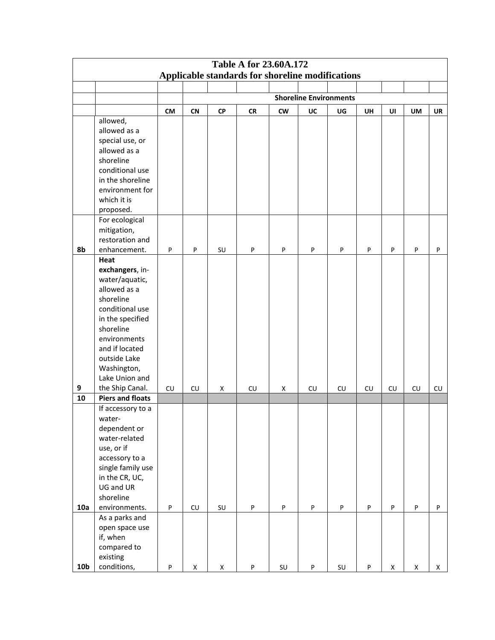| <b>Table A for 23.60A.172</b><br>Applicable standards for shoreline modifications |                         |           |                    |             |           |                        |                               |                           |           |                           |                    |                    |
|-----------------------------------------------------------------------------------|-------------------------|-----------|--------------------|-------------|-----------|------------------------|-------------------------------|---------------------------|-----------|---------------------------|--------------------|--------------------|
|                                                                                   |                         |           |                    |             |           |                        |                               |                           |           |                           |                    |                    |
|                                                                                   |                         |           |                    |             |           |                        |                               |                           |           |                           |                    |                    |
|                                                                                   |                         |           |                    |             |           |                        | <b>Shoreline Environments</b> |                           |           |                           |                    |                    |
|                                                                                   |                         | <b>CM</b> | <b>CN</b>          | <b>CP</b>   | <b>CR</b> | cw                     | UC                            | UG                        | <b>UH</b> | UI                        | UM                 | <b>UR</b>          |
|                                                                                   | allowed,                |           |                    |             |           |                        |                               |                           |           |                           |                    |                    |
|                                                                                   | allowed as a            |           |                    |             |           |                        |                               |                           |           |                           |                    |                    |
|                                                                                   | special use, or         |           |                    |             |           |                        |                               |                           |           |                           |                    |                    |
|                                                                                   | allowed as a            |           |                    |             |           |                        |                               |                           |           |                           |                    |                    |
|                                                                                   | shoreline               |           |                    |             |           |                        |                               |                           |           |                           |                    |                    |
|                                                                                   | conditional use         |           |                    |             |           |                        |                               |                           |           |                           |                    |                    |
|                                                                                   | in the shoreline        |           |                    |             |           |                        |                               |                           |           |                           |                    |                    |
|                                                                                   | environment for         |           |                    |             |           |                        |                               |                           |           |                           |                    |                    |
|                                                                                   | which it is             |           |                    |             |           |                        |                               |                           |           |                           |                    |                    |
|                                                                                   | proposed.               |           |                    |             |           |                        |                               |                           |           |                           |                    |                    |
|                                                                                   | For ecological          |           |                    |             |           |                        |                               |                           |           |                           |                    |                    |
|                                                                                   | mitigation,             |           |                    |             |           |                        |                               |                           |           |                           |                    |                    |
|                                                                                   | restoration and         |           |                    |             |           |                        |                               |                           |           |                           |                    |                    |
| 8b                                                                                | enhancement.            | P         | P                  | SU          | P         | P                      | P                             | P                         | P         | P                         | P                  | $\sf P$            |
|                                                                                   | Heat                    |           |                    |             |           |                        |                               |                           |           |                           |                    |                    |
|                                                                                   | exchangers, in-         |           |                    |             |           |                        |                               |                           |           |                           |                    |                    |
|                                                                                   | water/aquatic,          |           |                    |             |           |                        |                               |                           |           |                           |                    |                    |
|                                                                                   | allowed as a            |           |                    |             |           |                        |                               |                           |           |                           |                    |                    |
|                                                                                   | shoreline               |           |                    |             |           |                        |                               |                           |           |                           |                    |                    |
|                                                                                   | conditional use         |           |                    |             |           |                        |                               |                           |           |                           |                    |                    |
|                                                                                   | in the specified        |           |                    |             |           |                        |                               |                           |           |                           |                    |                    |
|                                                                                   | shoreline               |           |                    |             |           |                        |                               |                           |           |                           |                    |                    |
|                                                                                   | environments            |           |                    |             |           |                        |                               |                           |           |                           |                    |                    |
|                                                                                   | and if located          |           |                    |             |           |                        |                               |                           |           |                           |                    |                    |
|                                                                                   | outside Lake            |           |                    |             |           |                        |                               |                           |           |                           |                    |                    |
|                                                                                   | Washington,             |           |                    |             |           |                        |                               |                           |           |                           |                    |                    |
|                                                                                   | Lake Union and          |           |                    |             |           |                        |                               |                           |           |                           |                    |                    |
| 9                                                                                 | the Ship Canal.         | CU        | CU                 | X           | CU        | x                      | CU                            | CU                        | <b>CU</b> | CU                        | CU                 | ${\sf CU}$         |
| 10                                                                                | <b>Piers and floats</b> |           |                    |             |           |                        |                               |                           |           |                           |                    |                    |
|                                                                                   | If accessory to a       |           |                    |             |           |                        |                               |                           |           |                           |                    |                    |
|                                                                                   | water-                  |           |                    |             |           |                        |                               |                           |           |                           |                    |                    |
|                                                                                   | dependent or            |           |                    |             |           |                        |                               |                           |           |                           |                    |                    |
|                                                                                   | water-related           |           |                    |             |           |                        |                               |                           |           |                           |                    |                    |
|                                                                                   | use, or if              |           |                    |             |           |                        |                               |                           |           |                           |                    |                    |
|                                                                                   | accessory to a          |           |                    |             |           |                        |                               |                           |           |                           |                    |                    |
|                                                                                   | single family use       |           |                    |             |           |                        |                               |                           |           |                           |                    |                    |
|                                                                                   | in the CR, UC,          |           |                    |             |           |                        |                               |                           |           |                           |                    |                    |
|                                                                                   | UG and UR               |           |                    |             |           |                        |                               |                           |           |                           |                    |                    |
|                                                                                   | shoreline               |           |                    |             |           |                        |                               |                           |           |                           |                    |                    |
| 10a                                                                               | environments.           | $\sf P$   | ${\sf CU}$         | SU          | P         | ${\sf P}$              | $\sf P$                       | $\boldsymbol{\mathsf{P}}$ | P         | $\boldsymbol{\mathsf{P}}$ | $\sf P$            | $\sf P$            |
|                                                                                   | As a parks and          |           |                    |             |           |                        |                               |                           |           |                           |                    |                    |
|                                                                                   | open space use          |           |                    |             |           |                        |                               |                           |           |                           |                    |                    |
|                                                                                   | if, when                |           |                    |             |           |                        |                               |                           |           |                           |                    |                    |
|                                                                                   | compared to             |           |                    |             |           |                        |                               |                           |           |                           |                    |                    |
|                                                                                   | existing                |           |                    |             |           |                        |                               |                           |           |                           |                    |                    |
| 10 <sub>b</sub>                                                                   | conditions,             | ${\sf P}$ | $\pmb{\mathsf{X}}$ | $\mathsf X$ | P         | $\mathsf{S}\mathsf{U}$ | P                             | SU                        | $\sf P$   | $\pmb{\mathsf{X}}$        | $\pmb{\mathsf{X}}$ | $\pmb{\mathsf{X}}$ |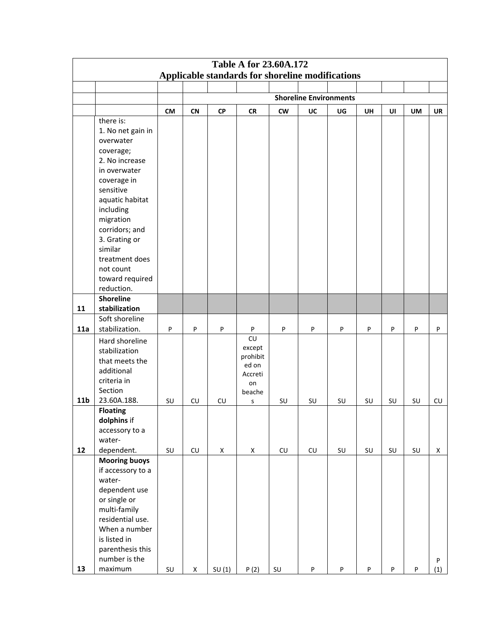| <b>Table A for 23.60A.172</b><br>Applicable standards for shoreline modifications |                                  |           |             |             |              |                  |                               |    |           |    |         |             |
|-----------------------------------------------------------------------------------|----------------------------------|-----------|-------------|-------------|--------------|------------------|-------------------------------|----|-----------|----|---------|-------------|
|                                                                                   |                                  |           |             |             |              |                  |                               |    |           |    |         |             |
|                                                                                   |                                  |           |             |             |              |                  |                               |    |           |    |         |             |
|                                                                                   |                                  |           |             |             |              |                  | <b>Shoreline Environments</b> |    |           |    |         |             |
|                                                                                   |                                  | <b>CM</b> | <b>CN</b>   | <b>CP</b>   | <b>CR</b>    | <b>CW</b>        | UC                            | UG | <b>UH</b> | UI | UM      | <b>UR</b>   |
|                                                                                   | there is:                        |           |             |             |              |                  |                               |    |           |    |         |             |
|                                                                                   | 1. No net gain in                |           |             |             |              |                  |                               |    |           |    |         |             |
|                                                                                   | overwater                        |           |             |             |              |                  |                               |    |           |    |         |             |
|                                                                                   | coverage;<br>2. No increase      |           |             |             |              |                  |                               |    |           |    |         |             |
|                                                                                   | in overwater                     |           |             |             |              |                  |                               |    |           |    |         |             |
|                                                                                   | coverage in                      |           |             |             |              |                  |                               |    |           |    |         |             |
|                                                                                   | sensitive                        |           |             |             |              |                  |                               |    |           |    |         |             |
|                                                                                   | aquatic habitat                  |           |             |             |              |                  |                               |    |           |    |         |             |
|                                                                                   | including                        |           |             |             |              |                  |                               |    |           |    |         |             |
|                                                                                   | migration                        |           |             |             |              |                  |                               |    |           |    |         |             |
|                                                                                   | corridors; and                   |           |             |             |              |                  |                               |    |           |    |         |             |
|                                                                                   | 3. Grating or                    |           |             |             |              |                  |                               |    |           |    |         |             |
|                                                                                   | similar                          |           |             |             |              |                  |                               |    |           |    |         |             |
|                                                                                   | treatment does                   |           |             |             |              |                  |                               |    |           |    |         |             |
|                                                                                   | not count                        |           |             |             |              |                  |                               |    |           |    |         |             |
|                                                                                   | toward required                  |           |             |             |              |                  |                               |    |           |    |         |             |
|                                                                                   | reduction.                       |           |             |             |              |                  |                               |    |           |    |         |             |
|                                                                                   | <b>Shoreline</b>                 |           |             |             |              |                  |                               |    |           |    |         |             |
| 11                                                                                | stabilization                    |           |             |             |              |                  |                               |    |           |    |         |             |
| 11a                                                                               | Soft shoreline<br>stabilization. |           |             |             |              |                  |                               |    |           |    |         |             |
|                                                                                   |                                  | P         | P           | P           | P<br>CU      | $\mathsf{P}$     | P                             | P  | P         | P  | P       | P           |
|                                                                                   | Hard shoreline                   |           |             |             | except       |                  |                               |    |           |    |         |             |
|                                                                                   | stabilization<br>that meets the  |           |             |             | prohibit     |                  |                               |    |           |    |         |             |
|                                                                                   | additional                       |           |             |             | ed on        |                  |                               |    |           |    |         |             |
|                                                                                   | criteria in                      |           |             |             | Accreti      |                  |                               |    |           |    |         |             |
|                                                                                   | Section                          |           |             |             | on<br>beache |                  |                               |    |           |    |         |             |
| 11 <sub>b</sub>                                                                   | 23.60A.188.                      | SU        | ${\sf CU}$  | <b>CU</b>   | S            | SU               | SU                            | SU | SU        | SU | SU      | ${\sf CU}$  |
|                                                                                   | <b>Floating</b>                  |           |             |             |              |                  |                               |    |           |    |         |             |
|                                                                                   | dolphins if                      |           |             |             |              |                  |                               |    |           |    |         |             |
|                                                                                   | accessory to a                   |           |             |             |              |                  |                               |    |           |    |         |             |
|                                                                                   | water-                           |           |             |             |              |                  |                               |    |           |    |         |             |
| 12                                                                                | dependent.                       | SU        | CU          | $\mathsf X$ | $\mathsf X$  | ${\sf C}{\sf U}$ | ${\sf C}{\sf U}$              | SU | SU        | SU | SU      | $\mathsf X$ |
|                                                                                   | <b>Mooring buoys</b>             |           |             |             |              |                  |                               |    |           |    |         |             |
|                                                                                   | if accessory to a                |           |             |             |              |                  |                               |    |           |    |         |             |
|                                                                                   | water-                           |           |             |             |              |                  |                               |    |           |    |         |             |
|                                                                                   | dependent use                    |           |             |             |              |                  |                               |    |           |    |         |             |
|                                                                                   | or single or<br>multi-family     |           |             |             |              |                  |                               |    |           |    |         |             |
|                                                                                   | residential use.                 |           |             |             |              |                  |                               |    |           |    |         |             |
|                                                                                   | When a number                    |           |             |             |              |                  |                               |    |           |    |         |             |
|                                                                                   | is listed in                     |           |             |             |              |                  |                               |    |           |    |         |             |
|                                                                                   | parenthesis this                 |           |             |             |              |                  |                               |    |           |    |         |             |
|                                                                                   | number is the                    |           |             |             |              |                  |                               |    |           |    |         | $\sf P$     |
| 13                                                                                | maximum                          | SU        | $\mathsf X$ | SU(1)       | P(2)         | $\mathsf{SU}$    | P                             | P  | P         | P  | $\sf P$ | (1)         |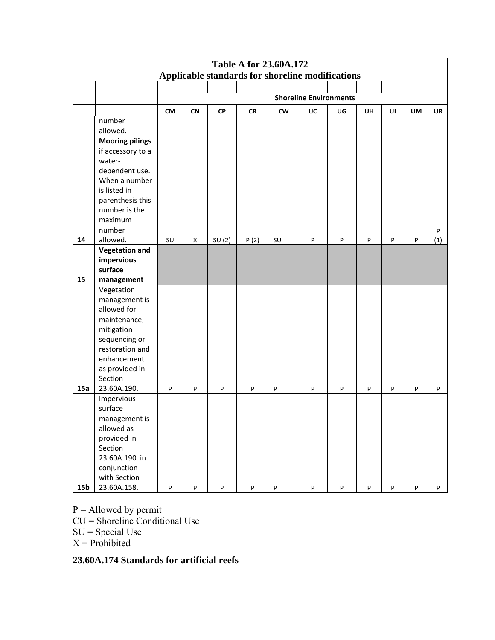| <b>Table A for 23.60A.172</b> |                                                  |           |                           |           |           |           |                               |         |    |           |         |              |  |  |
|-------------------------------|--------------------------------------------------|-----------|---------------------------|-----------|-----------|-----------|-------------------------------|---------|----|-----------|---------|--------------|--|--|
|                               | Applicable standards for shoreline modifications |           |                           |           |           |           |                               |         |    |           |         |              |  |  |
|                               |                                                  |           |                           |           |           |           |                               |         |    |           |         |              |  |  |
|                               |                                                  |           |                           |           |           |           | <b>Shoreline Environments</b> |         |    |           |         |              |  |  |
|                               |                                                  | <b>CM</b> | <b>CN</b>                 | <b>CP</b> | <b>CR</b> | <b>CW</b> | UC                            | UG      | UH | UI        | UM      | <b>UR</b>    |  |  |
|                               | number                                           |           |                           |           |           |           |                               |         |    |           |         |              |  |  |
|                               | allowed.                                         |           |                           |           |           |           |                               |         |    |           |         |              |  |  |
|                               | <b>Mooring pilings</b>                           |           |                           |           |           |           |                               |         |    |           |         |              |  |  |
|                               | if accessory to a                                |           |                           |           |           |           |                               |         |    |           |         |              |  |  |
|                               | water-                                           |           |                           |           |           |           |                               |         |    |           |         |              |  |  |
|                               | dependent use.                                   |           |                           |           |           |           |                               |         |    |           |         |              |  |  |
|                               | When a number                                    |           |                           |           |           |           |                               |         |    |           |         |              |  |  |
|                               | is listed in                                     |           |                           |           |           |           |                               |         |    |           |         |              |  |  |
|                               | parenthesis this                                 |           |                           |           |           |           |                               |         |    |           |         |              |  |  |
|                               | number is the                                    |           |                           |           |           |           |                               |         |    |           |         |              |  |  |
|                               | maximum                                          |           |                           |           |           |           |                               |         |    |           |         |              |  |  |
|                               | number                                           |           |                           |           |           |           |                               |         |    |           |         | $\mathsf{P}$ |  |  |
| 14                            | allowed.                                         | SU        | X                         | SU(2)     | P(2)      | SU        | P                             | P       | P  | P         | P       | (1)          |  |  |
|                               | <b>Vegetation and</b><br>impervious              |           |                           |           |           |           |                               |         |    |           |         |              |  |  |
|                               | surface                                          |           |                           |           |           |           |                               |         |    |           |         |              |  |  |
| 15                            | management                                       |           |                           |           |           |           |                               |         |    |           |         |              |  |  |
|                               | Vegetation                                       |           |                           |           |           |           |                               |         |    |           |         |              |  |  |
|                               | management is                                    |           |                           |           |           |           |                               |         |    |           |         |              |  |  |
|                               | allowed for                                      |           |                           |           |           |           |                               |         |    |           |         |              |  |  |
|                               | maintenance,                                     |           |                           |           |           |           |                               |         |    |           |         |              |  |  |
|                               | mitigation                                       |           |                           |           |           |           |                               |         |    |           |         |              |  |  |
|                               | sequencing or                                    |           |                           |           |           |           |                               |         |    |           |         |              |  |  |
|                               | restoration and                                  |           |                           |           |           |           |                               |         |    |           |         |              |  |  |
|                               | enhancement                                      |           |                           |           |           |           |                               |         |    |           |         |              |  |  |
|                               | as provided in                                   |           |                           |           |           |           |                               |         |    |           |         |              |  |  |
|                               | Section                                          |           |                           |           |           |           |                               |         |    |           |         |              |  |  |
| 15a                           | 23.60A.190.                                      | P         | P                         | P         | P         | ${\sf P}$ | P                             | P       | P  | P         | P       | P            |  |  |
|                               | Impervious                                       |           |                           |           |           |           |                               |         |    |           |         |              |  |  |
|                               | surface                                          |           |                           |           |           |           |                               |         |    |           |         |              |  |  |
|                               | management is                                    |           |                           |           |           |           |                               |         |    |           |         |              |  |  |
|                               | allowed as                                       |           |                           |           |           |           |                               |         |    |           |         |              |  |  |
|                               | provided in                                      |           |                           |           |           |           |                               |         |    |           |         |              |  |  |
|                               | Section                                          |           |                           |           |           |           |                               |         |    |           |         |              |  |  |
|                               | 23.60A.190 in                                    |           |                           |           |           |           |                               |         |    |           |         |              |  |  |
|                               | conjunction                                      |           |                           |           |           |           |                               |         |    |           |         |              |  |  |
|                               | with Section                                     |           |                           |           |           |           |                               |         |    |           |         |              |  |  |
| 15 <sub>b</sub>               | 23.60A.158.                                      | $\sf P$   | $\boldsymbol{\mathsf{P}}$ | P         | P         | $\sf P$   | $\sf P$                       | $\sf P$ | P  | ${\sf P}$ | $\sf P$ | P            |  |  |

- $P =$  Allowed by permit
- CU = Shoreline Conditional Use
- $SU = Special Use$
- $X =$ Prohibited

# **23.60A.174 Standards for artificial reefs**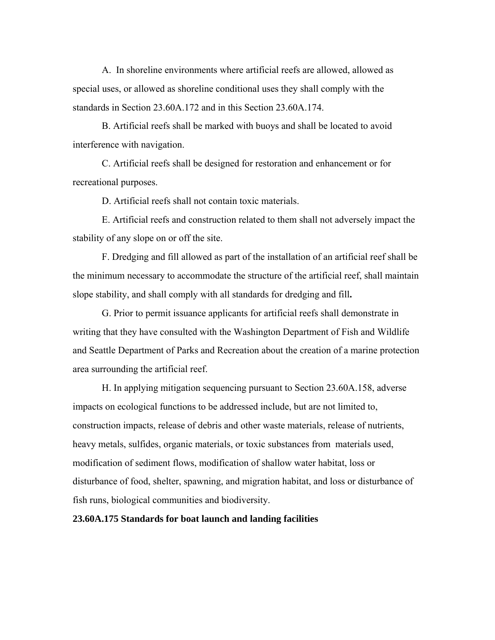A. In shoreline environments where artificial reefs are allowed, allowed as special uses, or allowed as shoreline conditional uses they shall comply with the standards in Section 23.60A.172 and in this Section 23.60A.174.

B. Artificial reefs shall be marked with buoys and shall be located to avoid interference with navigation.

C. Artificial reefs shall be designed for restoration and enhancement or for recreational purposes.

D. Artificial reefs shall not contain toxic materials.

E. Artificial reefs and construction related to them shall not adversely impact the stability of any slope on or off the site.

F. Dredging and fill allowed as part of the installation of an artificial reef shall be the minimum necessary to accommodate the structure of the artificial reef, shall maintain slope stability, and shall comply with all standards for dredging and fill**.**

G. Prior to permit issuance applicants for artificial reefs shall demonstrate in writing that they have consulted with the Washington Department of Fish and Wildlife and Seattle Department of Parks and Recreation about the creation of a marine protection area surrounding the artificial reef.

H. In applying mitigation sequencing pursuant to Section 23.60A.158, adverse impacts on ecological functions to be addressed include, but are not limited to, construction impacts, release of debris and other waste materials, release of nutrients, heavy metals, sulfides, organic materials, or toxic substances from materials used, modification of sediment flows, modification of shallow water habitat, loss or disturbance of food, shelter, spawning, and migration habitat, and loss or disturbance of fish runs, biological communities and biodiversity.

**23.60A.175 Standards for boat launch and landing facilities**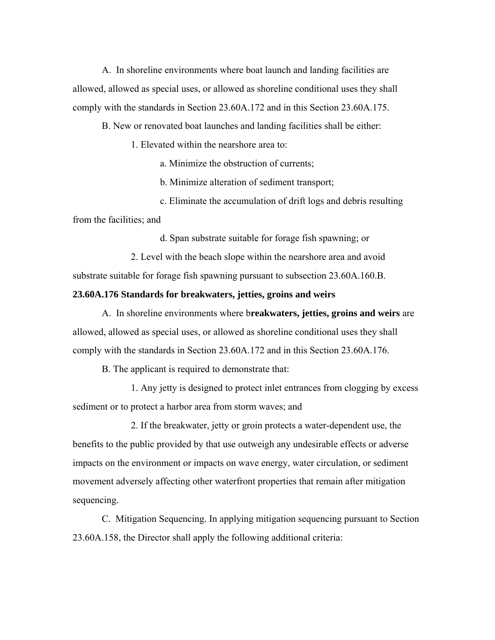A. In shoreline environments where boat launch and landing facilities are allowed, allowed as special uses, or allowed as shoreline conditional uses they shall comply with the standards in Section 23.60A.172 and in this Section 23.60A.175.

B. New or renovated boat launches and landing facilities shall be either:

1. Elevated within the nearshore area to:

a. Minimize the obstruction of currents;

b. Minimize alteration of sediment transport;

c. Eliminate the accumulation of drift logs and debris resulting from the facilities; and

d. Span substrate suitable for forage fish spawning; or

2. Level with the beach slope within the nearshore area and avoid substrate suitable for forage fish spawning pursuant to subsection 23.60A.160.B.

# **23.60A.176 Standards for breakwaters, jetties, groins and weirs**

A. In shoreline environments where b**reakwaters, jetties, groins and weirs** are allowed, allowed as special uses, or allowed as shoreline conditional uses they shall comply with the standards in Section 23.60A.172 and in this Section 23.60A.176.

B. The applicant is required to demonstrate that:

1. Any jetty is designed to protect inlet entrances from clogging by excess sediment or to protect a harbor area from storm waves; and

2. If the breakwater, jetty or groin protects a water-dependent use, the benefits to the public provided by that use outweigh any undesirable effects or adverse impacts on the environment or impacts on wave energy, water circulation, or sediment movement adversely affecting other waterfront properties that remain after mitigation sequencing.

C. Mitigation Sequencing. In applying mitigation sequencing pursuant to Section 23.60A.158, the Director shall apply the following additional criteria: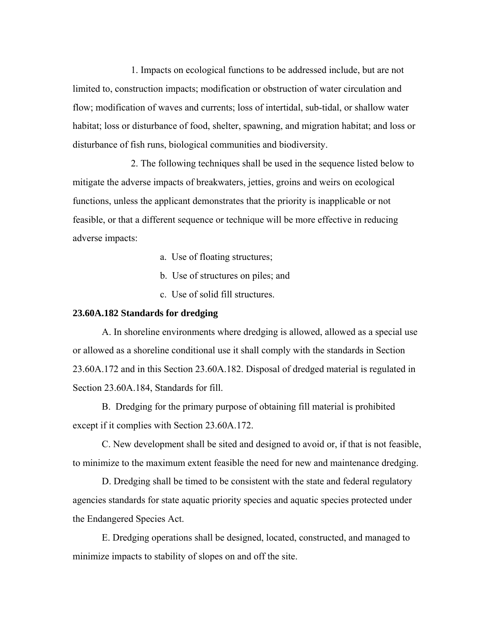1. Impacts on ecological functions to be addressed include, but are not limited to, construction impacts; modification or obstruction of water circulation and flow; modification of waves and currents; loss of intertidal, sub-tidal, or shallow water habitat; loss or disturbance of food, shelter, spawning, and migration habitat; and loss or disturbance of fish runs, biological communities and biodiversity.

2. The following techniques shall be used in the sequence listed below to mitigate the adverse impacts of breakwaters, jetties, groins and weirs on ecological functions, unless the applicant demonstrates that the priority is inapplicable or not feasible, or that a different sequence or technique will be more effective in reducing adverse impacts:

a. Use of floating structures;

- b. Use of structures on piles; and
- c. Use of solid fill structures.

# **23.60A.182 Standards for dredging**

A. In shoreline environments where dredging is allowed, allowed as a special use or allowed as a shoreline conditional use it shall comply with the standards in Section 23.60A.172 and in this Section 23.60A.182. Disposal of dredged material is regulated in Section 23.60A.184, Standards for fill.

B. Dredging for the primary purpose of obtaining fill material is prohibited except if it complies with Section 23.60A.172.

C. New development shall be sited and designed to avoid or, if that is not feasible, to minimize to the maximum extent feasible the need for new and maintenance dredging.

D. Dredging shall be timed to be consistent with the state and federal regulatory agencies standards for state aquatic priority species and aquatic species protected under the Endangered Species Act.

E. Dredging operations shall be designed, located, constructed, and managed to minimize impacts to stability of slopes on and off the site.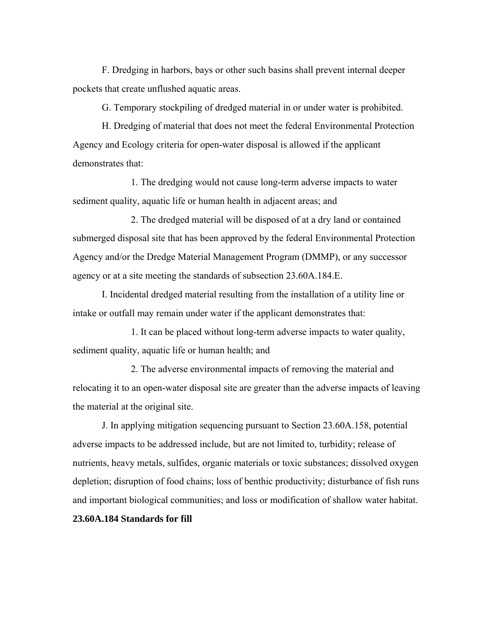F. Dredging in harbors, bays or other such basins shall prevent internal deeper pockets that create unflushed aquatic areas.

G. Temporary stockpiling of dredged material in or under water is prohibited.

H. Dredging of material that does not meet the federal Environmental Protection Agency and Ecology criteria for open-water disposal is allowed if the applicant demonstrates that:

1. The dredging would not cause long-term adverse impacts to water sediment quality, aquatic life or human health in adjacent areas; and

2. The dredged material will be disposed of at a dry land or contained submerged disposal site that has been approved by the federal Environmental Protection Agency and/or the Dredge Material Management Program (DMMP), or any successor agency or at a site meeting the standards of subsection 23.60A.184.E.

I. Incidental dredged material resulting from the installation of a utility line or intake or outfall may remain under water if the applicant demonstrates that:

1. It can be placed without long-term adverse impacts to water quality, sediment quality, aquatic life or human health; and

2. The adverse environmental impacts of removing the material and relocating it to an open-water disposal site are greater than the adverse impacts of leaving the material at the original site.

J. In applying mitigation sequencing pursuant to Section 23.60A.158, potential adverse impacts to be addressed include, but are not limited to, turbidity; release of nutrients, heavy metals, sulfides, organic materials or toxic substances; dissolved oxygen depletion; disruption of food chains; loss of benthic productivity; disturbance of fish runs and important biological communities; and loss or modification of shallow water habitat. **23.60A.184 Standards for fill**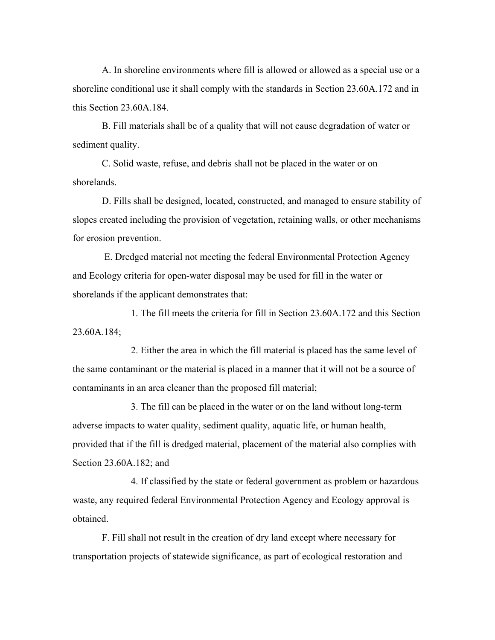A. In shoreline environments where fill is allowed or allowed as a special use or a shoreline conditional use it shall comply with the standards in Section 23.60A.172 and in this Section 23.60A.184.

B. Fill materials shall be of a quality that will not cause degradation of water or sediment quality.

C. Solid waste, refuse, and debris shall not be placed in the water or on shorelands.

D. Fills shall be designed, located, constructed, and managed to ensure stability of slopes created including the provision of vegetation, retaining walls, or other mechanisms for erosion prevention.

 E. Dredged material not meeting the federal Environmental Protection Agency and Ecology criteria for open-water disposal may be used for fill in the water or shorelands if the applicant demonstrates that:

1. The fill meets the criteria for fill in Section 23.60A.172 and this Section 23.60A.184;

2. Either the area in which the fill material is placed has the same level of the same contaminant or the material is placed in a manner that it will not be a source of contaminants in an area cleaner than the proposed fill material;

3. The fill can be placed in the water or on the land without long-term adverse impacts to water quality, sediment quality, aquatic life, or human health, provided that if the fill is dredged material, placement of the material also complies with Section 23.60A.182; and

4. If classified by the state or federal government as problem or hazardous waste, any required federal Environmental Protection Agency and Ecology approval is obtained.

F. Fill shall not result in the creation of dry land except where necessary for transportation projects of statewide significance, as part of ecological restoration and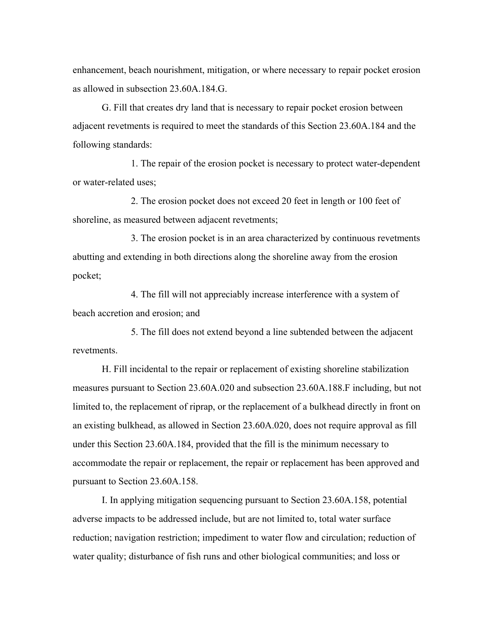enhancement, beach nourishment, mitigation, or where necessary to repair pocket erosion as allowed in subsection 23.60A.184.G.

G. Fill that creates dry land that is necessary to repair pocket erosion between adjacent revetments is required to meet the standards of this Section 23.60A.184 and the following standards:

1. The repair of the erosion pocket is necessary to protect water-dependent or water-related uses;

2. The erosion pocket does not exceed 20 feet in length or 100 feet of shoreline, as measured between adjacent revetments;

3. The erosion pocket is in an area characterized by continuous revetments abutting and extending in both directions along the shoreline away from the erosion pocket;

4. The fill will not appreciably increase interference with a system of beach accretion and erosion; and

5. The fill does not extend beyond a line subtended between the adjacent revetments.

H. Fill incidental to the repair or replacement of existing shoreline stabilization measures pursuant to Section 23.60A.020 and subsection 23.60A.188.F including, but not limited to, the replacement of riprap, or the replacement of a bulkhead directly in front on an existing bulkhead, as allowed in Section 23.60A.020, does not require approval as fill under this Section 23.60A.184, provided that the fill is the minimum necessary to accommodate the repair or replacement, the repair or replacement has been approved and pursuant to Section 23.60A.158.

I. In applying mitigation sequencing pursuant to Section 23.60A.158, potential adverse impacts to be addressed include, but are not limited to, total water surface reduction; navigation restriction; impediment to water flow and circulation; reduction of water quality; disturbance of fish runs and other biological communities; and loss or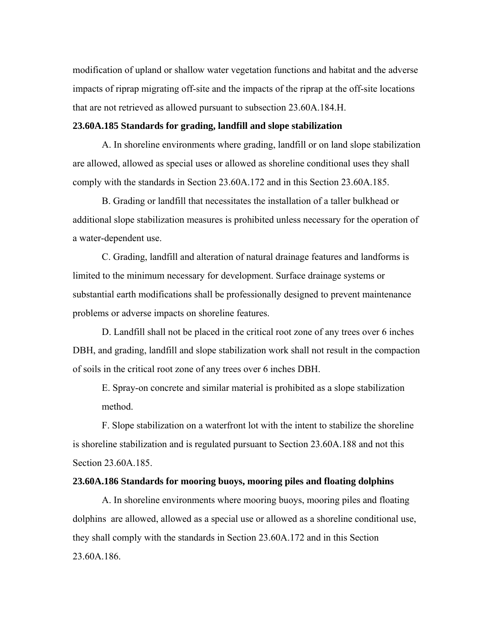modification of upland or shallow water vegetation functions and habitat and the adverse impacts of riprap migrating off-site and the impacts of the riprap at the off-site locations that are not retrieved as allowed pursuant to subsection 23.60A.184.H.

# **23.60A.185 Standards for grading, landfill and slope stabilization**

A. In shoreline environments where grading, landfill or on land slope stabilization are allowed, allowed as special uses or allowed as shoreline conditional uses they shall comply with the standards in Section 23.60A.172 and in this Section 23.60A.185.

B. Grading or landfill that necessitates the installation of a taller bulkhead or additional slope stabilization measures is prohibited unless necessary for the operation of a water-dependent use.

C. Grading, landfill and alteration of natural drainage features and landforms is limited to the minimum necessary for development. Surface drainage systems or substantial earth modifications shall be professionally designed to prevent maintenance problems or adverse impacts on shoreline features.

D. Landfill shall not be placed in the critical root zone of any trees over 6 inches DBH, and grading, landfill and slope stabilization work shall not result in the compaction of soils in the critical root zone of any trees over 6 inches DBH.

E. Spray-on concrete and similar material is prohibited as a slope stabilization method.

F. Slope stabilization on a waterfront lot with the intent to stabilize the shoreline is shoreline stabilization and is regulated pursuant to Section 23.60A.188 and not this Section 23.60A.185.

#### **23.60A.186 Standards for mooring buoys, mooring piles and floating dolphins**

A. In shoreline environments where mooring buoys, mooring piles and floating dolphins are allowed, allowed as a special use or allowed as a shoreline conditional use, they shall comply with the standards in Section 23.60A.172 and in this Section 23.60A.186.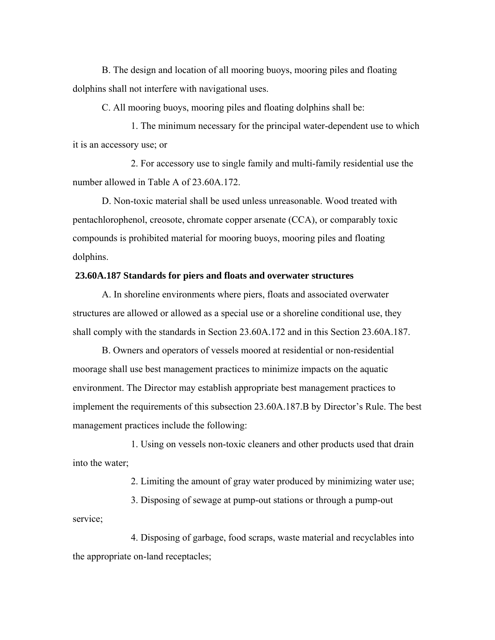B. The design and location of all mooring buoys, mooring piles and floating dolphins shall not interfere with navigational uses.

C. All mooring buoys, mooring piles and floating dolphins shall be:

1. The minimum necessary for the principal water-dependent use to which it is an accessory use; or

2. For accessory use to single family and multi-family residential use the number allowed in Table A of 23.60A.172.

D. Non-toxic material shall be used unless unreasonable. Wood treated with pentachlorophenol, creosote, chromate copper arsenate (CCA), or comparably toxic compounds is prohibited material for mooring buoys, mooring piles and floating dolphins.

# **23.60A.187 Standards for piers and floats and overwater structures**

A. In shoreline environments where piers, floats and associated overwater structures are allowed or allowed as a special use or a shoreline conditional use, they shall comply with the standards in Section 23.60A.172 and in this Section 23.60A.187.

B. Owners and operators of vessels moored at residential or non-residential moorage shall use best management practices to minimize impacts on the aquatic environment. The Director may establish appropriate best management practices to implement the requirements of this subsection 23.60A.187.B by Director's Rule. The best management practices include the following:

1. Using on vessels non-toxic cleaners and other products used that drain into the water;

2. Limiting the amount of gray water produced by minimizing water use;

3. Disposing of sewage at pump-out stations or through a pump-out service;

4. Disposing of garbage, food scraps, waste material and recyclables into the appropriate on-land receptacles;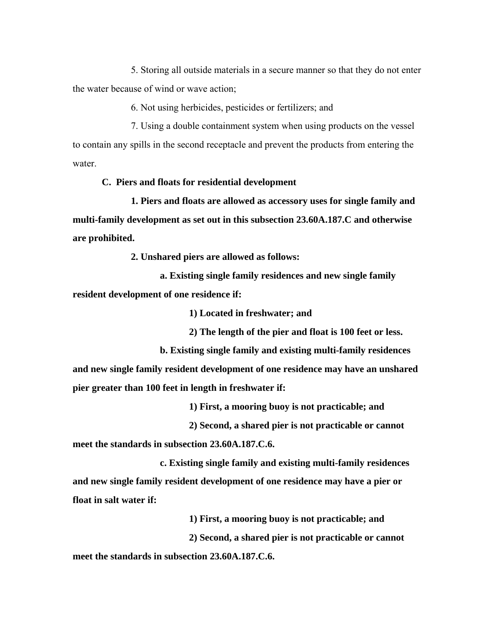5. Storing all outside materials in a secure manner so that they do not enter the water because of wind or wave action;

6. Not using herbicides, pesticides or fertilizers; and

7. Using a double containment system when using products on the vessel to contain any spills in the second receptacle and prevent the products from entering the water.

# **C. Piers and floats for residential development**

**1. Piers and floats are allowed as accessory uses for single family and multi-family development as set out in this subsection 23.60A.187.C and otherwise are prohibited.**

**2. Unshared piers are allowed as follows:**

**a. Existing single family residences and new single family resident development of one residence if:**

**1) Located in freshwater; and**

**2) The length of the pier and float is 100 feet or less.**

**b. Existing single family and existing multi-family residences and new single family resident development of one residence may have an unshared pier greater than 100 feet in length in freshwater if:** 

**1) First, a mooring buoy is not practicable; and** 

**2) Second, a shared pier is not practicable or cannot** 

**meet the standards in subsection 23.60A.187.C.6.** 

**c. Existing single family and existing multi-family residences and new single family resident development of one residence may have a pier or float in salt water if:** 

**1) First, a mooring buoy is not practicable; and** 

**2) Second, a shared pier is not practicable or cannot** 

**meet the standards in subsection 23.60A.187.C.6.**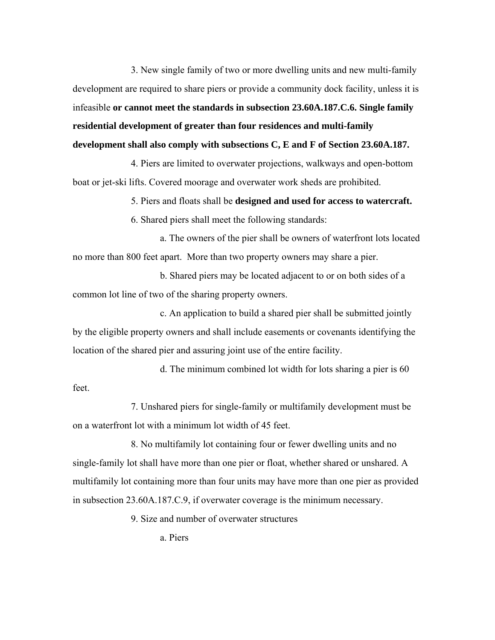3. New single family of two or more dwelling units and new multi-family development are required to share piers or provide a community dock facility, unless it is infeasible **or cannot meet the standards in subsection 23.60A.187.C.6. Single family residential development of greater than four residences and multi-family development shall also comply with subsections C, E and F of Section 23.60A.187.**

4. Piers are limited to overwater projections, walkways and open-bottom boat or jet-ski lifts. Covered moorage and overwater work sheds are prohibited.

5. Piers and floats shall be **designed and used for access to watercraft.** 

6. Shared piers shall meet the following standards:

a. The owners of the pier shall be owners of waterfront lots located no more than 800 feet apart. More than two property owners may share a pier.

b. Shared piers may be located adjacent to or on both sides of a common lot line of two of the sharing property owners.

c. An application to build a shared pier shall be submitted jointly by the eligible property owners and shall include easements or covenants identifying the location of the shared pier and assuring joint use of the entire facility.

d. The minimum combined lot width for lots sharing a pier is 60 feet.

7. Unshared piers for single-family or multifamily development must be on a waterfront lot with a minimum lot width of 45 feet.

8. No multifamily lot containing four or fewer dwelling units and no single-family lot shall have more than one pier or float, whether shared or unshared. A multifamily lot containing more than four units may have more than one pier as provided in subsection 23.60A.187.C.9, if overwater coverage is the minimum necessary.

9. Size and number of overwater structures

a. Piers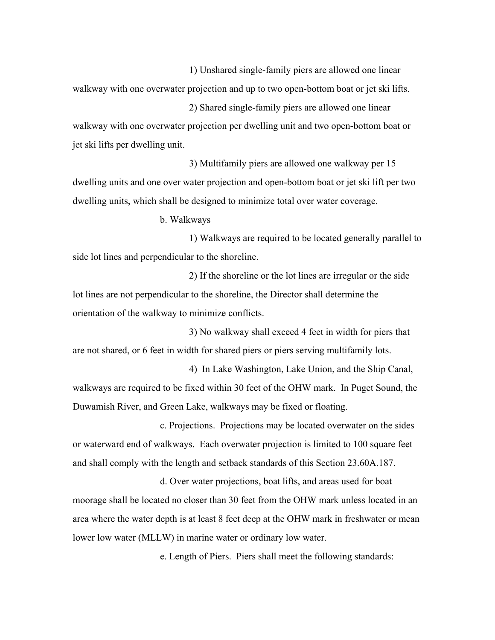1) Unshared single-family piers are allowed one linear walkway with one overwater projection and up to two open-bottom boat or jet ski lifts. 2) Shared single-family piers are allowed one linear

walkway with one overwater projection per dwelling unit and two open-bottom boat or jet ski lifts per dwelling unit.

3) Multifamily piers are allowed one walkway per 15 dwelling units and one over water projection and open-bottom boat or jet ski lift per two dwelling units, which shall be designed to minimize total over water coverage.

b. Walkways

1) Walkways are required to be located generally parallel to side lot lines and perpendicular to the shoreline.

2) If the shoreline or the lot lines are irregular or the side lot lines are not perpendicular to the shoreline, the Director shall determine the orientation of the walkway to minimize conflicts.

3) No walkway shall exceed 4 feet in width for piers that are not shared, or 6 feet in width for shared piers or piers serving multifamily lots.

4) In Lake Washington, Lake Union, and the Ship Canal, walkways are required to be fixed within 30 feet of the OHW mark. In Puget Sound, the Duwamish River, and Green Lake, walkways may be fixed or floating.

c. Projections. Projections may be located overwater on the sides or waterward end of walkways. Each overwater projection is limited to 100 square feet and shall comply with the length and setback standards of this Section 23.60A.187.

d. Over water projections, boat lifts, and areas used for boat moorage shall be located no closer than 30 feet from the OHW mark unless located in an area where the water depth is at least 8 feet deep at the OHW mark in freshwater or mean lower low water (MLLW) in marine water or ordinary low water.

e. Length of Piers. Piers shall meet the following standards: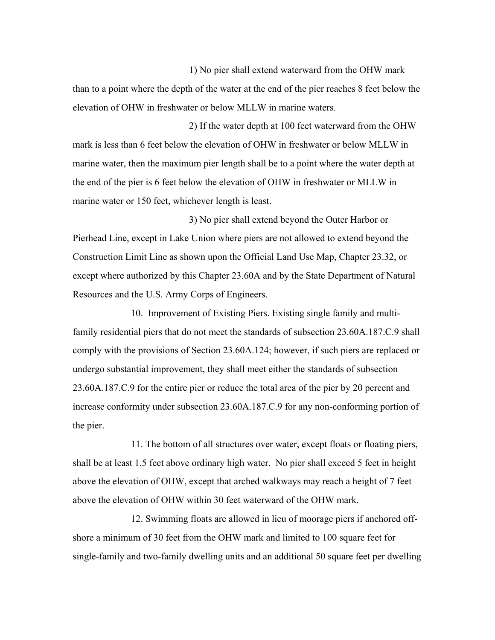1) No pier shall extend waterward from the OHW mark than to a point where the depth of the water at the end of the pier reaches 8 feet below the elevation of OHW in freshwater or below MLLW in marine waters.

2) If the water depth at 100 feet waterward from the OHW mark is less than 6 feet below the elevation of OHW in freshwater or below MLLW in marine water, then the maximum pier length shall be to a point where the water depth at the end of the pier is 6 feet below the elevation of OHW in freshwater or MLLW in marine water or 150 feet, whichever length is least.

3) No pier shall extend beyond the Outer Harbor or Pierhead Line, except in Lake Union where piers are not allowed to extend beyond the Construction Limit Line as shown upon the Official Land Use Map, Chapter 23.32, or except where authorized by this Chapter 23.60A and by the State Department of Natural Resources and the U.S. Army Corps of Engineers.

10. Improvement of Existing Piers. Existing single family and multifamily residential piers that do not meet the standards of subsection 23.60A.187.C.9 shall comply with the provisions of Section 23.60A.124; however, if such piers are replaced or undergo substantial improvement, they shall meet either the standards of subsection 23.60A.187.C.9 for the entire pier or reduce the total area of the pier by 20 percent and increase conformity under subsection 23.60A.187.C.9 for any non-conforming portion of the pier.

11. The bottom of all structures over water, except floats or floating piers, shall be at least 1.5 feet above ordinary high water. No pier shall exceed 5 feet in height above the elevation of OHW, except that arched walkways may reach a height of 7 feet above the elevation of OHW within 30 feet waterward of the OHW mark.

12. Swimming floats are allowed in lieu of moorage piers if anchored offshore a minimum of 30 feet from the OHW mark and limited to 100 square feet for single-family and two-family dwelling units and an additional 50 square feet per dwelling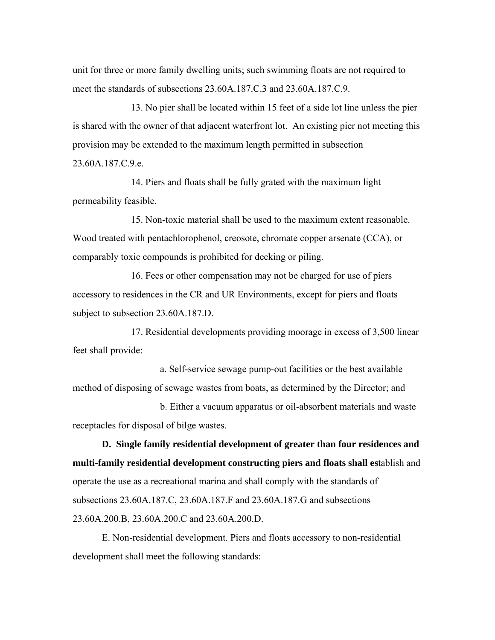unit for three or more family dwelling units; such swimming floats are not required to meet the standards of subsections 23.60A.187.C.3 and 23.60A.187.C.9.

13. No pier shall be located within 15 feet of a side lot line unless the pier is shared with the owner of that adjacent waterfront lot. An existing pier not meeting this provision may be extended to the maximum length permitted in subsection 23.60A.187.C.9.e.

14. Piers and floats shall be fully grated with the maximum light permeability feasible.

15. Non-toxic material shall be used to the maximum extent reasonable. Wood treated with pentachlorophenol, creosote, chromate copper arsenate (CCA), or comparably toxic compounds is prohibited for decking or piling.

16. Fees or other compensation may not be charged for use of piers accessory to residences in the CR and UR Environments, except for piers and floats subject to subsection 23.60A.187.D.

17. Residential developments providing moorage in excess of 3,500 linear feet shall provide:

a. Self-service sewage pump-out facilities or the best available method of disposing of sewage wastes from boats, as determined by the Director; and

b. Either a vacuum apparatus or oil-absorbent materials and waste receptacles for disposal of bilge wastes.

**D. Single family residential development of greater than four residences and multi-family residential development constructing piers and floats shall es**tablish and operate the use as a recreational marina and shall comply with the standards of subsections 23.60A.187.C, 23.60A.187.F and 23.60A.187.G and subsections 23.60A.200.B, 23.60A.200.C and 23.60A.200.D.

E. Non-residential development. Piers and floats accessory to non-residential development shall meet the following standards: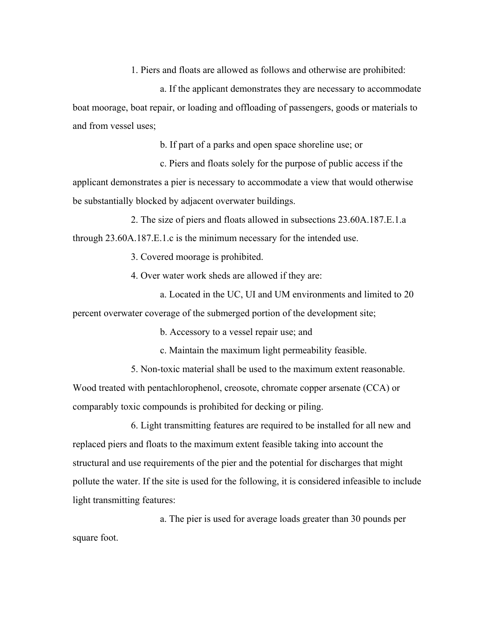1. Piers and floats are allowed as follows and otherwise are prohibited:

a. If the applicant demonstrates they are necessary to accommodate boat moorage, boat repair, or loading and offloading of passengers, goods or materials to and from vessel uses;

b. If part of a parks and open space shoreline use; or

c. Piers and floats solely for the purpose of public access if the applicant demonstrates a pier is necessary to accommodate a view that would otherwise be substantially blocked by adjacent overwater buildings.

2. The size of piers and floats allowed in subsections 23.60A.187.E.1.a through 23.60A.187.E.1.c is the minimum necessary for the intended use.

3. Covered moorage is prohibited.

4. Over water work sheds are allowed if they are:

a. Located in the UC, UI and UM environments and limited to 20 percent overwater coverage of the submerged portion of the development site;

b. Accessory to a vessel repair use; and

c. Maintain the maximum light permeability feasible.

5. Non-toxic material shall be used to the maximum extent reasonable.

Wood treated with pentachlorophenol, creosote, chromate copper arsenate (CCA) or comparably toxic compounds is prohibited for decking or piling.

6. Light transmitting features are required to be installed for all new and replaced piers and floats to the maximum extent feasible taking into account the structural and use requirements of the pier and the potential for discharges that might pollute the water. If the site is used for the following, it is considered infeasible to include light transmitting features:

a. The pier is used for average loads greater than 30 pounds per square foot.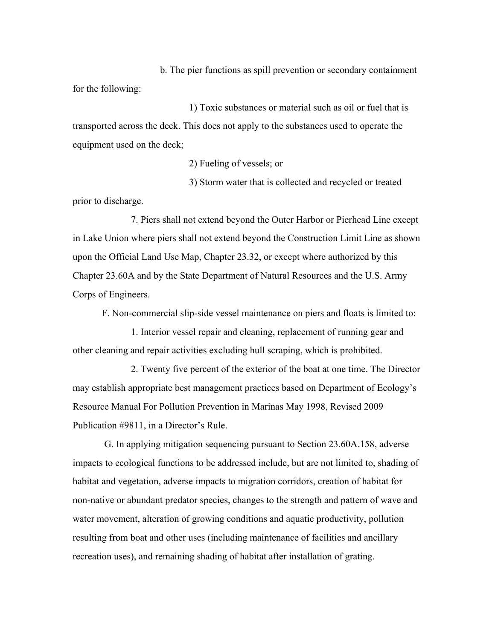b. The pier functions as spill prevention or secondary containment for the following:

1) Toxic substances or material such as oil or fuel that is transported across the deck. This does not apply to the substances used to operate the equipment used on the deck;

2) Fueling of vessels; or

3) Storm water that is collected and recycled or treated prior to discharge.

7. Piers shall not extend beyond the Outer Harbor or Pierhead Line except in Lake Union where piers shall not extend beyond the Construction Limit Line as shown upon the Official Land Use Map, Chapter 23.32, or except where authorized by this Chapter 23.60A and by the State Department of Natural Resources and the U.S. Army Corps of Engineers.

F. Non-commercial slip-side vessel maintenance on piers and floats is limited to:

1. Interior vessel repair and cleaning, replacement of running gear and other cleaning and repair activities excluding hull scraping, which is prohibited.

2. Twenty five percent of the exterior of the boat at one time. The Director may establish appropriate best management practices based on Department of Ecology's Resource Manual For Pollution Prevention in Marinas May 1998, Revised 2009 Publication #9811, in a Director's Rule.

 G. In applying mitigation sequencing pursuant to Section 23.60A.158, adverse impacts to ecological functions to be addressed include, but are not limited to, shading of habitat and vegetation, adverse impacts to migration corridors, creation of habitat for non-native or abundant predator species, changes to the strength and pattern of wave and water movement, alteration of growing conditions and aquatic productivity, pollution resulting from boat and other uses (including maintenance of facilities and ancillary recreation uses), and remaining shading of habitat after installation of grating.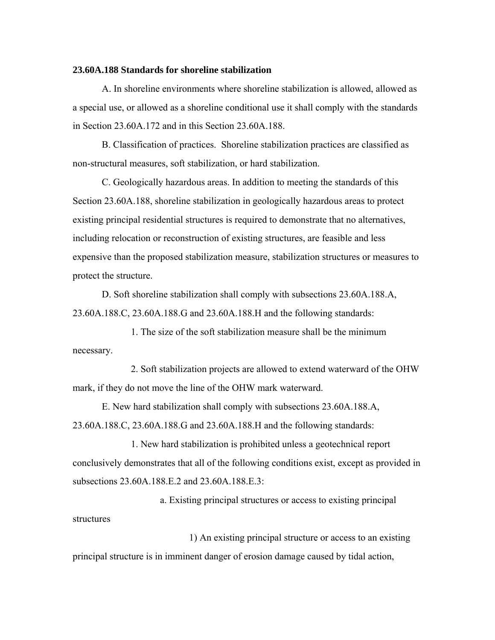#### **23.60A.188 Standards for shoreline stabilization**

A. In shoreline environments where shoreline stabilization is allowed, allowed as a special use, or allowed as a shoreline conditional use it shall comply with the standards in Section 23.60A.172 and in this Section 23.60A.188.

B. Classification of practices. Shoreline stabilization practices are classified as non-structural measures, soft stabilization, or hard stabilization.

C. Geologically hazardous areas. In addition to meeting the standards of this Section 23.60A.188, shoreline stabilization in geologically hazardous areas to protect existing principal residential structures is required to demonstrate that no alternatives, including relocation or reconstruction of existing structures, are feasible and less expensive than the proposed stabilization measure, stabilization structures or measures to protect the structure.

D. Soft shoreline stabilization shall comply with subsections 23.60A.188.A, 23.60A.188.C, 23.60A.188.G and 23.60A.188.H and the following standards:

1. The size of the soft stabilization measure shall be the minimum necessary.

2. Soft stabilization projects are allowed to extend waterward of the OHW mark, if they do not move the line of the OHW mark waterward.

E. New hard stabilization shall comply with subsections 23.60A.188.A, 23.60A.188.C, 23.60A.188.G and 23.60A.188.H and the following standards:

1. New hard stabilization is prohibited unless a geotechnical report conclusively demonstrates that all of the following conditions exist, except as provided in subsections 23.60A.188.E.2 and 23.60A.188.E.3:

a. Existing principal structures or access to existing principal structures

1) An existing principal structure or access to an existing principal structure is in imminent danger of erosion damage caused by tidal action,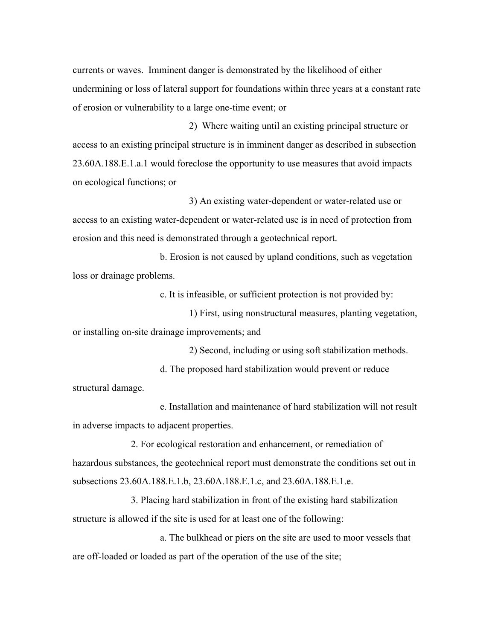currents or waves. Imminent danger is demonstrated by the likelihood of either undermining or loss of lateral support for foundations within three years at a constant rate of erosion or vulnerability to a large one-time event; or

2) Where waiting until an existing principal structure or access to an existing principal structure is in imminent danger as described in subsection 23.60A.188.E.1.a.1 would foreclose the opportunity to use measures that avoid impacts on ecological functions; or

3) An existing water-dependent or water-related use or access to an existing water-dependent or water-related use is in need of protection from erosion and this need is demonstrated through a geotechnical report.

b. Erosion is not caused by upland conditions, such as vegetation loss or drainage problems.

c. It is infeasible, or sufficient protection is not provided by:

1) First, using nonstructural measures, planting vegetation, or installing on-site drainage improvements; and

2) Second, including or using soft stabilization methods. d. The proposed hard stabilization would prevent or reduce structural damage.

e. Installation and maintenance of hard stabilization will not result in adverse impacts to adjacent properties.

2. For ecological restoration and enhancement, or remediation of hazardous substances, the geotechnical report must demonstrate the conditions set out in subsections 23.60A.188.E.1.b, 23.60A.188.E.1.c, and 23.60A.188.E.1.e.

3. Placing hard stabilization in front of the existing hard stabilization structure is allowed if the site is used for at least one of the following:

a. The bulkhead or piers on the site are used to moor vessels that are off-loaded or loaded as part of the operation of the use of the site;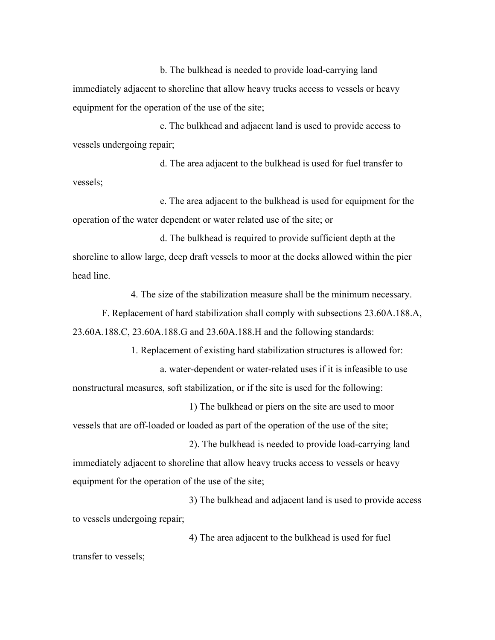b. The bulkhead is needed to provide load-carrying land immediately adjacent to shoreline that allow heavy trucks access to vessels or heavy equipment for the operation of the use of the site;

c. The bulkhead and adjacent land is used to provide access to vessels undergoing repair;

d. The area adjacent to the bulkhead is used for fuel transfer to vessels;

e. The area adjacent to the bulkhead is used for equipment for the operation of the water dependent or water related use of the site; or

d. The bulkhead is required to provide sufficient depth at the shoreline to allow large, deep draft vessels to moor at the docks allowed within the pier head line.

4. The size of the stabilization measure shall be the minimum necessary.

F. Replacement of hard stabilization shall comply with subsections 23.60A.188.A, 23.60A.188.C, 23.60A.188.G and 23.60A.188.H and the following standards:

1. Replacement of existing hard stabilization structures is allowed for: a. water-dependent or water-related uses if it is infeasible to use nonstructural measures, soft stabilization, or if the site is used for the following:

1) The bulkhead or piers on the site are used to moor vessels that are off-loaded or loaded as part of the operation of the use of the site;

2). The bulkhead is needed to provide load-carrying land immediately adjacent to shoreline that allow heavy trucks access to vessels or heavy equipment for the operation of the use of the site;

3) The bulkhead and adjacent land is used to provide access to vessels undergoing repair;

4) The area adjacent to the bulkhead is used for fuel transfer to vessels;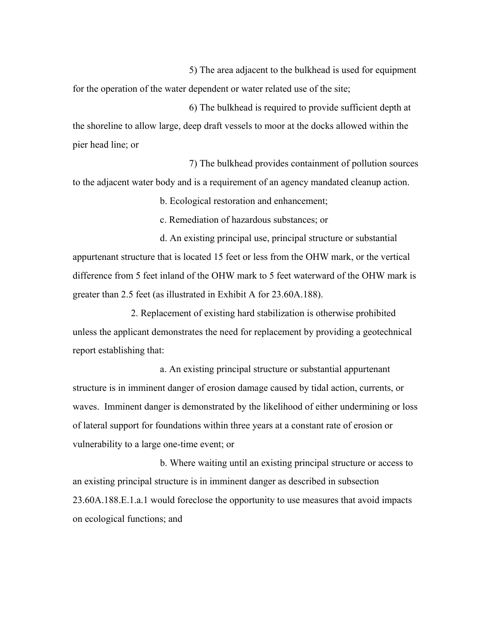5) The area adjacent to the bulkhead is used for equipment for the operation of the water dependent or water related use of the site;

6) The bulkhead is required to provide sufficient depth at the shoreline to allow large, deep draft vessels to moor at the docks allowed within the pier head line; or

7) The bulkhead provides containment of pollution sources to the adjacent water body and is a requirement of an agency mandated cleanup action.

b. Ecological restoration and enhancement;

c. Remediation of hazardous substances; or

d. An existing principal use, principal structure or substantial appurtenant structure that is located 15 feet or less from the OHW mark, or the vertical difference from 5 feet inland of the OHW mark to 5 feet waterward of the OHW mark is greater than 2.5 feet (as illustrated in Exhibit A for 23.60A.188).

2. Replacement of existing hard stabilization is otherwise prohibited unless the applicant demonstrates the need for replacement by providing a geotechnical report establishing that:

a. An existing principal structure or substantial appurtenant structure is in imminent danger of erosion damage caused by tidal action, currents, or waves. Imminent danger is demonstrated by the likelihood of either undermining or loss of lateral support for foundations within three years at a constant rate of erosion or vulnerability to a large one-time event; or

b. Where waiting until an existing principal structure or access to an existing principal structure is in imminent danger as described in subsection 23.60A.188.E.1.a.1 would foreclose the opportunity to use measures that avoid impacts on ecological functions; and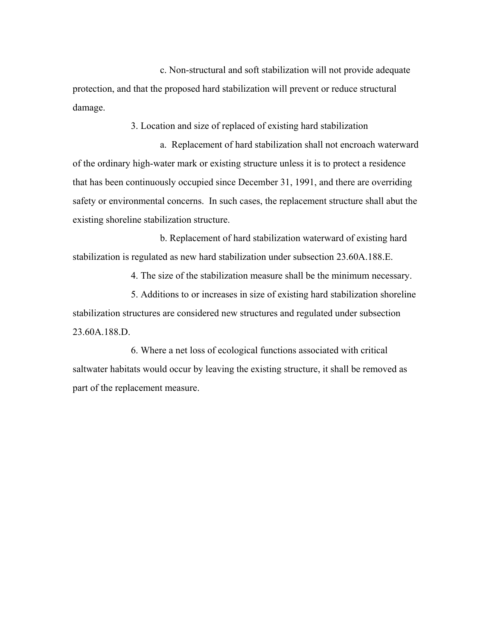c. Non-structural and soft stabilization will not provide adequate protection, and that the proposed hard stabilization will prevent or reduce structural damage.

3. Location and size of replaced of existing hard stabilization

a. Replacement of hard stabilization shall not encroach waterward of the ordinary high-water mark or existing structure unless it is to protect a residence that has been continuously occupied since December 31, 1991, and there are overriding safety or environmental concerns. In such cases, the replacement structure shall abut the existing shoreline stabilization structure.

b. Replacement of hard stabilization waterward of existing hard stabilization is regulated as new hard stabilization under subsection 23.60A.188.E.

4. The size of the stabilization measure shall be the minimum necessary.

5. Additions to or increases in size of existing hard stabilization shoreline stabilization structures are considered new structures and regulated under subsection 23.60A.188.D.

6. Where a net loss of ecological functions associated with critical saltwater habitats would occur by leaving the existing structure, it shall be removed as part of the replacement measure.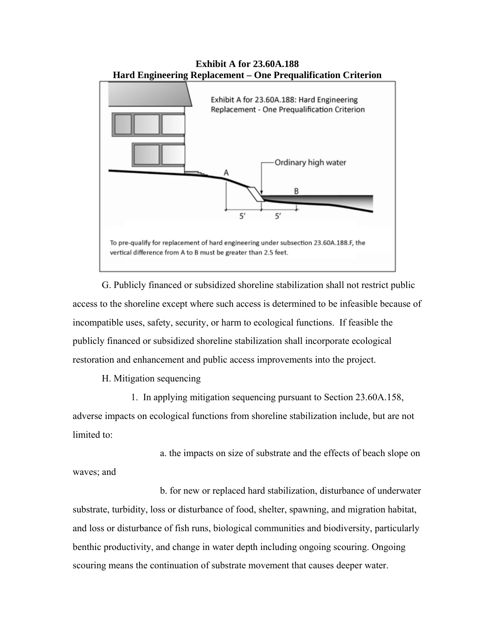

**Exhibit A for 23.60A.188 Hard Engineering Replacement – One Prequalification Criterion** 

G. Publicly financed or subsidized shoreline stabilization shall not restrict public access to the shoreline except where such access is determined to be infeasible because of incompatible uses, safety, security, or harm to ecological functions. If feasible the publicly financed or subsidized shoreline stabilization shall incorporate ecological restoration and enhancement and public access improvements into the project.

H. Mitigation sequencing

1. In applying mitigation sequencing pursuant to Section 23.60A.158, adverse impacts on ecological functions from shoreline stabilization include, but are not limited to:

a. the impacts on size of substrate and the effects of beach slope on waves; and

b. for new or replaced hard stabilization, disturbance of underwater substrate, turbidity, loss or disturbance of food, shelter, spawning, and migration habitat, and loss or disturbance of fish runs, biological communities and biodiversity, particularly benthic productivity, and change in water depth including ongoing scouring. Ongoing scouring means the continuation of substrate movement that causes deeper water.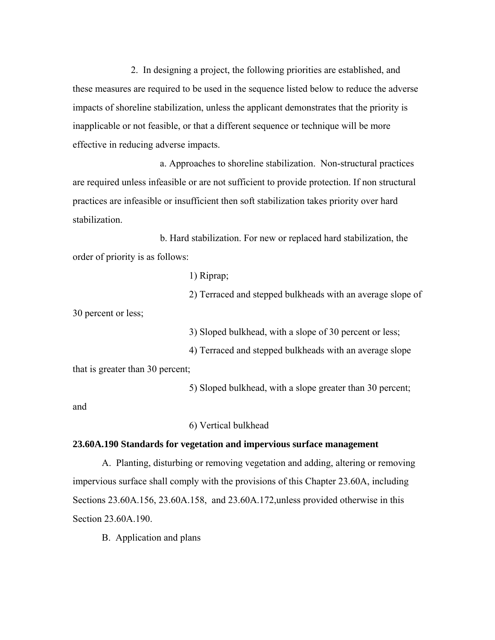2. In designing a project, the following priorities are established, and these measures are required to be used in the sequence listed below to reduce the adverse impacts of shoreline stabilization, unless the applicant demonstrates that the priority is inapplicable or not feasible, or that a different sequence or technique will be more effective in reducing adverse impacts.

a. Approaches to shoreline stabilization. Non-structural practices are required unless infeasible or are not sufficient to provide protection. If non structural practices are infeasible or insufficient then soft stabilization takes priority over hard stabilization.

b. Hard stabilization. For new or replaced hard stabilization, the order of priority is as follows:

1) Riprap;

2) Terraced and stepped bulkheads with an average slope of 30 percent or less;

3) Sloped bulkhead, with a slope of 30 percent or less;

4) Terraced and stepped bulkheads with an average slope that is greater than 30 percent;

5) Sloped bulkhead, with a slope greater than 30 percent;

and

6) Vertical bulkhead

# **23.60A.190 Standards for vegetation and impervious surface management**

A. Planting, disturbing or removing vegetation and adding, altering or removing impervious surface shall comply with the provisions of this Chapter 23.60A, including Sections 23.60A.156, 23.60A.158, and 23.60A.172,unless provided otherwise in this Section 23.60A.190.

B. Application and plans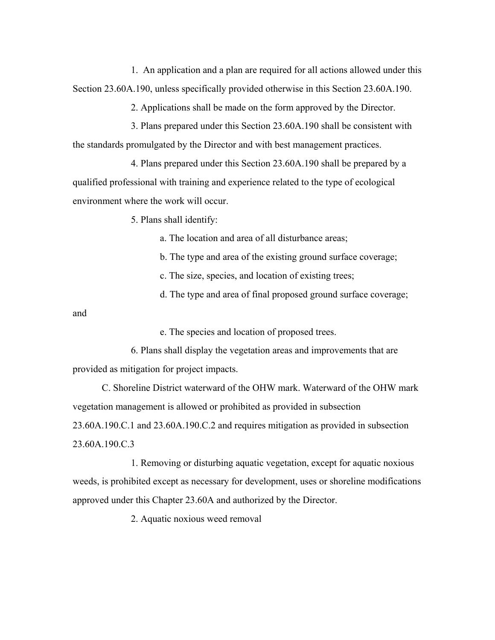1. An application and a plan are required for all actions allowed under this Section 23.60A.190, unless specifically provided otherwise in this Section 23.60A.190.

2. Applications shall be made on the form approved by the Director.

3. Plans prepared under this Section 23.60A.190 shall be consistent with the standards promulgated by the Director and with best management practices.

4. Plans prepared under this Section 23.60A.190 shall be prepared by a qualified professional with training and experience related to the type of ecological environment where the work will occur.

5. Plans shall identify:

a. The location and area of all disturbance areas;

b. The type and area of the existing ground surface coverage;

c. The size, species, and location of existing trees;

d. The type and area of final proposed ground surface coverage;

and

e. The species and location of proposed trees.

6. Plans shall display the vegetation areas and improvements that are provided as mitigation for project impacts.

C. Shoreline District waterward of the OHW mark. Waterward of the OHW mark vegetation management is allowed or prohibited as provided in subsection 23.60A.190.C.1 and 23.60A.190.C.2 and requires mitigation as provided in subsection 23.60A.190.C.3

1. Removing or disturbing aquatic vegetation, except for aquatic noxious weeds, is prohibited except as necessary for development, uses or shoreline modifications approved under this Chapter 23.60A and authorized by the Director.

2. Aquatic noxious weed removal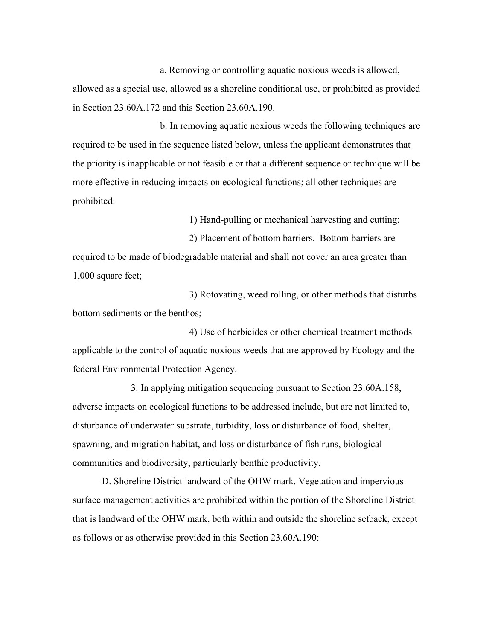a. Removing or controlling aquatic noxious weeds is allowed, allowed as a special use, allowed as a shoreline conditional use, or prohibited as provided in Section 23.60A.172 and this Section 23.60A.190.

b. In removing aquatic noxious weeds the following techniques are required to be used in the sequence listed below, unless the applicant demonstrates that the priority is inapplicable or not feasible or that a different sequence or technique will be more effective in reducing impacts on ecological functions; all other techniques are prohibited:

1) Hand-pulling or mechanical harvesting and cutting;

2) Placement of bottom barriers. Bottom barriers are required to be made of biodegradable material and shall not cover an area greater than 1,000 square feet;

3) Rotovating, weed rolling, or other methods that disturbs bottom sediments or the benthos;

4) Use of herbicides or other chemical treatment methods applicable to the control of aquatic noxious weeds that are approved by Ecology and the federal Environmental Protection Agency.

3. In applying mitigation sequencing pursuant to Section 23.60A.158, adverse impacts on ecological functions to be addressed include, but are not limited to, disturbance of underwater substrate, turbidity, loss or disturbance of food, shelter, spawning, and migration habitat, and loss or disturbance of fish runs, biological communities and biodiversity, particularly benthic productivity.

D. Shoreline District landward of the OHW mark. Vegetation and impervious surface management activities are prohibited within the portion of the Shoreline District that is landward of the OHW mark, both within and outside the shoreline setback, except as follows or as otherwise provided in this Section 23.60A.190: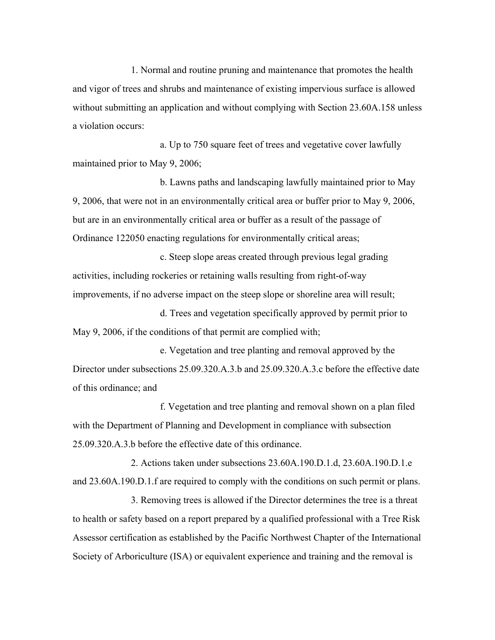1. Normal and routine pruning and maintenance that promotes the health and vigor of trees and shrubs and maintenance of existing impervious surface is allowed without submitting an application and without complying with Section 23.60A.158 unless a violation occurs:

a. Up to 750 square feet of trees and vegetative cover lawfully maintained prior to May 9, 2006;

b. Lawns paths and landscaping lawfully maintained prior to May 9, 2006, that were not in an environmentally critical area or buffer prior to May 9, 2006, but are in an environmentally critical area or buffer as a result of the passage of Ordinance 122050 enacting regulations for environmentally critical areas;

c. Steep slope areas created through previous legal grading activities, including rockeries or retaining walls resulting from right-of-way improvements, if no adverse impact on the steep slope or shoreline area will result;

d. Trees and vegetation specifically approved by permit prior to May 9, 2006, if the conditions of that permit are complied with;

e. Vegetation and tree planting and removal approved by the Director under subsections 25.09.320.A.3.b and 25.09.320.A.3.c before the effective date of this ordinance; and

f. Vegetation and tree planting and removal shown on a plan filed with the Department of Planning and Development in compliance with subsection 25.09.320.A.3.b before the effective date of this ordinance.

2. Actions taken under subsections 23.60A.190.D.1.d, 23.60A.190.D.1.e and 23.60A.190.D.1.f are required to comply with the conditions on such permit or plans.

3. Removing trees is allowed if the Director determines the tree is a threat to health or safety based on a report prepared by a qualified professional with a Tree Risk Assessor certification as established by the Pacific Northwest Chapter of the International Society of Arboriculture (ISA) or equivalent experience and training and the removal is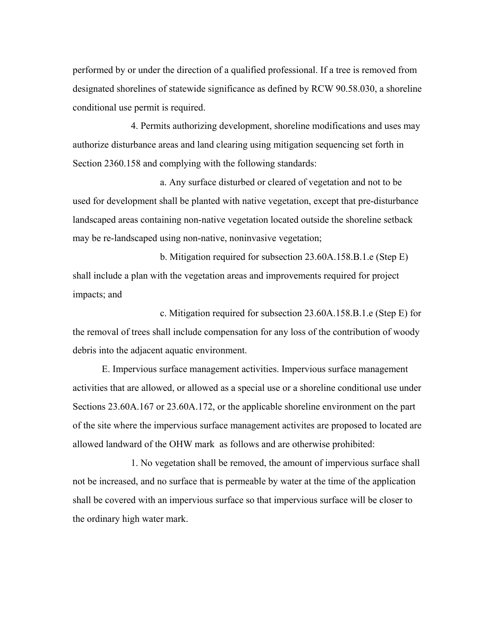performed by or under the direction of a qualified professional. If a tree is removed from designated shorelines of statewide significance as defined by RCW 90.58.030, a shoreline conditional use permit is required.

4. Permits authorizing development, shoreline modifications and uses may authorize disturbance areas and land clearing using mitigation sequencing set forth in Section 2360.158 and complying with the following standards:

a. Any surface disturbed or cleared of vegetation and not to be used for development shall be planted with native vegetation, except that pre-disturbance landscaped areas containing non-native vegetation located outside the shoreline setback may be re-landscaped using non-native, noninvasive vegetation;

b. Mitigation required for subsection 23.60A.158.B.1.e (Step E) shall include a plan with the vegetation areas and improvements required for project impacts; and

c. Mitigation required for subsection 23.60A.158.B.1.e (Step E) for the removal of trees shall include compensation for any loss of the contribution of woody debris into the adjacent aquatic environment.

E. Impervious surface management activities. Impervious surface management activities that are allowed, or allowed as a special use or a shoreline conditional use under Sections 23.60A.167 or 23.60A.172, or the applicable shoreline environment on the part of the site where the impervious surface management activites are proposed to located are allowed landward of the OHW mark as follows and are otherwise prohibited:

1. No vegetation shall be removed, the amount of impervious surface shall not be increased, and no surface that is permeable by water at the time of the application shall be covered with an impervious surface so that impervious surface will be closer to the ordinary high water mark.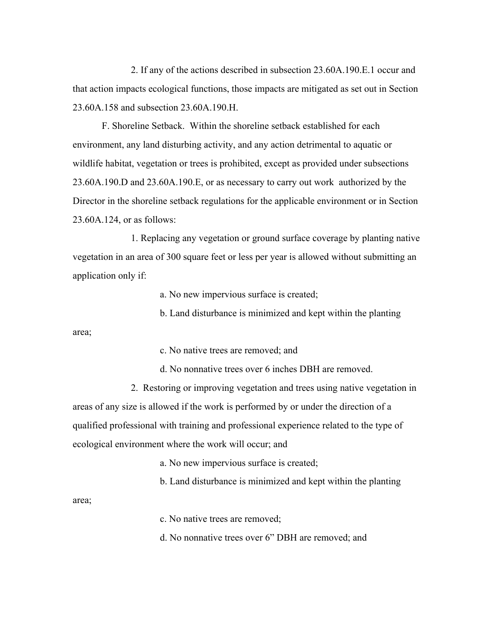2. If any of the actions described in subsection 23.60A.190.E.1 occur and that action impacts ecological functions, those impacts are mitigated as set out in Section 23.60A.158 and subsection 23.60A.190.H.

F. Shoreline Setback. Within the shoreline setback established for each environment, any land disturbing activity, and any action detrimental to aquatic or wildlife habitat, vegetation or trees is prohibited, except as provided under subsections 23.60A.190.D and 23.60A.190.E, or as necessary to carry out work authorized by the Director in the shoreline setback regulations for the applicable environment or in Section 23.60A.124, or as follows:

1. Replacing any vegetation or ground surface coverage by planting native vegetation in an area of 300 square feet or less per year is allowed without submitting an application only if:

a. No new impervious surface is created;

b. Land disturbance is minimized and kept within the planting

area;

c. No native trees are removed; and

d. No nonnative trees over 6 inches DBH are removed.

2. Restoring or improving vegetation and trees using native vegetation in areas of any size is allowed if the work is performed by or under the direction of a qualified professional with training and professional experience related to the type of ecological environment where the work will occur; and

a. No new impervious surface is created;

b. Land disturbance is minimized and kept within the planting

area;

c. No native trees are removed;

d. No nonnative trees over 6" DBH are removed; and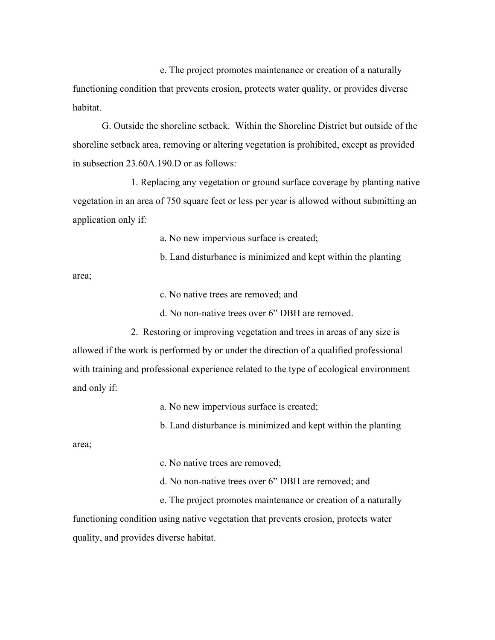e. The project promotes maintenance or creation of a naturally functioning condition that prevents erosion, protects water quality, or provides diverse habitat.

G. Outside the shoreline setback. Within the Shoreline District but outside of the shoreline setback area, removing or altering vegetation is prohibited, except as provided in subsection 23.60A.190.D or as follows:

1. Replacing any vegetation or ground surface coverage by planting native vegetation in an area of 750 square feet or less per year is allowed without submitting an application only if:

a. No new impervious surface is created;

b. Land disturbance is minimized and kept within the planting

area;

c. No native trees are removed; and

d. No non-native trees over 6" DBH are removed.

2. Restoring or improving vegetation and trees in areas of any size is allowed if the work is performed by or under the direction of a qualified professional with training and professional experience related to the type of ecological environment and only if:

a. No new impervious surface is created;

b. Land disturbance is minimized and kept within the planting

area;

c. No native trees are removed;

d. No non-native trees over 6" DBH are removed; and

e. The project promotes maintenance or creation of a naturally functioning condition using native vegetation that prevents erosion, protects water quality, and provides diverse habitat.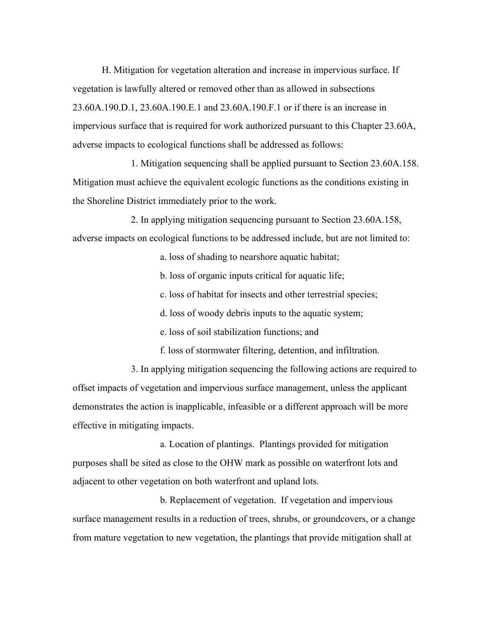H. Mitigation for vegetation alteration and increase in impervious surface. If vegetation is lawfully altered or removed other than as allowed in subsections 23.60A.190.D.1, 23.60A.190.E.1 and 23.60A.190.F.1 or if there is an increase in impervious surface that is required for work authorized pursuant to this Chapter 23.60A, adverse impacts to ecological functions shall be addressed as follows:

1. Mitigation sequencing shall be applied pursuant to Section 23.60A.158. Mitigation must achieve the equivalent ecologic functions as the conditions existing in the Shoreline District immediately prior to the work.

2. In applying mitigation sequencing pursuant to Section 23.60A.158, adverse impacts on ecological functions to be addressed include, but are not limited to:

a. loss of shading to nearshore aquatic habitat;

b. loss of organic inputs critical for aquatic life;

c. loss of habitat for insects and other terrestrial species;

d. loss of woody debris inputs to the aquatic system;

e. loss of soil stabilization functions; and

f. loss of stormwater filtering, detention, and infiltration.

3. In applying mitigation sequencing the following actions are required to offset impacts of vegetation and impervious surface management, unless the applicant demonstrates the action is inapplicable, infeasible or a different approach will be more effective in mitigating impacts.

a. Location of plantings. Plantings provided for mitigation purposes shall be sited as close to the OHW mark as possible on waterfront lots and adjacent to other vegetation on both waterfront and upland lots.

b. Replacement of vegetation. If vegetation and impervious surface management results in a reduction of trees, shrubs, or groundcovers, or a change from mature vegetation to new vegetation, the plantings that provide mitigation shall at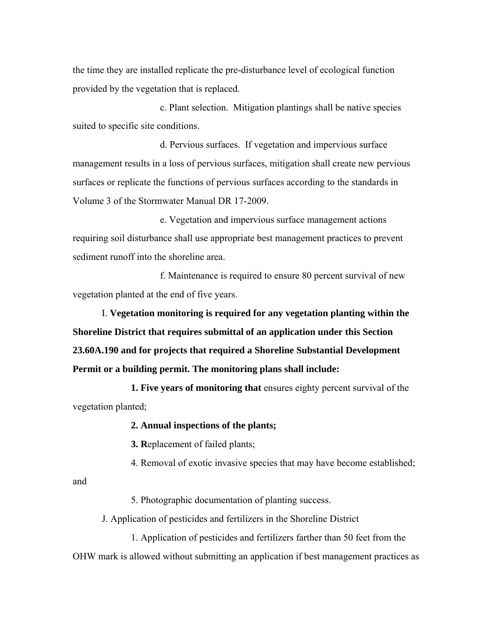the time they are installed replicate the pre-disturbance level of ecological function provided by the vegetation that is replaced.

c. Plant selection. Mitigation plantings shall be native species suited to specific site conditions.

d. Pervious surfaces. If vegetation and impervious surface management results in a loss of pervious surfaces, mitigation shall create new pervious surfaces or replicate the functions of pervious surfaces according to the standards in Volume 3 of the Stormwater Manual DR 17-2009.

e. Vegetation and impervious surface management actions requiring soil disturbance shall use appropriate best management practices to prevent sediment runoff into the shoreline area.

f. Maintenance is required to ensure 80 percent survival of new vegetation planted at the end of five years.

I. **Vegetation monitoring is required for any vegetation planting within the Shoreline District that requires submittal of an application under this Section 23.60A.190 and for projects that required a Shoreline Substantial Development Permit or a building permit. The monitoring plans shall include:**

**1. Five years of monitoring that** ensures eighty percent survival of the vegetation planted;

**2. Annual inspections of the plants;**

**3. R**eplacement of failed plants;

4. Removal of exotic invasive species that may have become established;

and

5. Photographic documentation of planting success.

J. Application of pesticides and fertilizers in the Shoreline District

1. Application of pesticides and fertilizers farther than 50 feet from the OHW mark is allowed without submitting an application if best management practices as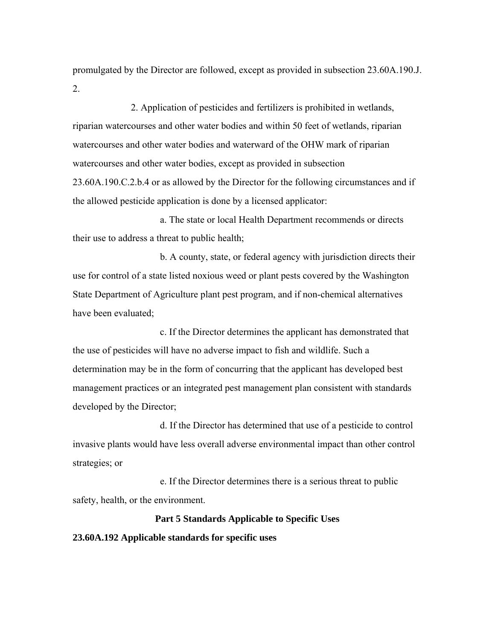promulgated by the Director are followed, except as provided in subsection 23.60A.190.J. 2.

2. Application of pesticides and fertilizers is prohibited in wetlands, riparian watercourses and other water bodies and within 50 feet of wetlands, riparian watercourses and other water bodies and waterward of the OHW mark of riparian watercourses and other water bodies, except as provided in subsection 23.60A.190.C.2.b.4 or as allowed by the Director for the following circumstances and if the allowed pesticide application is done by a licensed applicator:

a. The state or local Health Department recommends or directs their use to address a threat to public health;

b. A county, state, or federal agency with jurisdiction directs their use for control of a state listed noxious weed or plant pests covered by the Washington State Department of Agriculture plant pest program, and if non-chemical alternatives have been evaluated;

c. If the Director determines the applicant has demonstrated that the use of pesticides will have no adverse impact to fish and wildlife. Such a determination may be in the form of concurring that the applicant has developed best management practices or an integrated pest management plan consistent with standards developed by the Director;

d. If the Director has determined that use of a pesticide to control invasive plants would have less overall adverse environmental impact than other control strategies; or

e. If the Director determines there is a serious threat to public safety, health, or the environment.

# **Part 5 Standards Applicable to Specific Uses**

#### **23.60A.192 Applicable standards for specific uses**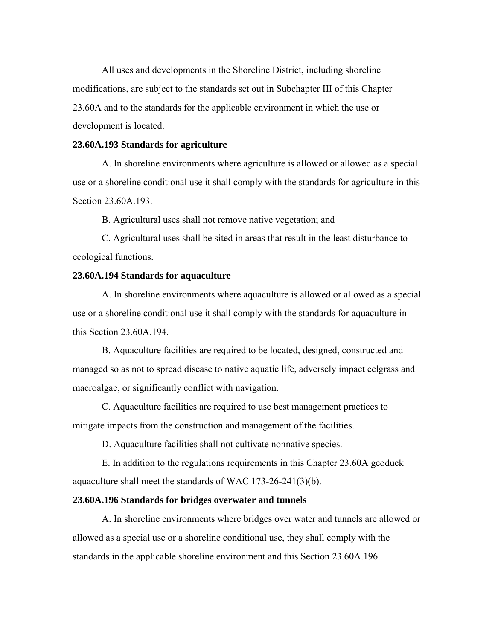All uses and developments in the Shoreline District, including shoreline modifications, are subject to the standards set out in Subchapter III of this Chapter 23.60A and to the standards for the applicable environment in which the use or development is located.

## **23.60A.193 Standards for agriculture**

A. In shoreline environments where agriculture is allowed or allowed as a special use or a shoreline conditional use it shall comply with the standards for agriculture in this Section 23.60A.193.

B. Agricultural uses shall not remove native vegetation; and

C. Agricultural uses shall be sited in areas that result in the least disturbance to ecological functions.

#### **23.60A.194 Standards for aquaculture**

A. In shoreline environments where aquaculture is allowed or allowed as a special use or a shoreline conditional use it shall comply with the standards for aquaculture in this Section 23.60A.194.

B. Aquaculture facilities are required to be located, designed, constructed and managed so as not to spread disease to native aquatic life, adversely impact eelgrass and macroalgae, or significantly conflict with navigation.

C. Aquaculture facilities are required to use best management practices to mitigate impacts from the construction and management of the facilities.

D. Aquaculture facilities shall not cultivate nonnative species.

E. In addition to the regulations requirements in this Chapter 23.60A geoduck aquaculture shall meet the standards of WAC 173-26-241(3)(b).

#### **23.60A.196 Standards for bridges overwater and tunnels**

A. In shoreline environments where bridges over water and tunnels are allowed or allowed as a special use or a shoreline conditional use, they shall comply with the standards in the applicable shoreline environment and this Section 23.60A.196.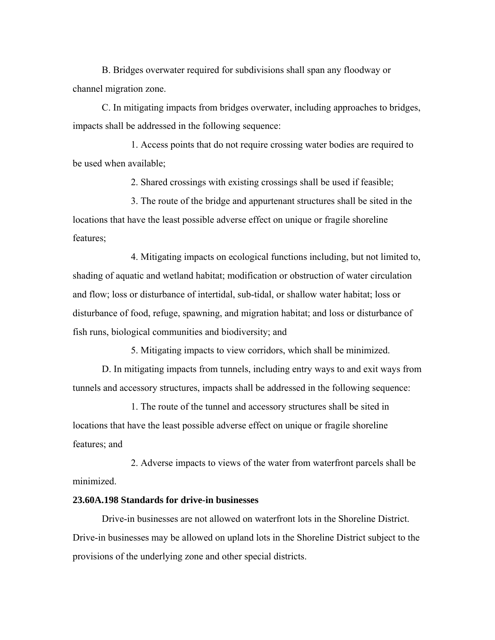B. Bridges overwater required for subdivisions shall span any floodway or channel migration zone.

C. In mitigating impacts from bridges overwater, including approaches to bridges, impacts shall be addressed in the following sequence:

1. Access points that do not require crossing water bodies are required to be used when available;

2. Shared crossings with existing crossings shall be used if feasible;

3. The route of the bridge and appurtenant structures shall be sited in the locations that have the least possible adverse effect on unique or fragile shoreline features;

4. Mitigating impacts on ecological functions including, but not limited to, shading of aquatic and wetland habitat; modification or obstruction of water circulation and flow; loss or disturbance of intertidal, sub-tidal, or shallow water habitat; loss or disturbance of food, refuge, spawning, and migration habitat; and loss or disturbance of fish runs, biological communities and biodiversity; and

5. Mitigating impacts to view corridors, which shall be minimized.

D. In mitigating impacts from tunnels, including entry ways to and exit ways from tunnels and accessory structures, impacts shall be addressed in the following sequence:

1. The route of the tunnel and accessory structures shall be sited in locations that have the least possible adverse effect on unique or fragile shoreline features; and

2. Adverse impacts to views of the water from waterfront parcels shall be minimized.

# **23.60A.198 Standards for drive-in businesses**

Drive-in businesses are not allowed on waterfront lots in the Shoreline District. Drive-in businesses may be allowed on upland lots in the Shoreline District subject to the provisions of the underlying zone and other special districts.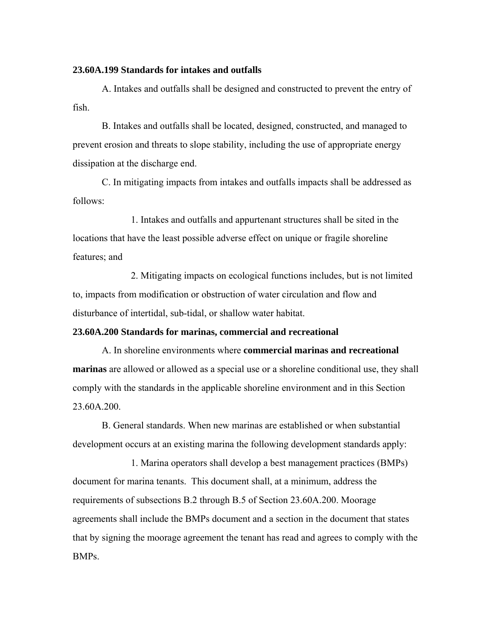#### **23.60A.199 Standards for intakes and outfalls**

A. Intakes and outfalls shall be designed and constructed to prevent the entry of fish.

B. Intakes and outfalls shall be located, designed, constructed, and managed to prevent erosion and threats to slope stability, including the use of appropriate energy dissipation at the discharge end.

C. In mitigating impacts from intakes and outfalls impacts shall be addressed as follows:

1. Intakes and outfalls and appurtenant structures shall be sited in the locations that have the least possible adverse effect on unique or fragile shoreline features; and

2. Mitigating impacts on ecological functions includes, but is not limited to, impacts from modification or obstruction of water circulation and flow and disturbance of intertidal, sub-tidal, or shallow water habitat.

#### **23.60A.200 Standards for marinas, commercial and recreational**

A. In shoreline environments where **commercial marinas and recreational marinas** are allowed or allowed as a special use or a shoreline conditional use, they shall comply with the standards in the applicable shoreline environment and in this Section 23.60A.200.

B. General standards. When new marinas are established or when substantial development occurs at an existing marina the following development standards apply:

1. Marina operators shall develop a best management practices (BMPs) document for marina tenants. This document shall, at a minimum, address the requirements of subsections B.2 through B.5 of Section 23.60A.200. Moorage agreements shall include the BMPs document and a section in the document that states that by signing the moorage agreement the tenant has read and agrees to comply with the BMPs.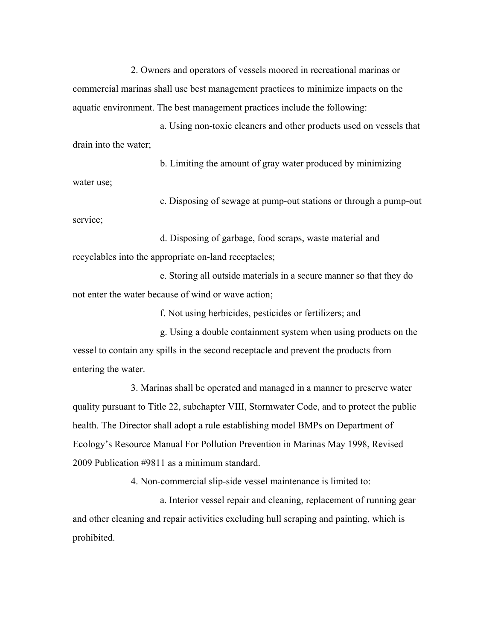2. Owners and operators of vessels moored in recreational marinas or commercial marinas shall use best management practices to minimize impacts on the aquatic environment. The best management practices include the following:

a. Using non-toxic cleaners and other products used on vessels that drain into the water;

b. Limiting the amount of gray water produced by minimizing water use;

c. Disposing of sewage at pump-out stations or through a pump-out service;

d. Disposing of garbage, food scraps, waste material and recyclables into the appropriate on-land receptacles;

e. Storing all outside materials in a secure manner so that they do not enter the water because of wind or wave action;

f. Not using herbicides, pesticides or fertilizers; and

g. Using a double containment system when using products on the vessel to contain any spills in the second receptacle and prevent the products from entering the water.

3. Marinas shall be operated and managed in a manner to preserve water quality pursuant to Title 22, subchapter VIII, Stormwater Code, and to protect the public health. The Director shall adopt a rule establishing model BMPs on Department of Ecology's Resource Manual For Pollution Prevention in Marinas May 1998, Revised 2009 Publication #9811 as a minimum standard.

4. Non-commercial slip-side vessel maintenance is limited to:

a. Interior vessel repair and cleaning, replacement of running gear and other cleaning and repair activities excluding hull scraping and painting, which is prohibited.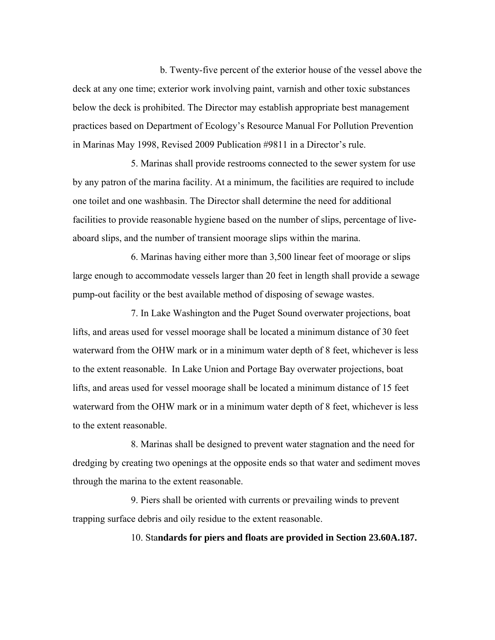b. Twenty-five percent of the exterior house of the vessel above the deck at any one time; exterior work involving paint, varnish and other toxic substances below the deck is prohibited. The Director may establish appropriate best management practices based on Department of Ecology's Resource Manual For Pollution Prevention in Marinas May 1998, Revised 2009 Publication #9811 in a Director's rule.

5. Marinas shall provide restrooms connected to the sewer system for use by any patron of the marina facility. At a minimum, the facilities are required to include one toilet and one washbasin. The Director shall determine the need for additional facilities to provide reasonable hygiene based on the number of slips, percentage of liveaboard slips, and the number of transient moorage slips within the marina.

6. Marinas having either more than 3,500 linear feet of moorage or slips large enough to accommodate vessels larger than 20 feet in length shall provide a sewage pump-out facility or the best available method of disposing of sewage wastes.

7. In Lake Washington and the Puget Sound overwater projections, boat lifts, and areas used for vessel moorage shall be located a minimum distance of 30 feet waterward from the OHW mark or in a minimum water depth of 8 feet, whichever is less to the extent reasonable. In Lake Union and Portage Bay overwater projections, boat lifts, and areas used for vessel moorage shall be located a minimum distance of 15 feet waterward from the OHW mark or in a minimum water depth of 8 feet, whichever is less to the extent reasonable.

8. Marinas shall be designed to prevent water stagnation and the need for dredging by creating two openings at the opposite ends so that water and sediment moves through the marina to the extent reasonable.

9. Piers shall be oriented with currents or prevailing winds to prevent trapping surface debris and oily residue to the extent reasonable.

## 10. Sta**ndards for piers and floats are provided in Section 23.60A.187.**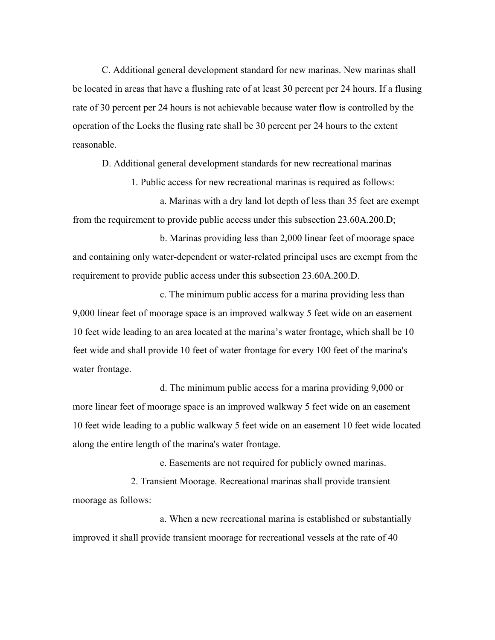C. Additional general development standard for new marinas. New marinas shall be located in areas that have a flushing rate of at least 30 percent per 24 hours. If a flusing rate of 30 percent per 24 hours is not achievable because water flow is controlled by the operation of the Locks the flusing rate shall be 30 percent per 24 hours to the extent reasonable.

D. Additional general development standards for new recreational marinas

1. Public access for new recreational marinas is required as follows:

a. Marinas with a dry land lot depth of less than 35 feet are exempt from the requirement to provide public access under this subsection 23.60A.200.D;

b. Marinas providing less than 2,000 linear feet of moorage space and containing only water-dependent or water-related principal uses are exempt from the requirement to provide public access under this subsection 23.60A.200.D.

c. The minimum public access for a marina providing less than 9,000 linear feet of moorage space is an improved walkway 5 feet wide on an easement 10 feet wide leading to an area located at the marina's water frontage, which shall be 10 feet wide and shall provide 10 feet of water frontage for every 100 feet of the marina's water frontage.

d. The minimum public access for a marina providing 9,000 or more linear feet of moorage space is an improved walkway 5 feet wide on an easement 10 feet wide leading to a public walkway 5 feet wide on an easement 10 feet wide located along the entire length of the marina's water frontage.

e. Easements are not required for publicly owned marinas.

2. Transient Moorage. Recreational marinas shall provide transient moorage as follows:

a. When a new recreational marina is established or substantially improved it shall provide transient moorage for recreational vessels at the rate of 40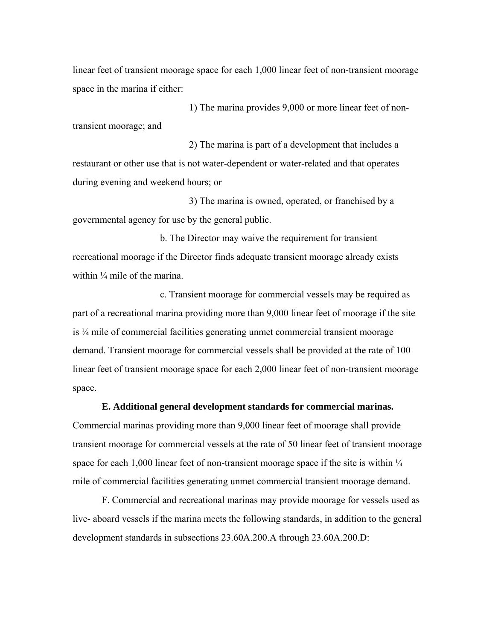linear feet of transient moorage space for each 1,000 linear feet of non-transient moorage space in the marina if either:

1) The marina provides 9,000 or more linear feet of nontransient moorage; and

2) The marina is part of a development that includes a restaurant or other use that is not water-dependent or water-related and that operates during evening and weekend hours; or

3) The marina is owned, operated, or franchised by a governmental agency for use by the general public.

b. The Director may waive the requirement for transient recreational moorage if the Director finds adequate transient moorage already exists within  $\frac{1}{4}$  mile of the marina.

c. Transient moorage for commercial vessels may be required as part of a recreational marina providing more than 9,000 linear feet of moorage if the site is ¼ mile of commercial facilities generating unmet commercial transient moorage demand. Transient moorage for commercial vessels shall be provided at the rate of 100 linear feet of transient moorage space for each 2,000 linear feet of non-transient moorage space.

# **E. Additional general development standards for commercial marinas.**

Commercial marinas providing more than 9,000 linear feet of moorage shall provide transient moorage for commercial vessels at the rate of 50 linear feet of transient moorage space for each 1,000 linear feet of non-transient moorage space if the site is within  $\frac{1}{4}$ mile of commercial facilities generating unmet commercial transient moorage demand.

F. Commercial and recreational marinas may provide moorage for vessels used as live- aboard vessels if the marina meets the following standards, in addition to the general development standards in subsections 23.60A.200.A through 23.60A.200.D: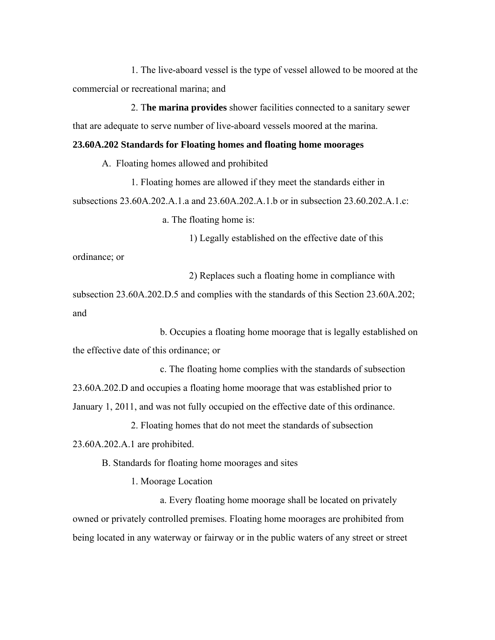1. The live-aboard vessel is the type of vessel allowed to be moored at the commercial or recreational marina; and

2. T**he marina provides** shower facilities connected to a sanitary sewer that are adequate to serve number of live-aboard vessels moored at the marina.

## **23.60A.202 Standards for Floating homes and floating home moorages**

A. Floating homes allowed and prohibited

1. Floating homes are allowed if they meet the standards either in subsections 23.60A.202.A.1.a and 23.60A.202.A.1.b or in subsection 23.60.202.A.1.c:

a. The floating home is:

1) Legally established on the effective date of this

ordinance; or

2) Replaces such a floating home in compliance with

subsection 23.60A.202.D.5 and complies with the standards of this Section 23.60A.202; and

b. Occupies a floating home moorage that is legally established on the effective date of this ordinance; or

c. The floating home complies with the standards of subsection 23.60A.202.D and occupies a floating home moorage that was established prior to January 1, 2011, and was not fully occupied on the effective date of this ordinance.

2. Floating homes that do not meet the standards of subsection

23.60A.202.A.1 are prohibited.

B. Standards for floating home moorages and sites

1. Moorage Location

a. Every floating home moorage shall be located on privately owned or privately controlled premises. Floating home moorages are prohibited from being located in any waterway or fairway or in the public waters of any street or street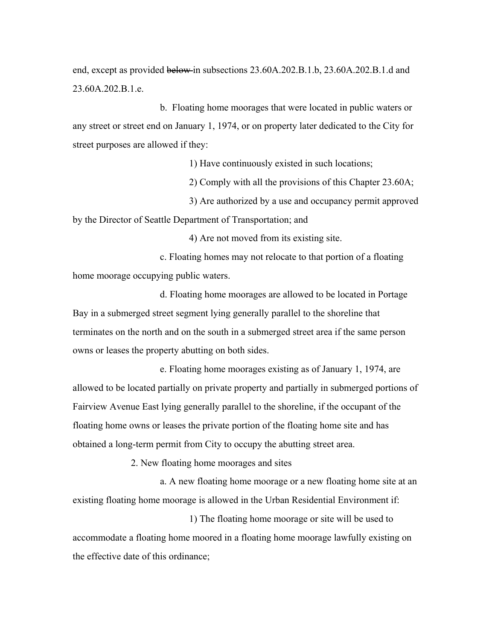end, except as provided below in subsections 23.60A.202.B.1.b, 23.60A.202.B.1.d and 23.60A.202.B.1.e.

b. Floating home moorages that were located in public waters or any street or street end on January 1, 1974, or on property later dedicated to the City for street purposes are allowed if they:

1) Have continuously existed in such locations;

2) Comply with all the provisions of this Chapter 23.60A;

3) Are authorized by a use and occupancy permit approved

by the Director of Seattle Department of Transportation; and

4) Are not moved from its existing site.

c. Floating homes may not relocate to that portion of a floating home moorage occupying public waters.

d. Floating home moorages are allowed to be located in Portage Bay in a submerged street segment lying generally parallel to the shoreline that terminates on the north and on the south in a submerged street area if the same person owns or leases the property abutting on both sides.

e. Floating home moorages existing as of January 1, 1974, are allowed to be located partially on private property and partially in submerged portions of Fairview Avenue East lying generally parallel to the shoreline, if the occupant of the floating home owns or leases the private portion of the floating home site and has obtained a long-term permit from City to occupy the abutting street area.

2. New floating home moorages and sites

a. A new floating home moorage or a new floating home site at an existing floating home moorage is allowed in the Urban Residential Environment if:

1) The floating home moorage or site will be used to accommodate a floating home moored in a floating home moorage lawfully existing on the effective date of this ordinance;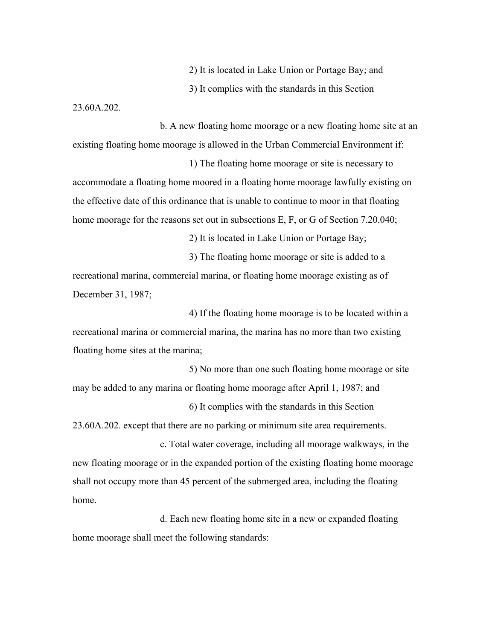2) It is located in Lake Union or Portage Bay; and

3) It complies with the standards in this Section

23.60A.202.

b. A new floating home moorage or a new floating home site at an existing floating home moorage is allowed in the Urban Commercial Environment if:

1) The floating home moorage or site is necessary to accommodate a floating home moored in a floating home moorage lawfully existing on the effective date of this ordinance that is unable to continue to moor in that floating home moorage for the reasons set out in subsections E, F, or G of Section 7.20.040;

2) It is located in Lake Union or Portage Bay;

3) The floating home moorage or site is added to a recreational marina, commercial marina, or floating home moorage existing as of December 31, 1987;

4) If the floating home moorage is to be located within a recreational marina or commercial marina, the marina has no more than two existing floating home sites at the marina;

5) No more than one such floating home moorage or site may be added to any marina or floating home moorage after April 1, 1987; and

6) It complies with the standards in this Section 23.60A.202. except that there are no parking or minimum site area requirements.

c. Total water coverage, including all moorage walkways, in the new floating moorage or in the expanded portion of the existing floating home moorage shall not occupy more than 45 percent of the submerged area, including the floating home.

d. Each new floating home site in a new or expanded floating home moorage shall meet the following standards: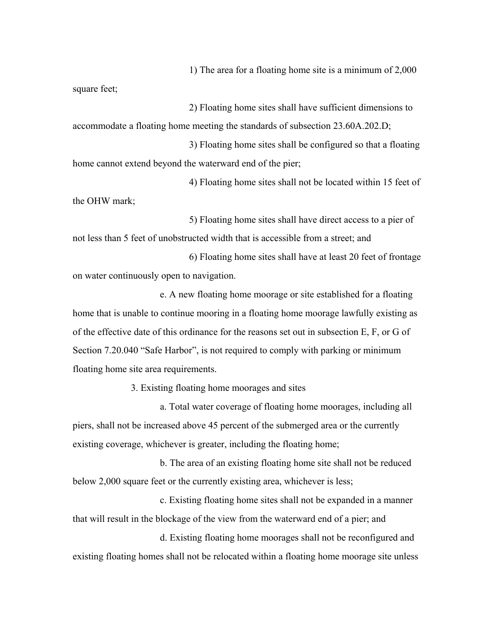1) The area for a floating home site is a minimum of 2,000

square feet;

2) Floating home sites shall have sufficient dimensions to accommodate a floating home meeting the standards of subsection 23.60A.202.D;

3) Floating home sites shall be configured so that a floating home cannot extend beyond the waterward end of the pier;

4) Floating home sites shall not be located within 15 feet of the OHW mark;

5) Floating home sites shall have direct access to a pier of not less than 5 feet of unobstructed width that is accessible from a street; and

6) Floating home sites shall have at least 20 feet of frontage on water continuously open to navigation.

e. A new floating home moorage or site established for a floating home that is unable to continue mooring in a floating home moorage lawfully existing as of the effective date of this ordinance for the reasons set out in subsection E, F, or G of Section 7.20.040 "Safe Harbor", is not required to comply with parking or minimum floating home site area requirements.

3. Existing floating home moorages and sites

a. Total water coverage of floating home moorages, including all piers, shall not be increased above 45 percent of the submerged area or the currently existing coverage, whichever is greater, including the floating home;

b. The area of an existing floating home site shall not be reduced below 2,000 square feet or the currently existing area, whichever is less;

c. Existing floating home sites shall not be expanded in a manner that will result in the blockage of the view from the waterward end of a pier; and

d. Existing floating home moorages shall not be reconfigured and existing floating homes shall not be relocated within a floating home moorage site unless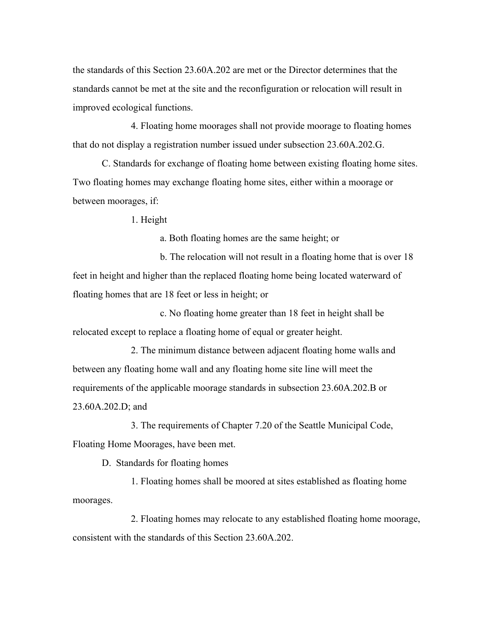the standards of this Section 23.60A.202 are met or the Director determines that the standards cannot be met at the site and the reconfiguration or relocation will result in improved ecological functions.

4. Floating home moorages shall not provide moorage to floating homes that do not display a registration number issued under subsection 23.60A.202.G.

C. Standards for exchange of floating home between existing floating home sites. Two floating homes may exchange floating home sites, either within a moorage or between moorages, if:

1. Height

a. Both floating homes are the same height; or

b. The relocation will not result in a floating home that is over 18 feet in height and higher than the replaced floating home being located waterward of floating homes that are 18 feet or less in height; or

c. No floating home greater than 18 feet in height shall be relocated except to replace a floating home of equal or greater height.

2. The minimum distance between adjacent floating home walls and between any floating home wall and any floating home site line will meet the requirements of the applicable moorage standards in subsection 23.60A.202.B or 23.60A.202.D; and

3. The requirements of Chapter 7.20 of the Seattle Municipal Code, Floating Home Moorages, have been met.

D. Standards for floating homes

1. Floating homes shall be moored at sites established as floating home moorages.

2. Floating homes may relocate to any established floating home moorage, consistent with the standards of this Section 23.60A.202.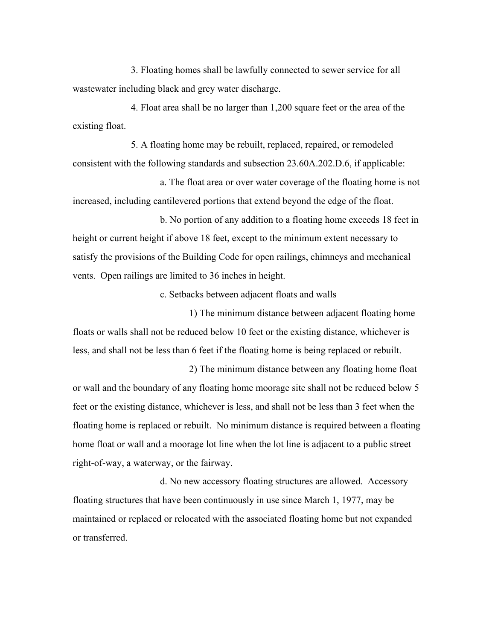3. Floating homes shall be lawfully connected to sewer service for all wastewater including black and grey water discharge.

4. Float area shall be no larger than 1,200 square feet or the area of the existing float.

5. A floating home may be rebuilt, replaced, repaired, or remodeled consistent with the following standards and subsection 23.60A.202.D.6, if applicable:

a. The float area or over water coverage of the floating home is not increased, including cantilevered portions that extend beyond the edge of the float.

b. No portion of any addition to a floating home exceeds 18 feet in height or current height if above 18 feet, except to the minimum extent necessary to satisfy the provisions of the Building Code for open railings, chimneys and mechanical vents. Open railings are limited to 36 inches in height.

c. Setbacks between adjacent floats and walls

1) The minimum distance between adjacent floating home floats or walls shall not be reduced below 10 feet or the existing distance, whichever is less, and shall not be less than 6 feet if the floating home is being replaced or rebuilt.

2) The minimum distance between any floating home float or wall and the boundary of any floating home moorage site shall not be reduced below 5 feet or the existing distance, whichever is less, and shall not be less than 3 feet when the floating home is replaced or rebuilt. No minimum distance is required between a floating home float or wall and a moorage lot line when the lot line is adjacent to a public street right-of-way, a waterway, or the fairway.

d. No new accessory floating structures are allowed. Accessory floating structures that have been continuously in use since March 1, 1977, may be maintained or replaced or relocated with the associated floating home but not expanded or transferred.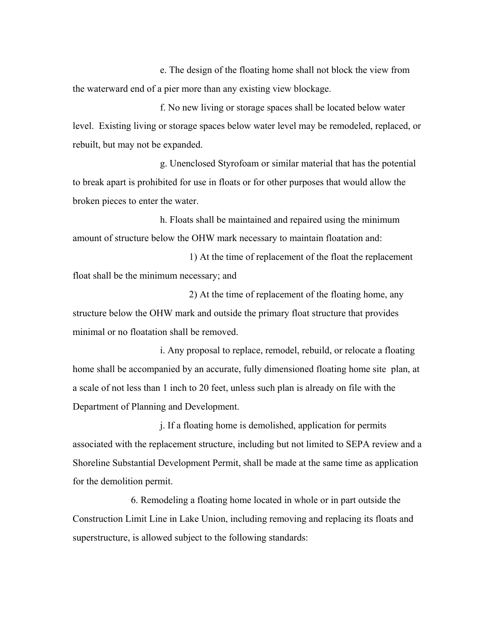e. The design of the floating home shall not block the view from the waterward end of a pier more than any existing view blockage.

f. No new living or storage spaces shall be located below water level. Existing living or storage spaces below water level may be remodeled, replaced, or rebuilt, but may not be expanded.

g. Unenclosed Styrofoam or similar material that has the potential to break apart is prohibited for use in floats or for other purposes that would allow the broken pieces to enter the water.

h. Floats shall be maintained and repaired using the minimum amount of structure below the OHW mark necessary to maintain floatation and:

1) At the time of replacement of the float the replacement float shall be the minimum necessary; and

2) At the time of replacement of the floating home, any structure below the OHW mark and outside the primary float structure that provides minimal or no floatation shall be removed.

i. Any proposal to replace, remodel, rebuild, or relocate a floating home shall be accompanied by an accurate, fully dimensioned floating home site plan, at a scale of not less than 1 inch to 20 feet, unless such plan is already on file with the Department of Planning and Development.

j. If a floating home is demolished, application for permits associated with the replacement structure, including but not limited to SEPA review and a Shoreline Substantial Development Permit, shall be made at the same time as application for the demolition permit.

6. Remodeling a floating home located in whole or in part outside the Construction Limit Line in Lake Union, including removing and replacing its floats and superstructure, is allowed subject to the following standards: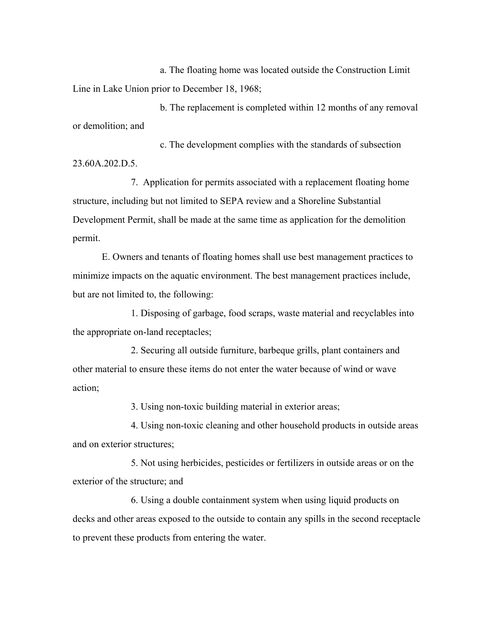a. The floating home was located outside the Construction Limit Line in Lake Union prior to December 18, 1968;

b. The replacement is completed within 12 months of any removal or demolition; and

c. The development complies with the standards of subsection 23.60A.202.D.5.

7. Application for permits associated with a replacement floating home structure, including but not limited to SEPA review and a Shoreline Substantial Development Permit, shall be made at the same time as application for the demolition permit.

E. Owners and tenants of floating homes shall use best management practices to minimize impacts on the aquatic environment. The best management practices include, but are not limited to, the following:

1. Disposing of garbage, food scraps, waste material and recyclables into the appropriate on-land receptacles;

2. Securing all outside furniture, barbeque grills, plant containers and other material to ensure these items do not enter the water because of wind or wave action;

3. Using non-toxic building material in exterior areas;

4. Using non-toxic cleaning and other household products in outside areas and on exterior structures;

5. Not using herbicides, pesticides or fertilizers in outside areas or on the exterior of the structure; and

6. Using a double containment system when using liquid products on decks and other areas exposed to the outside to contain any spills in the second receptacle to prevent these products from entering the water.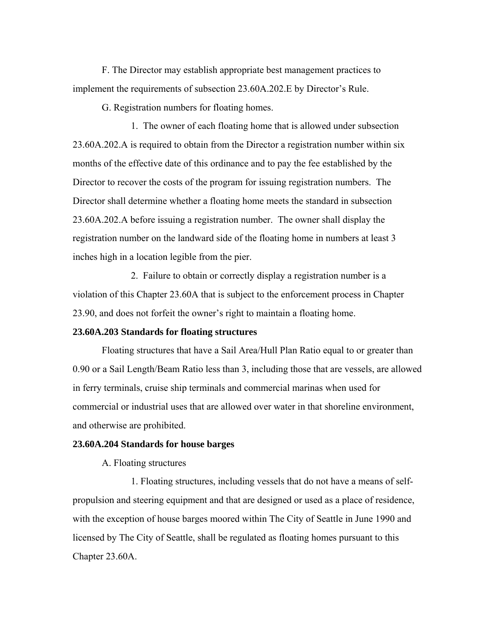F. The Director may establish appropriate best management practices to implement the requirements of subsection 23.60A.202.E by Director's Rule.

G. Registration numbers for floating homes.

1. The owner of each floating home that is allowed under subsection 23.60A.202.A is required to obtain from the Director a registration number within six months of the effective date of this ordinance and to pay the fee established by the Director to recover the costs of the program for issuing registration numbers. The Director shall determine whether a floating home meets the standard in subsection 23.60A.202.A before issuing a registration number. The owner shall display the registration number on the landward side of the floating home in numbers at least 3 inches high in a location legible from the pier.

2. Failure to obtain or correctly display a registration number is a violation of this Chapter 23.60A that is subject to the enforcement process in Chapter 23.90, and does not forfeit the owner's right to maintain a floating home.

#### **23.60A.203 Standards for floating structures**

Floating structures that have a Sail Area/Hull Plan Ratio equal to or greater than 0.90 or a Sail Length/Beam Ratio less than 3, including those that are vessels, are allowed in ferry terminals, cruise ship terminals and commercial marinas when used for commercial or industrial uses that are allowed over water in that shoreline environment, and otherwise are prohibited.

#### **23.60A.204 Standards for house barges**

A. Floating structures

1. Floating structures, including vessels that do not have a means of selfpropulsion and steering equipment and that are designed or used as a place of residence, with the exception of house barges moored within The City of Seattle in June 1990 and licensed by The City of Seattle, shall be regulated as floating homes pursuant to this Chapter 23.60A.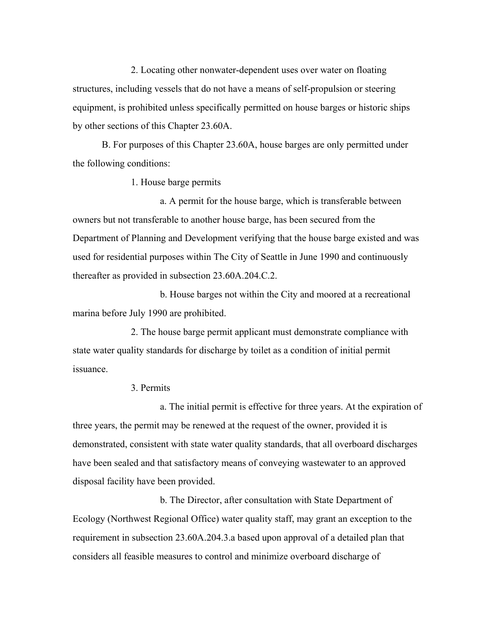2. Locating other nonwater-dependent uses over water on floating structures, including vessels that do not have a means of self-propulsion or steering equipment, is prohibited unless specifically permitted on house barges or historic ships by other sections of this Chapter 23.60A.

B. For purposes of this Chapter 23.60A, house barges are only permitted under the following conditions:

1. House barge permits

a. A permit for the house barge, which is transferable between owners but not transferable to another house barge, has been secured from the Department of Planning and Development verifying that the house barge existed and was used for residential purposes within The City of Seattle in June 1990 and continuously thereafter as provided in subsection 23.60A.204.C.2.

b. House barges not within the City and moored at a recreational marina before July 1990 are prohibited.

2. The house barge permit applicant must demonstrate compliance with state water quality standards for discharge by toilet as a condition of initial permit issuance.

# 3. Permits

a. The initial permit is effective for three years. At the expiration of three years, the permit may be renewed at the request of the owner, provided it is demonstrated, consistent with state water quality standards, that all overboard discharges have been sealed and that satisfactory means of conveying wastewater to an approved disposal facility have been provided.

b. The Director, after consultation with State Department of Ecology (Northwest Regional Office) water quality staff, may grant an exception to the requirement in subsection 23.60A.204.3.a based upon approval of a detailed plan that considers all feasible measures to control and minimize overboard discharge of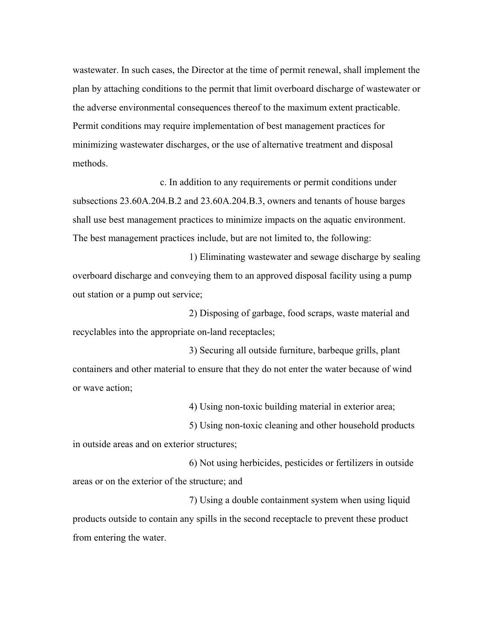wastewater. In such cases, the Director at the time of permit renewal, shall implement the plan by attaching conditions to the permit that limit overboard discharge of wastewater or the adverse environmental consequences thereof to the maximum extent practicable. Permit conditions may require implementation of best management practices for minimizing wastewater discharges, or the use of alternative treatment and disposal methods.

 c. In addition to any requirements or permit conditions under subsections 23.60A.204.B.2 and 23.60A.204.B.3, owners and tenants of house barges shall use best management practices to minimize impacts on the aquatic environment. The best management practices include, but are not limited to, the following:

1) Eliminating wastewater and sewage discharge by sealing overboard discharge and conveying them to an approved disposal facility using a pump out station or a pump out service;

2) Disposing of garbage, food scraps, waste material and recyclables into the appropriate on-land receptacles;

3) Securing all outside furniture, barbeque grills, plant containers and other material to ensure that they do not enter the water because of wind or wave action;

4) Using non-toxic building material in exterior area;

5) Using non-toxic cleaning and other household products in outside areas and on exterior structures;

6) Not using herbicides, pesticides or fertilizers in outside areas or on the exterior of the structure; and

7) Using a double containment system when using liquid products outside to contain any spills in the second receptacle to prevent these product from entering the water.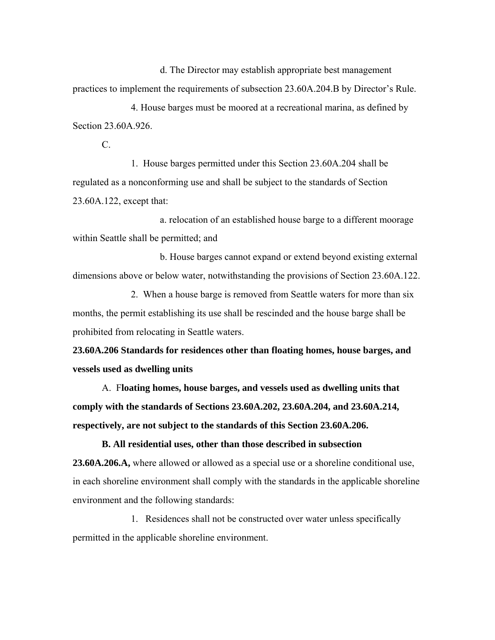d. The Director may establish appropriate best management practices to implement the requirements of subsection 23.60A.204.B by Director's Rule.

4. House barges must be moored at a recreational marina, as defined by Section 23.60A.926

C.

1. House barges permitted under this Section 23.60A.204 shall be regulated as a nonconforming use and shall be subject to the standards of Section 23.60A.122, except that:

a. relocation of an established house barge to a different moorage within Seattle shall be permitted; and

b. House barges cannot expand or extend beyond existing external dimensions above or below water, notwithstanding the provisions of Section 23.60A.122.

2. When a house barge is removed from Seattle waters for more than six months, the permit establishing its use shall be rescinded and the house barge shall be prohibited from relocating in Seattle waters.

**23.60A.206 Standards for residences other than floating homes, house barges, and vessels used as dwelling units**

A. F**loating homes, house barges, and vessels used as dwelling units that comply with the standards of Sections 23.60A.202, 23.60A.204, and 23.60A.214, respectively, are not subject to the standards of this Section 23.60A.206.** 

**B. All residential uses, other than those described in subsection 23.60A.206.A,** where allowed or allowed as a special use or a shoreline conditional use, in each shoreline environment shall comply with the standards in the applicable shoreline environment and the following standards:

1. Residences shall not be constructed over water unless specifically permitted in the applicable shoreline environment.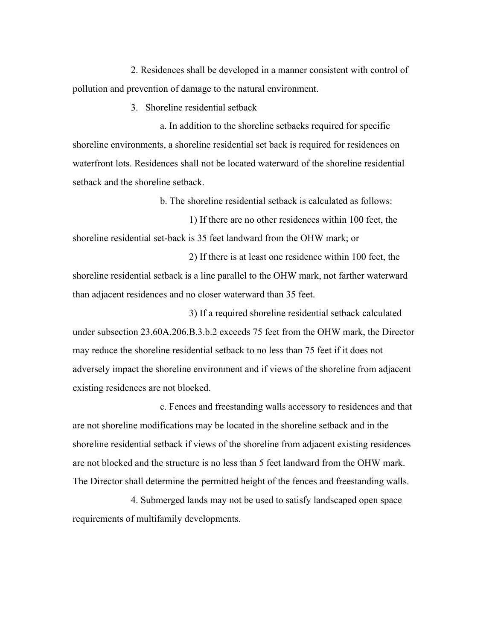2. Residences shall be developed in a manner consistent with control of pollution and prevention of damage to the natural environment.

3. Shoreline residential setback

a. In addition to the shoreline setbacks required for specific shoreline environments, a shoreline residential set back is required for residences on waterfront lots. Residences shall not be located waterward of the shoreline residential setback and the shoreline setback.

b. The shoreline residential setback is calculated as follows:

1) If there are no other residences within 100 feet, the shoreline residential set-back is 35 feet landward from the OHW mark; or

2) If there is at least one residence within 100 feet, the shoreline residential setback is a line parallel to the OHW mark, not farther waterward than adjacent residences and no closer waterward than 35 feet.

3) If a required shoreline residential setback calculated under subsection 23.60A.206.B.3.b.2 exceeds 75 feet from the OHW mark, the Director may reduce the shoreline residential setback to no less than 75 feet if it does not adversely impact the shoreline environment and if views of the shoreline from adjacent existing residences are not blocked.

c. Fences and freestanding walls accessory to residences and that are not shoreline modifications may be located in the shoreline setback and in the shoreline residential setback if views of the shoreline from adjacent existing residences are not blocked and the structure is no less than 5 feet landward from the OHW mark. The Director shall determine the permitted height of the fences and freestanding walls.

 4. Submerged lands may not be used to satisfy landscaped open space requirements of multifamily developments.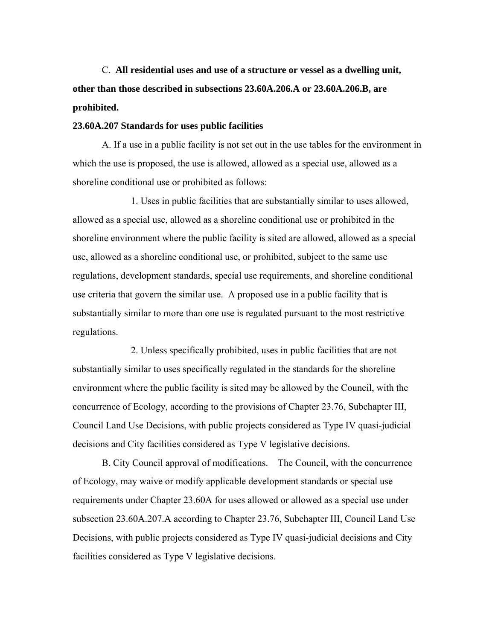C. **All residential uses and use of a structure or vessel as a dwelling unit, other than those described in subsections 23.60A.206.A or 23.60A.206.B, are prohibited.**

#### **23.60A.207 Standards for uses public facilities**

A. If a use in a public facility is not set out in the use tables for the environment in which the use is proposed, the use is allowed, allowed as a special use, allowed as a shoreline conditional use or prohibited as follows:

1. Uses in public facilities that are substantially similar to uses allowed, allowed as a special use, allowed as a shoreline conditional use or prohibited in the shoreline environment where the public facility is sited are allowed, allowed as a special use, allowed as a shoreline conditional use, or prohibited, subject to the same use regulations, development standards, special use requirements, and shoreline conditional use criteria that govern the similar use. A proposed use in a public facility that is substantially similar to more than one use is regulated pursuant to the most restrictive regulations.

2. Unless specifically prohibited, uses in public facilities that are not substantially similar to uses specifically regulated in the standards for the shoreline environment where the public facility is sited may be allowed by the Council, with the concurrence of Ecology, according to the provisions of Chapter 23.76, Subchapter III, Council Land Use Decisions, with public projects considered as Type IV quasi-judicial decisions and City facilities considered as Type V legislative decisions.

B. City Council approval of modifications. The Council, with the concurrence of Ecology, may waive or modify applicable development standards or special use requirements under Chapter 23.60A for uses allowed or allowed as a special use under subsection 23.60A.207.A according to Chapter 23.76, Subchapter III, Council Land Use Decisions, with public projects considered as Type IV quasi-judicial decisions and City facilities considered as Type V legislative decisions.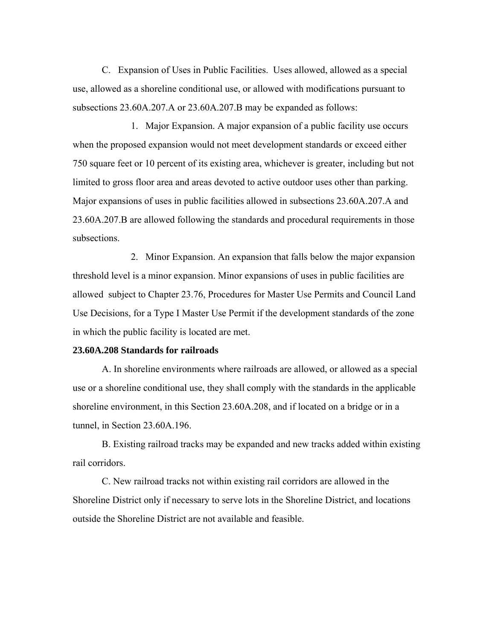C. Expansion of Uses in Public Facilities. Uses allowed, allowed as a special use, allowed as a shoreline conditional use, or allowed with modifications pursuant to subsections 23.60A.207.A or 23.60A.207.B may be expanded as follows:

1. Major Expansion. A major expansion of a public facility use occurs when the proposed expansion would not meet development standards or exceed either 750 square feet or 10 percent of its existing area, whichever is greater, including but not limited to gross floor area and areas devoted to active outdoor uses other than parking. Major expansions of uses in public facilities allowed in subsections 23.60A.207.A and 23.60A.207.B are allowed following the standards and procedural requirements in those subsections.

2. Minor Expansion. An expansion that falls below the major expansion threshold level is a minor expansion. Minor expansions of uses in public facilities are allowed subject to Chapter 23.76, Procedures for Master Use Permits and Council Land Use Decisions, for a Type I Master Use Permit if the development standards of the zone in which the public facility is located are met.

# **23.60A.208 Standards for railroads**

A. In shoreline environments where railroads are allowed, or allowed as a special use or a shoreline conditional use, they shall comply with the standards in the applicable shoreline environment, in this Section 23.60A.208, and if located on a bridge or in a tunnel, in Section 23.60A.196.

B. Existing railroad tracks may be expanded and new tracks added within existing rail corridors.

C. New railroad tracks not within existing rail corridors are allowed in the Shoreline District only if necessary to serve lots in the Shoreline District, and locations outside the Shoreline District are not available and feasible.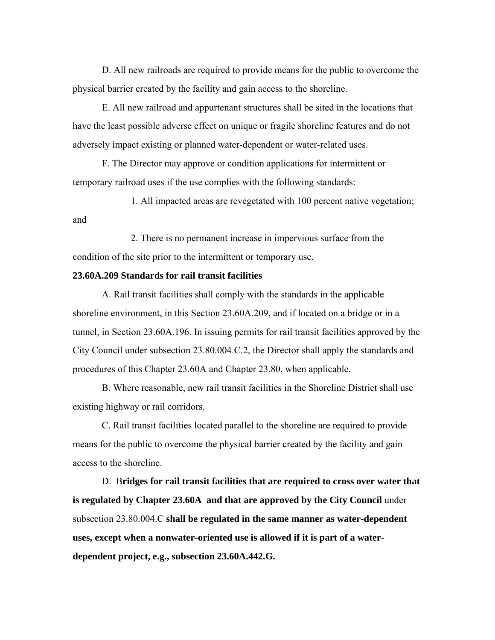D. All new railroads are required to provide means for the public to overcome the physical barrier created by the facility and gain access to the shoreline.

E. All new railroad and appurtenant structures shall be sited in the locations that have the least possible adverse effect on unique or fragile shoreline features and do not adversely impact existing or planned water-dependent or water-related uses.

F. The Director may approve or condition applications for intermittent or temporary railroad uses if the use complies with the following standards:

1. All impacted areas are revegetated with 100 percent native vegetation; and

2. There is no permanent increase in impervious surface from the condition of the site prior to the intermittent or temporary use.

# **23.60A.209 Standards for rail transit facilities**

A. Rail transit facilities shall comply with the standards in the applicable shoreline environment, in this Section 23.60A.209, and if located on a bridge or in a tunnel, in Section 23.60A.196. In issuing permits for rail transit facilities approved by the City Council under subsection 23.80.004.C.2, the Director shall apply the standards and procedures of this Chapter 23.60A and Chapter 23.80, when applicable.

B. Where reasonable, new rail transit facilities in the Shoreline District shall use existing highway or rail corridors.

C. Rail transit facilities located parallel to the shoreline are required to provide means for the public to overcome the physical barrier created by the facility and gain access to the shoreline.

D. B**ridges for rail transit facilities that are required to cross over water that is regulated by Chapter 23.60A and that are approved by the City Council** under subsection 23.80.004.C **shall be regulated in the same manner as water-dependent uses, except when a nonwater-oriented use is allowed if it is part of a waterdependent project, e.g., subsection 23.60A.442.G.**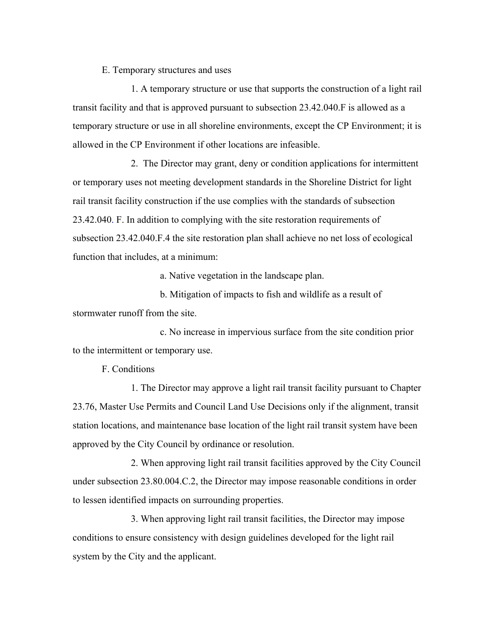E. Temporary structures and uses

1. A temporary structure or use that supports the construction of a light rail transit facility and that is approved pursuant to subsection 23.42.040.F is allowed as a temporary structure or use in all shoreline environments, except the CP Environment; it is allowed in the CP Environment if other locations are infeasible.

2. The Director may grant, deny or condition applications for intermittent or temporary uses not meeting development standards in the Shoreline District for light rail transit facility construction if the use complies with the standards of subsection 23.42.040. F. In addition to complying with the site restoration requirements of subsection 23.42.040.F.4 the site restoration plan shall achieve no net loss of ecological function that includes, at a minimum:

a. Native vegetation in the landscape plan.

b. Mitigation of impacts to fish and wildlife as a result of stormwater runoff from the site.

c. No increase in impervious surface from the site condition prior to the intermittent or temporary use.

F. Conditions

1. The Director may approve a light rail transit facility pursuant to Chapter 23.76, Master Use Permits and Council Land Use Decisions only if the alignment, transit station locations, and maintenance base location of the light rail transit system have been approved by the City Council by ordinance or resolution.

2. When approving light rail transit facilities approved by the City Council under subsection 23.80.004.C.2, the Director may impose reasonable conditions in order to lessen identified impacts on surrounding properties.

3. When approving light rail transit facilities, the Director may impose conditions to ensure consistency with design guidelines developed for the light rail system by the City and the applicant.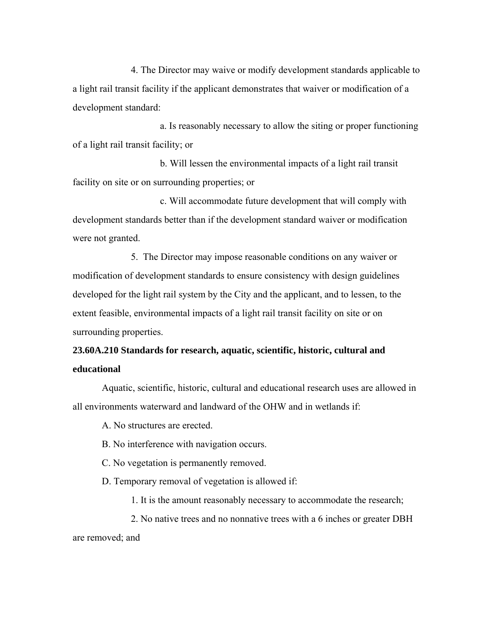4. The Director may waive or modify development standards applicable to a light rail transit facility if the applicant demonstrates that waiver or modification of a development standard:

a. Is reasonably necessary to allow the siting or proper functioning of a light rail transit facility; or

b. Will lessen the environmental impacts of a light rail transit facility on site or on surrounding properties; or

c. Will accommodate future development that will comply with development standards better than if the development standard waiver or modification were not granted.

5. The Director may impose reasonable conditions on any waiver or modification of development standards to ensure consistency with design guidelines developed for the light rail system by the City and the applicant, and to lessen, to the extent feasible, environmental impacts of a light rail transit facility on site or on surrounding properties.

# **23.60A.210 Standards for research, aquatic, scientific, historic, cultural and educational**

Aquatic, scientific, historic, cultural and educational research uses are allowed in all environments waterward and landward of the OHW and in wetlands if:

A. No structures are erected.

B. No interference with navigation occurs.

C. No vegetation is permanently removed.

D. Temporary removal of vegetation is allowed if:

1. It is the amount reasonably necessary to accommodate the research;

2. No native trees and no nonnative trees with a 6 inches or greater DBH are removed; and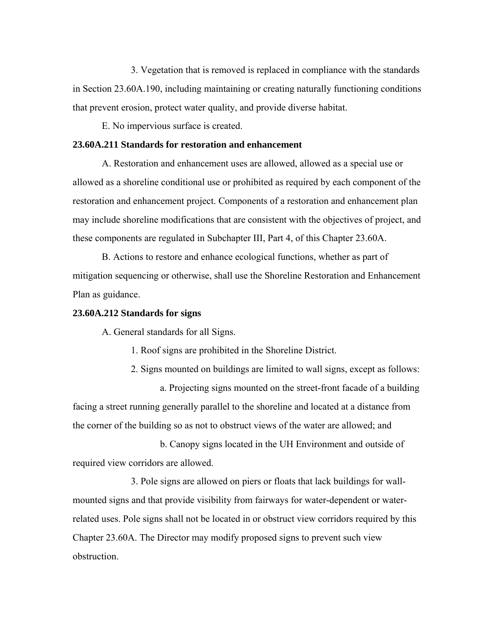3. Vegetation that is removed is replaced in compliance with the standards in Section 23.60A.190, including maintaining or creating naturally functioning conditions that prevent erosion, protect water quality, and provide diverse habitat.

E. No impervious surface is created.

## **23.60A.211 Standards for restoration and enhancement**

A. Restoration and enhancement uses are allowed, allowed as a special use or allowed as a shoreline conditional use or prohibited as required by each component of the restoration and enhancement project. Components of a restoration and enhancement plan may include shoreline modifications that are consistent with the objectives of project, and these components are regulated in Subchapter III, Part 4, of this Chapter 23.60A.

B. Actions to restore and enhance ecological functions, whether as part of mitigation sequencing or otherwise, shall use the Shoreline Restoration and Enhancement Plan as guidance.

## **23.60A.212 Standards for signs**

A. General standards for all Signs.

1. Roof signs are prohibited in the Shoreline District.

2. Signs mounted on buildings are limited to wall signs, except as follows:

a. Projecting signs mounted on the street-front facade of a building facing a street running generally parallel to the shoreline and located at a distance from the corner of the building so as not to obstruct views of the water are allowed; and

b. Canopy signs located in the UH Environment and outside of required view corridors are allowed.

3. Pole signs are allowed on piers or floats that lack buildings for wallmounted signs and that provide visibility from fairways for water-dependent or waterrelated uses. Pole signs shall not be located in or obstruct view corridors required by this Chapter 23.60A. The Director may modify proposed signs to prevent such view obstruction.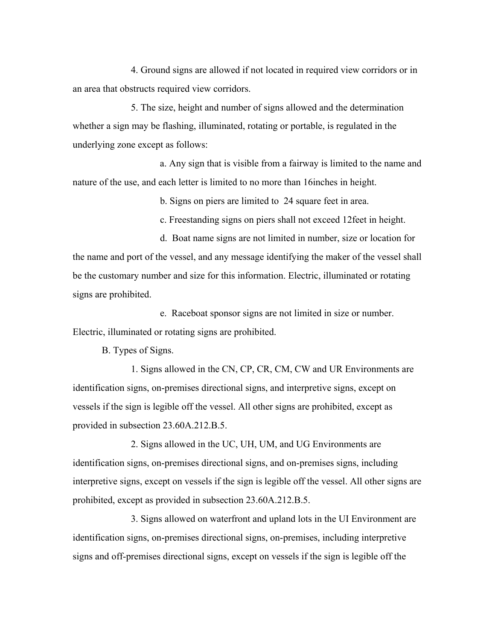4. Ground signs are allowed if not located in required view corridors or in an area that obstructs required view corridors.

5. The size, height and number of signs allowed and the determination whether a sign may be flashing, illuminated, rotating or portable, is regulated in the underlying zone except as follows:

a. Any sign that is visible from a fairway is limited to the name and nature of the use, and each letter is limited to no more than 16inches in height.

b. Signs on piers are limited to 24 square feet in area.

c. Freestanding signs on piers shall not exceed 12feet in height.

d. Boat name signs are not limited in number, size or location for the name and port of the vessel, and any message identifying the maker of the vessel shall be the customary number and size for this information. Electric, illuminated or rotating signs are prohibited.

e. Raceboat sponsor signs are not limited in size or number. Electric, illuminated or rotating signs are prohibited.

B. Types of Signs.

1. Signs allowed in the CN, CP, CR, CM, CW and UR Environments are identification signs, on-premises directional signs, and interpretive signs, except on vessels if the sign is legible off the vessel. All other signs are prohibited, except as provided in subsection 23.60A.212.B.5.

2. Signs allowed in the UC, UH, UM, and UG Environments are identification signs, on-premises directional signs, and on-premises signs, including interpretive signs, except on vessels if the sign is legible off the vessel. All other signs are prohibited, except as provided in subsection 23.60A.212.B.5.

3. Signs allowed on waterfront and upland lots in the UI Environment are identification signs, on-premises directional signs, on-premises, including interpretive signs and off-premises directional signs, except on vessels if the sign is legible off the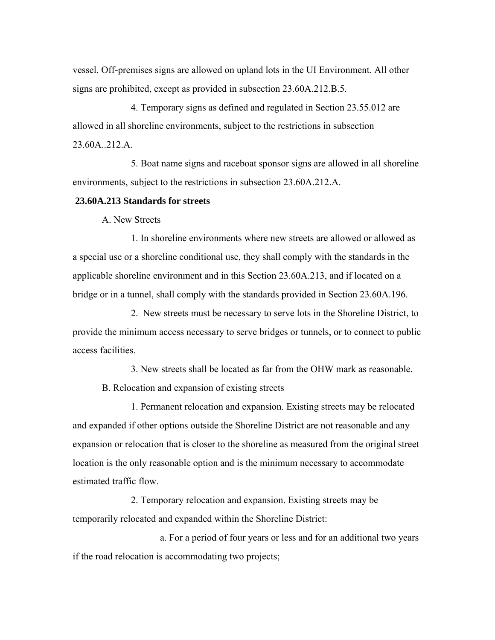vessel. Off-premises signs are allowed on upland lots in the UI Environment. All other signs are prohibited, except as provided in subsection 23.60A.212.B.5.

4. Temporary signs as defined and regulated in Section 23.55.012 are allowed in all shoreline environments, subject to the restrictions in subsection 23.60A..212.A.

5. Boat name signs and raceboat sponsor signs are allowed in all shoreline environments, subject to the restrictions in subsection 23.60A.212.A.

### **23.60A.213 Standards for streets**

A. New Streets

1. In shoreline environments where new streets are allowed or allowed as a special use or a shoreline conditional use, they shall comply with the standards in the applicable shoreline environment and in this Section 23.60A.213, and if located on a bridge or in a tunnel, shall comply with the standards provided in Section 23.60A.196.

2. New streets must be necessary to serve lots in the Shoreline District, to provide the minimum access necessary to serve bridges or tunnels, or to connect to public access facilities.

3. New streets shall be located as far from the OHW mark as reasonable.

B. Relocation and expansion of existing streets

1. Permanent relocation and expansion. Existing streets may be relocated and expanded if other options outside the Shoreline District are not reasonable and any expansion or relocation that is closer to the shoreline as measured from the original street location is the only reasonable option and is the minimum necessary to accommodate estimated traffic flow.

2. Temporary relocation and expansion. Existing streets may be temporarily relocated and expanded within the Shoreline District:

a. For a period of four years or less and for an additional two years if the road relocation is accommodating two projects;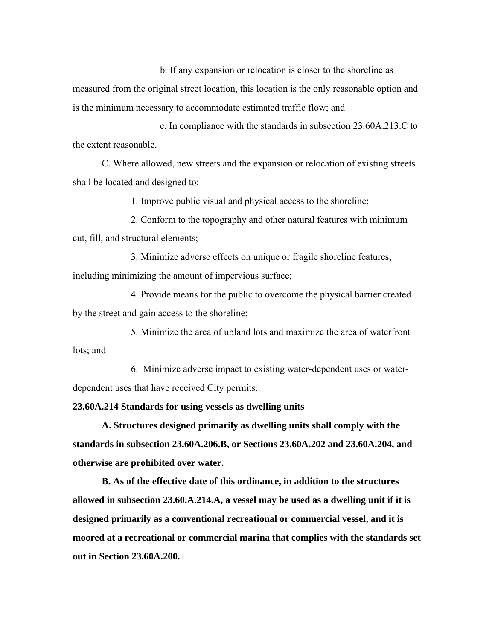b. If any expansion or relocation is closer to the shoreline as measured from the original street location, this location is the only reasonable option and is the minimum necessary to accommodate estimated traffic flow; and

c. In compliance with the standards in subsection 23.60A.213.C to the extent reasonable.

C. Where allowed, new streets and the expansion or relocation of existing streets shall be located and designed to:

1. Improve public visual and physical access to the shoreline;

2. Conform to the topography and other natural features with minimum cut, fill, and structural elements;

3. Minimize adverse effects on unique or fragile shoreline features, including minimizing the amount of impervious surface;

4. Provide means for the public to overcome the physical barrier created by the street and gain access to the shoreline;

5. Minimize the area of upland lots and maximize the area of waterfront lots; and

6. Minimize adverse impact to existing water-dependent uses or waterdependent uses that have received City permits.

**23.60A.214 Standards for using vessels as dwelling units** 

**A. Structures designed primarily as dwelling units shall comply with the standards in subsection 23.60A.206.B, or Sections 23.60A.202 and 23.60A.204, and otherwise are prohibited over water.** 

**B. As of the effective date of this ordinance, in addition to the structures allowed in subsection 23.60.A.214.A, a vessel may be used as a dwelling unit if it is designed primarily as a conventional recreational or commercial vessel, and it is moored at a recreational or commercial marina that complies with the standards set out in Section 23.60A.200.**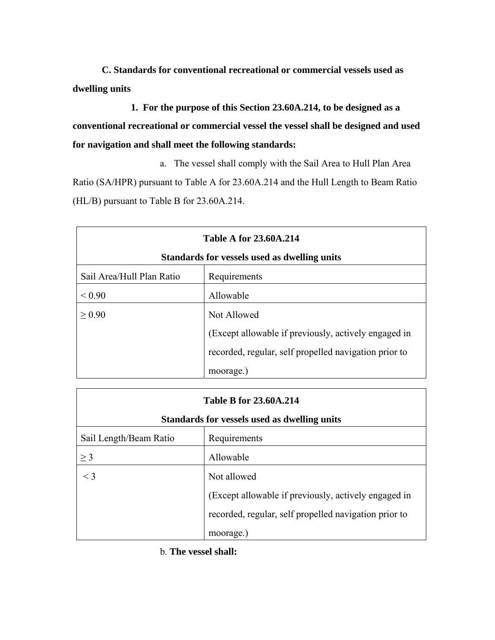**C. Standards for conventional recreational or commercial vessels used as dwelling units**

**1. For the purpose of this Section 23.60A.214, to be designed as a conventional recreational or commercial vessel the vessel shall be designed and used for navigation and shall meet the following standards:**

a. The vessel shall comply with the Sail Area to Hull Plan Area Ratio (SA/HPR) pursuant to Table A for 23.60A.214 and the Hull Length to Beam Ratio (HL/B) pursuant to Table B for 23.60A.214.

|                           | <b>Table A for 23.60A.214</b>                         |
|---------------------------|-------------------------------------------------------|
|                           | Standards for vessels used as dwelling units          |
| Sail Area/Hull Plan Ratio | Requirements                                          |
| ${}_{0.90}$               | Allowable                                             |
| > 0.90                    | Not Allowed                                           |
|                           | (Except allowable if previously, actively engaged in  |
|                           | recorded, regular, self propelled navigation prior to |
|                           | moorage.)                                             |

|                        | <b>Table B for 23.60A.214</b>                         |
|------------------------|-------------------------------------------------------|
|                        | Standards for vessels used as dwelling units          |
| Sail Length/Beam Ratio | Requirements                                          |
| $>$ 3                  | Allowable                                             |
| $\leq$ 3               | Not allowed                                           |
|                        | (Except allowable if previously, actively engaged in  |
|                        | recorded, regular, self propelled navigation prior to |
|                        | moorage.                                              |

b. **The vessel shall:**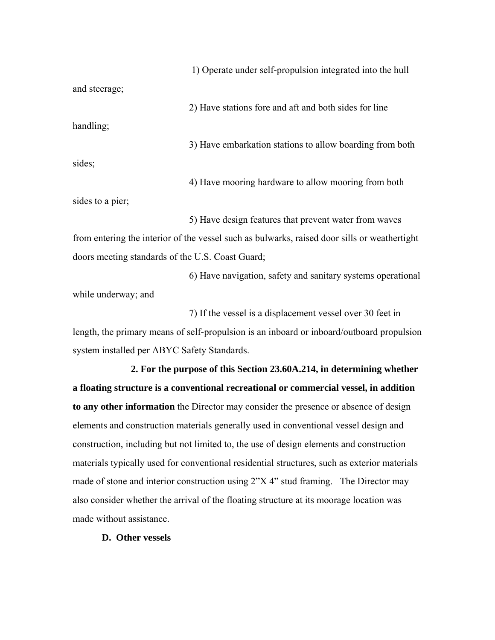1) Operate under self-propulsion integrated into the hull and steerage; 2) Have stations fore and aft and both sides for line handling; 3) Have embarkation stations to allow boarding from both sides;

4) Have mooring hardware to allow mooring from both sides to a pier;

5) Have design features that prevent water from waves from entering the interior of the vessel such as bulwarks, raised door sills or weathertight doors meeting standards of the U.S. Coast Guard;

6) Have navigation, safety and sanitary systems operational while underway; and

7) If the vessel is a displacement vessel over 30 feet in length, the primary means of self-propulsion is an inboard or inboard/outboard propulsion system installed per ABYC Safety Standards.

**2. For the purpose of this Section 23.60A.214, in determining whether a floating structure is a conventional recreational or commercial vessel, in addition to any other information** the Director may consider the presence or absence of design elements and construction materials generally used in conventional vessel design and construction, including but not limited to, the use of design elements and construction materials typically used for conventional residential structures, such as exterior materials made of stone and interior construction using 2"X 4" stud framing. The Director may also consider whether the arrival of the floating structure at its moorage location was made without assistance.

**D. Other vessels**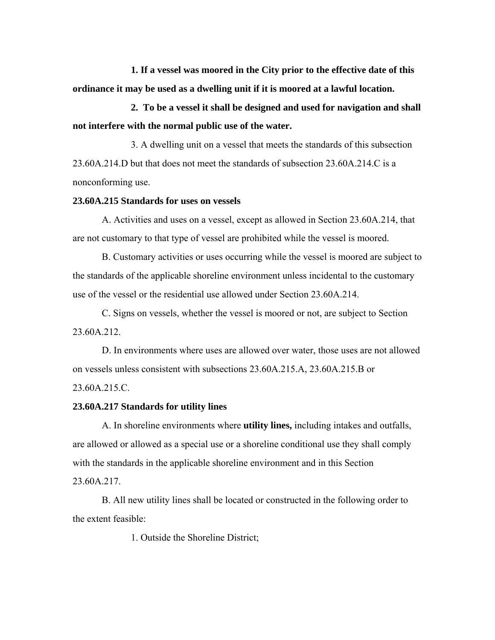**1. If a vessel was moored in the City prior to the effective date of this ordinance it may be used as a dwelling unit if it is moored at a lawful location.** 

**2. To be a vessel it shall be designed and used for navigation and shall not interfere with the normal public use of the water.** 

3. A dwelling unit on a vessel that meets the standards of this subsection 23.60A.214.D but that does not meet the standards of subsection 23.60A.214.C is a nonconforming use.

### **23.60A.215 Standards for uses on vessels**

A. Activities and uses on a vessel, except as allowed in Section 23.60A.214, that are not customary to that type of vessel are prohibited while the vessel is moored.

B. Customary activities or uses occurring while the vessel is moored are subject to the standards of the applicable shoreline environment unless incidental to the customary use of the vessel or the residential use allowed under Section 23.60A.214.

C. Signs on vessels, whether the vessel is moored or not, are subject to Section 23.60A.212.

D. In environments where uses are allowed over water, those uses are not allowed on vessels unless consistent with subsections 23.60A.215.A, 23.60A.215.B or 23.60A.215.C.

## **23.60A.217 Standards for utility lines**

A. In shoreline environments where **utility lines,** including intakes and outfalls, are allowed or allowed as a special use or a shoreline conditional use they shall comply with the standards in the applicable shoreline environment and in this Section 23.60A.217.

B. All new utility lines shall be located or constructed in the following order to the extent feasible:

1. Outside the Shoreline District;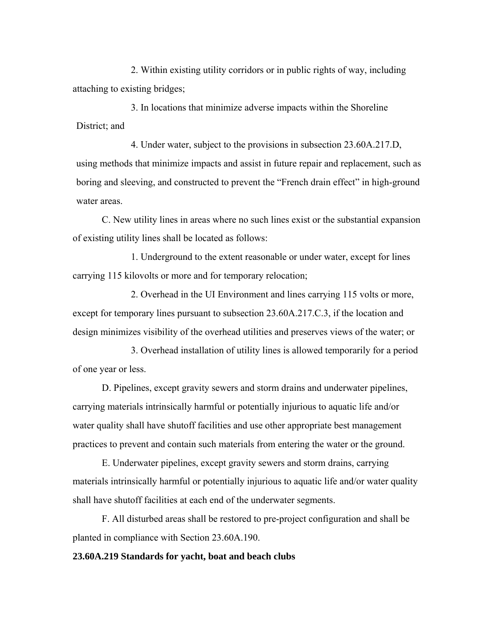2. Within existing utility corridors or in public rights of way, including attaching to existing bridges;

3. In locations that minimize adverse impacts within the Shoreline District; and

4. Under water, subject to the provisions in subsection 23.60A.217.D, using methods that minimize impacts and assist in future repair and replacement, such as boring and sleeving, and constructed to prevent the "French drain effect" in high-ground water areas.

C. New utility lines in areas where no such lines exist or the substantial expansion of existing utility lines shall be located as follows:

1. Underground to the extent reasonable or under water, except for lines carrying 115 kilovolts or more and for temporary relocation;

2. Overhead in the UI Environment and lines carrying 115 volts or more, except for temporary lines pursuant to subsection 23.60A.217.C.3, if the location and design minimizes visibility of the overhead utilities and preserves views of the water; or

3. Overhead installation of utility lines is allowed temporarily for a period of one year or less.

D. Pipelines, except gravity sewers and storm drains and underwater pipelines, carrying materials intrinsically harmful or potentially injurious to aquatic life and/or water quality shall have shutoff facilities and use other appropriate best management practices to prevent and contain such materials from entering the water or the ground.

E. Underwater pipelines, except gravity sewers and storm drains, carrying materials intrinsically harmful or potentially injurious to aquatic life and/or water quality shall have shutoff facilities at each end of the underwater segments.

F. All disturbed areas shall be restored to pre-project configuration and shall be planted in compliance with Section 23.60A.190.

# **23.60A.219 Standards for yacht, boat and beach clubs**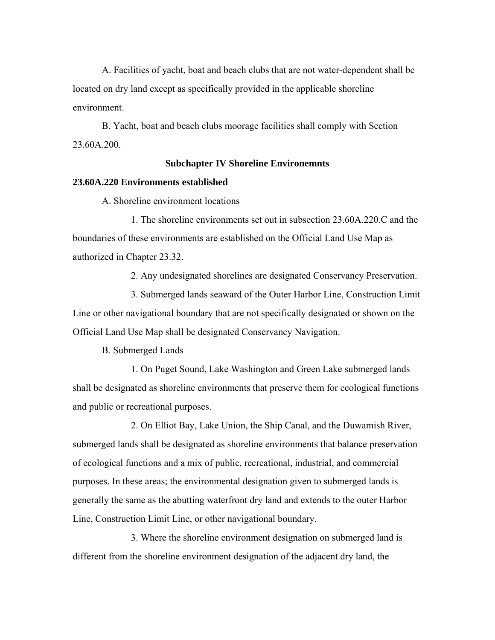A. Facilities of yacht, boat and beach clubs that are not water-dependent shall be located on dry land except as specifically provided in the applicable shoreline environment.

B. Yacht, boat and beach clubs moorage facilities shall comply with Section 23.60A.200.

### **Subchapter IV Shoreline Environemnts**

## **23.60A.220 Environments established**

A. Shoreline environment locations

1. The shoreline environments set out in subsection 23.60A.220.C and the boundaries of these environments are established on the Official Land Use Map as authorized in Chapter 23.32.

2. Any undesignated shorelines are designated Conservancy Preservation.

3. Submerged lands seaward of the Outer Harbor Line, Construction Limit Line or other navigational boundary that are not specifically designated or shown on the Official Land Use Map shall be designated Conservancy Navigation.

B. Submerged Lands

1. On Puget Sound, Lake Washington and Green Lake submerged lands shall be designated as shoreline environments that preserve them for ecological functions and public or recreational purposes.

2. On Elliot Bay, Lake Union, the Ship Canal, and the Duwamish River, submerged lands shall be designated as shoreline environments that balance preservation of ecological functions and a mix of public, recreational, industrial, and commercial purposes. In these areas; the environmental designation given to submerged lands is generally the same as the abutting waterfront dry land and extends to the outer Harbor Line, Construction Limit Line, or other navigational boundary.

3. Where the shoreline environment designation on submerged land is different from the shoreline environment designation of the adjacent dry land, the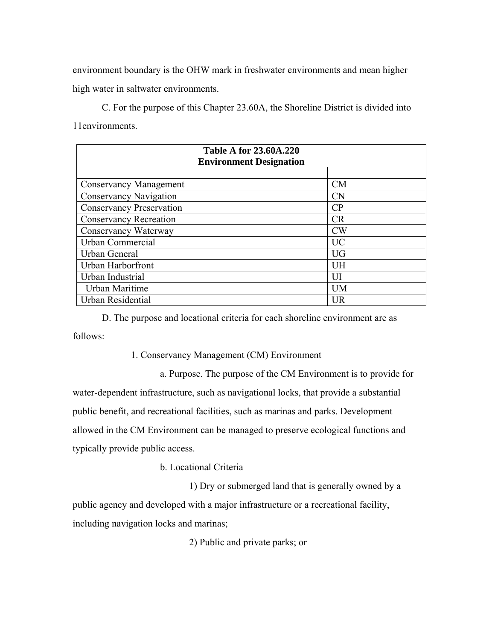environment boundary is the OHW mark in freshwater environments and mean higher high water in saltwater environments.

C. For the purpose of this Chapter 23.60A, the Shoreline District is divided into 11environments.

| <b>Table A for 23.60A.220</b><br><b>Environment Designation</b> |           |
|-----------------------------------------------------------------|-----------|
|                                                                 |           |
| <b>Conservancy Management</b>                                   | CM        |
| <b>Conservancy Navigation</b>                                   | <b>CN</b> |
| <b>Conservancy Preservation</b>                                 | CP        |
| <b>Conservancy Recreation</b>                                   | <b>CR</b> |
| Conservancy Waterway                                            | <b>CW</b> |
| Urban Commercial                                                | <b>UC</b> |
| Urban General                                                   | <b>UG</b> |
| Urban Harborfront                                               | UH        |
| Urban Industrial                                                | UП        |
| Urban Maritime                                                  | <b>UM</b> |
| Urban Residential                                               | UR        |

D. The purpose and locational criteria for each shoreline environment are as follows:

1. Conservancy Management (CM) Environment

a. Purpose. The purpose of the CM Environment is to provide for water-dependent infrastructure, such as navigational locks, that provide a substantial public benefit, and recreational facilities, such as marinas and parks. Development allowed in the CM Environment can be managed to preserve ecological functions and typically provide public access.

b. Locational Criteria

1) Dry or submerged land that is generally owned by a public agency and developed with a major infrastructure or a recreational facility, including navigation locks and marinas;

2) Public and private parks; or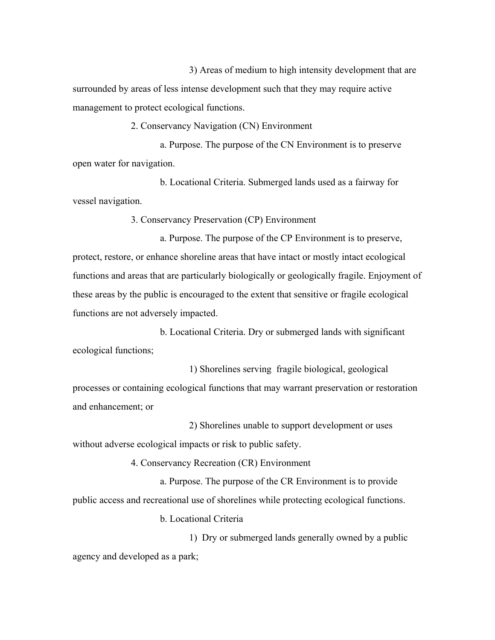3) Areas of medium to high intensity development that are surrounded by areas of less intense development such that they may require active management to protect ecological functions.

2. Conservancy Navigation (CN) Environment

 a. Purpose. The purpose of the CN Environment is to preserve open water for navigation.

b. Locational Criteria. Submerged lands used as a fairway for vessel navigation.

3. Conservancy Preservation (CP) Environment

a. Purpose. The purpose of the CP Environment is to preserve, protect, restore, or enhance shoreline areas that have intact or mostly intact ecological functions and areas that are particularly biologically or geologically fragile. Enjoyment of these areas by the public is encouraged to the extent that sensitive or fragile ecological functions are not adversely impacted.

b. Locational Criteria. Dry or submerged lands with significant ecological functions;

1) Shorelines serving fragile biological, geological processes or containing ecological functions that may warrant preservation or restoration and enhancement; or

2) Shorelines unable to support development or uses without adverse ecological impacts or risk to public safety.

4. Conservancy Recreation (CR) Environment

a. Purpose. The purpose of the CR Environment is to provide public access and recreational use of shorelines while protecting ecological functions.

b. Locational Criteria

1) Dry or submerged lands generally owned by a public agency and developed as a park;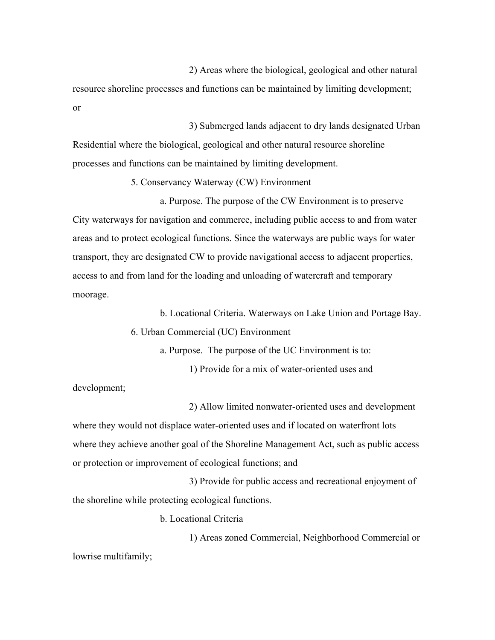2) Areas where the biological, geological and other natural resource shoreline processes and functions can be maintained by limiting development; or

 3) Submerged lands adjacent to dry lands designated Urban Residential where the biological, geological and other natural resource shoreline processes and functions can be maintained by limiting development.

5. Conservancy Waterway (CW) Environment

a. Purpose. The purpose of the CW Environment is to preserve City waterways for navigation and commerce, including public access to and from water areas and to protect ecological functions. Since the waterways are public ways for water transport, they are designated CW to provide navigational access to adjacent properties, access to and from land for the loading and unloading of watercraft and temporary moorage.

b. Locational Criteria. Waterways on Lake Union and Portage Bay.

6. Urban Commercial (UC) Environment

a. Purpose. The purpose of the UC Environment is to:

1) Provide for a mix of water-oriented uses and

development;

2) Allow limited nonwater-oriented uses and development where they would not displace water-oriented uses and if located on waterfront lots where they achieve another goal of the Shoreline Management Act, such as public access or protection or improvement of ecological functions; and

3) Provide for public access and recreational enjoyment of the shoreline while protecting ecological functions.

b. Locational Criteria

1) Areas zoned Commercial, Neighborhood Commercial or lowrise multifamily;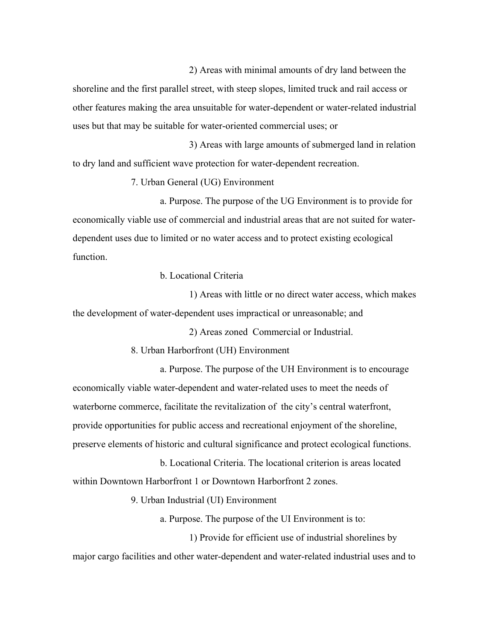2) Areas with minimal amounts of dry land between the shoreline and the first parallel street, with steep slopes, limited truck and rail access or other features making the area unsuitable for water-dependent or water-related industrial uses but that may be suitable for water-oriented commercial uses; or

3) Areas with large amounts of submerged land in relation to dry land and sufficient wave protection for water-dependent recreation.

7. Urban General (UG) Environment

a. Purpose. The purpose of the UG Environment is to provide for economically viable use of commercial and industrial areas that are not suited for waterdependent uses due to limited or no water access and to protect existing ecological function.

b. Locational Criteria

1) Areas with little or no direct water access, which makes the development of water-dependent uses impractical or unreasonable; and

2) Areas zoned Commercial or Industrial.

8. Urban Harborfront (UH) Environment

a. Purpose. The purpose of the UH Environment is to encourage economically viable water-dependent and water-related uses to meet the needs of waterborne commerce, facilitate the revitalization of the city's central waterfront, provide opportunities for public access and recreational enjoyment of the shoreline, preserve elements of historic and cultural significance and protect ecological functions.

b. Locational Criteria. The locational criterion is areas located within Downtown Harborfront 1 or Downtown Harborfront 2 zones.

9. Urban Industrial (UI) Environment

a. Purpose. The purpose of the UI Environment is to:

1) Provide for efficient use of industrial shorelines by

major cargo facilities and other water-dependent and water-related industrial uses and to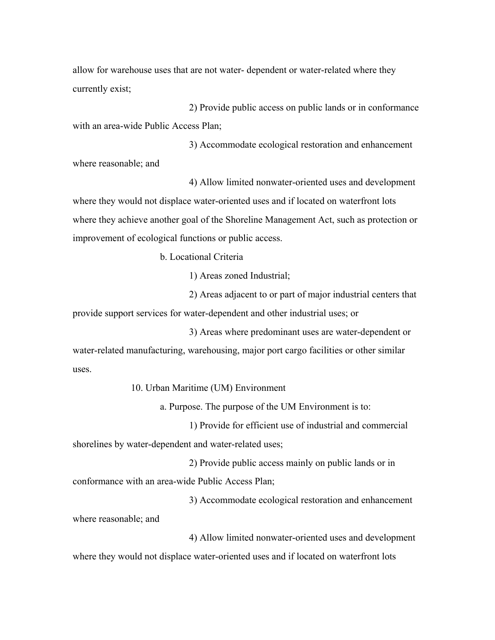allow for warehouse uses that are not water- dependent or water-related where they currently exist;

2) Provide public access on public lands or in conformance with an area-wide Public Access Plan;

3) Accommodate ecological restoration and enhancement where reasonable; and

4) Allow limited nonwater-oriented uses and development where they would not displace water-oriented uses and if located on waterfront lots where they achieve another goal of the Shoreline Management Act, such as protection or improvement of ecological functions or public access.

b. Locational Criteria

1) Areas zoned Industrial;

2) Areas adjacent to or part of major industrial centers that provide support services for water-dependent and other industrial uses; or

3) Areas where predominant uses are water-dependent or water-related manufacturing, warehousing, major port cargo facilities or other similar uses.

10. Urban Maritime (UM) Environment

a. Purpose. The purpose of the UM Environment is to:

1) Provide for efficient use of industrial and commercial shorelines by water-dependent and water-related uses;

2) Provide public access mainly on public lands or in conformance with an area-wide Public Access Plan;

3) Accommodate ecological restoration and enhancement where reasonable; and

4) Allow limited nonwater-oriented uses and development where they would not displace water-oriented uses and if located on waterfront lots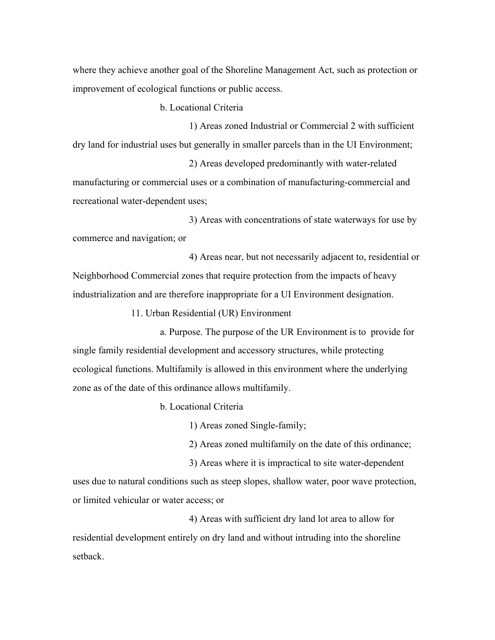where they achieve another goal of the Shoreline Management Act, such as protection or improvement of ecological functions or public access.

b. Locational Criteria

1) Areas zoned Industrial or Commercial 2 with sufficient dry land for industrial uses but generally in smaller parcels than in the UI Environment;

2) Areas developed predominantly with water-related manufacturing or commercial uses or a combination of manufacturing-commercial and recreational water-dependent uses;

3) Areas with concentrations of state waterways for use by commerce and navigation; or

4) Areas near, but not necessarily adjacent to, residential or Neighborhood Commercial zones that require protection from the impacts of heavy industrialization and are therefore inappropriate for a UI Environment designation.

11. Urban Residential (UR) Environment

a. Purpose. The purpose of the UR Environment is to provide for single family residential development and accessory structures, while protecting ecological functions. Multifamily is allowed in this environment where the underlying zone as of the date of this ordinance allows multifamily.

b. Locational Criteria

1) Areas zoned Single-family;

2) Areas zoned multifamily on the date of this ordinance;

3) Areas where it is impractical to site water-dependent uses due to natural conditions such as steep slopes, shallow water, poor wave protection, or limited vehicular or water access; or

4) Areas with sufficient dry land lot area to allow for residential development entirely on dry land and without intruding into the shoreline setback.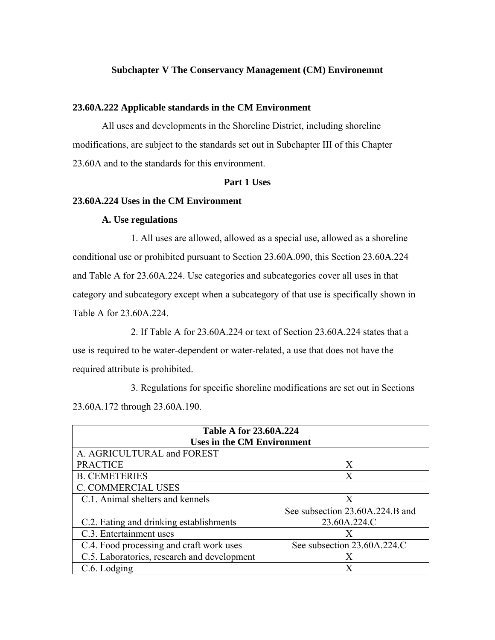# **Subchapter V The Conservancy Management (CM) Environemnt**

# **23.60A.222 Applicable standards in the CM Environment**

All uses and developments in the Shoreline District, including shoreline modifications, are subject to the standards set out in Subchapter III of this Chapter 23.60A and to the standards for this environment.

# **Part 1 Uses**

# **23.60A.224 Uses in the CM Environment**

## **A. Use regulations**

1. All uses are allowed, allowed as a special use, allowed as a shoreline conditional use or prohibited pursuant to Section 23.60A.090, this Section 23.60A.224 and Table A for 23.60A.224. Use categories and subcategories cover all uses in that category and subcategory except when a subcategory of that use is specifically shown in Table A for 23.60A.224.

 2. If Table A for 23.60A.224 or text of Section 23.60A.224 states that a use is required to be water-dependent or water-related, a use that does not have the required attribute is prohibited.

3. Regulations for specific shoreline modifications are set out in Sections 23.60A.172 through 23.60A.190.

| <b>Table A for 23.60A.224</b>               |                                 |
|---------------------------------------------|---------------------------------|
| <b>Uses in the CM Environment</b>           |                                 |
| A. AGRICULTURAL and FOREST                  |                                 |
| <b>PRACTICE</b>                             | X                               |
| <b>B. CEMETERIES</b>                        | X                               |
| <b>C. COMMERCIAL USES</b>                   |                                 |
| C.1. Animal shelters and kennels            | X                               |
|                                             | See subsection 23.60A.224.B and |
| C.2. Eating and drinking establishments     | 23.60A.224.C                    |
| C.3. Entertainment uses                     | X                               |
| C.4. Food processing and craft work uses    | See subsection 23.60A.224.C     |
| C.5. Laboratories, research and development | X                               |
| C.6. Lodging                                | X                               |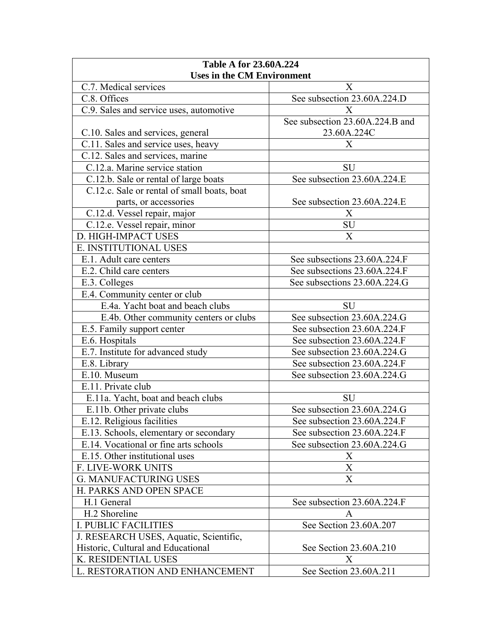| <b>Table A for 23.60A.224</b>               |                                 |
|---------------------------------------------|---------------------------------|
| <b>Uses in the CM Environment</b>           |                                 |
| C.7. Medical services                       | X                               |
| C.8. Offices                                | See subsection 23.60A.224.D     |
| C.9. Sales and service uses, automotive     | X                               |
|                                             | See subsection 23.60A.224.B and |
| C.10. Sales and services, general           | 23.60A.224C                     |
| C.11. Sales and service uses, heavy         | X                               |
| C.12. Sales and services, marine            |                                 |
| C.12.a. Marine service station              | <b>SU</b>                       |
| C.12.b. Sale or rental of large boats       | See subsection 23.60A.224.E     |
| C.12.c. Sale or rental of small boats, boat |                                 |
| parts, or accessories                       | See subsection 23.60A.224.E     |
| C.12.d. Vessel repair, major                | X                               |
| C.12.e. Vessel repair, minor                | SU                              |
| D. HIGH-IMPACT USES                         | X                               |
| E. INSTITUTIONAL USES                       |                                 |
| E.1. Adult care centers                     | See subsections 23.60A.224.F    |
| E.2. Child care centers                     | See subsections 23.60A.224.F    |
| E.3. Colleges                               | See subsections 23.60A.224.G    |
| E.4. Community center or club               |                                 |
| E.4a. Yacht boat and beach clubs            | <b>SU</b>                       |
| E.4b. Other community centers or clubs      | See subsection 23.60A.224.G     |
| E.5. Family support center                  | See subsection 23.60A.224.F     |
| E.6. Hospitals                              | See subsection 23.60A.224.F     |
| E.7. Institute for advanced study           | See subsection 23.60A.224.G     |
| E.8. Library                                | See subsection 23.60A.224.F     |
| E.10. Museum                                | See subsection 23.60A.224.G     |
| E.11. Private club                          |                                 |
| E.11a. Yacht, boat and beach clubs          | <b>SU</b>                       |
| E.11b. Other private clubs                  | See subsection 23.60A.224.G     |
| E.12. Religious facilities                  | See subsection 23.60A.224.F     |
| E.13. Schools, elementary or secondary      | See subsection 23.60A.224.F     |
| E.14. Vocational or fine arts schools       | See subsection 23.60A.224.G     |
| E.15. Other institutional uses              | X                               |
| <b>F. LIVE-WORK UNITS</b>                   | X                               |
| <b>G. MANUFACTURING USES</b>                | X                               |
| H. PARKS AND OPEN SPACE                     |                                 |
| H.1 General                                 | See subsection 23.60A.224.F     |
| H.2 Shoreline                               | A                               |
| <b>I. PUBLIC FACILITIES</b>                 | See Section 23.60A.207          |
| J. RESEARCH USES, Aquatic, Scientific,      |                                 |
| Historic, Cultural and Educational          | See Section 23.60A.210          |
| K. RESIDENTIAL USES                         | Х                               |
| L. RESTORATION AND ENHANCEMENT              | See Section 23.60A.211          |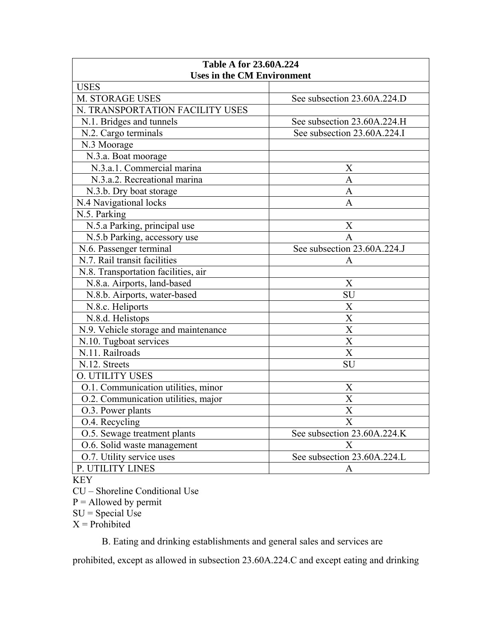| <b>Table A for 23.60A.224</b>              |                             |
|--------------------------------------------|-----------------------------|
| <b>Uses in the CM Environment</b>          |                             |
| <b>USES</b>                                |                             |
| M. STORAGE USES                            | See subsection 23.60A.224.D |
| N. TRANSPORTATION FACILITY USES            |                             |
| N.1. Bridges and tunnels                   | See subsection 23.60A.224.H |
| N.2. Cargo terminals                       | See subsection 23.60A.224.I |
| N.3 Moorage                                |                             |
| N.3.a. Boat moorage                        |                             |
| N.3.a.1. Commercial marina                 | X                           |
| N.3.a.2. Recreational marina               | A                           |
| N.3.b. Dry boat storage                    | A                           |
| N.4 Navigational locks                     | A                           |
| N.5. Parking                               |                             |
| N.5.a Parking, principal use               | X                           |
| N.5.b Parking, accessory use               | $\mathbf{A}$                |
| N.6. Passenger terminal                    | See subsection 23.60A.224.J |
| $\overline{N.7}$ . Rail transit facilities | A                           |
| N.8. Transportation facilities, air        |                             |
| N.8.a. Airports, land-based                | X                           |
| N.8.b. Airports, water-based               | SU                          |
| N.8.c. Heliports                           | X                           |
| N.8.d. Helistops                           | $\overline{\mathbf{X}}$     |
| N.9. Vehicle storage and maintenance       | $\overline{X}$              |
| N.10. Tugboat services                     | $\overline{X}$              |
| N.11. Railroads                            | X                           |
| N.12. Streets                              | SU                          |
| <b>O. UTILITY USES</b>                     |                             |
| O.1. Communication utilities, minor        | X                           |
| O.2. Communication utilities, major        | X                           |
| O.3. Power plants                          | X                           |
| O.4. Recycling                             | Х                           |
| O.5. Sewage treatment plants               | See subsection 23.60A.224.K |
| O.6. Solid waste management                | X                           |
| O.7. Utility service uses                  | See subsection 23.60A.224.L |
| P. UTILITY LINES                           | A                           |
| <b>VEV</b>                                 |                             |

KEY

CU – Shoreline Conditional Use

 $P =$  Allowed by permit

 $SU = Special Use$ 

 $X =$ Prohibited

B. Eating and drinking establishments and general sales and services are

prohibited, except as allowed in subsection 23.60A.224.C and except eating and drinking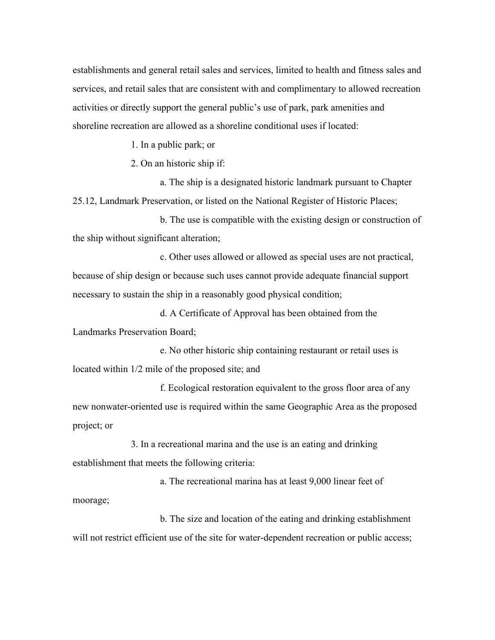establishments and general retail sales and services, limited to health and fitness sales and services, and retail sales that are consistent with and complimentary to allowed recreation activities or directly support the general public's use of park, park amenities and shoreline recreation are allowed as a shoreline conditional uses if located:

1. In a public park; or

2. On an historic ship if:

a. The ship is a designated historic landmark pursuant to Chapter 25.12, Landmark Preservation, or listed on the National Register of Historic Places;

b. The use is compatible with the existing design or construction of the ship without significant alteration;

c. Other uses allowed or allowed as special uses are not practical, because of ship design or because such uses cannot provide adequate financial support necessary to sustain the ship in a reasonably good physical condition;

d. A Certificate of Approval has been obtained from the Landmarks Preservation Board;

e. No other historic ship containing restaurant or retail uses is located within 1/2 mile of the proposed site; and

f. Ecological restoration equivalent to the gross floor area of any new nonwater-oriented use is required within the same Geographic Area as the proposed project; or

3. In a recreational marina and the use is an eating and drinking establishment that meets the following criteria:

a. The recreational marina has at least 9,000 linear feet of moorage;

b. The size and location of the eating and drinking establishment will not restrict efficient use of the site for water-dependent recreation or public access;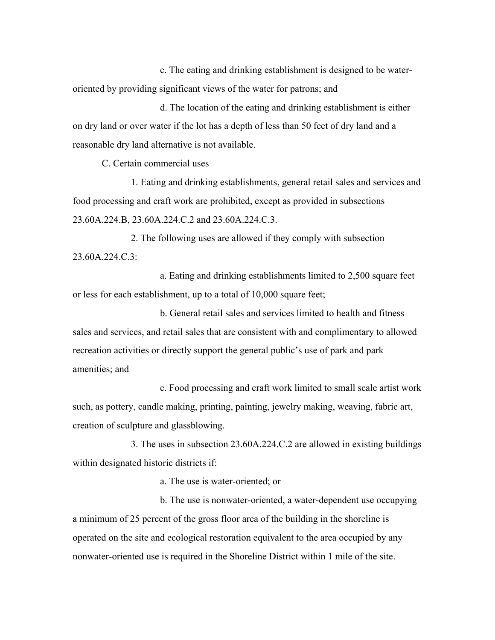c. The eating and drinking establishment is designed to be wateroriented by providing significant views of the water for patrons; and

d. The location of the eating and drinking establishment is either on dry land or over water if the lot has a depth of less than 50 feet of dry land and a reasonable dry land alternative is not available.

C. Certain commercial uses

1. Eating and drinking establishments, general retail sales and services and food processing and craft work are prohibited, except as provided in subsections 23.60A.224.B, 23.60A.224.C.2 and 23.60A.224.C.3.

2. The following uses are allowed if they comply with subsection 23.60A.224.C.3:

a. Eating and drinking establishments limited to 2,500 square feet or less for each establishment, up to a total of 10,000 square feet;

b. General retail sales and services limited to health and fitness sales and services, and retail sales that are consistent with and complimentary to allowed recreation activities or directly support the general public's use of park and park amenities; and

c. Food processing and craft work limited to small scale artist work such, as pottery, candle making, printing, painting, jewelry making, weaving, fabric art, creation of sculpture and glassblowing.

3. The uses in subsection 23.60A.224.C.2 are allowed in existing buildings within designated historic districts if:

a. The use is water-oriented; or

b. The use is nonwater-oriented, a water-dependent use occupying a minimum of 25 percent of the gross floor area of the building in the shoreline is operated on the site and ecological restoration equivalent to the area occupied by any nonwater-oriented use is required in the Shoreline District within 1 mile of the site.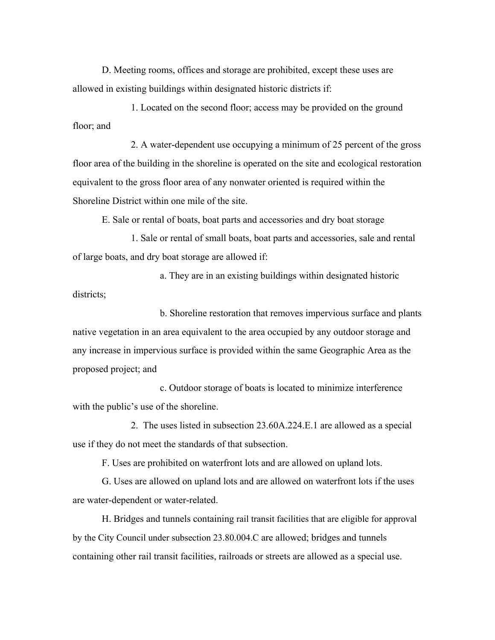D. Meeting rooms, offices and storage are prohibited, except these uses are allowed in existing buildings within designated historic districts if:

1. Located on the second floor; access may be provided on the ground floor; and

2. A water-dependent use occupying a minimum of 25 percent of the gross floor area of the building in the shoreline is operated on the site and ecological restoration equivalent to the gross floor area of any nonwater oriented is required within the Shoreline District within one mile of the site.

E. Sale or rental of boats, boat parts and accessories and dry boat storage

1. Sale or rental of small boats, boat parts and accessories, sale and rental of large boats, and dry boat storage are allowed if:

a. They are in an existing buildings within designated historic districts;

b. Shoreline restoration that removes impervious surface and plants native vegetation in an area equivalent to the area occupied by any outdoor storage and any increase in impervious surface is provided within the same Geographic Area as the proposed project; and

c. Outdoor storage of boats is located to minimize interference with the public's use of the shoreline.

2. The uses listed in subsection 23.60A.224.E.1 are allowed as a special use if they do not meet the standards of that subsection.

F. Uses are prohibited on waterfront lots and are allowed on upland lots.

G. Uses are allowed on upland lots and are allowed on waterfront lots if the uses are water-dependent or water-related.

H. Bridges and tunnels containing rail transit facilities that are eligible for approval by the City Council under subsection 23.80.004.C are allowed; bridges and tunnels containing other rail transit facilities, railroads or streets are allowed as a special use.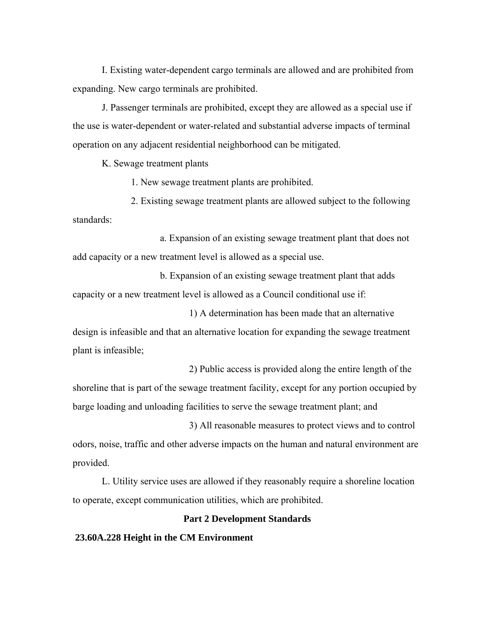I. Existing water-dependent cargo terminals are allowed and are prohibited from expanding. New cargo terminals are prohibited.

J. Passenger terminals are prohibited, except they are allowed as a special use if the use is water-dependent or water-related and substantial adverse impacts of terminal operation on any adjacent residential neighborhood can be mitigated.

K. Sewage treatment plants

1. New sewage treatment plants are prohibited.

2. Existing sewage treatment plants are allowed subject to the following standards:

a. Expansion of an existing sewage treatment plant that does not add capacity or a new treatment level is allowed as a special use.

b. Expansion of an existing sewage treatment plant that adds capacity or a new treatment level is allowed as a Council conditional use if:

1) A determination has been made that an alternative design is infeasible and that an alternative location for expanding the sewage treatment plant is infeasible;

2) Public access is provided along the entire length of the shoreline that is part of the sewage treatment facility, except for any portion occupied by barge loading and unloading facilities to serve the sewage treatment plant; and

3) All reasonable measures to protect views and to control odors, noise, traffic and other adverse impacts on the human and natural environment are provided.

L. Utility service uses are allowed if they reasonably require a shoreline location to operate, except communication utilities, which are prohibited.

#### **Part 2 Development Standards**

#### **23.60A.228 Height in the CM Environment**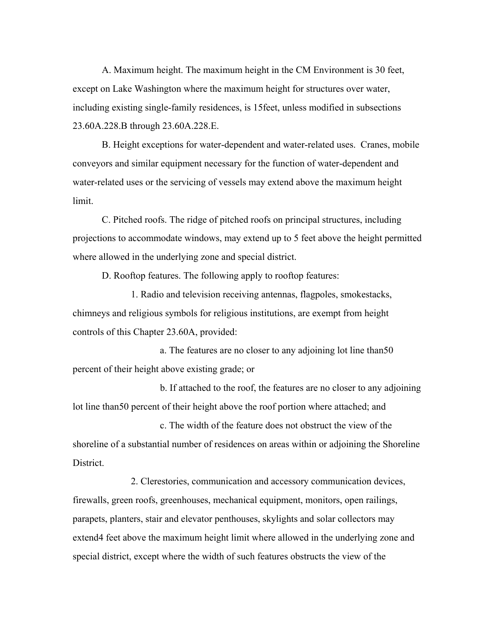A. Maximum height. The maximum height in the CM Environment is 30 feet, except on Lake Washington where the maximum height for structures over water, including existing single-family residences, is 15feet, unless modified in subsections 23.60A.228.B through 23.60A.228.E.

B. Height exceptions for water-dependent and water-related uses. Cranes, mobile conveyors and similar equipment necessary for the function of water-dependent and water-related uses or the servicing of vessels may extend above the maximum height limit.

C. Pitched roofs. The ridge of pitched roofs on principal structures, including projections to accommodate windows, may extend up to 5 feet above the height permitted where allowed in the underlying zone and special district.

D. Rooftop features. The following apply to rooftop features:

1. Radio and television receiving antennas, flagpoles, smokestacks, chimneys and religious symbols for religious institutions, are exempt from height controls of this Chapter 23.60A, provided:

a. The features are no closer to any adjoining lot line than50 percent of their height above existing grade; or

b. If attached to the roof, the features are no closer to any adjoining lot line than50 percent of their height above the roof portion where attached; and

c. The width of the feature does not obstruct the view of the shoreline of a substantial number of residences on areas within or adjoining the Shoreline District.

2. Clerestories, communication and accessory communication devices, firewalls, green roofs, greenhouses, mechanical equipment, monitors, open railings, parapets, planters, stair and elevator penthouses, skylights and solar collectors may extend4 feet above the maximum height limit where allowed in the underlying zone and special district, except where the width of such features obstructs the view of the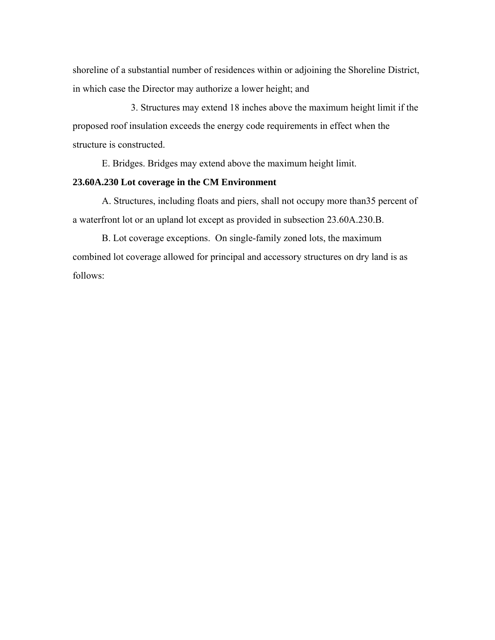shoreline of a substantial number of residences within or adjoining the Shoreline District, in which case the Director may authorize a lower height; and

3. Structures may extend 18 inches above the maximum height limit if the proposed roof insulation exceeds the energy code requirements in effect when the structure is constructed.

E. Bridges. Bridges may extend above the maximum height limit.

# **23.60A.230 Lot coverage in the CM Environment**

A. Structures, including floats and piers, shall not occupy more than35 percent of a waterfront lot or an upland lot except as provided in subsection 23.60A.230.B.

B. Lot coverage exceptions. On single-family zoned lots, the maximum combined lot coverage allowed for principal and accessory structures on dry land is as follows: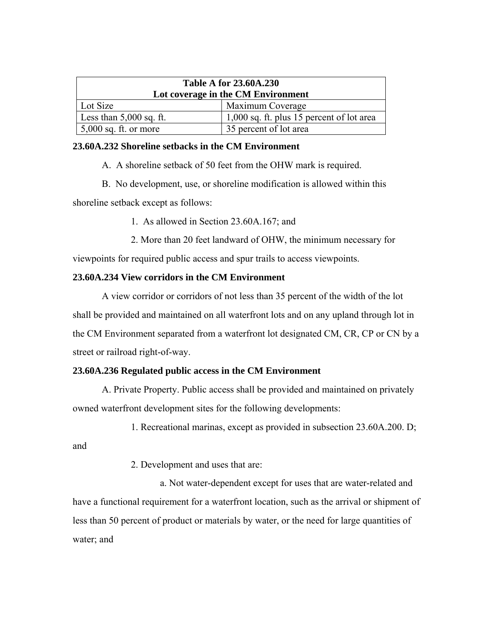|                               | <b>Table A for 23.60A.230</b>             |
|-------------------------------|-------------------------------------------|
|                               | Lot coverage in the CM Environment        |
| Lot Size                      | Maximum Coverage                          |
| Less than $5,000$ sq. ft.     | 1,000 sq. ft. plus 15 percent of lot area |
| $\vert 5,000$ sq. ft. or more | 35 percent of lot area                    |

# **23.60A.232 Shoreline setbacks in the CM Environment**

A. A shoreline setback of 50 feet from the OHW mark is required.

B. No development, use, or shoreline modification is allowed within this shoreline setback except as follows:

1. As allowed in Section 23.60A.167; and

2. More than 20 feet landward of OHW, the minimum necessary for

viewpoints for required public access and spur trails to access viewpoints.

# **23.60A.234 View corridors in the CM Environment**

A view corridor or corridors of not less than 35 percent of the width of the lot shall be provided and maintained on all waterfront lots and on any upland through lot in the CM Environment separated from a waterfront lot designated CM, CR, CP or CN by a street or railroad right-of-way.

# **23.60A.236 Regulated public access in the CM Environment**

A. Private Property. Public access shall be provided and maintained on privately owned waterfront development sites for the following developments:

1. Recreational marinas, except as provided in subsection 23.60A.200. D;

and

2. Development and uses that are:

a. Not water-dependent except for uses that are water-related and have a functional requirement for a waterfront location, such as the arrival or shipment of less than 50 percent of product or materials by water, or the need for large quantities of water; and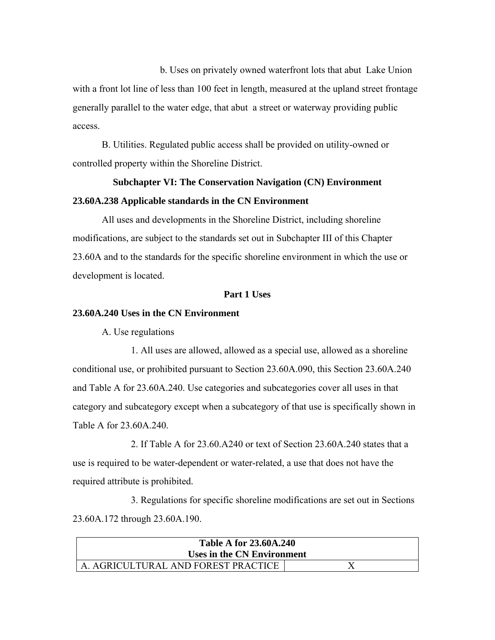b. Uses on privately owned waterfront lots that abut Lake Union with a front lot line of less than 100 feet in length, measured at the upland street frontage generally parallel to the water edge, that abut a street or waterway providing public access.

B. Utilities. Regulated public access shall be provided on utility-owned or controlled property within the Shoreline District.

# **Subchapter VI: The Conservation Navigation (CN) Environment 23.60A.238 Applicable standards in the CN Environment**

All uses and developments in the Shoreline District, including shoreline modifications, are subject to the standards set out in Subchapter III of this Chapter 23.60A and to the standards for the specific shoreline environment in which the use or development is located.

# **Part 1 Uses**

# **23.60A.240 Uses in the CN Environment**

A. Use regulations

1. All uses are allowed, allowed as a special use, allowed as a shoreline conditional use, or prohibited pursuant to Section 23.60A.090, this Section 23.60A.240 and Table A for 23.60A.240. Use categories and subcategories cover all uses in that category and subcategory except when a subcategory of that use is specifically shown in Table A for 23.60A.240.

2. If Table A for 23.60.A240 or text of Section 23.60A.240 states that a use is required to be water-dependent or water-related, a use that does not have the required attribute is prohibited.

3. Regulations for specific shoreline modifications are set out in Sections 23.60A.172 through 23.60A.190.

| <b>Table A for 23.60A.240</b><br>Uses in the CN Environment |  |
|-------------------------------------------------------------|--|
| A. AGRICULTURAL AND FOREST PRACTICE                         |  |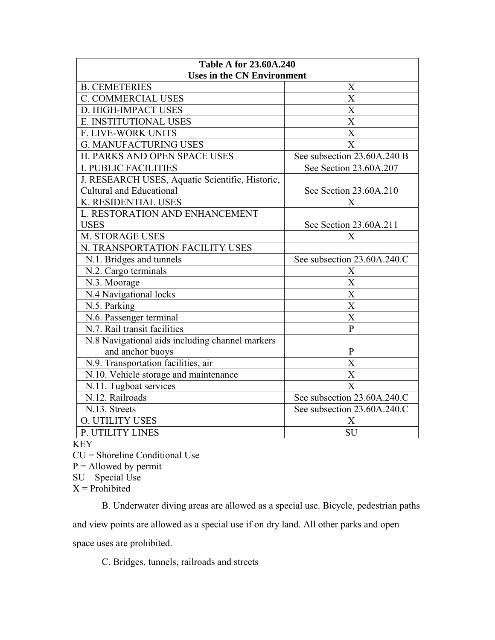| <b>Table A for 23.60A.240</b>                   |                             |
|-------------------------------------------------|-----------------------------|
| <b>Uses in the CN Environment</b>               |                             |
| <b>B. CEMETERIES</b>                            | X                           |
| <b>C. COMMERCIAL USES</b>                       | X                           |
| D. HIGH-IMPACT USES                             | X                           |
| E. INSTITUTIONAL USES                           | $\overline{\mathrm{X}}$     |
| F. LIVE-WORK UNITS                              | $\overline{\text{X}}$       |
| <b>G. MANUFACTURING USES</b>                    | $\overline{\text{X}}$       |
| H. PARKS AND OPEN SPACE USES                    | See subsection 23.60A.240 B |
| <b>I. PUBLIC FACILITIES</b>                     | See Section 23.60A.207      |
| J. RESEARCH USES, Aquatic Scientific, Historic, |                             |
| <b>Cultural and Educational</b>                 | See Section 23.60A.210      |
| K. RESIDENTIAL USES                             | X                           |
| L. RESTORATION AND ENHANCEMENT                  |                             |
| <b>USES</b>                                     | See Section 23.60A.211      |
| <b>M. STORAGE USES</b>                          | X                           |
| N. TRANSPORTATION FACILITY USES                 |                             |
| N.1. Bridges and tunnels                        | See subsection 23.60A.240.C |
| N.2. Cargo terminals                            | X                           |
| N.3. Moorage                                    | $\overline{\text{X}}$       |
| N.4 Navigational locks                          | $\overline{\text{X}}$       |
| N.5. Parking                                    | $\overline{\text{X}}$       |
| N.6. Passenger terminal                         | X                           |
| N.7. Rail transit facilities                    | $\mathbf{P}$                |
| N.8 Navigational aids including channel markers |                             |
| and anchor buoys                                | $\mathbf{P}$                |
| N.9. Transportation facilities, air             | X                           |
| N.10. Vehicle storage and maintenance           | X                           |
| N.11. Tugboat services                          | X                           |
| N.12. Railroads                                 | See subsection 23.60A.240.C |
| N.13. Streets                                   | See subsection 23.60A.240.C |
| <b>O. UTILITY USES</b>                          | X                           |
| P. UTILITY LINES                                | <b>SU</b>                   |

KEY

CU = Shoreline Conditional Use

 $P =$  Allowed by permit

 $SU - Special Use$ 

 $X =$ Prohibited

B. Underwater diving areas are allowed as a special use. Bicycle, pedestrian paths

and view points are allowed as a special use if on dry land. All other parks and open

space uses are prohibited.

C. Bridges, tunnels, railroads and streets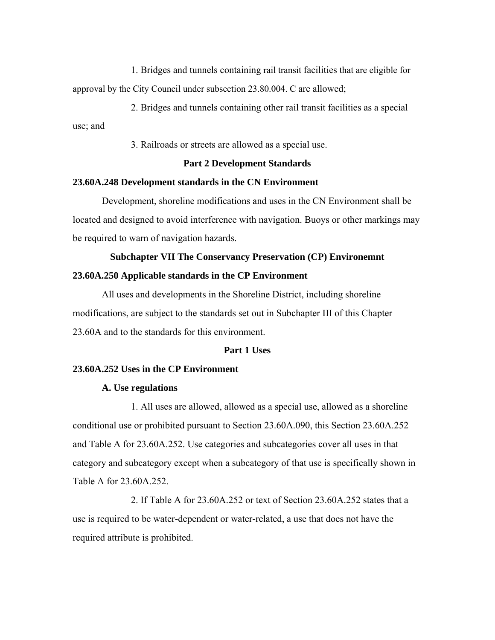1. Bridges and tunnels containing rail transit facilities that are eligible for approval by the City Council under subsection 23.80.004. C are allowed;

2. Bridges and tunnels containing other rail transit facilities as a special use; and

3. Railroads or streets are allowed as a special use.

#### **Part 2 Development Standards**

## **23.60A.248 Development standards in the CN Environment**

Development, shoreline modifications and uses in the CN Environment shall be located and designed to avoid interference with navigation. Buoys or other markings may be required to warn of navigation hazards.

#### **Subchapter VII The Conservancy Preservation (CP) Environemnt**

#### **23.60A.250 Applicable standards in the CP Environment**

All uses and developments in the Shoreline District, including shoreline modifications, are subject to the standards set out in Subchapter III of this Chapter 23.60A and to the standards for this environment.

## **Part 1 Uses**

# **23.60A.252 Uses in the CP Environment**

#### **A. Use regulations**

1. All uses are allowed, allowed as a special use, allowed as a shoreline conditional use or prohibited pursuant to Section 23.60A.090, this Section 23.60A.252 and Table A for 23.60A.252. Use categories and subcategories cover all uses in that category and subcategory except when a subcategory of that use is specifically shown in Table A for 23.60A.252.

2. If Table A for 23.60A.252 or text of Section 23.60A.252 states that a use is required to be water-dependent or water-related, a use that does not have the required attribute is prohibited.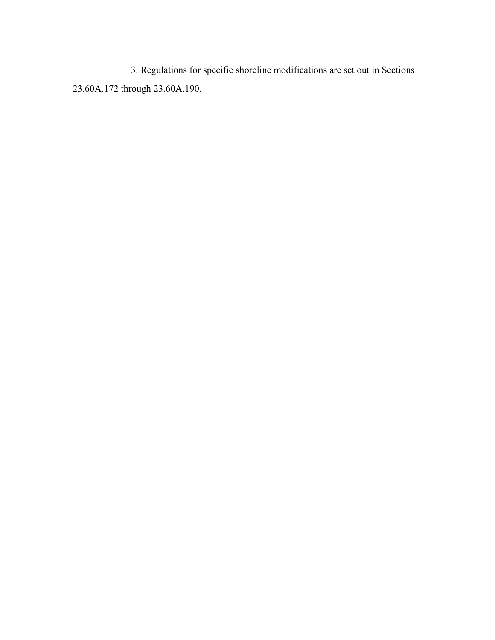3. Regulations for specific shoreline modifications are set out in Sections 23.60A.172 through 23.60A.190.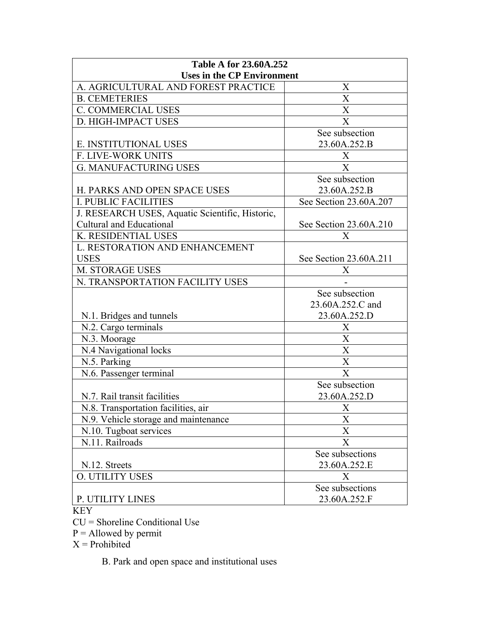| <b>Table A for 23.60A.252</b>                   |                           |
|-------------------------------------------------|---------------------------|
| <b>Uses in the CP Environment</b>               |                           |
| A. AGRICULTURAL AND FOREST PRACTICE             | X                         |
| <b>B. CEMETERIES</b>                            | $\mathbf X$               |
| <b>C. COMMERCIAL USES</b>                       | $\overline{X}$            |
| D. HIGH-IMPACT USES                             | X                         |
|                                                 | See subsection            |
| E. INSTITUTIONAL USES                           | 23.60A.252.B              |
| F. LIVE-WORK UNITS                              | Χ                         |
| <b>G. MANUFACTURING USES</b>                    | X                         |
|                                                 | See subsection            |
| H. PARKS AND OPEN SPACE USES                    | 23.60A.252.B              |
| <b>I. PUBLIC FACILITIES</b>                     | See Section 23.60A.207    |
| J. RESEARCH USES, Aquatic Scientific, Historic, |                           |
| Cultural and Educational                        | See Section 23.60A.210    |
| K. RESIDENTIAL USES                             | X                         |
| L. RESTORATION AND ENHANCEMENT                  |                           |
| <b>USES</b>                                     | See Section 23.60A.211    |
| <b>M. STORAGE USES</b>                          | X                         |
| N. TRANSPORTATION FACILITY USES                 |                           |
|                                                 | See subsection            |
|                                                 | 23.60A.252.C and          |
| N.1. Bridges and tunnels                        | 23.60A.252.D              |
| N.2. Cargo terminals                            | X                         |
| N.3. Moorage                                    | X                         |
| N.4 Navigational locks                          | X                         |
| N.5. Parking                                    | X                         |
| N.6. Passenger terminal                         | X                         |
|                                                 | See subsection            |
| N.7. Rail transit facilities                    | 23.60A.252.D              |
| N.8. Transportation facilities, air             | X                         |
| N.9. Vehicle storage and maintenance            | $\boldsymbol{\mathrm{X}}$ |
| N.10. Tugboat services                          | X                         |
| N.11. Railroads                                 | X                         |
|                                                 | See subsections           |
| N.12. Streets                                   | 23.60A.252.E              |
| <b>O. UTILITY USES</b>                          | X                         |
|                                                 | See subsections           |
| P. UTILITY LINES                                | 23.60A.252.F              |
|                                                 |                           |

KEY

CU = Shoreline Conditional Use

 $P =$  Allowed by permit

 $X =$ Prohibited

B. Park and open space and institutional uses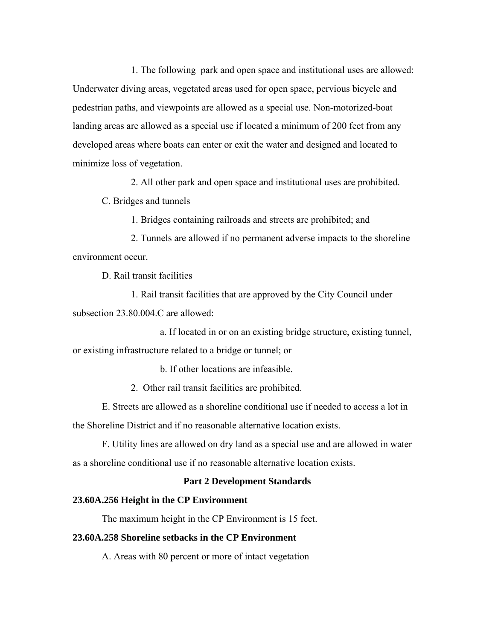1. The following park and open space and institutional uses are allowed: Underwater diving areas, vegetated areas used for open space, pervious bicycle and pedestrian paths, and viewpoints are allowed as a special use. Non-motorized-boat landing areas are allowed as a special use if located a minimum of 200 feet from any developed areas where boats can enter or exit the water and designed and located to minimize loss of vegetation.

2. All other park and open space and institutional uses are prohibited.

C. Bridges and tunnels

1. Bridges containing railroads and streets are prohibited; and

2. Tunnels are allowed if no permanent adverse impacts to the shoreline environment occur.

D. Rail transit facilities

1. Rail transit facilities that are approved by the City Council under subsection 23.80.004.C are allowed:

a. If located in or on an existing bridge structure, existing tunnel, or existing infrastructure related to a bridge or tunnel; or

b. If other locations are infeasible.

2. Other rail transit facilities are prohibited.

E. Streets are allowed as a shoreline conditional use if needed to access a lot in the Shoreline District and if no reasonable alternative location exists.

F. Utility lines are allowed on dry land as a special use and are allowed in water as a shoreline conditional use if no reasonable alternative location exists.

# **Part 2 Development Standards**

## **23.60A.256 Height in the CP Environment**

The maximum height in the CP Environment is 15 feet.

## **23.60A.258 Shoreline setbacks in the CP Environment**

A. Areas with 80 percent or more of intact vegetation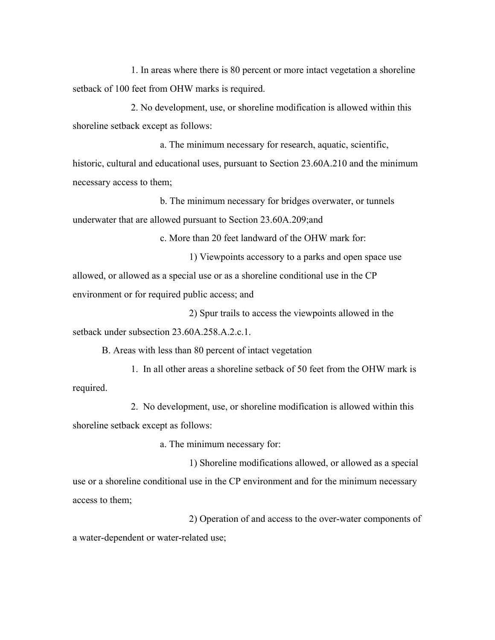1. In areas where there is 80 percent or more intact vegetation a shoreline setback of 100 feet from OHW marks is required.

2. No development, use, or shoreline modification is allowed within this shoreline setback except as follows:

a. The minimum necessary for research, aquatic, scientific, historic, cultural and educational uses, pursuant to Section 23.60A.210 and the minimum necessary access to them;

b. The minimum necessary for bridges overwater, or tunnels underwater that are allowed pursuant to Section 23.60A.209;and

c. More than 20 feet landward of the OHW mark for:

1) Viewpoints accessory to a parks and open space use allowed, or allowed as a special use or as a shoreline conditional use in the CP environment or for required public access; and

2) Spur trails to access the viewpoints allowed in the setback under subsection 23.60A.258.A.2.c.1.

B. Areas with less than 80 percent of intact vegetation

1. In all other areas a shoreline setback of 50 feet from the OHW mark is required.

2. No development, use, or shoreline modification is allowed within this shoreline setback except as follows:

a. The minimum necessary for:

1) Shoreline modifications allowed, or allowed as a special use or a shoreline conditional use in the CP environment and for the minimum necessary access to them;

2) Operation of and access to the over-water components of a water-dependent or water-related use;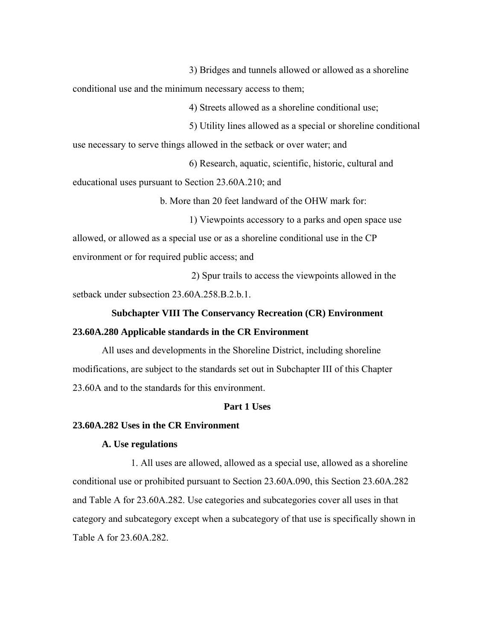3) Bridges and tunnels allowed or allowed as a shoreline

conditional use and the minimum necessary access to them;

4) Streets allowed as a shoreline conditional use;

5) Utility lines allowed as a special or shoreline conditional

use necessary to serve things allowed in the setback or over water; and

6) Research, aquatic, scientific, historic, cultural and

educational uses pursuant to Section 23.60A.210; and

b. More than 20 feet landward of the OHW mark for:

1) Viewpoints accessory to a parks and open space use allowed, or allowed as a special use or as a shoreline conditional use in the CP environment or for required public access; and

 2) Spur trails to access the viewpoints allowed in the setback under subsection 23.60A.258.B.2.b.1.

# **Subchapter VIII The Conservancy Recreation (CR) Environment 23.60A.280 Applicable standards in the CR Environment**

All uses and developments in the Shoreline District, including shoreline modifications, are subject to the standards set out in Subchapter III of this Chapter 23.60A and to the standards for this environment.

## **Part 1 Uses**

## **23.60A.282 Uses in the CR Environment**

# **A. Use regulations**

1. All uses are allowed, allowed as a special use, allowed as a shoreline conditional use or prohibited pursuant to Section 23.60A.090, this Section 23.60A.282 and Table A for 23.60A.282. Use categories and subcategories cover all uses in that category and subcategory except when a subcategory of that use is specifically shown in Table A for 23.60A.282.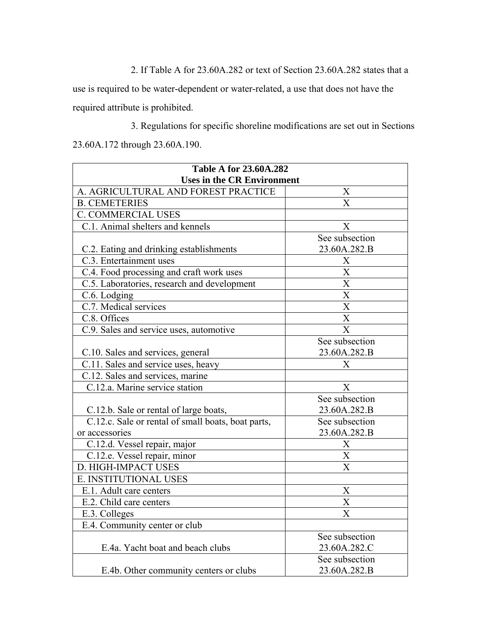2. If Table A for 23.60A.282 or text of Section 23.60A.282 states that a

use is required to be water-dependent or water-related, a use that does not have the required attribute is prohibited.

3. Regulations for specific shoreline modifications are set out in Sections 23.60A.172 through 23.60A.190.

| <b>Table A for 23.60A.282</b>                      |                         |
|----------------------------------------------------|-------------------------|
| <b>Uses in the CR Environment</b>                  |                         |
| A. AGRICULTURAL AND FOREST PRACTICE                | X                       |
| <b>B. CEMETERIES</b>                               | $\overline{\mathrm{X}}$ |
| <b>C. COMMERCIAL USES</b>                          |                         |
| C.1. Animal shelters and kennels                   | X                       |
|                                                    | See subsection          |
| C.2. Eating and drinking establishments            | 23.60A.282.B            |
| C.3. Entertainment uses                            | X                       |
| C.4. Food processing and craft work uses           | $\overline{\text{X}}$   |
| C.5. Laboratories, research and development        | $\overline{\text{X}}$   |
| C.6. Lodging                                       | $\overline{\text{X}}$   |
| C.7. Medical services                              | $\overline{\text{X}}$   |
| C.8. Offices                                       | $\overline{\text{X}}$   |
| C.9. Sales and service uses, automotive            | $\overline{\text{X}}$   |
|                                                    | See subsection          |
| C.10. Sales and services, general                  | 23.60A.282.B            |
| C.11. Sales and service uses, heavy                | X                       |
| C.12. Sales and services, marine                   |                         |
| C.12.a. Marine service station                     | X                       |
|                                                    | See subsection          |
| C.12.b. Sale or rental of large boats,             | 23.60A.282.B            |
| C.12.c. Sale or rental of small boats, boat parts, | See subsection          |
| or accessories                                     | 23.60A.282.B            |
| C.12.d. Vessel repair, major                       | X                       |
| C.12.e. Vessel repair, minor                       | X                       |
| D. HIGH-IMPACT USES                                | $\overline{X}$          |
| E. INSTITUTIONAL USES                              |                         |
| E.1. Adult care centers                            | $\boldsymbol{X}$        |
| E.2. Child care centers                            | $\overline{\text{X}}$   |
| E.3. Colleges                                      | X                       |
| E.4. Community center or club                      |                         |
|                                                    | See subsection          |
| E.4a. Yacht boat and beach clubs                   | 23.60A.282.C            |
|                                                    | See subsection          |
| E.4b. Other community centers or clubs             | 23.60A.282.B            |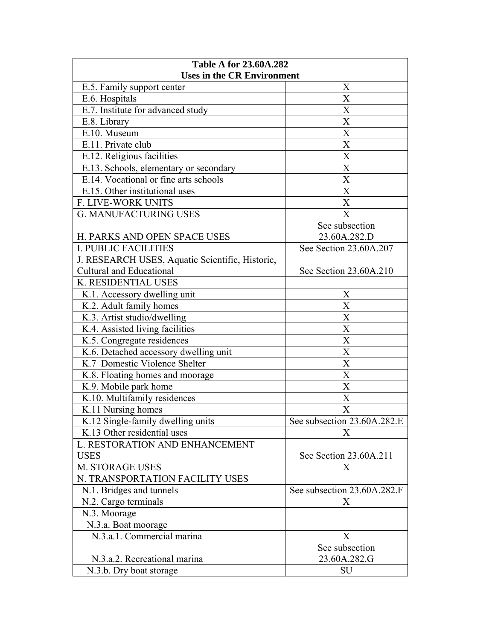| <b>Uses in the CR Environment</b><br>E.5. Family support center<br>X<br>$\mathbf X$<br>E.6. Hospitals<br>X<br>E.7. Institute for advanced study<br>$\mathbf X$<br>E.8. Library<br>$\mathbf X$<br>E.10. Museum<br>$\overline{X}$<br>E.11. Private club<br>$\mathbf X$<br>E.12. Religious facilities<br>X<br>E.13. Schools, elementary or secondary<br>E.14. Vocational or fine arts schools<br>X<br>E.15. Other institutional uses<br>X<br>X<br>F. LIVE-WORK UNITS<br><b>G. MANUFACTURING USES</b><br>X<br>See subsection |
|--------------------------------------------------------------------------------------------------------------------------------------------------------------------------------------------------------------------------------------------------------------------------------------------------------------------------------------------------------------------------------------------------------------------------------------------------------------------------------------------------------------------------|
|                                                                                                                                                                                                                                                                                                                                                                                                                                                                                                                          |
|                                                                                                                                                                                                                                                                                                                                                                                                                                                                                                                          |
|                                                                                                                                                                                                                                                                                                                                                                                                                                                                                                                          |
|                                                                                                                                                                                                                                                                                                                                                                                                                                                                                                                          |
|                                                                                                                                                                                                                                                                                                                                                                                                                                                                                                                          |
|                                                                                                                                                                                                                                                                                                                                                                                                                                                                                                                          |
|                                                                                                                                                                                                                                                                                                                                                                                                                                                                                                                          |
|                                                                                                                                                                                                                                                                                                                                                                                                                                                                                                                          |
|                                                                                                                                                                                                                                                                                                                                                                                                                                                                                                                          |
|                                                                                                                                                                                                                                                                                                                                                                                                                                                                                                                          |
|                                                                                                                                                                                                                                                                                                                                                                                                                                                                                                                          |
|                                                                                                                                                                                                                                                                                                                                                                                                                                                                                                                          |
|                                                                                                                                                                                                                                                                                                                                                                                                                                                                                                                          |
|                                                                                                                                                                                                                                                                                                                                                                                                                                                                                                                          |
| H. PARKS AND OPEN SPACE USES<br>23.60A.282.D                                                                                                                                                                                                                                                                                                                                                                                                                                                                             |
| <b>I. PUBLIC FACILITIES</b><br>See Section 23.60A.207                                                                                                                                                                                                                                                                                                                                                                                                                                                                    |
| J. RESEARCH USES, Aquatic Scientific, Historic,                                                                                                                                                                                                                                                                                                                                                                                                                                                                          |
| <b>Cultural and Educational</b><br>See Section 23.60A.210                                                                                                                                                                                                                                                                                                                                                                                                                                                                |
| K. RESIDENTIAL USES                                                                                                                                                                                                                                                                                                                                                                                                                                                                                                      |
| K.1. Accessory dwelling unit<br>X                                                                                                                                                                                                                                                                                                                                                                                                                                                                                        |
| K.2. Adult family homes<br>X                                                                                                                                                                                                                                                                                                                                                                                                                                                                                             |
| $\mathbf X$<br>K.3. Artist studio/dwelling                                                                                                                                                                                                                                                                                                                                                                                                                                                                               |
| $\overline{X}$<br>K.4. Assisted living facilities                                                                                                                                                                                                                                                                                                                                                                                                                                                                        |
| $\mathbf X$<br>K.5. Congregate residences                                                                                                                                                                                                                                                                                                                                                                                                                                                                                |
| $\overline{X}$<br>K.6. Detached accessory dwelling unit                                                                                                                                                                                                                                                                                                                                                                                                                                                                  |
| $\boldsymbol{\mathrm{X}}$<br>K.7 Domestic Violence Shelter                                                                                                                                                                                                                                                                                                                                                                                                                                                               |
| X<br>K.8. Floating homes and moorage                                                                                                                                                                                                                                                                                                                                                                                                                                                                                     |
| X<br>K.9. Mobile park home                                                                                                                                                                                                                                                                                                                                                                                                                                                                                               |
| K.10. Multifamily residences<br>$\mathbf X$                                                                                                                                                                                                                                                                                                                                                                                                                                                                              |
| K.11 Nursing homes<br>X                                                                                                                                                                                                                                                                                                                                                                                                                                                                                                  |
| K.12 Single-family dwelling units<br>See subsection 23.60A.282.E                                                                                                                                                                                                                                                                                                                                                                                                                                                         |
| K.13 Other residential uses<br>X                                                                                                                                                                                                                                                                                                                                                                                                                                                                                         |
| L. RESTORATION AND ENHANCEMENT                                                                                                                                                                                                                                                                                                                                                                                                                                                                                           |
| <b>USES</b><br>See Section 23.60A.211                                                                                                                                                                                                                                                                                                                                                                                                                                                                                    |
| <b>M. STORAGE USES</b><br>X                                                                                                                                                                                                                                                                                                                                                                                                                                                                                              |
| N. TRANSPORTATION FACILITY USES                                                                                                                                                                                                                                                                                                                                                                                                                                                                                          |
| N.1. Bridges and tunnels<br>See subsection 23.60A.282.F                                                                                                                                                                                                                                                                                                                                                                                                                                                                  |
| N.2. Cargo terminals<br>X                                                                                                                                                                                                                                                                                                                                                                                                                                                                                                |
| N.3. Moorage                                                                                                                                                                                                                                                                                                                                                                                                                                                                                                             |
| N.3.a. Boat moorage                                                                                                                                                                                                                                                                                                                                                                                                                                                                                                      |
| N.3.a.1. Commercial marina<br>X                                                                                                                                                                                                                                                                                                                                                                                                                                                                                          |
| See subsection                                                                                                                                                                                                                                                                                                                                                                                                                                                                                                           |
| N.3.a.2. Recreational marina<br>23.60A.282.G                                                                                                                                                                                                                                                                                                                                                                                                                                                                             |
| N.3.b. Dry boat storage<br>SU                                                                                                                                                                                                                                                                                                                                                                                                                                                                                            |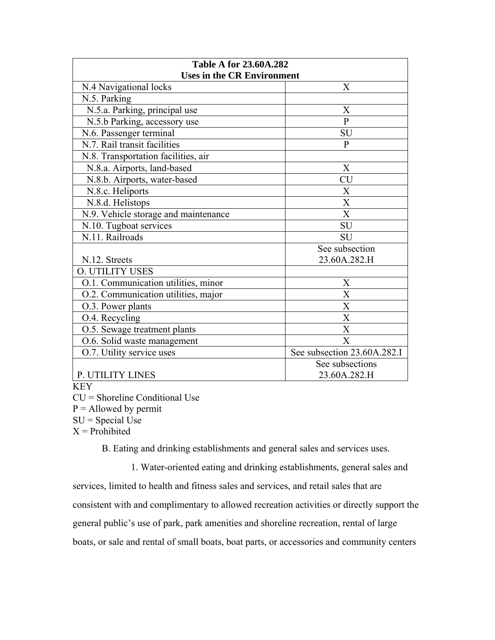| <b>Table A for 23.60A.282</b>                     |                             |
|---------------------------------------------------|-----------------------------|
| <b>Uses in the CR Environment</b>                 |                             |
| N.4 Navigational locks                            | $\mathbf{X}$                |
| N.5. Parking                                      |                             |
| N.5.a. Parking, principal use                     | X                           |
| N.5.b Parking, accessory use                      | $\overline{P}$              |
| N.6. Passenger terminal                           | SU                          |
| N.7. Rail transit facilities                      | $\mathbf{P}$                |
| N.8. Transportation facilities, air               |                             |
| N.8.a. Airports, land-based                       | X                           |
| N.8.b. Airports, water-based                      | <b>CU</b>                   |
| N.8.c. Heliports                                  | X                           |
| N.8.d. Helistops                                  | X                           |
| N.9. Vehicle storage and maintenance              | X                           |
| N.10. Tugboat services                            | SU                          |
| N.11. Railroads                                   | <b>SU</b>                   |
|                                                   | See subsection              |
| N.12. Streets                                     | 23.60A.282.H                |
| <b>O. UTILITY USES</b>                            |                             |
| O.1. Communication utilities, minor               | X                           |
| $\overline{O.2}$ . Communication utilities, major | X                           |
| O.3. Power plants                                 | X                           |
| O.4. Recycling                                    | X                           |
| O.5. Sewage treatment plants                      | X                           |
| O.6. Solid waste management                       | X                           |
| O.7. Utility service uses                         | See subsection 23.60A.282.I |
|                                                   | See subsections             |
| P. UTILITY LINES                                  | 23.60A.282.H                |

KEY

CU = Shoreline Conditional Use

 $P =$  Allowed by permit

 $SU = Special Use$ 

 $X =$ Prohibited

B. Eating and drinking establishments and general sales and services uses.

1. Water-oriented eating and drinking establishments, general sales and services, limited to health and fitness sales and services, and retail sales that are consistent with and complimentary to allowed recreation activities or directly support the general public's use of park, park amenities and shoreline recreation, rental of large boats, or sale and rental of small boats, boat parts, or accessories and community centers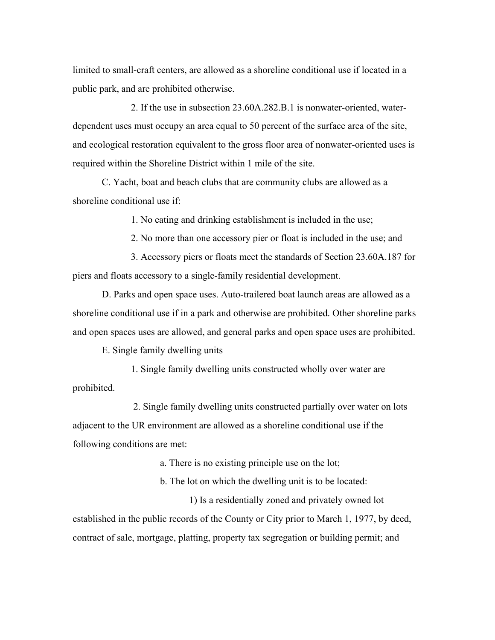limited to small-craft centers, are allowed as a shoreline conditional use if located in a public park, and are prohibited otherwise.

2. If the use in subsection 23.60A.282.B.1 is nonwater-oriented, waterdependent uses must occupy an area equal to 50 percent of the surface area of the site, and ecological restoration equivalent to the gross floor area of nonwater-oriented uses is required within the Shoreline District within 1 mile of the site.

C. Yacht, boat and beach clubs that are community clubs are allowed as a shoreline conditional use if:

1. No eating and drinking establishment is included in the use;

2. No more than one accessory pier or float is included in the use; and

3. Accessory piers or floats meet the standards of Section 23.60A.187 for piers and floats accessory to a single-family residential development.

D. Parks and open space uses. Auto-trailered boat launch areas are allowed as a shoreline conditional use if in a park and otherwise are prohibited. Other shoreline parks and open spaces uses are allowed, and general parks and open space uses are prohibited.

E. Single family dwelling units

1. Single family dwelling units constructed wholly over water are prohibited.

 2. Single family dwelling units constructed partially over water on lots adjacent to the UR environment are allowed as a shoreline conditional use if the following conditions are met:

a. There is no existing principle use on the lot;

b. The lot on which the dwelling unit is to be located:

1) Is a residentially zoned and privately owned lot established in the public records of the County or City prior to March 1, 1977, by deed, contract of sale, mortgage, platting, property tax segregation or building permit; and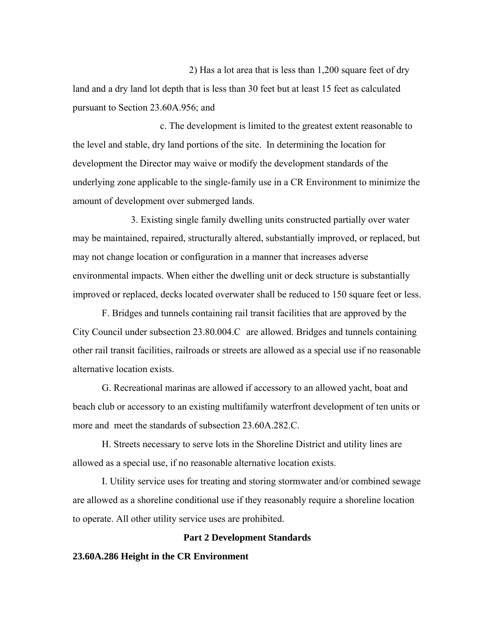2) Has a lot area that is less than 1,200 square feet of dry land and a dry land lot depth that is less than 30 feet but at least 15 feet as calculated pursuant to Section 23.60A.956; and

c. The development is limited to the greatest extent reasonable to the level and stable, dry land portions of the site. In determining the location for development the Director may waive or modify the development standards of the underlying zone applicable to the single-family use in a CR Environment to minimize the amount of development over submerged lands.

3. Existing single family dwelling units constructed partially over water may be maintained, repaired, structurally altered, substantially improved, or replaced, but may not change location or configuration in a manner that increases adverse environmental impacts. When either the dwelling unit or deck structure is substantially improved or replaced, decks located overwater shall be reduced to 150 square feet or less.

F. Bridges and tunnels containing rail transit facilities that are approved by the City Council under subsection 23.80.004.C are allowed. Bridges and tunnels containing other rail transit facilities, railroads or streets are allowed as a special use if no reasonable alternative location exists.

G. Recreational marinas are allowed if accessory to an allowed yacht, boat and beach club or accessory to an existing multifamily waterfront development of ten units or more and meet the standards of subsection 23.60A.282.C.

H. Streets necessary to serve lots in the Shoreline District and utility lines are allowed as a special use, if no reasonable alternative location exists.

I. Utility service uses for treating and storing stormwater and/or combined sewage are allowed as a shoreline conditional use if they reasonably require a shoreline location to operate. All other utility service uses are prohibited.

## **Part 2 Development Standards**

#### **23.60A.286 Height in the CR Environment**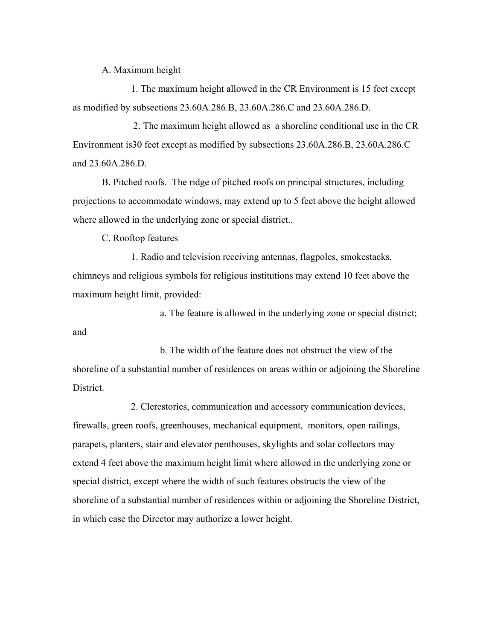#### A. Maximum height

1. The maximum height allowed in the CR Environment is 15 feet except as modified by subsections 23.60A.286.B, 23.60A.286.C and 23.60A.286.D.

 2. The maximum height allowed as a shoreline conditional use in the CR Environment is30 feet except as modified by subsections 23.60A.286.B, 23.60A.286.C and 23.60A.286.D.

B. Pitched roofs. The ridge of pitched roofs on principal structures, including projections to accommodate windows, may extend up to 5 feet above the height allowed where allowed in the underlying zone or special district..

C. Rooftop features

1. Radio and television receiving antennas, flagpoles, smokestacks, chimneys and religious symbols for religious institutions may extend 10 feet above the maximum height limit, provided:

a. The feature is allowed in the underlying zone or special district; and

b. The width of the feature does not obstruct the view of the shoreline of a substantial number of residences on areas within or adjoining the Shoreline District.

2. Clerestories, communication and accessory communication devices, firewalls, green roofs, greenhouses, mechanical equipment, monitors, open railings, parapets, planters, stair and elevator penthouses, skylights and solar collectors may extend 4 feet above the maximum height limit where allowed in the underlying zone or special district, except where the width of such features obstructs the view of the shoreline of a substantial number of residences within or adjoining the Shoreline District, in which case the Director may authorize a lower height.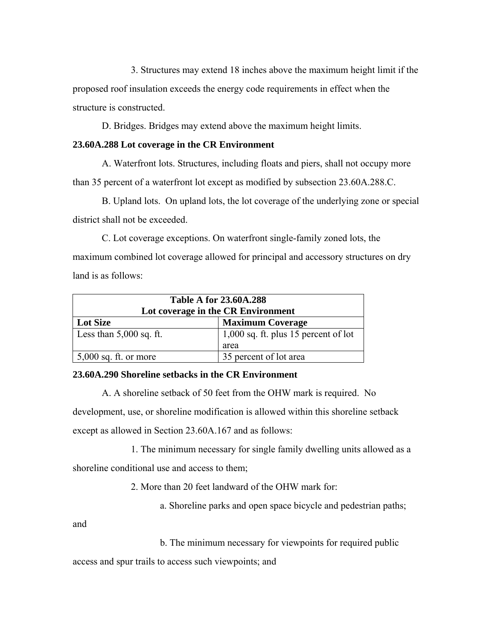3. Structures may extend 18 inches above the maximum height limit if the proposed roof insulation exceeds the energy code requirements in effect when the structure is constructed.

D. Bridges. Bridges may extend above the maximum height limits.

## **23.60A.288 Lot coverage in the CR Environment**

A. Waterfront lots. Structures, including floats and piers, shall not occupy more than 35 percent of a waterfront lot except as modified by subsection 23.60A.288.C.

B. Upland lots. On upland lots, the lot coverage of the underlying zone or special district shall not be exceeded.

C. Lot coverage exceptions. On waterfront single-family zoned lots, the maximum combined lot coverage allowed for principal and accessory structures on dry land is as follows:

| <b>Table A for 23.60A.288</b><br>Lot coverage in the CR Environment |                                                |  |
|---------------------------------------------------------------------|------------------------------------------------|--|
| <b>Lot Size</b>                                                     | <b>Maximum Coverage</b>                        |  |
| Less than $5,000$ sq. ft.                                           | $1,000$ sq. ft. plus 15 percent of lot<br>area |  |
| $5,000$ sq. ft. or more                                             | 35 percent of lot area                         |  |

# **23.60A.290 Shoreline setbacks in the CR Environment**

A. A shoreline setback of 50 feet from the OHW mark is required. No development, use, or shoreline modification is allowed within this shoreline setback except as allowed in Section 23.60A.167 and as follows:

1. The minimum necessary for single family dwelling units allowed as a

shoreline conditional use and access to them;

2. More than 20 feet landward of the OHW mark for:

a. Shoreline parks and open space bicycle and pedestrian paths;

and

b. The minimum necessary for viewpoints for required public

access and spur trails to access such viewpoints; and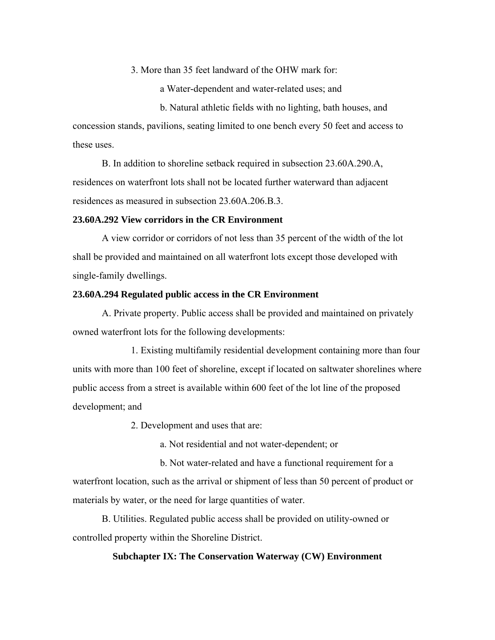3. More than 35 feet landward of the OHW mark for:

a Water-dependent and water-related uses; and

b. Natural athletic fields with no lighting, bath houses, and concession stands, pavilions, seating limited to one bench every 50 feet and access to these uses.

B. In addition to shoreline setback required in subsection 23.60A.290.A, residences on waterfront lots shall not be located further waterward than adjacent residences as measured in subsection 23.60A.206.B.3.

#### **23.60A.292 View corridors in the CR Environment**

A view corridor or corridors of not less than 35 percent of the width of the lot shall be provided and maintained on all waterfront lots except those developed with single-family dwellings.

#### **23.60A.294 Regulated public access in the CR Environment**

A. Private property. Public access shall be provided and maintained on privately owned waterfront lots for the following developments:

1. Existing multifamily residential development containing more than four units with more than 100 feet of shoreline, except if located on saltwater shorelines where public access from a street is available within 600 feet of the lot line of the proposed development; and

2. Development and uses that are:

a. Not residential and not water-dependent; or

b. Not water-related and have a functional requirement for a waterfront location, such as the arrival or shipment of less than 50 percent of product or materials by water, or the need for large quantities of water.

B. Utilities. Regulated public access shall be provided on utility-owned or controlled property within the Shoreline District.

## **Subchapter IX: The Conservation Waterway (CW) Environment**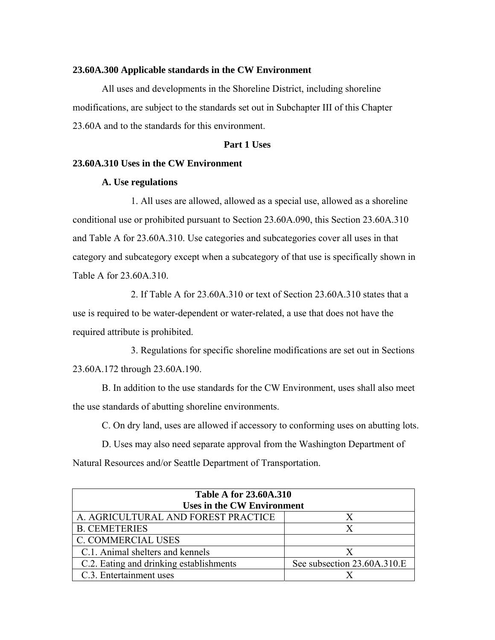#### **23.60A.300 Applicable standards in the CW Environment**

All uses and developments in the Shoreline District, including shoreline modifications, are subject to the standards set out in Subchapter III of this Chapter 23.60A and to the standards for this environment.

## **Part 1 Uses**

#### **23.60A.310 Uses in the CW Environment**

#### **A. Use regulations**

1. All uses are allowed, allowed as a special use, allowed as a shoreline conditional use or prohibited pursuant to Section 23.60A.090, this Section 23.60A.310 and Table A for 23.60A.310. Use categories and subcategories cover all uses in that category and subcategory except when a subcategory of that use is specifically shown in Table A for 23.60A.310.

2. If Table A for 23.60A.310 or text of Section 23.60A.310 states that a use is required to be water-dependent or water-related, a use that does not have the required attribute is prohibited.

3. Regulations for specific shoreline modifications are set out in Sections 23.60A.172 through 23.60A.190.

B. In addition to the use standards for the CW Environment, uses shall also meet the use standards of abutting shoreline environments.

C. On dry land, uses are allowed if accessory to conforming uses on abutting lots.

D. Uses may also need separate approval from the Washington Department of Natural Resources and/or Seattle Department of Transportation.

| <b>Table A for 23.60A.310</b><br><b>Uses in the CW Environment</b> |                             |  |
|--------------------------------------------------------------------|-----------------------------|--|
| A. AGRICULTURAL AND FOREST PRACTICE                                | X                           |  |
| <b>B. CEMETERIES</b>                                               | X                           |  |
| <b>C. COMMERCIAL USES</b>                                          |                             |  |
| C.1. Animal shelters and kennels                                   | X                           |  |
| C.2. Eating and drinking establishments                            | See subsection 23.60A.310.E |  |
| C.3. Entertainment uses                                            |                             |  |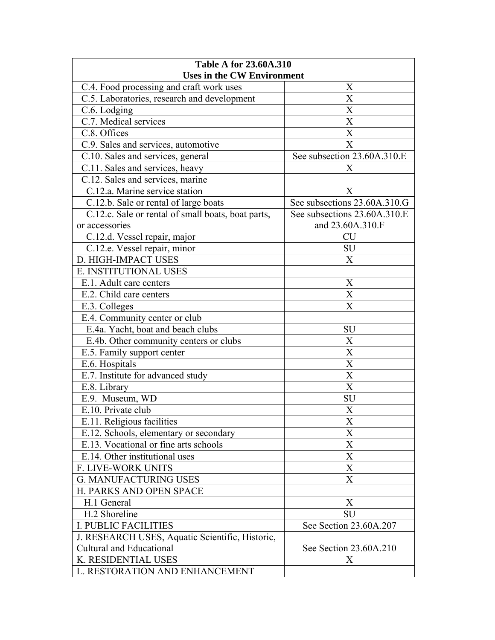| <b>Table A for 23.60A.310</b>                      |                              |  |
|----------------------------------------------------|------------------------------|--|
| <b>Uses in the CW Environment</b>                  |                              |  |
| C.4. Food processing and craft work uses           | X                            |  |
| C.5. Laboratories, research and development        | X                            |  |
| C.6. Lodging                                       | X                            |  |
| C.7. Medical services                              | X                            |  |
| C.8. Offices                                       | X                            |  |
| C.9. Sales and services, automotive                | X                            |  |
| C.10. Sales and services, general                  | See subsection 23.60A.310.E  |  |
| C.11. Sales and services, heavy                    | Χ                            |  |
| C.12. Sales and services, marine                   |                              |  |
| C.12.a. Marine service station                     | X                            |  |
| C.12.b. Sale or rental of large boats              | See subsections 23.60A.310.G |  |
| C.12.c. Sale or rental of small boats, boat parts, | See subsections 23.60A.310.E |  |
| or accessories                                     | and 23.60A.310.F             |  |
| C.12.d. Vessel repair, major                       | <b>CU</b>                    |  |
| C.12.e. Vessel repair, minor                       | <b>SU</b>                    |  |
| D. HIGH-IMPACT USES                                | X                            |  |
| E. INSTITUTIONAL USES                              |                              |  |
| E.1. Adult care centers                            | X                            |  |
| E.2. Child care centers                            | X                            |  |
| E.3. Colleges                                      | X                            |  |
| E.4. Community center or club                      |                              |  |
| E.4a. Yacht, boat and beach clubs                  | SU                           |  |
| E.4b. Other community centers or clubs             | X                            |  |
| E.5. Family support center                         | X                            |  |
| E.6. Hospitals                                     | X                            |  |
| E.7. Institute for advanced study                  | X                            |  |
| E.8. Library                                       | $\overline{\text{X}}$        |  |
| E.9. Museum, WD                                    | SU                           |  |
| E.10. Private club                                 | X                            |  |
| E.11. Religious facilities                         | $\mathbf X$                  |  |
| E.12. Schools, elementary or secondary             | X                            |  |
| E.13. Vocational or fine arts schools              | $\boldsymbol{\mathrm{X}}$    |  |
| E.14. Other institutional uses                     | X                            |  |
| F. LIVE-WORK UNITS                                 | X                            |  |
| <b>G. MANUFACTURING USES</b>                       | X                            |  |
| H. PARKS AND OPEN SPACE                            |                              |  |
| H.1 General                                        | X                            |  |
| H.2 Shoreline                                      | SU                           |  |
| <b>I. PUBLIC FACILITIES</b>                        | See Section 23.60A.207       |  |
| J. RESEARCH USES, Aquatic Scientific, Historic,    |                              |  |
| <b>Cultural and Educational</b>                    | See Section 23.60A.210       |  |
| K. RESIDENTIAL USES                                | X                            |  |
| L. RESTORATION AND ENHANCEMENT                     |                              |  |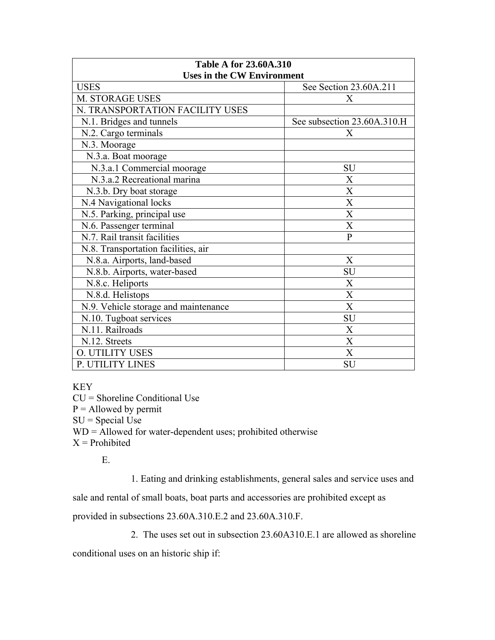| <b>Table A for 23.60A.310</b>        |                             |  |
|--------------------------------------|-----------------------------|--|
| <b>Uses in the CW Environment</b>    |                             |  |
| <b>USES</b>                          | See Section 23.60A.211      |  |
| M. STORAGE USES                      | Χ                           |  |
| N. TRANSPORTATION FACILITY USES      |                             |  |
| N.1. Bridges and tunnels             | See subsection 23.60A.310.H |  |
| N.2. Cargo terminals                 | X                           |  |
| N.3. Moorage                         |                             |  |
| N.3.a. Boat moorage                  |                             |  |
| N.3.a.1 Commercial moorage           | SU                          |  |
| N.3.a.2 Recreational marina          | X                           |  |
| N.3.b. Dry boat storage              | X                           |  |
| N.4 Navigational locks               | X                           |  |
| N.5. Parking, principal use          | X                           |  |
| N.6. Passenger terminal              | $\boldsymbol{\mathrm{X}}$   |  |
| N.7. Rail transit facilities         | $\overline{P}$              |  |
| N.8. Transportation facilities, air  |                             |  |
| N.8.a. Airports, land-based          | X                           |  |
| N.8.b. Airports, water-based         | SU                          |  |
| N.8.c. Heliports                     | X                           |  |
| N.8.d. Helistops                     | $\boldsymbol{\mathrm{X}}$   |  |
| N.9. Vehicle storage and maintenance | X                           |  |
| N.10. Tugboat services               | SU                          |  |
| N.11. Railroads                      | X                           |  |
| N.12. Streets                        | $\boldsymbol{X}$            |  |
| <b>O. UTILITY USES</b>               | X                           |  |
| P. UTILITY LINES                     | SU                          |  |

KEY

CU = Shoreline Conditional Use  $P =$  Allowed by permit  $SU = Special Use$  $WD =$  Allowed for water-dependent uses; prohibited otherwise  $X =$ Prohibited

E.

1. Eating and drinking establishments, general sales and service uses and

sale and rental of small boats, boat parts and accessories are prohibited except as

provided in subsections 23.60A.310.E.2 and 23.60A.310.F.

2. The uses set out in subsection 23.60A310.E.1 are allowed as shoreline

conditional uses on an historic ship if: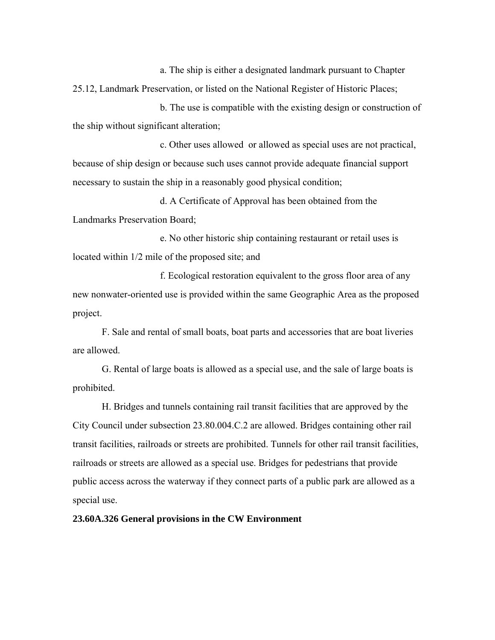a. The ship is either a designated landmark pursuant to Chapter 25.12, Landmark Preservation, or listed on the National Register of Historic Places;

b. The use is compatible with the existing design or construction of the ship without significant alteration;

c. Other uses allowed or allowed as special uses are not practical, because of ship design or because such uses cannot provide adequate financial support necessary to sustain the ship in a reasonably good physical condition;

d. A Certificate of Approval has been obtained from the Landmarks Preservation Board;

e. No other historic ship containing restaurant or retail uses is located within 1/2 mile of the proposed site; and

f. Ecological restoration equivalent to the gross floor area of any new nonwater-oriented use is provided within the same Geographic Area as the proposed project.

F. Sale and rental of small boats, boat parts and accessories that are boat liveries are allowed.

G. Rental of large boats is allowed as a special use, and the sale of large boats is prohibited.

H. Bridges and tunnels containing rail transit facilities that are approved by the City Council under subsection 23.80.004.C.2 are allowed. Bridges containing other rail transit facilities, railroads or streets are prohibited. Tunnels for other rail transit facilities, railroads or streets are allowed as a special use. Bridges for pedestrians that provide public access across the waterway if they connect parts of a public park are allowed as a special use.

**23.60A.326 General provisions in the CW Environment**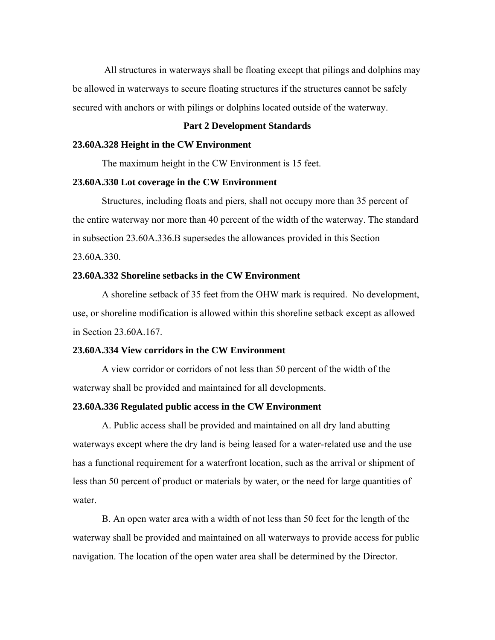All structures in waterways shall be floating except that pilings and dolphins may be allowed in waterways to secure floating structures if the structures cannot be safely secured with anchors or with pilings or dolphins located outside of the waterway.

#### **Part 2 Development Standards**

#### **23.60A.328 Height in the CW Environment**

The maximum height in the CW Environment is 15 feet.

#### **23.60A.330 Lot coverage in the CW Environment**

Structures, including floats and piers, shall not occupy more than 35 percent of the entire waterway nor more than 40 percent of the width of the waterway. The standard in subsection 23.60A.336.B supersedes the allowances provided in this Section 23.60A.330.

## **23.60A.332 Shoreline setbacks in the CW Environment**

A shoreline setback of 35 feet from the OHW mark is required. No development, use, or shoreline modification is allowed within this shoreline setback except as allowed in Section 23.60A.167.

#### **23.60A.334 View corridors in the CW Environment**

A view corridor or corridors of not less than 50 percent of the width of the waterway shall be provided and maintained for all developments.

#### **23.60A.336 Regulated public access in the CW Environment**

A. Public access shall be provided and maintained on all dry land abutting waterways except where the dry land is being leased for a water-related use and the use has a functional requirement for a waterfront location, such as the arrival or shipment of less than 50 percent of product or materials by water, or the need for large quantities of water.

B. An open water area with a width of not less than 50 feet for the length of the waterway shall be provided and maintained on all waterways to provide access for public navigation. The location of the open water area shall be determined by the Director.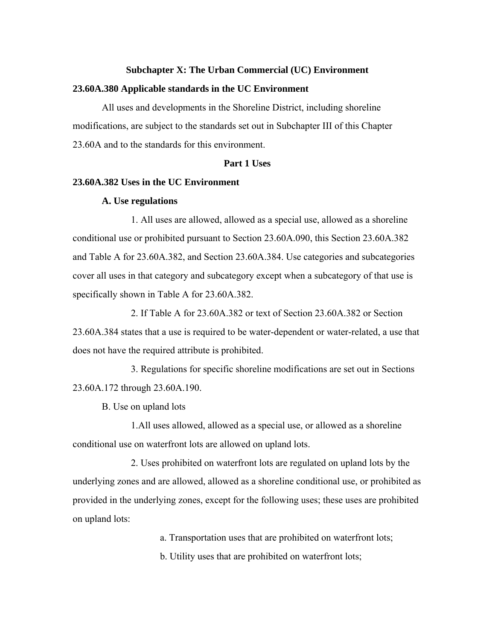#### **Subchapter X: The Urban Commercial (UC) Environment**

#### **23.60A.380 Applicable standards in the UC Environment**

All uses and developments in the Shoreline District, including shoreline modifications, are subject to the standards set out in Subchapter III of this Chapter 23.60A and to the standards for this environment.

#### **Part 1 Uses**

## **23.60A.382 Uses in the UC Environment**

#### **A. Use regulations**

1. All uses are allowed, allowed as a special use, allowed as a shoreline conditional use or prohibited pursuant to Section 23.60A.090, this Section 23.60A.382 and Table A for 23.60A.382, and Section 23.60A.384. Use categories and subcategories cover all uses in that category and subcategory except when a subcategory of that use is specifically shown in Table A for 23.60A.382.

2. If Table A for 23.60A.382 or text of Section 23.60A.382 or Section 23.60A.384 states that a use is required to be water-dependent or water-related, a use that does not have the required attribute is prohibited.

3. Regulations for specific shoreline modifications are set out in Sections 23.60A.172 through 23.60A.190.

B. Use on upland lots

1.All uses allowed, allowed as a special use, or allowed as a shoreline conditional use on waterfront lots are allowed on upland lots.

2. Uses prohibited on waterfront lots are regulated on upland lots by the underlying zones and are allowed, allowed as a shoreline conditional use, or prohibited as provided in the underlying zones, except for the following uses; these uses are prohibited on upland lots:

a. Transportation uses that are prohibited on waterfront lots;

b. Utility uses that are prohibited on waterfront lots;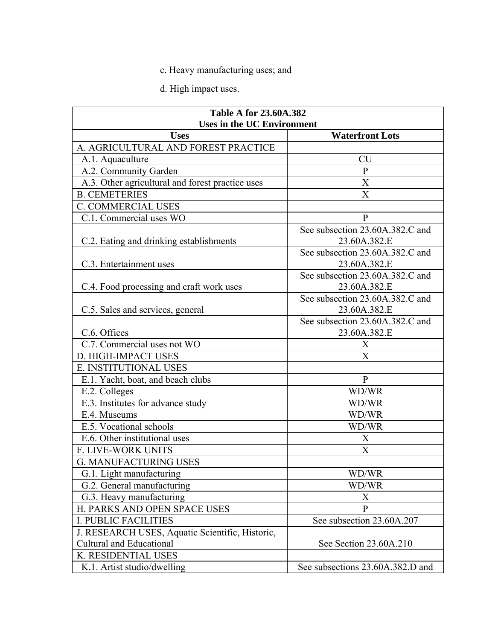# c. Heavy manufacturing uses; and

d. High impact uses.

| <b>Table A for 23.60A.382</b>                    |                                                 |  |
|--------------------------------------------------|-------------------------------------------------|--|
| <b>Uses in the UC Environment</b>                |                                                 |  |
| <b>Uses</b>                                      | <b>Waterfront Lots</b>                          |  |
| A. AGRICULTURAL AND FOREST PRACTICE              |                                                 |  |
| A.1. Aquaculture                                 | <b>CU</b>                                       |  |
| A.2. Community Garden                            | $\mathbf{P}$                                    |  |
| A.3. Other agricultural and forest practice uses | X                                               |  |
| <b>B. CEMETERIES</b>                             | X                                               |  |
| <b>C. COMMERCIAL USES</b>                        |                                                 |  |
| C.1. Commercial uses WO                          | $\mathbf{P}$                                    |  |
| C.2. Eating and drinking establishments          | See subsection 23.60A.382.C and<br>23.60A.382.E |  |
| C.3. Entertainment uses                          | See subsection 23.60A.382.C and<br>23.60A.382.E |  |
| C.4. Food processing and craft work uses         | See subsection 23.60A.382.C and<br>23.60A.382.E |  |
|                                                  | See subsection 23.60A.382.C and                 |  |
| C.5. Sales and services, general                 | 23.60A.382.E                                    |  |
|                                                  | See subsection 23.60A.382.C and                 |  |
| C.6. Offices                                     | 23.60A.382.E                                    |  |
| C.7. Commercial uses not WO                      | X                                               |  |
| D. HIGH-IMPACT USES                              | X                                               |  |
| E. INSTITUTIONAL USES                            |                                                 |  |
| E.1. Yacht, boat, and beach clubs                | $\mathbf{P}$                                    |  |
| E.2. Colleges                                    | WD/WR                                           |  |
| E.3. Institutes for advance study                | WD/WR                                           |  |
| E.4. Museums                                     | WD/WR                                           |  |
| E.5. Vocational schools                          | WD/WR                                           |  |
| E.6. Other institutional uses                    | X                                               |  |
| F. LIVE-WORK UNITS                               | X                                               |  |
| <b>G. MANUFACTURING USES</b>                     |                                                 |  |
| G.1. Light manufacturing                         | WD/WR                                           |  |
| G.2. General manufacturing                       | WD/WR                                           |  |
| G.3. Heavy manufacturing                         | X                                               |  |
| H. PARKS AND OPEN SPACE USES                     | $\mathbf{P}$                                    |  |
| <b>I. PUBLIC FACILITIES</b>                      | See subsection 23.60A.207                       |  |
| J. RESEARCH USES, Aquatic Scientific, Historic,  |                                                 |  |
| <b>Cultural and Educational</b>                  | See Section 23.60A.210                          |  |
| K. RESIDENTIAL USES                              |                                                 |  |
| K.1. Artist studio/dwelling                      | See subsections 23.60A.382.D and                |  |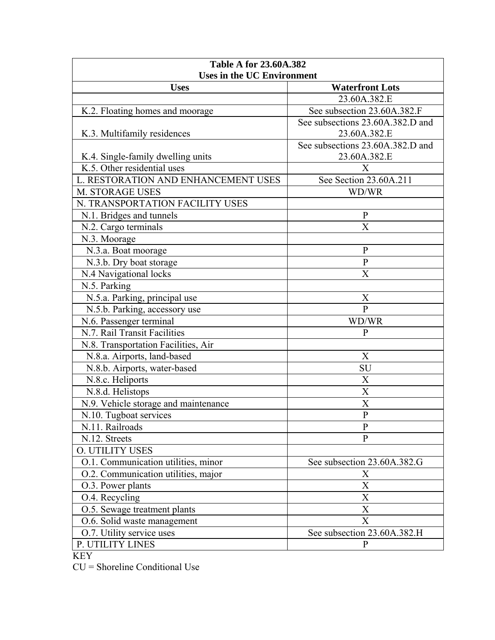| <b>Table A for 23.60A.382</b><br><b>Uses in the UC Environment</b> |                                                  |  |
|--------------------------------------------------------------------|--------------------------------------------------|--|
|                                                                    |                                                  |  |
| <b>Uses</b>                                                        | <b>Waterfront Lots</b><br>23.60A.382.E           |  |
|                                                                    |                                                  |  |
| K.2. Floating homes and moorage                                    | See subsection 23.60A.382.F                      |  |
|                                                                    | See subsections 23.60A.382.D and                 |  |
| K.3. Multifamily residences                                        | 23.60A.382.E                                     |  |
| K.4. Single-family dwelling units                                  | See subsections 23.60A.382.D and<br>23.60A.382.E |  |
| K.5. Other residential uses                                        | Х                                                |  |
| L. RESTORATION AND ENHANCEMENT USES                                | See Section 23.60A.211                           |  |
| M. STORAGE USES                                                    | WD/WR                                            |  |
| N. TRANSPORTATION FACILITY USES                                    |                                                  |  |
| N.1. Bridges and tunnels                                           | $\mathbf{P}$                                     |  |
| N.2. Cargo terminals                                               | X                                                |  |
| N.3. Moorage                                                       |                                                  |  |
| N.3.a. Boat moorage                                                | $\mathbf{P}$                                     |  |
| N.3.b. Dry boat storage                                            | $\mathbf{P}$                                     |  |
| N.4 Navigational locks                                             | X                                                |  |
| N.5. Parking                                                       |                                                  |  |
| N.5.a. Parking, principal use                                      | X                                                |  |
| N.5.b. Parking, accessory use                                      | $\overline{P}$                                   |  |
| N.6. Passenger terminal                                            | WD/WR                                            |  |
| N.7. Rail Transit Facilities                                       | P                                                |  |
| N.8. Transportation Facilities, Air                                |                                                  |  |
| N.8.a. Airports, land-based                                        | X                                                |  |
| N.8.b. Airports, water-based                                       | <b>SU</b>                                        |  |
| N.8.c. Heliports                                                   | X                                                |  |
| N.8.d. Helistops                                                   | X                                                |  |
| N.9. Vehicle storage and maintenance                               | X                                                |  |
| N.10. Tugboat services                                             | $\overline{P}$                                   |  |
| N.11. Railroads                                                    | $\mathbf{P}$                                     |  |
| N.12. Streets                                                      | P                                                |  |
| <b>O. UTILITY USES</b>                                             |                                                  |  |
| O.1. Communication utilities, minor                                | See subsection 23.60A.382.G                      |  |
| O.2. Communication utilities, major                                | Х                                                |  |
| O.3. Power plants                                                  | $\overline{X}$                                   |  |
| O.4. Recycling                                                     | X                                                |  |
| O.5. Sewage treatment plants                                       | X                                                |  |
| O.6. Solid waste management                                        | $\overline{X}$                                   |  |
| O.7. Utility service uses                                          | See subsection 23.60A.382.H                      |  |
| P. UTILITY LINES                                                   | $\mathbf{P}$                                     |  |

CU = Shoreline Conditional Use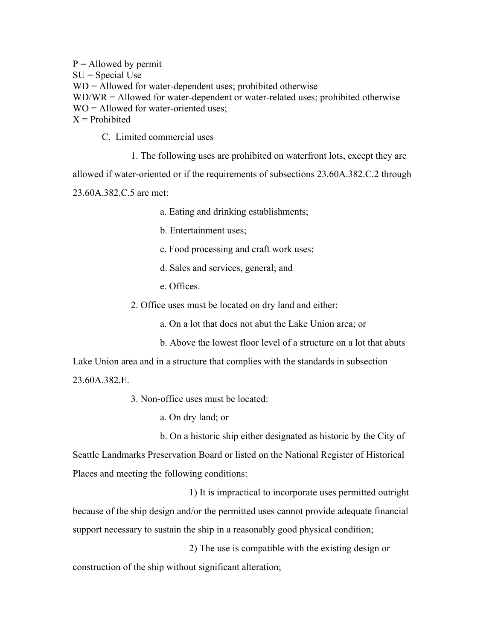$P =$  Allowed by permit  $SU = Special Use$ WD = Allowed for water-dependent uses; prohibited otherwise WD/WR = Allowed for water-dependent or water-related uses; prohibited otherwise  $WO =$  Allowed for water-oriented uses:  $X =$ Prohibited

C. Limited commercial uses

1. The following uses are prohibited on waterfront lots, except they are

allowed if water-oriented or if the requirements of subsections 23.60A.382.C.2 through

23.60A.382.C.5 are met:

a. Eating and drinking establishments;

b. Entertainment uses;

c. Food processing and craft work uses;

d. Sales and services, general; and

e. Offices.

2. Office uses must be located on dry land and either:

a. On a lot that does not abut the Lake Union area; or

b. Above the lowest floor level of a structure on a lot that abuts

Lake Union area and in a structure that complies with the standards in subsection 23.60A.382.E.

3. Non-office uses must be located:

a. On dry land; or

b. On a historic ship either designated as historic by the City of Seattle Landmarks Preservation Board or listed on the National Register of Historical Places and meeting the following conditions:

1) It is impractical to incorporate uses permitted outright because of the ship design and/or the permitted uses cannot provide adequate financial support necessary to sustain the ship in a reasonably good physical condition;

2) The use is compatible with the existing design or construction of the ship without significant alteration;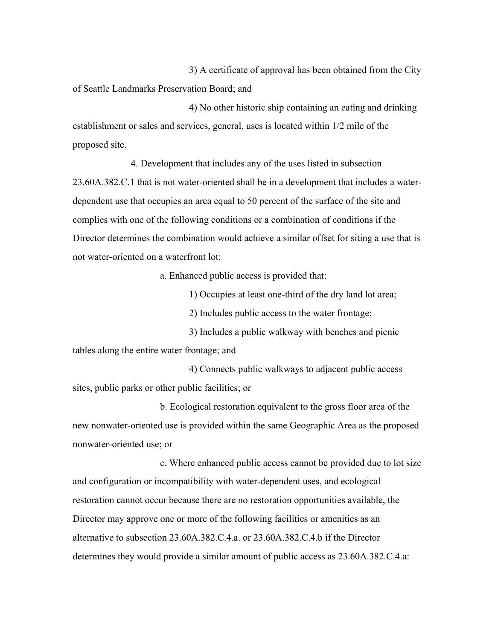3) A certificate of approval has been obtained from the City of Seattle Landmarks Preservation Board; and

4) No other historic ship containing an eating and drinking establishment or sales and services, general, uses is located within 1/2 mile of the proposed site.

4. Development that includes any of the uses listed in subsection 23.60A.382.C.1 that is not water-oriented shall be in a development that includes a waterdependent use that occupies an area equal to 50 percent of the surface of the site and complies with one of the following conditions or a combination of conditions if the Director determines the combination would achieve a similar offset for siting a use that is not water-oriented on a waterfront lot:

a. Enhanced public access is provided that:

1) Occupies at least one-third of the dry land lot area;

2) Includes public access to the water frontage;

3) Includes a public walkway with benches and picnic tables along the entire water frontage; and

4) Connects public walkways to adjacent public access sites, public parks or other public facilities; or

b. Ecological restoration equivalent to the gross floor area of the new nonwater-oriented use is provided within the same Geographic Area as the proposed nonwater-oriented use; or

c. Where enhanced public access cannot be provided due to lot size and configuration or incompatibility with water-dependent uses, and ecological restoration cannot occur because there are no restoration opportunities available, the Director may approve one or more of the following facilities or amenities as an alternative to subsection 23.60A.382.C.4.a. or 23.60A.382.C.4.b if the Director determines they would provide a similar amount of public access as 23.60A.382.C.4.a: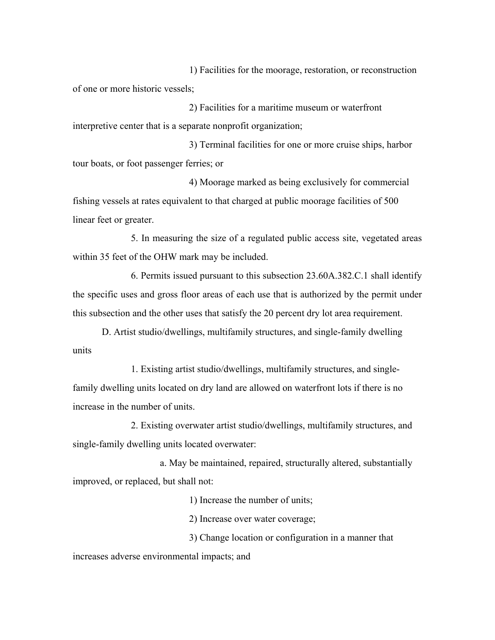1) Facilities for the moorage, restoration, or reconstruction of one or more historic vessels;

2) Facilities for a maritime museum or waterfront interpretive center that is a separate nonprofit organization;

3) Terminal facilities for one or more cruise ships, harbor tour boats, or foot passenger ferries; or

4) Moorage marked as being exclusively for commercial fishing vessels at rates equivalent to that charged at public moorage facilities of 500 linear feet or greater.

5. In measuring the size of a regulated public access site, vegetated areas within 35 feet of the OHW mark may be included.

6. Permits issued pursuant to this subsection 23.60A.382.C.1 shall identify the specific uses and gross floor areas of each use that is authorized by the permit under this subsection and the other uses that satisfy the 20 percent dry lot area requirement.

D. Artist studio/dwellings, multifamily structures, and single-family dwelling units

1. Existing artist studio/dwellings, multifamily structures, and singlefamily dwelling units located on dry land are allowed on waterfront lots if there is no increase in the number of units.

2. Existing overwater artist studio/dwellings, multifamily structures, and single-family dwelling units located overwater:

a. May be maintained, repaired, structurally altered, substantially improved, or replaced, but shall not:

1) Increase the number of units;

2) Increase over water coverage;

3) Change location or configuration in a manner that

increases adverse environmental impacts; and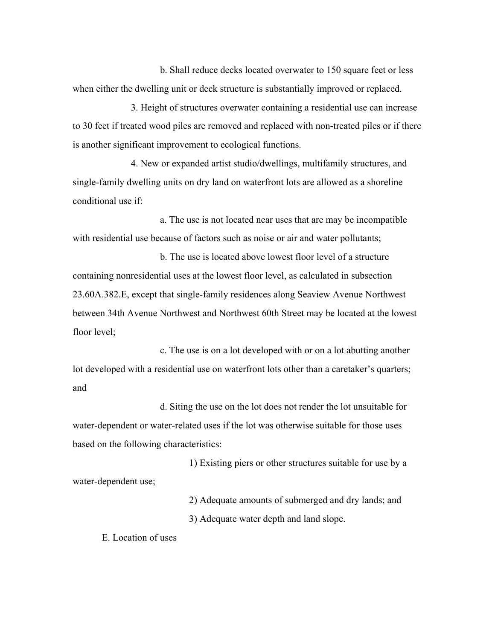b. Shall reduce decks located overwater to 150 square feet or less when either the dwelling unit or deck structure is substantially improved or replaced.

3. Height of structures overwater containing a residential use can increase to 30 feet if treated wood piles are removed and replaced with non-treated piles or if there is another significant improvement to ecological functions.

4. New or expanded artist studio/dwellings, multifamily structures, and single-family dwelling units on dry land on waterfront lots are allowed as a shoreline conditional use if:

a. The use is not located near uses that are may be incompatible with residential use because of factors such as noise or air and water pollutants;

b. The use is located above lowest floor level of a structure containing nonresidential uses at the lowest floor level, as calculated in subsection 23.60A.382.E, except that single-family residences along Seaview Avenue Northwest between 34th Avenue Northwest and Northwest 60th Street may be located at the lowest floor level;

c. The use is on a lot developed with or on a lot abutting another lot developed with a residential use on waterfront lots other than a caretaker's quarters; and

d. Siting the use on the lot does not render the lot unsuitable for water-dependent or water-related uses if the lot was otherwise suitable for those uses based on the following characteristics:

1) Existing piers or other structures suitable for use by a water-dependent use;

> 2) Adequate amounts of submerged and dry lands; and 3) Adequate water depth and land slope.

E. Location of uses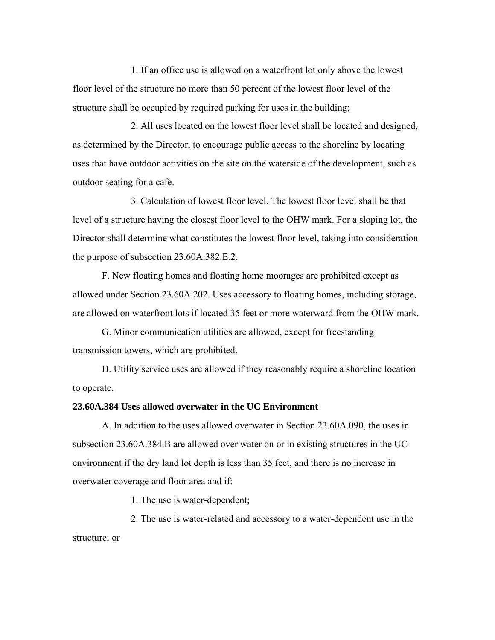1. If an office use is allowed on a waterfront lot only above the lowest floor level of the structure no more than 50 percent of the lowest floor level of the structure shall be occupied by required parking for uses in the building;

2. All uses located on the lowest floor level shall be located and designed, as determined by the Director, to encourage public access to the shoreline by locating uses that have outdoor activities on the site on the waterside of the development, such as outdoor seating for a cafe.

3. Calculation of lowest floor level. The lowest floor level shall be that level of a structure having the closest floor level to the OHW mark. For a sloping lot, the Director shall determine what constitutes the lowest floor level, taking into consideration the purpose of subsection 23.60A.382.E.2.

F. New floating homes and floating home moorages are prohibited except as allowed under Section 23.60A.202. Uses accessory to floating homes, including storage, are allowed on waterfront lots if located 35 feet or more waterward from the OHW mark.

G. Minor communication utilities are allowed, except for freestanding transmission towers, which are prohibited.

H. Utility service uses are allowed if they reasonably require a shoreline location to operate.

#### **23.60A.384 Uses allowed overwater in the UC Environment**

A. In addition to the uses allowed overwater in Section 23.60A.090, the uses in subsection 23.60A.384.B are allowed over water on or in existing structures in the UC environment if the dry land lot depth is less than 35 feet, and there is no increase in overwater coverage and floor area and if:

1. The use is water-dependent;

2. The use is water-related and accessory to a water-dependent use in the structure; or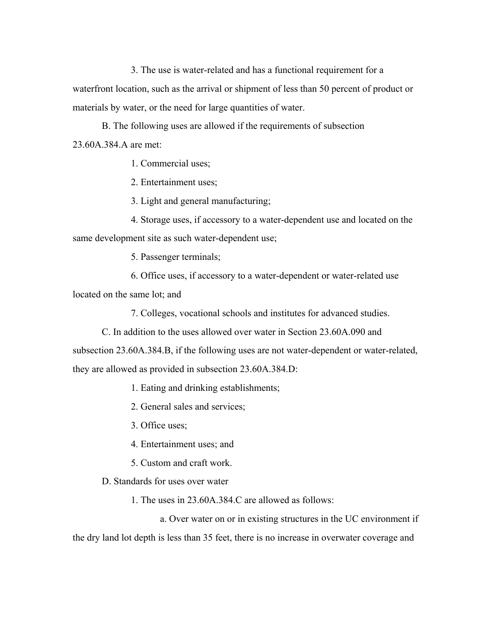3. The use is water-related and has a functional requirement for a waterfront location, such as the arrival or shipment of less than 50 percent of product or materials by water, or the need for large quantities of water.

B. The following uses are allowed if the requirements of subsection 23.60A.384.A are met:

1. Commercial uses;

2. Entertainment uses;

3. Light and general manufacturing;

4. Storage uses, if accessory to a water-dependent use and located on the same development site as such water-dependent use;

5. Passenger terminals;

6. Office uses, if accessory to a water-dependent or water-related use located on the same lot; and

7. Colleges, vocational schools and institutes for advanced studies.

C. In addition to the uses allowed over water in Section 23.60A.090 and

subsection 23.60A.384.B, if the following uses are not water-dependent or water-related, they are allowed as provided in subsection 23.60A.384.D:

1. Eating and drinking establishments;

2. General sales and services;

3. Office uses;

4. Entertainment uses; and

5. Custom and craft work.

D. Standards for uses over water

1. The uses in 23.60A.384.C are allowed as follows:

a. Over water on or in existing structures in the UC environment if the dry land lot depth is less than 35 feet, there is no increase in overwater coverage and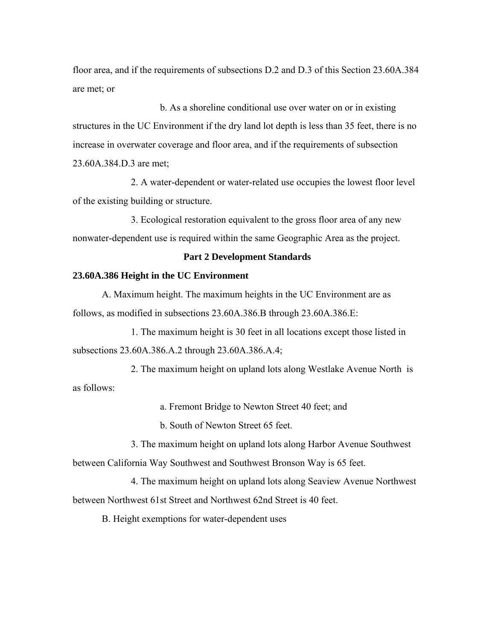floor area, and if the requirements of subsections D.2 and D.3 of this Section 23.60A.384 are met; or

b. As a shoreline conditional use over water on or in existing structures in the UC Environment if the dry land lot depth is less than 35 feet, there is no increase in overwater coverage and floor area, and if the requirements of subsection 23.60A.384.D.3 are met;

2. A water-dependent or water-related use occupies the lowest floor level of the existing building or structure.

3. Ecological restoration equivalent to the gross floor area of any new nonwater-dependent use is required within the same Geographic Area as the project.

## **Part 2 Development Standards**

#### **23.60A.386 Height in the UC Environment**

A. Maximum height. The maximum heights in the UC Environment are as follows, as modified in subsections 23.60A.386.B through 23.60A.386.E:

1. The maximum height is 30 feet in all locations except those listed in subsections 23.60A.386.A.2 through 23.60A.386.A.4;

2. The maximum height on upland lots along Westlake Avenue North is as follows:

a. Fremont Bridge to Newton Street 40 feet; and

b. South of Newton Street 65 feet.

3. The maximum height on upland lots along Harbor Avenue Southwest between California Way Southwest and Southwest Bronson Way is 65 feet.

4. The maximum height on upland lots along Seaview Avenue Northwest between Northwest 61st Street and Northwest 62nd Street is 40 feet.

B. Height exemptions for water-dependent uses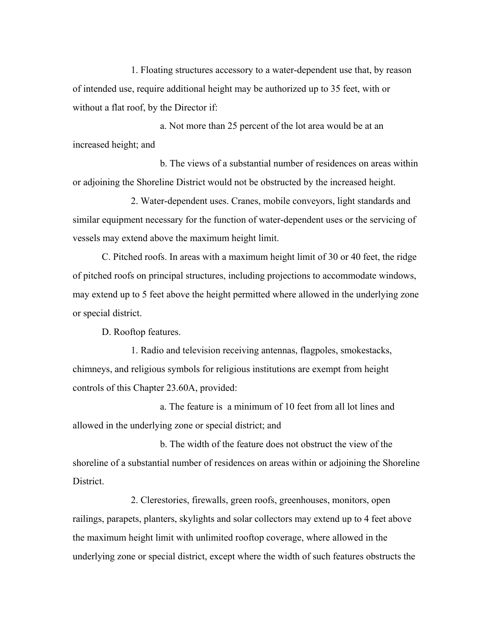1. Floating structures accessory to a water-dependent use that, by reason of intended use, require additional height may be authorized up to 35 feet, with or without a flat roof, by the Director if:

a. Not more than 25 percent of the lot area would be at an increased height; and

b. The views of a substantial number of residences on areas within or adjoining the Shoreline District would not be obstructed by the increased height.

2. Water-dependent uses. Cranes, mobile conveyors, light standards and similar equipment necessary for the function of water-dependent uses or the servicing of vessels may extend above the maximum height limit.

C. Pitched roofs. In areas with a maximum height limit of 30 or 40 feet, the ridge of pitched roofs on principal structures, including projections to accommodate windows, may extend up to 5 feet above the height permitted where allowed in the underlying zone or special district.

D. Rooftop features.

1. Radio and television receiving antennas, flagpoles, smokestacks, chimneys, and religious symbols for religious institutions are exempt from height controls of this Chapter 23.60A, provided:

a. The feature is a minimum of 10 feet from all lot lines and allowed in the underlying zone or special district; and

b. The width of the feature does not obstruct the view of the shoreline of a substantial number of residences on areas within or adjoining the Shoreline District.

2. Clerestories, firewalls, green roofs, greenhouses, monitors, open railings, parapets, planters, skylights and solar collectors may extend up to 4 feet above the maximum height limit with unlimited rooftop coverage, where allowed in the underlying zone or special district, except where the width of such features obstructs the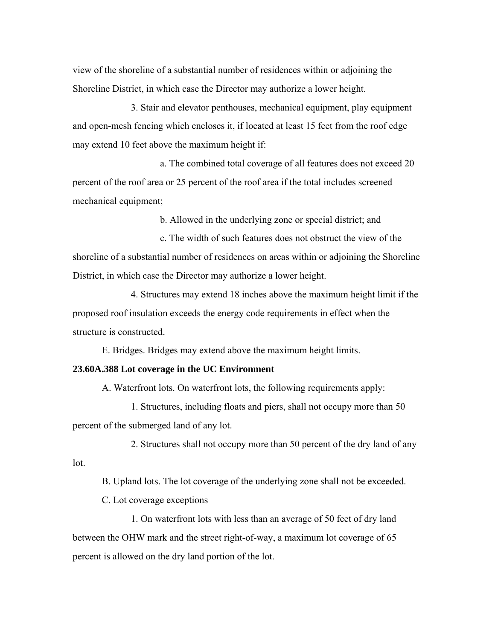view of the shoreline of a substantial number of residences within or adjoining the Shoreline District, in which case the Director may authorize a lower height.

3. Stair and elevator penthouses, mechanical equipment, play equipment and open-mesh fencing which encloses it, if located at least 15 feet from the roof edge may extend 10 feet above the maximum height if:

a. The combined total coverage of all features does not exceed 20 percent of the roof area or 25 percent of the roof area if the total includes screened mechanical equipment;

b. Allowed in the underlying zone or special district; and

c. The width of such features does not obstruct the view of the shoreline of a substantial number of residences on areas within or adjoining the Shoreline District, in which case the Director may authorize a lower height.

4. Structures may extend 18 inches above the maximum height limit if the proposed roof insulation exceeds the energy code requirements in effect when the structure is constructed.

E. Bridges. Bridges may extend above the maximum height limits.

#### **23.60A.388 Lot coverage in the UC Environment**

A. Waterfront lots. On waterfront lots, the following requirements apply:

1. Structures, including floats and piers, shall not occupy more than 50 percent of the submerged land of any lot.

2. Structures shall not occupy more than 50 percent of the dry land of any lot.

B. Upland lots. The lot coverage of the underlying zone shall not be exceeded.

C. Lot coverage exceptions

1. On waterfront lots with less than an average of 50 feet of dry land between the OHW mark and the street right-of-way, a maximum lot coverage of 65 percent is allowed on the dry land portion of the lot.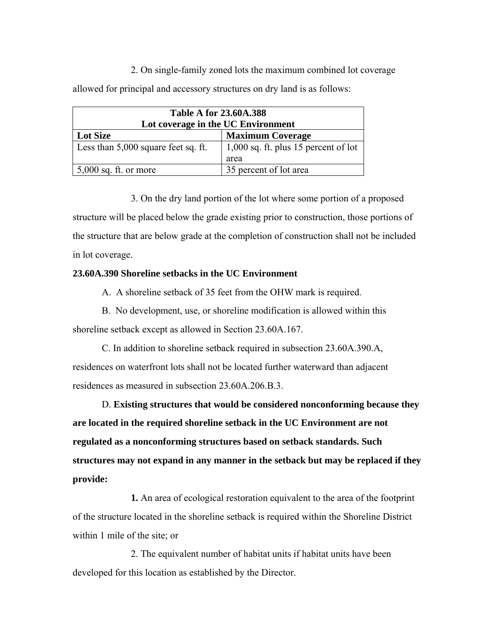2. On single-family zoned lots the maximum combined lot coverage allowed for principal and accessory structures on dry land is as follows:

| <b>Table A for 23.60A.388</b>       |                                        |  |
|-------------------------------------|----------------------------------------|--|
| Lot coverage in the UC Environment  |                                        |  |
| <b>Lot Size</b>                     | <b>Maximum Coverage</b>                |  |
| Less than 5,000 square feet sq. ft. | $1,000$ sq. ft. plus 15 percent of lot |  |
|                                     | area                                   |  |
| $5,000$ sq. ft. or more             | 35 percent of lot area                 |  |

3. On the dry land portion of the lot where some portion of a proposed structure will be placed below the grade existing prior to construction, those portions of the structure that are below grade at the completion of construction shall not be included in lot coverage.

## **23.60A.390 Shoreline setbacks in the UC Environment**

A. A shoreline setback of 35 feet from the OHW mark is required.

B. No development, use, or shoreline modification is allowed within this shoreline setback except as allowed in Section 23.60A.167.

C. In addition to shoreline setback required in subsection 23.60A.390.A, residences on waterfront lots shall not be located further waterward than adjacent residences as measured in subsection 23.60A.206.B.3.

D. **Existing structures that would be considered nonconforming because they are located in the required shoreline setback in the UC Environment are not regulated as a nonconforming structures based on setback standards. Such structures may not expand in any manner in the setback but may be replaced if they provide:**

**1.** An area of ecological restoration equivalent to the area of the footprint of the structure located in the shoreline setback is required within the Shoreline District within 1 mile of the site; or

2. The equivalent number of habitat units if habitat units have been developed for this location as established by the Director.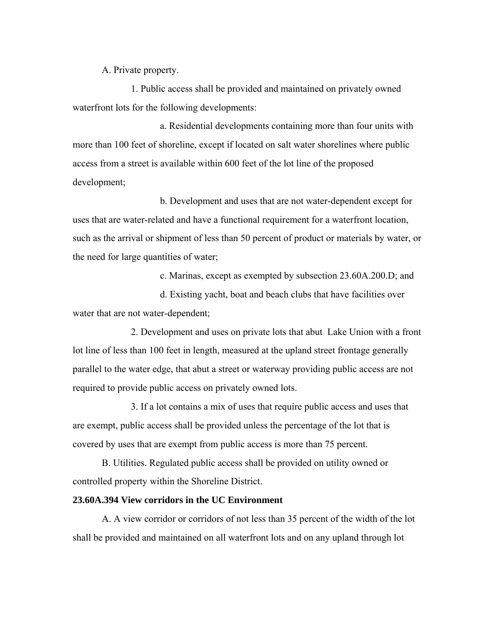A. Private property.

1. Public access shall be provided and maintained on privately owned waterfront lots for the following developments:

a. Residential developments containing more than four units with more than 100 feet of shoreline, except if located on salt water shorelines where public access from a street is available within 600 feet of the lot line of the proposed development;

b. Development and uses that are not water-dependent except for uses that are water-related and have a functional requirement for a waterfront location, such as the arrival or shipment of less than 50 percent of product or materials by water, or the need for large quantities of water;

c. Marinas, except as exempted by subsection 23.60A.200.D; and

 d. Existing yacht, boat and beach clubs that have facilities over water that are not water-dependent;

2. Development and uses on private lots that abut Lake Union with a front lot line of less than 100 feet in length, measured at the upland street frontage generally parallel to the water edge, that abut a street or waterway providing public access are not required to provide public access on privately owned lots.

3. If a lot contains a mix of uses that require public access and uses that are exempt, public access shall be provided unless the percentage of the lot that is covered by uses that are exempt from public access is more than 75 percent.

B. Utilities. Regulated public access shall be provided on utility owned or controlled property within the Shoreline District.

## **23.60A.394 View corridors in the UC Environment**

A. A view corridor or corridors of not less than 35 percent of the width of the lot shall be provided and maintained on all waterfront lots and on any upland through lot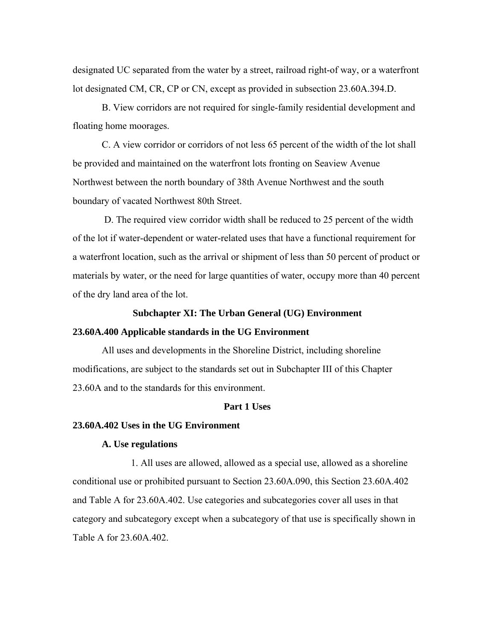designated UC separated from the water by a street, railroad right-of way, or a waterfront lot designated CM, CR, CP or CN, except as provided in subsection 23.60A.394.D.

B. View corridors are not required for single-family residential development and floating home moorages.

C. A view corridor or corridors of not less 65 percent of the width of the lot shall be provided and maintained on the waterfront lots fronting on Seaview Avenue Northwest between the north boundary of 38th Avenue Northwest and the south boundary of vacated Northwest 80th Street.

 D. The required view corridor width shall be reduced to 25 percent of the width of the lot if water-dependent or water-related uses that have a functional requirement for a waterfront location, such as the arrival or shipment of less than 50 percent of product or materials by water, or the need for large quantities of water, occupy more than 40 percent of the dry land area of the lot.

#### **Subchapter XI: The Urban General (UG) Environment**

#### **23.60A.400 Applicable standards in the UG Environment**

All uses and developments in the Shoreline District, including shoreline modifications, are subject to the standards set out in Subchapter III of this Chapter 23.60A and to the standards for this environment.

#### **Part 1 Uses**

## **23.60A.402 Uses in the UG Environment**

## **A. Use regulations**

1. All uses are allowed, allowed as a special use, allowed as a shoreline conditional use or prohibited pursuant to Section 23.60A.090, this Section 23.60A.402 and Table A for 23.60A.402. Use categories and subcategories cover all uses in that category and subcategory except when a subcategory of that use is specifically shown in Table A for 23.60A.402.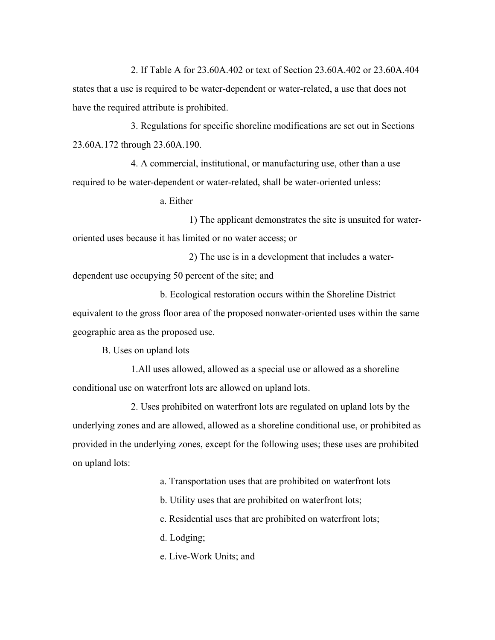2. If Table A for 23.60A.402 or text of Section 23.60A.402 or 23.60A.404 states that a use is required to be water-dependent or water-related, a use that does not have the required attribute is prohibited.

3. Regulations for specific shoreline modifications are set out in Sections 23.60A.172 through 23.60A.190.

4. A commercial, institutional, or manufacturing use, other than a use required to be water-dependent or water-related, shall be water-oriented unless:

a. Either

 1) The applicant demonstrates the site is unsuited for wateroriented uses because it has limited or no water access; or

 2) The use is in a development that includes a waterdependent use occupying 50 percent of the site; and

 b. Ecological restoration occurs within the Shoreline District equivalent to the gross floor area of the proposed nonwater-oriented uses within the same geographic area as the proposed use.

B. Uses on upland lots

1.All uses allowed, allowed as a special use or allowed as a shoreline conditional use on waterfront lots are allowed on upland lots.

2. Uses prohibited on waterfront lots are regulated on upland lots by the underlying zones and are allowed, allowed as a shoreline conditional use, or prohibited as provided in the underlying zones, except for the following uses; these uses are prohibited on upland lots:

a. Transportation uses that are prohibited on waterfront lots

b. Utility uses that are prohibited on waterfront lots;

c. Residential uses that are prohibited on waterfront lots;

d. Lodging;

e. Live-Work Units; and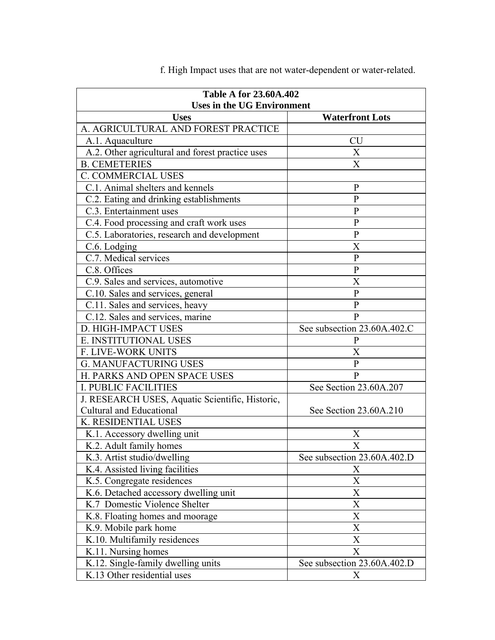| <b>Table A for 23.60A.402</b><br><b>Uses in the UG Environment</b> |                             |  |  |
|--------------------------------------------------------------------|-----------------------------|--|--|
| <b>Uses</b>                                                        | <b>Waterfront Lots</b>      |  |  |
| A. AGRICULTURAL AND FOREST PRACTICE                                |                             |  |  |
| A.1. Aquaculture                                                   | <b>CU</b>                   |  |  |
| A.2. Other agricultural and forest practice uses                   | X                           |  |  |
| <b>B. CEMETERIES</b>                                               | X                           |  |  |
| <b>C. COMMERCIAL USES</b>                                          |                             |  |  |
| C.1. Animal shelters and kennels                                   | $\mathbf{P}$                |  |  |
| C.2. Eating and drinking establishments                            | $\mathbf{P}$                |  |  |
| C.3. Entertainment uses                                            | $\mathbf{P}$                |  |  |
| C.4. Food processing and craft work uses                           | $\mathbf{P}$                |  |  |
| C.5. Laboratories, research and development                        | $\mathbf{P}$                |  |  |
| C.6. Lodging                                                       | X                           |  |  |
| C.7. Medical services                                              | $\mathbf{P}$                |  |  |
| C.8. Offices                                                       | $\mathbf{P}$                |  |  |
| C.9. Sales and services, automotive                                | X                           |  |  |
| C.10. Sales and services, general                                  | $\mathbf{P}$                |  |  |
| C.11. Sales and services, heavy                                    | $\mathbf{P}$                |  |  |
| C.12. Sales and services, marine                                   | $\mathbf{P}$                |  |  |
| D. HIGH-IMPACT USES                                                | See subsection 23.60A.402.C |  |  |
| E. INSTITUTIONAL USES                                              | P                           |  |  |
| F. LIVE-WORK UNITS                                                 | Χ                           |  |  |
| <b>G. MANUFACTURING USES</b>                                       | $\mathbf{P}$                |  |  |
| H. PARKS AND OPEN SPACE USES                                       | $\mathbf{P}$                |  |  |
| <b>I. PUBLIC FACILITIES</b>                                        | See Section 23.60A.207      |  |  |
| J. RESEARCH USES, Aquatic Scientific, Historic,                    |                             |  |  |
| <b>Cultural and Educational</b>                                    | See Section 23.60A.210      |  |  |
| K. RESIDENTIAL USES                                                |                             |  |  |
| K.1. Accessory dwelling unit                                       | Χ                           |  |  |
| K.2. Adult family homes                                            | X                           |  |  |
| K.3. Artist studio/dwelling                                        | See subsection 23.60A.402.D |  |  |
| K.4. Assisted living facilities                                    | X                           |  |  |
| K.5. Congregate residences                                         | X                           |  |  |
| K.6. Detached accessory dwelling unit                              | X                           |  |  |
| K.7 Domestic Violence Shelter                                      | X                           |  |  |
| K.8. Floating homes and moorage                                    | X                           |  |  |
| K.9. Mobile park home                                              | X                           |  |  |
| K.10. Multifamily residences                                       | X                           |  |  |
| K.11. Nursing homes                                                | X                           |  |  |
| K.12. Single-family dwelling units                                 | See subsection 23.60A.402.D |  |  |
| K.13 Other residential uses                                        | X                           |  |  |

f. High Impact uses that are not water-dependent or water-related.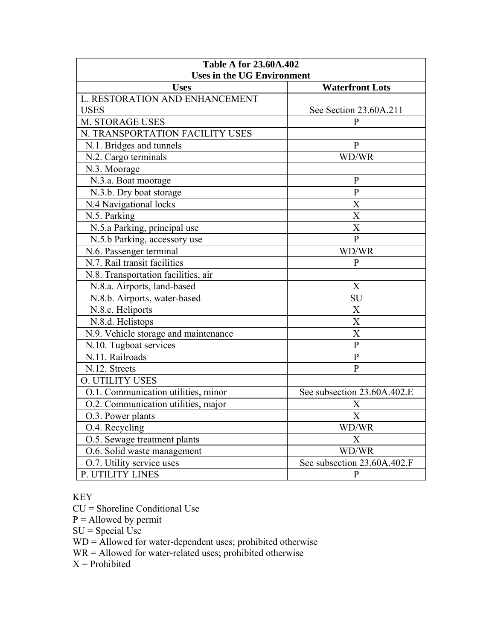| <b>Table A for 23.60A.402</b>                                              |                             |  |
|----------------------------------------------------------------------------|-----------------------------|--|
| <b>Uses in the UG Environment</b><br><b>Uses</b><br><b>Waterfront Lots</b> |                             |  |
| L. RESTORATION AND ENHANCEMENT                                             |                             |  |
| <b>USES</b>                                                                | See Section 23.60A.211      |  |
| M. STORAGE USES                                                            | $\mathbf{P}$                |  |
| N. TRANSPORTATION FACILITY USES                                            |                             |  |
| N.1. Bridges and tunnels                                                   | $\mathbf{P}$                |  |
| N.2. Cargo terminals                                                       | WD/WR                       |  |
| N.3. Moorage                                                               |                             |  |
| N.3.a. Boat moorage                                                        | $\mathbf{P}$                |  |
| N.3.b. Dry boat storage                                                    | $\overline{P}$              |  |
| N.4 Navigational locks                                                     | X                           |  |
| N.5. Parking                                                               | X                           |  |
| N.5.a Parking, principal use                                               | X                           |  |
| N.5.b Parking, accessory use                                               | $\overline{P}$              |  |
| N.6. Passenger terminal                                                    | WD/WR                       |  |
| N.7. Rail transit facilities                                               | $\mathbf{P}$                |  |
| N.8. Transportation facilities, air                                        |                             |  |
| N.8.a. Airports, land-based                                                | X                           |  |
| N.8.b. Airports, water-based                                               | SU                          |  |
| N.8.c. Heliports                                                           | X                           |  |
| N.8.d. Helistops                                                           | $\overline{\text{X}}$       |  |
| N.9. Vehicle storage and maintenance                                       | $\overline{\text{X}}$       |  |
| N.10. Tugboat services                                                     | $\overline{P}$              |  |
| N.11. Railroads                                                            | $\overline{P}$              |  |
| N.12. Streets                                                              | $\overline{P}$              |  |
| <b>O. UTILITY USES</b>                                                     |                             |  |
| O.1. Communication utilities, minor                                        | See subsection 23.60A.402.E |  |
| O.2. Communication utilities, major                                        | X                           |  |
| O.3. Power plants                                                          | X                           |  |
| O.4. Recycling                                                             | WD/WR                       |  |
| O.5. Sewage treatment plants                                               | X                           |  |
| O.6. Solid waste management                                                | WD/WR                       |  |
| O.7. Utility service uses                                                  | See subsection 23.60A.402.F |  |
| P. UTILITY LINES                                                           | $\mathbf{P}$                |  |

# KEY

CU = Shoreline Conditional Use

 $P =$  Allowed by permit

 $SU = Special Use$ 

WD = Allowed for water-dependent uses; prohibited otherwise

WR = Allowed for water-related uses; prohibited otherwise

 $X =$ Prohibited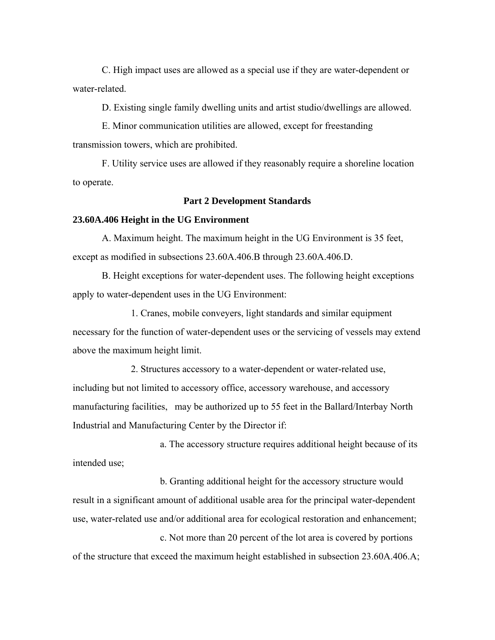C. High impact uses are allowed as a special use if they are water-dependent or water-related.

D. Existing single family dwelling units and artist studio/dwellings are allowed.

E. Minor communication utilities are allowed, except for freestanding transmission towers, which are prohibited.

F. Utility service uses are allowed if they reasonably require a shoreline location to operate.

#### **Part 2 Development Standards**

#### **23.60A.406 Height in the UG Environment**

A. Maximum height. The maximum height in the UG Environment is 35 feet, except as modified in subsections 23.60A.406.B through 23.60A.406.D.

B. Height exceptions for water-dependent uses. The following height exceptions apply to water-dependent uses in the UG Environment:

1. Cranes, mobile conveyers, light standards and similar equipment necessary for the function of water-dependent uses or the servicing of vessels may extend above the maximum height limit.

2. Structures accessory to a water-dependent or water-related use, including but not limited to accessory office, accessory warehouse, and accessory manufacturing facilities, may be authorized up to 55 feet in the Ballard/Interbay North Industrial and Manufacturing Center by the Director if:

a. The accessory structure requires additional height because of its intended use;

b. Granting additional height for the accessory structure would result in a significant amount of additional usable area for the principal water-dependent use, water-related use and/or additional area for ecological restoration and enhancement; c. Not more than 20 percent of the lot area is covered by portions

of the structure that exceed the maximum height established in subsection 23.60A.406.A;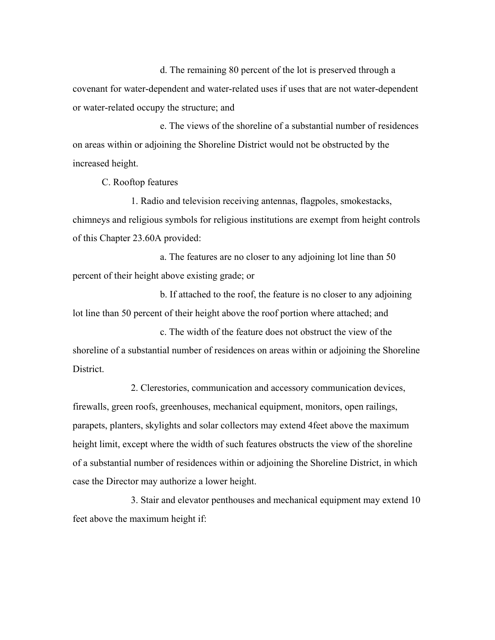d. The remaining 80 percent of the lot is preserved through a covenant for water-dependent and water-related uses if uses that are not water-dependent or water-related occupy the structure; and

e. The views of the shoreline of a substantial number of residences on areas within or adjoining the Shoreline District would not be obstructed by the increased height.

C. Rooftop features

1. Radio and television receiving antennas, flagpoles, smokestacks, chimneys and religious symbols for religious institutions are exempt from height controls of this Chapter 23.60A provided:

a. The features are no closer to any adjoining lot line than 50 percent of their height above existing grade; or

b. If attached to the roof, the feature is no closer to any adjoining lot line than 50 percent of their height above the roof portion where attached; and

c. The width of the feature does not obstruct the view of the shoreline of a substantial number of residences on areas within or adjoining the Shoreline District.

2. Clerestories, communication and accessory communication devices, firewalls, green roofs, greenhouses, mechanical equipment, monitors, open railings, parapets, planters, skylights and solar collectors may extend 4feet above the maximum height limit, except where the width of such features obstructs the view of the shoreline of a substantial number of residences within or adjoining the Shoreline District, in which case the Director may authorize a lower height.

3. Stair and elevator penthouses and mechanical equipment may extend 10 feet above the maximum height if: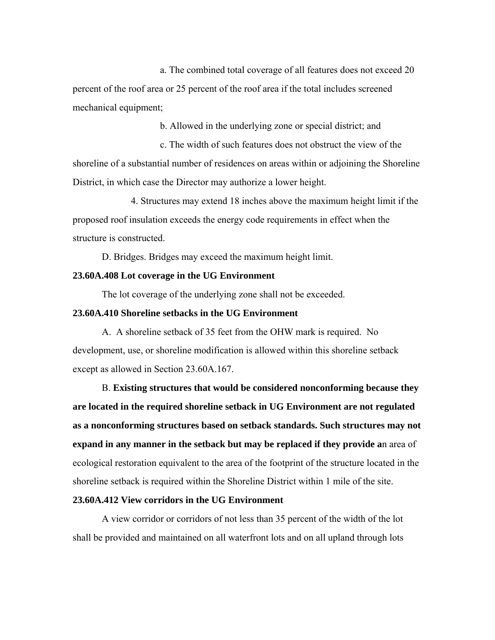a. The combined total coverage of all features does not exceed 20 percent of the roof area or 25 percent of the roof area if the total includes screened mechanical equipment;

b. Allowed in the underlying zone or special district; and

c. The width of such features does not obstruct the view of the shoreline of a substantial number of residences on areas within or adjoining the Shoreline District, in which case the Director may authorize a lower height.

4. Structures may extend 18 inches above the maximum height limit if the proposed roof insulation exceeds the energy code requirements in effect when the structure is constructed.

D. Bridges. Bridges may exceed the maximum height limit.

#### **23.60A.408 Lot coverage in the UG Environment**

The lot coverage of the underlying zone shall not be exceeded.

## **23.60A.410 Shoreline setbacks in the UG Environment**

A. A shoreline setback of 35 feet from the OHW mark is required. No development, use, or shoreline modification is allowed within this shoreline setback except as allowed in Section 23.60A.167.

B. **Existing structures that would be considered nonconforming because they are located in the required shoreline setback in UG Environment are not regulated as a nonconforming structures based on setback standards. Such structures may not expand in any manner in the setback but may be replaced if they provide a**n area of ecological restoration equivalent to the area of the footprint of the structure located in the shoreline setback is required within the Shoreline District within 1 mile of the site.

## **23.60A.412 View corridors in the UG Environment**

A view corridor or corridors of not less than 35 percent of the width of the lot shall be provided and maintained on all waterfront lots and on all upland through lots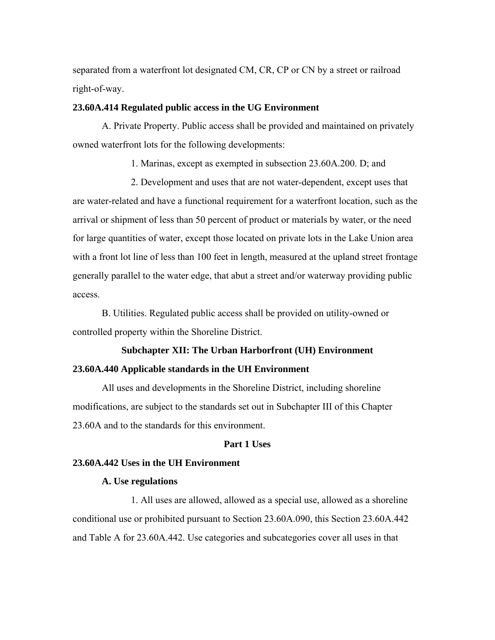separated from a waterfront lot designated CM, CR, CP or CN by a street or railroad right-of-way.

#### **23.60A.414 Regulated public access in the UG Environment**

A. Private Property. Public access shall be provided and maintained on privately owned waterfront lots for the following developments:

1. Marinas, except as exempted in subsection 23.60A.200. D; and

2. Development and uses that are not water-dependent, except uses that are water-related and have a functional requirement for a waterfront location, such as the arrival or shipment of less than 50 percent of product or materials by water, or the need for large quantities of water, except those located on private lots in the Lake Union area with a front lot line of less than 100 feet in length, measured at the upland street frontage generally parallel to the water edge, that abut a street and/or waterway providing public access.

B. Utilities. Regulated public access shall be provided on utility-owned or controlled property within the Shoreline District.

## **Subchapter XII: The Urban Harborfront (UH) Environment**

#### **23.60A.440 Applicable standards in the UH Environment**

All uses and developments in the Shoreline District, including shoreline modifications, are subject to the standards set out in Subchapter III of this Chapter 23.60A and to the standards for this environment.

#### **Part 1 Uses**

## **23.60A.442 Uses in the UH Environment**

## **A. Use regulations**

1. All uses are allowed, allowed as a special use, allowed as a shoreline conditional use or prohibited pursuant to Section 23.60A.090, this Section 23.60A.442 and Table A for 23.60A.442. Use categories and subcategories cover all uses in that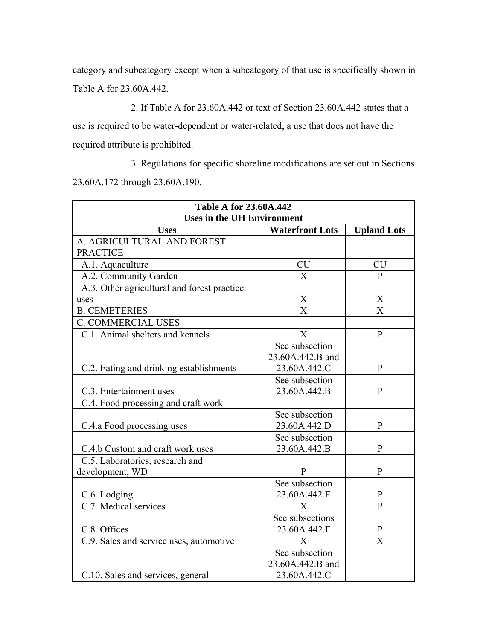category and subcategory except when a subcategory of that use is specifically shown in Table A for 23.60A.442.

2. If Table A for 23.60A.442 or text of Section 23.60A.442 states that a use is required to be water-dependent or water-related, a use that does not have the required attribute is prohibited.

3. Regulations for specific shoreline modifications are set out in Sections 23.60A.172 through 23.60A.190.

| <b>Table A for 23.60A.442</b>               |                        |                    |
|---------------------------------------------|------------------------|--------------------|
| <b>Uses in the UH Environment</b>           |                        |                    |
| <b>Uses</b>                                 | <b>Waterfront Lots</b> | <b>Upland Lots</b> |
| A. AGRICULTURAL AND FOREST                  |                        |                    |
| <b>PRACTICE</b>                             |                        |                    |
| A.1. Aquaculture                            | <b>CU</b>              | <b>CU</b>          |
| A.2. Community Garden                       | $\overline{X}$         | $\mathbf{P}$       |
| A.3. Other agricultural and forest practice |                        |                    |
| uses                                        | X                      | X                  |
| <b>B. CEMETERIES</b>                        | $\bar{X}$              | $\overline{X}$     |
| <b>C. COMMERCIAL USES</b>                   |                        |                    |
| C.1. Animal shelters and kennels            | X                      | $\mathbf{P}$       |
|                                             | See subsection         |                    |
|                                             | 23.60A.442.B and       |                    |
| C.2. Eating and drinking establishments     | 23.60A.442.C           | $\mathbf{P}$       |
|                                             | See subsection         |                    |
| C.3. Entertainment uses                     | 23.60A.442.B           | $\mathbf{P}$       |
| C.4. Food processing and craft work         |                        |                    |
|                                             | See subsection         |                    |
| C.4.a Food processing uses                  | 23.60A.442.D           | $\mathbf{P}$       |
|                                             | See subsection         |                    |
| C.4.b Custom and craft work uses            | 23.60A.442.B           | $\mathbf{P}$       |
| C.5. Laboratories, research and             |                        |                    |
| development, WD                             | P                      | $\mathbf{P}$       |
|                                             | See subsection         |                    |
| C.6. Lodging                                | 23.60A.442.E           | $\mathbf{P}$       |
| C.7. Medical services                       | X                      | $\mathbf{P}$       |
|                                             | See subsections        |                    |
| C.8. Offices                                | 23.60A.442.F           | $\mathbf{P}$       |
| C.9. Sales and service uses, automotive     | $\mathbf{X}$           | X                  |
|                                             | See subsection         |                    |
|                                             | 23.60A.442.B and       |                    |
| C.10. Sales and services, general           | 23.60A.442.C           |                    |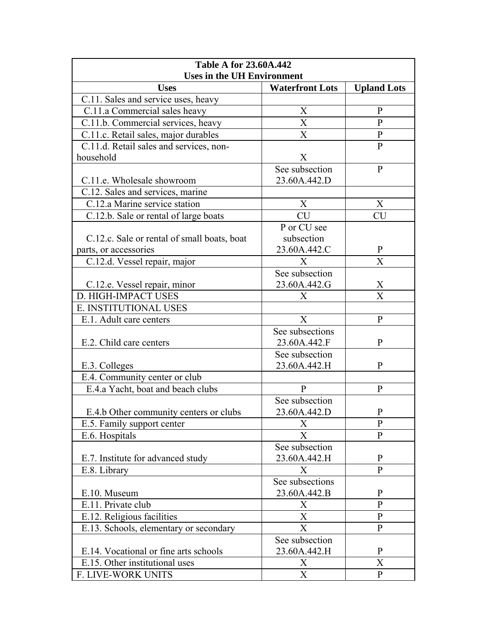| <b>Table A for 23.60A.442</b><br><b>Uses in the UH Environment</b> |                           |                    |
|--------------------------------------------------------------------|---------------------------|--------------------|
| <b>Uses</b>                                                        | <b>Waterfront Lots</b>    | <b>Upland Lots</b> |
| C.11. Sales and service uses, heavy                                |                           |                    |
| C.11.a Commercial sales heavy                                      | X                         | $\mathbf{P}$       |
| C.11.b. Commercial services, heavy                                 | $\boldsymbol{X}$          | $\mathbf{P}$       |
| C.11.c. Retail sales, major durables                               | X                         | $\mathbf{P}$       |
| C.11.d. Retail sales and services, non-                            |                           | $\mathbf{P}$       |
| household                                                          | X                         |                    |
|                                                                    | See subsection            | $\mathbf{P}$       |
| C.11.e. Wholesale showroom                                         | 23.60A.442.D              |                    |
| C.12. Sales and services, marine                                   |                           |                    |
| C.12.a Marine service station                                      | X                         | X                  |
| C.12.b. Sale or rental of large boats                              | <b>CU</b>                 | <b>CU</b>          |
|                                                                    | P or CU see               |                    |
| C.12.c. Sale or rental of small boats, boat                        | subsection                |                    |
| parts, or accessories                                              | 23.60A.442.C              | P                  |
| C.12.d. Vessel repair, major                                       | X                         | X                  |
|                                                                    | See subsection            |                    |
| C.12.e. Vessel repair, minor                                       | 23.60A.442.G              | X                  |
| D. HIGH-IMPACT USES                                                | X                         | X                  |
| E. INSTITUTIONAL USES                                              |                           |                    |
| E.1. Adult care centers                                            | X                         | P                  |
|                                                                    | See subsections           |                    |
| E.2. Child care centers                                            | 23.60A.442.F              | P                  |
|                                                                    | See subsection            |                    |
| E.3. Colleges                                                      | 23.60A.442.H              | $\mathbf{P}$       |
| E.4. Community center or club                                      |                           |                    |
| E.4.a Yacht, boat and beach clubs                                  | $\mathbf{P}$              | P                  |
|                                                                    | See subsection            |                    |
| E.4.b Other community centers or clubs                             | 23.60A.442.D              | P                  |
| E.5. Family support center                                         | $\boldsymbol{X}$          | P                  |
| E.6. Hospitals                                                     | X                         | $\mathbf{P}$       |
|                                                                    | See subsection            | P                  |
| E.7. Institute for advanced study                                  | 23.60A.442.H              | P                  |
| E.8. Library                                                       | X<br>See subsections      |                    |
| E.10. Museum                                                       | 23.60A.442.B              | $\mathbf{P}$       |
| E.11. Private club                                                 | X                         | P                  |
| E.12. Religious facilities                                         | X                         | $\mathbf{P}$       |
| E.13. Schools, elementary or secondary                             | X                         | $\mathbf{P}$       |
|                                                                    | See subsection            |                    |
| E.14. Vocational or fine arts schools                              | 23.60A.442.H              | $\mathbf{P}$       |
| E.15. Other institutional uses                                     | X                         | X                  |
| F. LIVE-WORK UNITS                                                 | $\boldsymbol{\mathrm{X}}$ | $\mathbf{P}$       |
|                                                                    |                           |                    |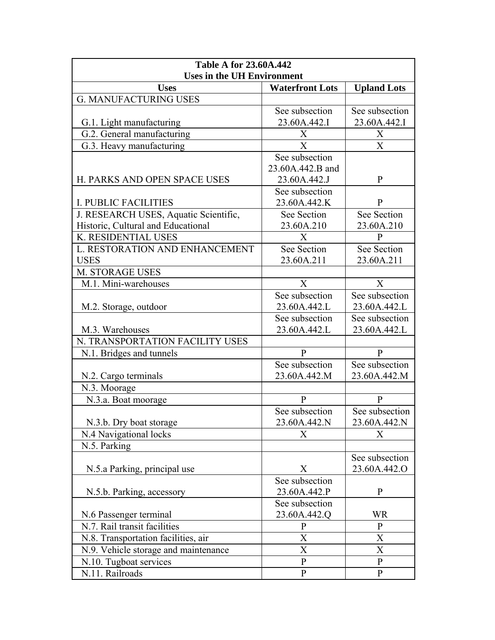| <b>Table A for 23.60A.442</b>         |                        |                    |
|---------------------------------------|------------------------|--------------------|
| <b>Uses in the UH Environment</b>     |                        |                    |
| <b>Uses</b>                           | <b>Waterfront Lots</b> | <b>Upland Lots</b> |
| <b>G. MANUFACTURING USES</b>          |                        |                    |
|                                       | See subsection         | See subsection     |
| G.1. Light manufacturing              | 23.60A.442.I           | 23.60A.442.I       |
| G.2. General manufacturing            | X                      | X                  |
| G.3. Heavy manufacturing              | X                      | X                  |
|                                       | See subsection         |                    |
|                                       | 23.60A.442.B and       |                    |
| H. PARKS AND OPEN SPACE USES          | 23.60A.442.J           | P                  |
|                                       | See subsection         |                    |
| <b>I. PUBLIC FACILITIES</b>           | 23.60A.442.K           | P                  |
| J. RESEARCH USES, Aquatic Scientific, | See Section            | See Section        |
| Historic, Cultural and Educational    | 23.60A.210             | 23.60A.210         |
| K. RESIDENTIAL USES                   | X                      | P                  |
| L. RESTORATION AND ENHANCEMENT        | See Section            | See Section        |
| <b>USES</b>                           | 23.60A.211             | 23.60A.211         |
| <b>M. STORAGE USES</b>                |                        |                    |
| M.1. Mini-warehouses                  | X                      | X                  |
|                                       | See subsection         | See subsection     |
| M.2. Storage, outdoor                 | 23.60A.442.L           | 23.60A.442.L       |
|                                       | See subsection         | See subsection     |
| M.3. Warehouses                       | 23.60A.442.L           | 23.60A.442.L       |
| N. TRANSPORTATION FACILITY USES       |                        |                    |
| N.1. Bridges and tunnels              | $\mathbf{P}$           | $\mathbf{P}$       |
|                                       | See subsection         | See subsection     |
| N.2. Cargo terminals                  | 23.60A.442.M           | 23.60A.442.M       |
| N.3. Moorage                          |                        |                    |
| N.3.a. Boat moorage                   | $\mathbf{P}$           | $\mathbf{P}$       |
|                                       | See subsection         | See subsection     |
| N.3.b. Dry boat storage               | 23.60A.442.N           | 23.60A.442.N       |
| N.4 Navigational locks                | $\mathbf{X}$           | X                  |
| N.5. Parking                          |                        |                    |
|                                       |                        | See subsection     |
| N.5.a Parking, principal use          | X                      | 23.60A.442.O       |
|                                       | See subsection         |                    |
| N.5.b. Parking, accessory             | 23.60A.442.P           | $\mathbf{P}$       |
|                                       | See subsection         |                    |
| N.6 Passenger terminal                | 23.60A.442.Q           | WR                 |
| N.7. Rail transit facilities          | $\mathbf{P}$           | $\mathbf{P}$       |
| N.8. Transportation facilities, air   | Χ                      | X                  |
| N.9. Vehicle storage and maintenance  | $\boldsymbol{X}$       | X                  |
| N.10. Tugboat services                | $\mathbf{P}$           | $\mathbf{P}$       |
| N.11. Railroads                       | $\mathbf{P}$           | $\mathbf{P}$       |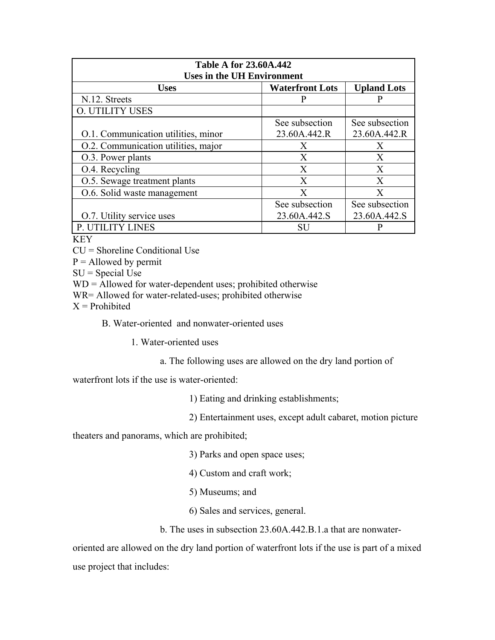| <b>Table A for 23.60A.442</b><br><b>Uses in the UH Environment</b> |                        |                    |
|--------------------------------------------------------------------|------------------------|--------------------|
| <b>Uses</b>                                                        | <b>Waterfront Lots</b> | <b>Upland Lots</b> |
| N.12. Streets                                                      | P                      |                    |
| <b>O. UTILITY USES</b>                                             |                        |                    |
|                                                                    | See subsection         | See subsection     |
| O.1. Communication utilities, minor                                | 23.60A.442.R           | 23.60A.442.R       |
| O.2. Communication utilities, major                                | X                      | X                  |
| O.3. Power plants                                                  | $\mathbf{X}$           | X                  |
| O.4. Recycling                                                     | X                      | X                  |
| O.5. Sewage treatment plants                                       | $\mathbf{X}$           | $\mathbf{X}$       |
| O.6. Solid waste management                                        | X                      | X                  |
|                                                                    | See subsection         | See subsection     |
| O.7. Utility service uses                                          | 23.60A.442.S           | 23.60A.442.S       |
| P. UTILITY LINES                                                   | <b>SU</b>              |                    |

**KEY** 

CU = Shoreline Conditional Use

 $P =$  Allowed by permit

 $SU = Special Use$ 

WD = Allowed for water-dependent uses; prohibited otherwise

WR= Allowed for water-related-uses; prohibited otherwise

 $X =$ Prohibited

B. Water-oriented and nonwater-oriented uses

1. Water-oriented uses

a. The following uses are allowed on the dry land portion of

waterfront lots if the use is water-oriented:

1) Eating and drinking establishments;

2) Entertainment uses, except adult cabaret, motion picture

theaters and panorams, which are prohibited;

3) Parks and open space uses;

4) Custom and craft work;

5) Museums; and

6) Sales and services, general.

b. The uses in subsection 23.60A.442.B.1.a that are nonwater-

oriented are allowed on the dry land portion of waterfront lots if the use is part of a mixed use project that includes: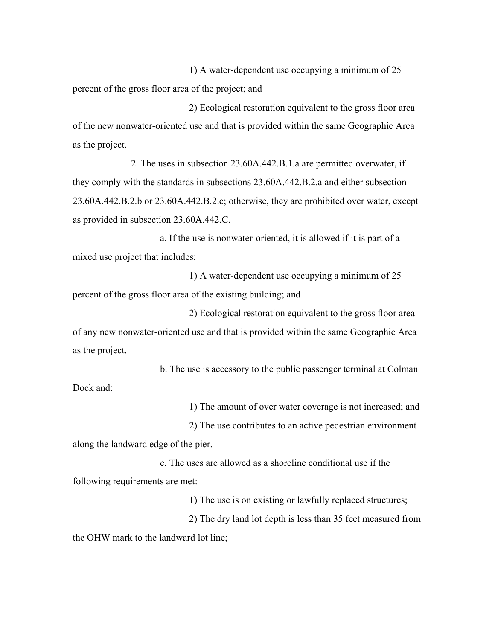1) A water-dependent use occupying a minimum of 25 percent of the gross floor area of the project; and

2) Ecological restoration equivalent to the gross floor area of the new nonwater-oriented use and that is provided within the same Geographic Area as the project.

2. The uses in subsection 23.60A.442.B.1.a are permitted overwater, if they comply with the standards in subsections 23.60A.442.B.2.a and either subsection 23.60A.442.B.2.b or 23.60A.442.B.2.c; otherwise, they are prohibited over water, except as provided in subsection 23.60A.442.C.

a. If the use is nonwater-oriented, it is allowed if it is part of a mixed use project that includes:

1) A water-dependent use occupying a minimum of 25 percent of the gross floor area of the existing building; and

2) Ecological restoration equivalent to the gross floor area of any new nonwater-oriented use and that is provided within the same Geographic Area as the project.

b. The use is accessory to the public passenger terminal at Colman Dock and:

1) The amount of over water coverage is not increased; and

2) The use contributes to an active pedestrian environment

along the landward edge of the pier.

c. The uses are allowed as a shoreline conditional use if the following requirements are met:

1) The use is on existing or lawfully replaced structures;

2) The dry land lot depth is less than 35 feet measured from the OHW mark to the landward lot line;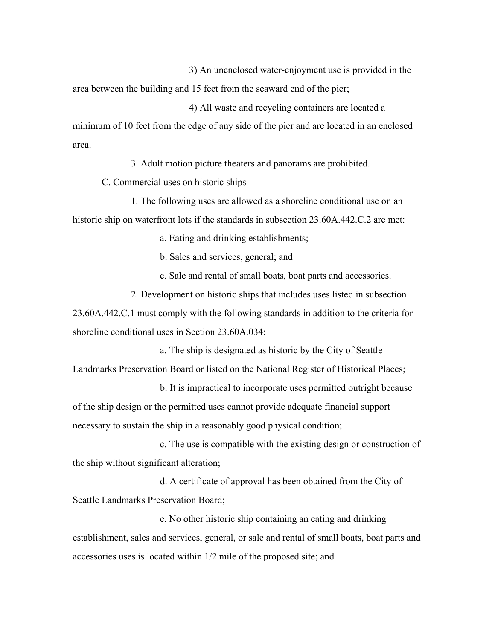3) An unenclosed water-enjoyment use is provided in the

area between the building and 15 feet from the seaward end of the pier;

4) All waste and recycling containers are located a minimum of 10 feet from the edge of any side of the pier and are located in an enclosed area.

3. Adult motion picture theaters and panorams are prohibited.

C. Commercial uses on historic ships

1. The following uses are allowed as a shoreline conditional use on an historic ship on waterfront lots if the standards in subsection 23.60A.442.C.2 are met:

a. Eating and drinking establishments;

b. Sales and services, general; and

c. Sale and rental of small boats, boat parts and accessories.

2. Development on historic ships that includes uses listed in subsection

23.60A.442.C.1 must comply with the following standards in addition to the criteria for shoreline conditional uses in Section 23.60A.034:

a. The ship is designated as historic by the City of Seattle Landmarks Preservation Board or listed on the National Register of Historical Places;

b. It is impractical to incorporate uses permitted outright because of the ship design or the permitted uses cannot provide adequate financial support necessary to sustain the ship in a reasonably good physical condition;

c. The use is compatible with the existing design or construction of the ship without significant alteration;

d. A certificate of approval has been obtained from the City of Seattle Landmarks Preservation Board;

e. No other historic ship containing an eating and drinking establishment, sales and services, general, or sale and rental of small boats, boat parts and accessories uses is located within 1/2 mile of the proposed site; and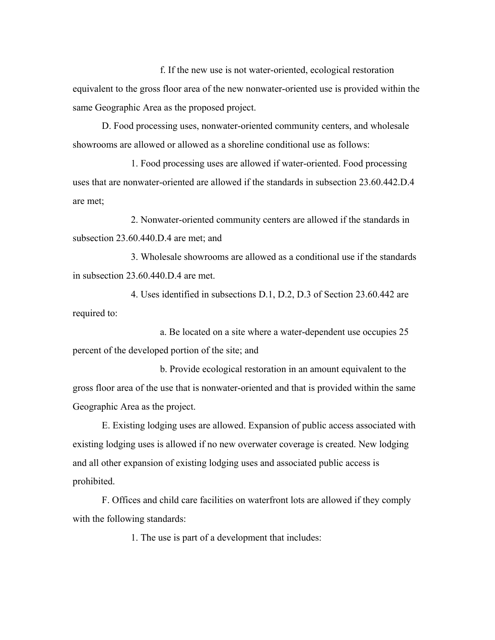f. If the new use is not water-oriented, ecological restoration equivalent to the gross floor area of the new nonwater-oriented use is provided within the same Geographic Area as the proposed project.

D. Food processing uses, nonwater-oriented community centers, and wholesale showrooms are allowed or allowed as a shoreline conditional use as follows:

1. Food processing uses are allowed if water-oriented. Food processing uses that are nonwater-oriented are allowed if the standards in subsection 23.60.442.D.4 are met;

2. Nonwater-oriented community centers are allowed if the standards in subsection 23.60.440.D.4 are met; and

3. Wholesale showrooms are allowed as a conditional use if the standards in subsection 23.60.440.D.4 are met.

4. Uses identified in subsections D.1, D.2, D.3 of Section 23.60.442 are required to:

a. Be located on a site where a water-dependent use occupies 25 percent of the developed portion of the site; and

b. Provide ecological restoration in an amount equivalent to the gross floor area of the use that is nonwater-oriented and that is provided within the same Geographic Area as the project.

E. Existing lodging uses are allowed. Expansion of public access associated with existing lodging uses is allowed if no new overwater coverage is created. New lodging and all other expansion of existing lodging uses and associated public access is prohibited.

F. Offices and child care facilities on waterfront lots are allowed if they comply with the following standards:

1. The use is part of a development that includes: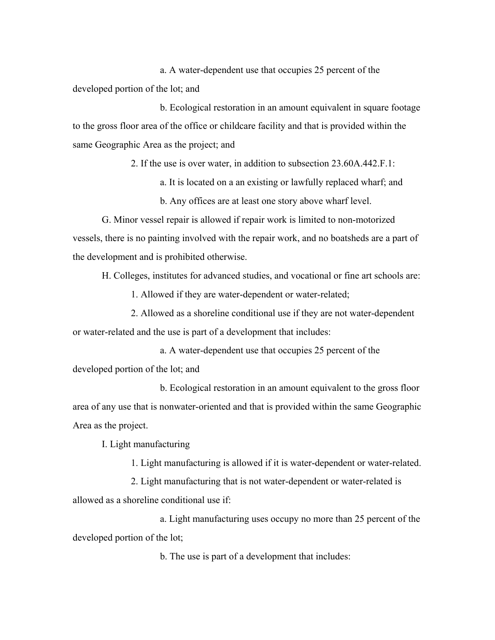a. A water-dependent use that occupies 25 percent of the developed portion of the lot; and

b. Ecological restoration in an amount equivalent in square footage to the gross floor area of the office or childcare facility and that is provided within the same Geographic Area as the project; and

2. If the use is over water, in addition to subsection 23.60A.442.F.1:

a. It is located on a an existing or lawfully replaced wharf; and

b. Any offices are at least one story above wharf level.

G. Minor vessel repair is allowed if repair work is limited to non-motorized vessels, there is no painting involved with the repair work, and no boatsheds are a part of the development and is prohibited otherwise.

H. Colleges, institutes for advanced studies, and vocational or fine art schools are:

1. Allowed if they are water-dependent or water-related;

2. Allowed as a shoreline conditional use if they are not water-dependent or water-related and the use is part of a development that includes:

a. A water-dependent use that occupies 25 percent of the developed portion of the lot; and

b. Ecological restoration in an amount equivalent to the gross floor area of any use that is nonwater-oriented and that is provided within the same Geographic Area as the project.

I. Light manufacturing

1. Light manufacturing is allowed if it is water-dependent or water-related.

2. Light manufacturing that is not water-dependent or water-related is allowed as a shoreline conditional use if:

a. Light manufacturing uses occupy no more than 25 percent of the developed portion of the lot;

b. The use is part of a development that includes: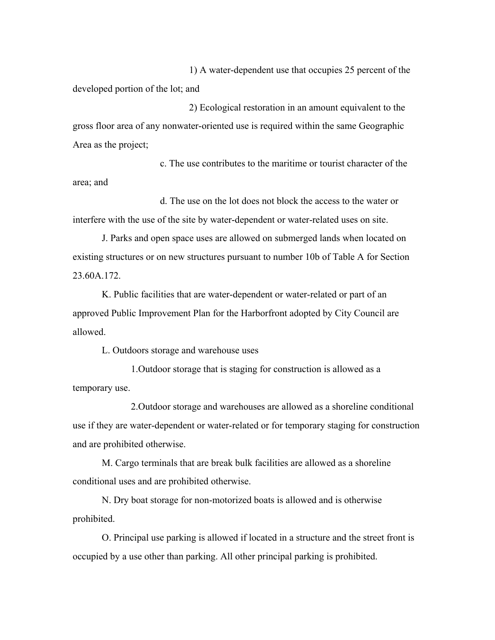1) A water-dependent use that occupies 25 percent of the developed portion of the lot; and

2) Ecological restoration in an amount equivalent to the gross floor area of any nonwater-oriented use is required within the same Geographic Area as the project;

c. The use contributes to the maritime or tourist character of the area; and

d. The use on the lot does not block the access to the water or interfere with the use of the site by water-dependent or water-related uses on site.

J. Parks and open space uses are allowed on submerged lands when located on existing structures or on new structures pursuant to number 10b of Table A for Section 23.60A.172.

K. Public facilities that are water-dependent or water-related or part of an approved Public Improvement Plan for the Harborfront adopted by City Council are allowed.

L. Outdoors storage and warehouse uses

1.Outdoor storage that is staging for construction is allowed as a temporary use.

2.Outdoor storage and warehouses are allowed as a shoreline conditional use if they are water-dependent or water-related or for temporary staging for construction and are prohibited otherwise.

M. Cargo terminals that are break bulk facilities are allowed as a shoreline conditional uses and are prohibited otherwise.

N. Dry boat storage for non-motorized boats is allowed and is otherwise prohibited.

O. Principal use parking is allowed if located in a structure and the street front is occupied by a use other than parking. All other principal parking is prohibited.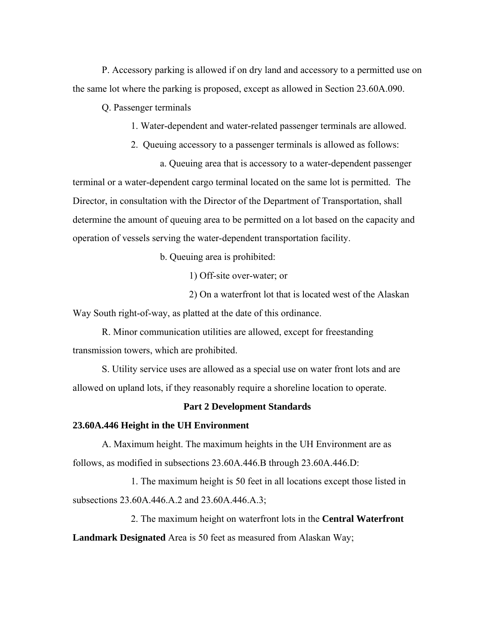P. Accessory parking is allowed if on dry land and accessory to a permitted use on the same lot where the parking is proposed, except as allowed in Section 23.60A.090.

Q. Passenger terminals

1. Water-dependent and water-related passenger terminals are allowed.

2. Queuing accessory to a passenger terminals is allowed as follows:

a. Queuing area that is accessory to a water-dependent passenger terminal or a water-dependent cargo terminal located on the same lot is permitted. The Director, in consultation with the Director of the Department of Transportation, shall determine the amount of queuing area to be permitted on a lot based on the capacity and operation of vessels serving the water-dependent transportation facility.

b. Queuing area is prohibited:

1) Off-site over-water; or

2) On a waterfront lot that is located west of the Alaskan

Way South right-of-way, as platted at the date of this ordinance.

R. Minor communication utilities are allowed, except for freestanding transmission towers, which are prohibited.

S. Utility service uses are allowed as a special use on water front lots and are allowed on upland lots, if they reasonably require a shoreline location to operate.

# **Part 2 Development Standards**

#### **23.60A.446 Height in the UH Environment**

A. Maximum height. The maximum heights in the UH Environment are as follows, as modified in subsections 23.60A.446.B through 23.60A.446.D:

1. The maximum height is 50 feet in all locations except those listed in subsections 23.60A.446.A.2 and 23.60A.446.A.3;

2. The maximum height on waterfront lots in the **Central Waterfront Landmark Designated** Area is 50 feet as measured from Alaskan Way;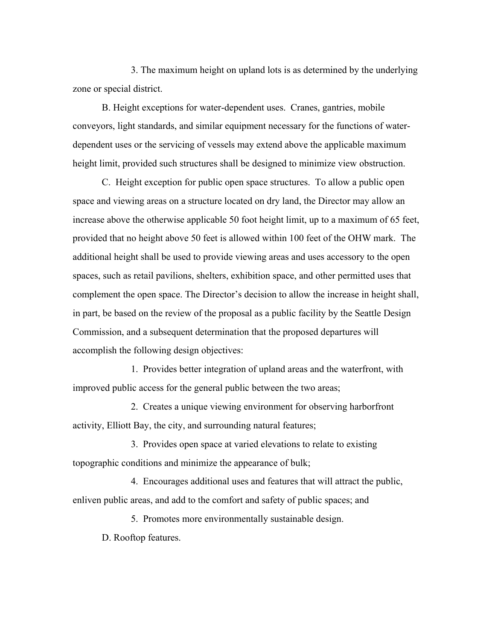3. The maximum height on upland lots is as determined by the underlying zone or special district.

B. Height exceptions for water-dependent uses. Cranes, gantries, mobile conveyors, light standards, and similar equipment necessary for the functions of waterdependent uses or the servicing of vessels may extend above the applicable maximum height limit, provided such structures shall be designed to minimize view obstruction.

C. Height exception for public open space structures. To allow a public open space and viewing areas on a structure located on dry land, the Director may allow an increase above the otherwise applicable 50 foot height limit, up to a maximum of 65 feet, provided that no height above 50 feet is allowed within 100 feet of the OHW mark. The additional height shall be used to provide viewing areas and uses accessory to the open spaces, such as retail pavilions, shelters, exhibition space, and other permitted uses that complement the open space. The Director's decision to allow the increase in height shall, in part, be based on the review of the proposal as a public facility by the Seattle Design Commission, and a subsequent determination that the proposed departures will accomplish the following design objectives:

1. Provides better integration of upland areas and the waterfront, with improved public access for the general public between the two areas;

2. Creates a unique viewing environment for observing harborfront activity, Elliott Bay, the city, and surrounding natural features;

3. Provides open space at varied elevations to relate to existing topographic conditions and minimize the appearance of bulk;

4. Encourages additional uses and features that will attract the public, enliven public areas, and add to the comfort and safety of public spaces; and

5. Promotes more environmentally sustainable design.

D. Rooftop features.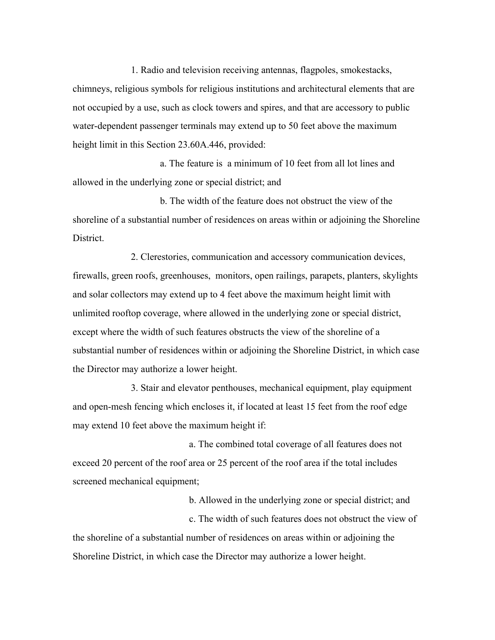1. Radio and television receiving antennas, flagpoles, smokestacks, chimneys, religious symbols for religious institutions and architectural elements that are not occupied by a use, such as clock towers and spires, and that are accessory to public water-dependent passenger terminals may extend up to 50 feet above the maximum height limit in this Section 23.60A.446, provided:

a. The feature is a minimum of 10 feet from all lot lines and allowed in the underlying zone or special district; and

b. The width of the feature does not obstruct the view of the shoreline of a substantial number of residences on areas within or adjoining the Shoreline **District** 

2. Clerestories, communication and accessory communication devices, firewalls, green roofs, greenhouses, monitors, open railings, parapets, planters, skylights and solar collectors may extend up to 4 feet above the maximum height limit with unlimited rooftop coverage, where allowed in the underlying zone or special district, except where the width of such features obstructs the view of the shoreline of a substantial number of residences within or adjoining the Shoreline District, in which case the Director may authorize a lower height.

3. Stair and elevator penthouses, mechanical equipment, play equipment and open-mesh fencing which encloses it, if located at least 15 feet from the roof edge may extend 10 feet above the maximum height if:

 a. The combined total coverage of all features does not exceed 20 percent of the roof area or 25 percent of the roof area if the total includes screened mechanical equipment;

b. Allowed in the underlying zone or special district; and

 c. The width of such features does not obstruct the view of the shoreline of a substantial number of residences on areas within or adjoining the Shoreline District, in which case the Director may authorize a lower height.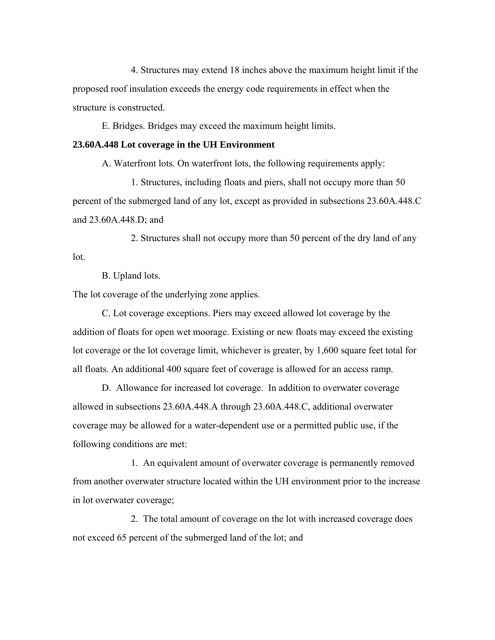4. Structures may extend 18 inches above the maximum height limit if the proposed roof insulation exceeds the energy code requirements in effect when the structure is constructed.

E. Bridges. Bridges may exceed the maximum height limits.

#### **23.60A.448 Lot coverage in the UH Environment**

A. Waterfront lots. On waterfront lots, the following requirements apply:

1. Structures, including floats and piers, shall not occupy more than 50 percent of the submerged land of any lot, except as provided in subsections 23.60A.448.C and 23.60A.448.D; and

2. Structures shall not occupy more than 50 percent of the dry land of any lot.

B. Upland lots.

The lot coverage of the underlying zone applies.

C. Lot coverage exceptions. Piers may exceed allowed lot coverage by the addition of floats for open wet moorage. Existing or new floats may exceed the existing lot coverage or the lot coverage limit, whichever is greater, by 1,600 square feet total for all floats. An additional 400 square feet of coverage is allowed for an access ramp.

D. Allowance for increased lot coverage. In addition to overwater coverage allowed in subsections 23.60A.448.A through 23.60A.448.C, additional overwater coverage may be allowed for a water-dependent use or a permitted public use, if the following conditions are met:

1. An equivalent amount of overwater coverage is permanently removed from another overwater structure located within the UH environment prior to the increase in lot overwater coverage;

2. The total amount of coverage on the lot with increased coverage does not exceed 65 percent of the submerged land of the lot; and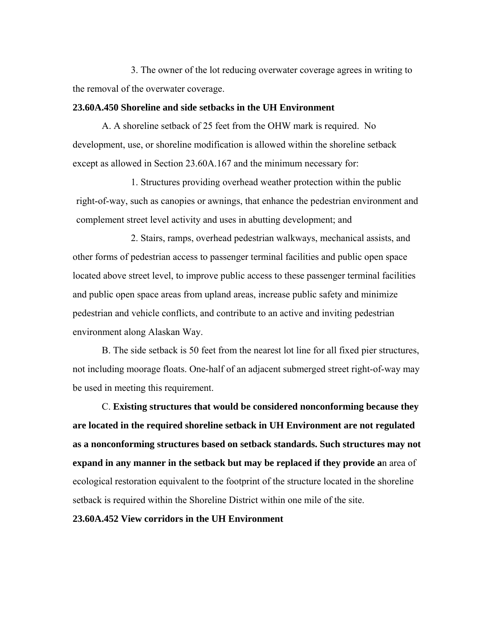3. The owner of the lot reducing overwater coverage agrees in writing to the removal of the overwater coverage.

# **23.60A.450 Shoreline and side setbacks in the UH Environment**

A. A shoreline setback of 25 feet from the OHW mark is required. No development, use, or shoreline modification is allowed within the shoreline setback except as allowed in Section 23.60A.167 and the minimum necessary for:

1. Structures providing overhead weather protection within the public right-of-way, such as canopies or awnings, that enhance the pedestrian environment and complement street level activity and uses in abutting development; and

2. Stairs, ramps, overhead pedestrian walkways, mechanical assists, and other forms of pedestrian access to passenger terminal facilities and public open space located above street level, to improve public access to these passenger terminal facilities and public open space areas from upland areas, increase public safety and minimize pedestrian and vehicle conflicts, and contribute to an active and inviting pedestrian environment along Alaskan Way.

B. The side setback is 50 feet from the nearest lot line for all fixed pier structures, not including moorage floats. One-half of an adjacent submerged street right-of-way may be used in meeting this requirement.

C. **Existing structures that would be considered nonconforming because they are located in the required shoreline setback in UH Environment are not regulated as a nonconforming structures based on setback standards. Such structures may not expand in any manner in the setback but may be replaced if they provide a**n area of ecological restoration equivalent to the footprint of the structure located in the shoreline setback is required within the Shoreline District within one mile of the site.

**23.60A.452 View corridors in the UH Environment**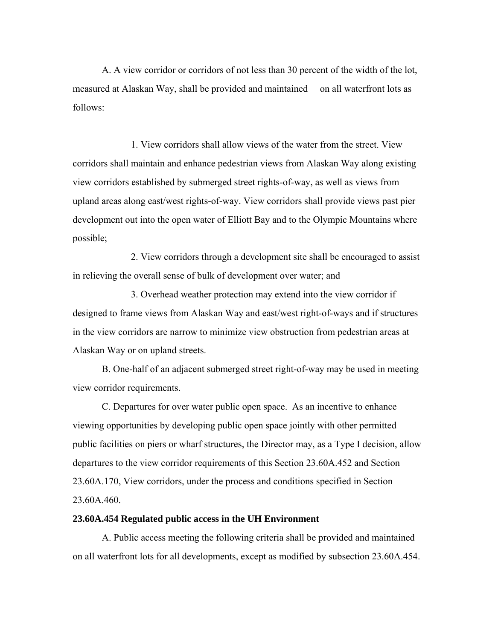A. A view corridor or corridors of not less than 30 percent of the width of the lot, measured at Alaskan Way, shall be provided and maintained on all waterfront lots as follows:

1. View corridors shall allow views of the water from the street. View corridors shall maintain and enhance pedestrian views from Alaskan Way along existing view corridors established by submerged street rights-of-way, as well as views from upland areas along east/west rights-of-way. View corridors shall provide views past pier development out into the open water of Elliott Bay and to the Olympic Mountains where possible;

2. View corridors through a development site shall be encouraged to assist in relieving the overall sense of bulk of development over water; and

3. Overhead weather protection may extend into the view corridor if designed to frame views from Alaskan Way and east/west right-of-ways and if structures in the view corridors are narrow to minimize view obstruction from pedestrian areas at Alaskan Way or on upland streets.

B. One-half of an adjacent submerged street right-of-way may be used in meeting view corridor requirements.

C. Departures for over water public open space. As an incentive to enhance viewing opportunities by developing public open space jointly with other permitted public facilities on piers or wharf structures, the Director may, as a Type I decision, allow departures to the view corridor requirements of this Section 23.60A.452 and Section 23.60A.170, View corridors, under the process and conditions specified in Section 23.60A.460.

# **23.60A.454 Regulated public access in the UH Environment**

A. Public access meeting the following criteria shall be provided and maintained on all waterfront lots for all developments, except as modified by subsection 23.60A.454.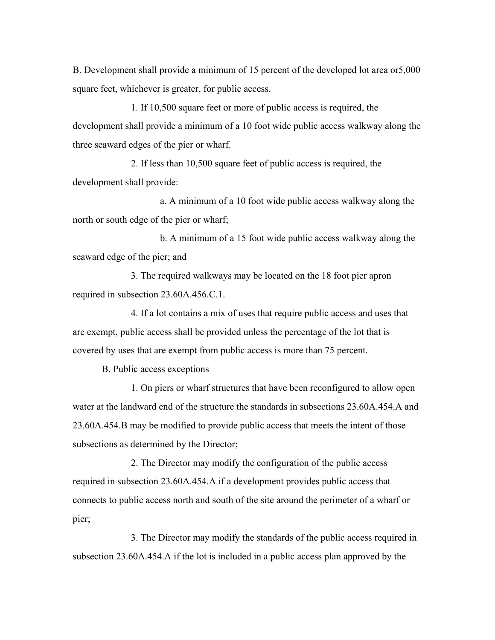B. Development shall provide a minimum of 15 percent of the developed lot area or5,000 square feet, whichever is greater, for public access.

1. If 10,500 square feet or more of public access is required, the development shall provide a minimum of a 10 foot wide public access walkway along the three seaward edges of the pier or wharf.

2. If less than 10,500 square feet of public access is required, the development shall provide:

a. A minimum of a 10 foot wide public access walkway along the north or south edge of the pier or wharf;

b. A minimum of a 15 foot wide public access walkway along the seaward edge of the pier; and

3. The required walkways may be located on the 18 foot pier apron required in subsection 23.60A.456.C.1.

4. If a lot contains a mix of uses that require public access and uses that are exempt, public access shall be provided unless the percentage of the lot that is covered by uses that are exempt from public access is more than 75 percent.

B. Public access exceptions

1. On piers or wharf structures that have been reconfigured to allow open water at the landward end of the structure the standards in subsections 23.60A.454.A and 23.60A.454.B may be modified to provide public access that meets the intent of those subsections as determined by the Director;

2. The Director may modify the configuration of the public access required in subsection 23.60A.454.A if a development provides public access that connects to public access north and south of the site around the perimeter of a wharf or pier;

3. The Director may modify the standards of the public access required in subsection 23.60A.454.A if the lot is included in a public access plan approved by the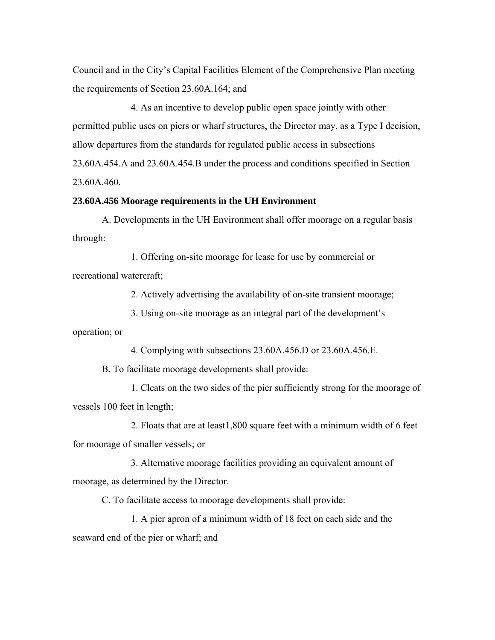Council and in the City's Capital Facilities Element of the Comprehensive Plan meeting the requirements of Section 23.60A.164; and

4. As an incentive to develop public open space jointly with other permitted public uses on piers or wharf structures, the Director may, as a Type I decision, allow departures from the standards for regulated public access in subsections 23.60A.454.A and 23.60A.454.B under the process and conditions specified in Section 23.60A.460.

#### **23.60A.456 Moorage requirements in the UH Environment**

A. Developments in the UH Environment shall offer moorage on a regular basis through:

1. Offering on-site moorage for lease for use by commercial or recreational watercraft;

2. Actively advertising the availability of on-site transient moorage;

3. Using on-site moorage as an integral part of the development's

operation; or

4. Complying with subsections 23.60A.456.D or 23.60A.456.E.

B. To facilitate moorage developments shall provide:

1. Cleats on the two sides of the pier sufficiently strong for the moorage of vessels 100 feet in length;

2. Floats that are at least1,800 square feet with a minimum width of 6 feet for moorage of smaller vessels; or

3. Alternative moorage facilities providing an equivalent amount of moorage, as determined by the Director.

C. To facilitate access to moorage developments shall provide:

1. A pier apron of a minimum width of 18 feet on each side and the seaward end of the pier or wharf; and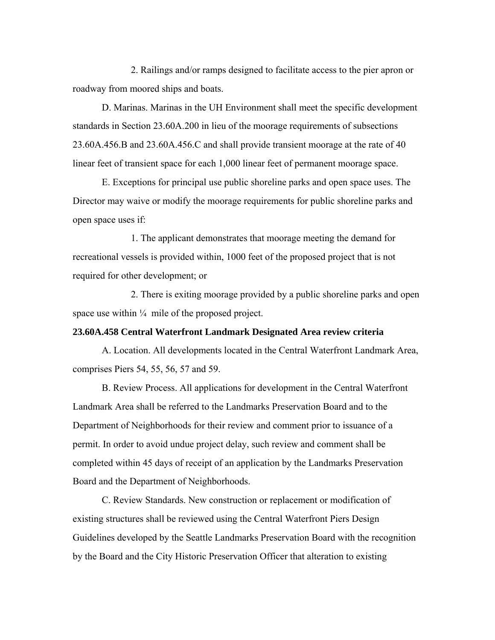2. Railings and/or ramps designed to facilitate access to the pier apron or roadway from moored ships and boats.

D. Marinas. Marinas in the UH Environment shall meet the specific development standards in Section 23.60A.200 in lieu of the moorage requirements of subsections 23.60A.456.B and 23.60A.456.C and shall provide transient moorage at the rate of 40 linear feet of transient space for each 1,000 linear feet of permanent moorage space.

E. Exceptions for principal use public shoreline parks and open space uses. The Director may waive or modify the moorage requirements for public shoreline parks and open space uses if:

1. The applicant demonstrates that moorage meeting the demand for recreational vessels is provided within, 1000 feet of the proposed project that is not required for other development; or

2. There is exiting moorage provided by a public shoreline parks and open space use within  $\frac{1}{4}$  mile of the proposed project.

# **23.60A.458 Central Waterfront Landmark Designated Area review criteria**

A. Location. All developments located in the Central Waterfront Landmark Area, comprises Piers 54, 55, 56, 57 and 59.

B. Review Process. All applications for development in the Central Waterfront Landmark Area shall be referred to the Landmarks Preservation Board and to the Department of Neighborhoods for their review and comment prior to issuance of a permit. In order to avoid undue project delay, such review and comment shall be completed within 45 days of receipt of an application by the Landmarks Preservation Board and the Department of Neighborhoods.

C. Review Standards. New construction or replacement or modification of existing structures shall be reviewed using the Central Waterfront Piers Design Guidelines developed by the Seattle Landmarks Preservation Board with the recognition by the Board and the City Historic Preservation Officer that alteration to existing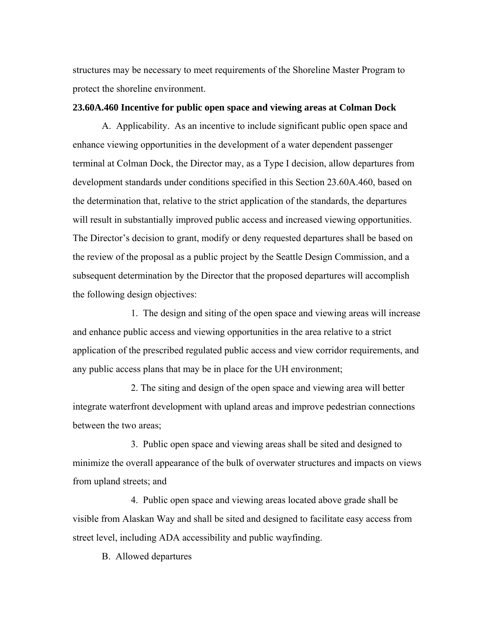structures may be necessary to meet requirements of the Shoreline Master Program to protect the shoreline environment.

# **23.60A.460 Incentive for public open space and viewing areas at Colman Dock**

A. Applicability. As an incentive to include significant public open space and enhance viewing opportunities in the development of a water dependent passenger terminal at Colman Dock, the Director may, as a Type I decision, allow departures from development standards under conditions specified in this Section 23.60A.460, based on the determination that, relative to the strict application of the standards, the departures will result in substantially improved public access and increased viewing opportunities. The Director's decision to grant, modify or deny requested departures shall be based on the review of the proposal as a public project by the Seattle Design Commission, and a subsequent determination by the Director that the proposed departures will accomplish the following design objectives:

1. The design and siting of the open space and viewing areas will increase and enhance public access and viewing opportunities in the area relative to a strict application of the prescribed regulated public access and view corridor requirements, and any public access plans that may be in place for the UH environment;

2. The siting and design of the open space and viewing area will better integrate waterfront development with upland areas and improve pedestrian connections between the two areas;

3. Public open space and viewing areas shall be sited and designed to minimize the overall appearance of the bulk of overwater structures and impacts on views from upland streets; and

4. Public open space and viewing areas located above grade shall be visible from Alaskan Way and shall be sited and designed to facilitate easy access from street level, including ADA accessibility and public wayfinding.

B. Allowed departures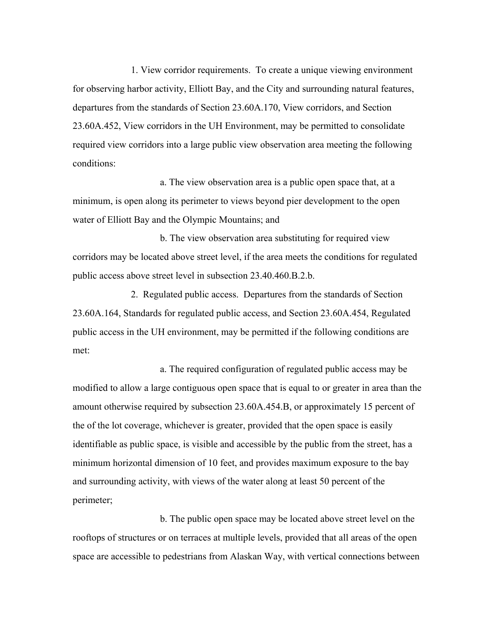1. View corridor requirements. To create a unique viewing environment for observing harbor activity, Elliott Bay, and the City and surrounding natural features, departures from the standards of Section 23.60A.170, View corridors, and Section 23.60A.452, View corridors in the UH Environment, may be permitted to consolidate required view corridors into a large public view observation area meeting the following conditions:

a. The view observation area is a public open space that, at a minimum, is open along its perimeter to views beyond pier development to the open water of Elliott Bay and the Olympic Mountains; and

b. The view observation area substituting for required view corridors may be located above street level, if the area meets the conditions for regulated public access above street level in subsection 23.40.460.B.2.b.

2. Regulated public access. Departures from the standards of Section 23.60A.164, Standards for regulated public access, and Section 23.60A.454, Regulated public access in the UH environment, may be permitted if the following conditions are met:

a. The required configuration of regulated public access may be modified to allow a large contiguous open space that is equal to or greater in area than the amount otherwise required by subsection 23.60A.454.B, or approximately 15 percent of the of the lot coverage, whichever is greater, provided that the open space is easily identifiable as public space, is visible and accessible by the public from the street, has a minimum horizontal dimension of 10 feet, and provides maximum exposure to the bay and surrounding activity, with views of the water along at least 50 percent of the perimeter;

b. The public open space may be located above street level on the rooftops of structures or on terraces at multiple levels, provided that all areas of the open space are accessible to pedestrians from Alaskan Way, with vertical connections between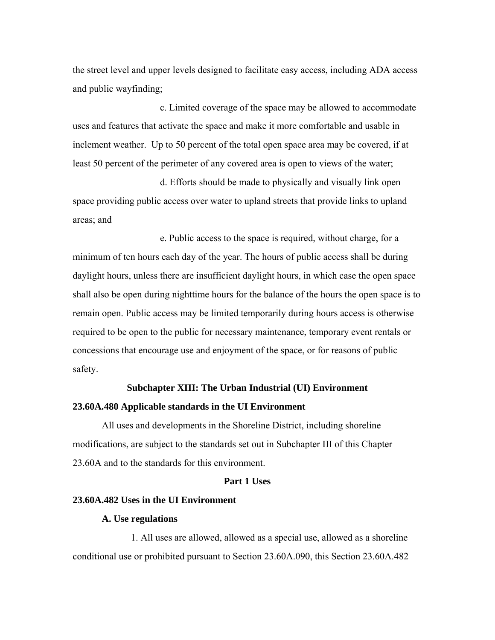the street level and upper levels designed to facilitate easy access, including ADA access and public wayfinding;

c. Limited coverage of the space may be allowed to accommodate uses and features that activate the space and make it more comfortable and usable in inclement weather. Up to 50 percent of the total open space area may be covered, if at least 50 percent of the perimeter of any covered area is open to views of the water;

d. Efforts should be made to physically and visually link open space providing public access over water to upland streets that provide links to upland areas; and

e. Public access to the space is required, without charge, for a minimum of ten hours each day of the year. The hours of public access shall be during daylight hours, unless there are insufficient daylight hours, in which case the open space shall also be open during nighttime hours for the balance of the hours the open space is to remain open. Public access may be limited temporarily during hours access is otherwise required to be open to the public for necessary maintenance, temporary event rentals or concessions that encourage use and enjoyment of the space, or for reasons of public safety.

#### **Subchapter XIII: The Urban Industrial (UI) Environment**

#### **23.60A.480 Applicable standards in the UI Environment**

All uses and developments in the Shoreline District, including shoreline modifications, are subject to the standards set out in Subchapter III of this Chapter 23.60A and to the standards for this environment.

# **Part 1 Uses**

#### **23.60A.482 Uses in the UI Environment**

#### **A. Use regulations**

1. All uses are allowed, allowed as a special use, allowed as a shoreline conditional use or prohibited pursuant to Section 23.60A.090, this Section 23.60A.482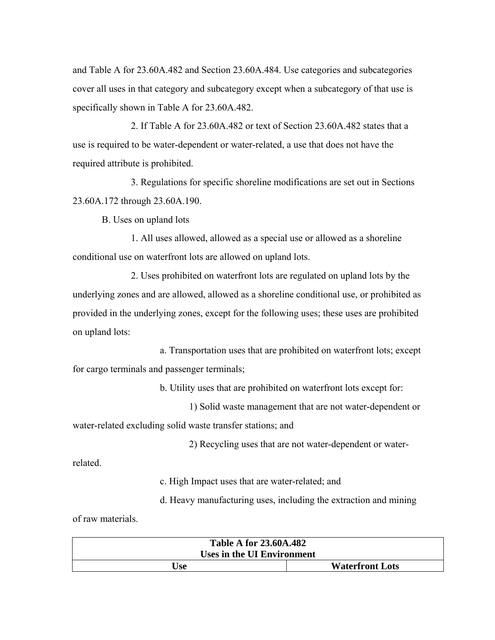and Table A for 23.60A.482 and Section 23.60A.484. Use categories and subcategories cover all uses in that category and subcategory except when a subcategory of that use is specifically shown in Table A for 23.60A.482.

2. If Table A for 23.60A.482 or text of Section 23.60A.482 states that a use is required to be water-dependent or water-related, a use that does not have the required attribute is prohibited.

3. Regulations for specific shoreline modifications are set out in Sections 23.60A.172 through 23.60A.190.

B. Uses on upland lots

1. All uses allowed, allowed as a special use or allowed as a shoreline conditional use on waterfront lots are allowed on upland lots.

2. Uses prohibited on waterfront lots are regulated on upland lots by the underlying zones and are allowed, allowed as a shoreline conditional use, or prohibited as provided in the underlying zones, except for the following uses; these uses are prohibited on upland lots:

 a. Transportation uses that are prohibited on waterfront lots; except for cargo terminals and passenger terminals;

b. Utility uses that are prohibited on waterfront lots except for:

 1) Solid waste management that are not water-dependent or water-related excluding solid waste transfer stations; and

2) Recycling uses that are not water-dependent or water-

related.

c. High Impact uses that are water-related; and

d. Heavy manufacturing uses, including the extraction and mining

of raw materials.

| <b>Table A for 23.60A.482</b> |                        |  |
|-------------------------------|------------------------|--|
| Uses in the UI Environment    |                        |  |
| Use                           | <b>Waterfront Lots</b> |  |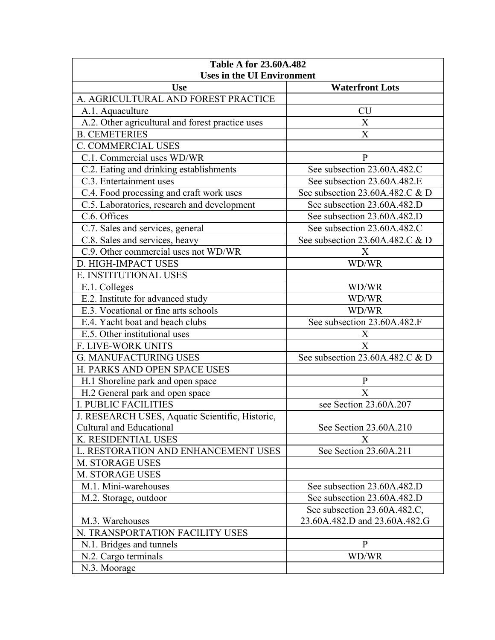| <b>Table A for 23.60A.482</b><br><b>Uses in the UI Environment</b> |                                  |
|--------------------------------------------------------------------|----------------------------------|
| <b>Use</b>                                                         | <b>Waterfront Lots</b>           |
| A. AGRICULTURAL AND FOREST PRACTICE                                |                                  |
| A.1. Aquaculture                                                   | <b>CU</b>                        |
| A.2. Other agricultural and forest practice uses                   | $\boldsymbol{\mathrm{X}}$        |
| <b>B. CEMETERIES</b>                                               | $\boldsymbol{\mathrm{X}}$        |
| <b>C. COMMERCIAL USES</b>                                          |                                  |
| C.1. Commercial uses WD/WR                                         | $\mathbf{P}$                     |
| C.2. Eating and drinking establishments                            | See subsection 23.60A.482.C      |
| C.3. Entertainment uses                                            | See subsection 23.60A.482.E      |
| C.4. Food processing and craft work uses                           | See subsection 23.60A.482.C $&D$ |
| C.5. Laboratories, research and development                        | See subsection 23.60A.482.D      |
| C.6. Offices                                                       | See subsection 23.60A.482.D      |
| C.7. Sales and services, general                                   | See subsection 23.60A.482.C      |
| C.8. Sales and services, heavy                                     | See subsection 23.60A.482.C & D  |
| C.9. Other commercial uses not WD/WR                               | X                                |
| D. HIGH-IMPACT USES                                                | WD/WR                            |
| E. INSTITUTIONAL USES                                              |                                  |
| E.1. Colleges                                                      | WD/WR                            |
| E.2. Institute for advanced study                                  | WD/WR                            |
| E.3. Vocational or fine arts schools                               | WD/WR                            |
| E.4. Yacht boat and beach clubs                                    | See subsection 23.60A.482.F      |
| E.5. Other institutional uses                                      | X                                |
| F. LIVE-WORK UNITS                                                 | X                                |
| <b>G. MANUFACTURING USES</b>                                       | See subsection 23.60A.482.C & D  |
| H. PARKS AND OPEN SPACE USES                                       |                                  |
| H.1 Shoreline park and open space                                  | $\, {\bf p}$                     |
| H.2 General park and open space                                    | X                                |
| <b>I. PUBLIC FACILITIES</b>                                        | see Section 23.60A.207           |
| J. RESEARCH USES, Aquatic Scientific, Historic,                    |                                  |
| Cultural and Educational                                           | See Section 23.60A.210           |
| K. RESIDENTIAL USES                                                | $\mathbf{X}$                     |
| L. RESTORATION AND ENHANCEMENT USES                                | See Section 23.60A.211           |
| M. STORAGE USES                                                    |                                  |
| <b>M. STORAGE USES</b>                                             |                                  |
| M.1. Mini-warehouses                                               | See subsection 23.60A.482.D      |
| M.2. Storage, outdoor                                              | See subsection 23.60A.482.D      |
|                                                                    | See subsection 23.60A.482.C,     |
| M.3. Warehouses                                                    | 23.60A.482.D and 23.60A.482.G    |
| N. TRANSPORTATION FACILITY USES                                    |                                  |
| N.1. Bridges and tunnels                                           | $\mathbf{P}$                     |
| N.2. Cargo terminals                                               | WD/WR                            |
| N.3. Moorage                                                       |                                  |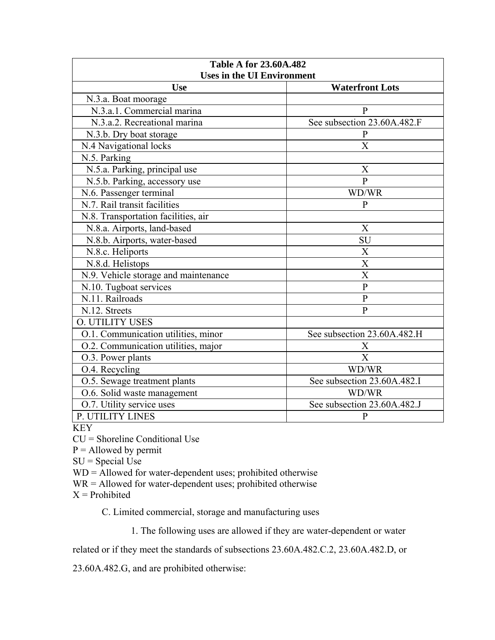| <b>Table A for 23.60A.482</b>        |                             |  |
|--------------------------------------|-----------------------------|--|
| <b>Uses in the UI Environment</b>    |                             |  |
| <b>Use</b>                           | <b>Waterfront Lots</b>      |  |
| N.3.a. Boat moorage                  |                             |  |
| N.3.a.1. Commercial marina           | $\mathbf{P}$                |  |
| N.3.a.2. Recreational marina         | See subsection 23.60A.482.F |  |
| N.3.b. Dry boat storage              | $\mathbf{P}$                |  |
| N.4 Navigational locks               | X                           |  |
| N.5. Parking                         |                             |  |
| N.5.a. Parking, principal use        | X                           |  |
| N.5.b. Parking, accessory use        | $\mathbf{p}$                |  |
| N.6. Passenger terminal              | WD/WR                       |  |
| N.7. Rail transit facilities         | $\mathbf{P}$                |  |
| N.8. Transportation facilities, air  |                             |  |
| N.8.a. Airports, land-based          | X                           |  |
| N.8.b. Airports, water-based         | SU                          |  |
| N.8.c. Heliports                     | X                           |  |
| N.8.d. Helistops                     | $\overline{\text{X}}$       |  |
| N.9. Vehicle storage and maintenance | X                           |  |
| N.10. Tugboat services               | $\mathbf{P}$                |  |
| N.11. Railroads                      | $\overline{P}$              |  |
| N.12. Streets                        | $\mathbf{P}$                |  |
| <b>O. UTILITY USES</b>               |                             |  |
| O.1. Communication utilities, minor  | See subsection 23.60A.482.H |  |
| O.2. Communication utilities, major  | X                           |  |
| O.3. Power plants                    | $\overline{X}$              |  |
| O.4. Recycling                       | WD/WR                       |  |
| O.5. Sewage treatment plants         | See subsection 23.60A.482.I |  |
| O.6. Solid waste management          | WD/WR                       |  |
| O.7. Utility service uses            | See subsection 23.60A.482.J |  |
| P. UTILITY LINES                     | $\mathbf{P}$                |  |

KEY

CU = Shoreline Conditional Use

 $P =$  Allowed by permit

 $SU = Special Use$ 

WD = Allowed for water-dependent uses; prohibited otherwise

 $WR =$  Allowed for water-dependent uses; prohibited otherwise

 $X =$ Prohibited

C. Limited commercial, storage and manufacturing uses

1. The following uses are allowed if they are water-dependent or water

related or if they meet the standards of subsections 23.60A.482.C.2, 23.60A.482.D, or

23.60A.482.G, and are prohibited otherwise: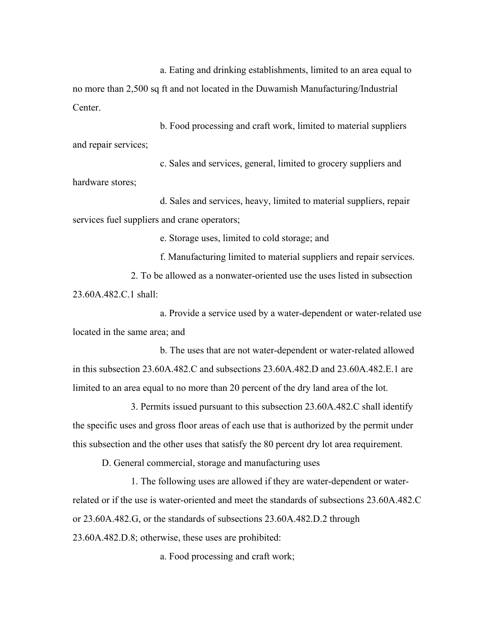a. Eating and drinking establishments, limited to an area equal to no more than 2,500 sq ft and not located in the Duwamish Manufacturing/Industrial **Center** 

b. Food processing and craft work, limited to material suppliers and repair services;

c. Sales and services, general, limited to grocery suppliers and hardware stores;

d. Sales and services, heavy, limited to material suppliers, repair services fuel suppliers and crane operators;

e. Storage uses, limited to cold storage; and

f. Manufacturing limited to material suppliers and repair services. 2. To be allowed as a nonwater-oriented use the uses listed in subsection 23.60A.482.C.1 shall:

a. Provide a service used by a water-dependent or water-related use located in the same area; and

b. The uses that are not water-dependent or water-related allowed in this subsection 23.60A.482.C and subsections 23.60A.482.D and 23.60A.482.E.1 are limited to an area equal to no more than 20 percent of the dry land area of the lot.

3. Permits issued pursuant to this subsection 23.60A.482.C shall identify the specific uses and gross floor areas of each use that is authorized by the permit under this subsection and the other uses that satisfy the 80 percent dry lot area requirement.

D. General commercial, storage and manufacturing uses

1. The following uses are allowed if they are water-dependent or waterrelated or if the use is water-oriented and meet the standards of subsections 23.60A.482.C or 23.60A.482.G, or the standards of subsections 23.60A.482.D.2 through 23.60A.482.D.8; otherwise, these uses are prohibited:

a. Food processing and craft work;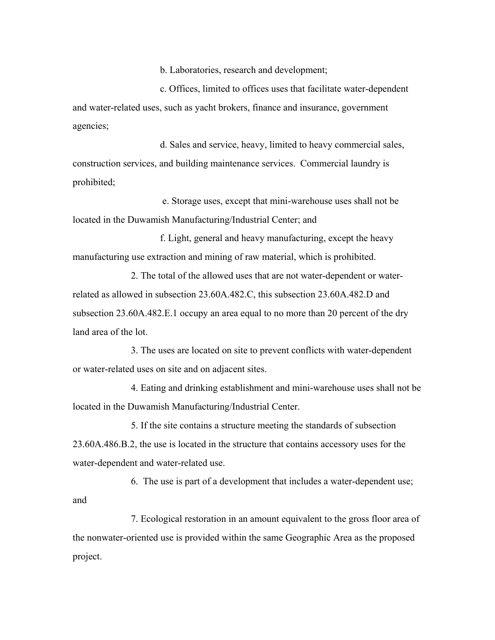b. Laboratories, research and development;

c. Offices, limited to offices uses that facilitate water-dependent and water-related uses, such as yacht brokers, finance and insurance, government agencies;

d. Sales and service, heavy, limited to heavy commercial sales, construction services, and building maintenance services. Commercial laundry is prohibited;

 e. Storage uses, except that mini-warehouse uses shall not be located in the Duwamish Manufacturing/Industrial Center; and

f. Light, general and heavy manufacturing, except the heavy manufacturing use extraction and mining of raw material, which is prohibited.

2. The total of the allowed uses that are not water-dependent or waterrelated as allowed in subsection 23.60A.482.C, this subsection 23.60A.482.D and subsection 23.60A.482.E.1 occupy an area equal to no more than 20 percent of the dry land area of the lot.

3. The uses are located on site to prevent conflicts with water-dependent or water-related uses on site and on adjacent sites.

4. Eating and drinking establishment and mini-warehouse uses shall not be located in the Duwamish Manufacturing/Industrial Center.

5. If the site contains a structure meeting the standards of subsection 23.60A.486.B.2, the use is located in the structure that contains accessory uses for the water-dependent and water-related use.

6. The use is part of a development that includes a water-dependent use; and

7. Ecological restoration in an amount equivalent to the gross floor area of the nonwater-oriented use is provided within the same Geographic Area as the proposed project.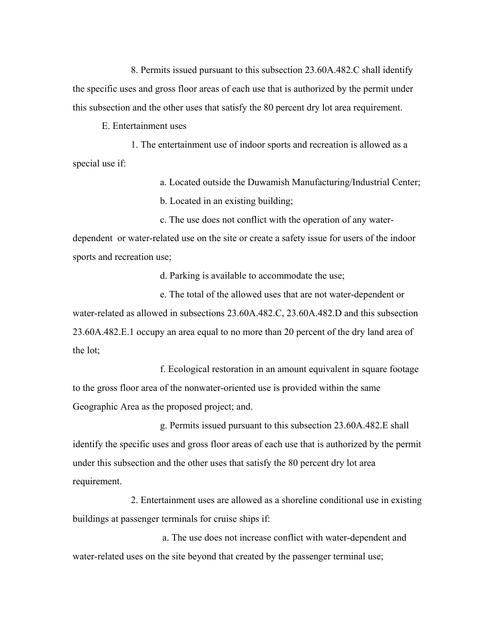8. Permits issued pursuant to this subsection 23.60A.482.C shall identify the specific uses and gross floor areas of each use that is authorized by the permit under this subsection and the other uses that satisfy the 80 percent dry lot area requirement.

E. Entertainment uses

1. The entertainment use of indoor sports and recreation is allowed as a special use if:

> a. Located outside the Duwamish Manufacturing/Industrial Center; b. Located in an existing building;

c. The use does not conflict with the operation of any waterdependent or water-related use on the site or create a safety issue for users of the indoor sports and recreation use;

d. Parking is available to accommodate the use;

e. The total of the allowed uses that are not water-dependent or water-related as allowed in subsections 23.60A.482.C, 23.60A.482.D and this subsection 23.60A.482.E.1 occupy an area equal to no more than 20 percent of the dry land area of the lot;

f. Ecological restoration in an amount equivalent in square footage to the gross floor area of the nonwater-oriented use is provided within the same Geographic Area as the proposed project; and.

g. Permits issued pursuant to this subsection 23.60A.482.E shall identify the specific uses and gross floor areas of each use that is authorized by the permit under this subsection and the other uses that satisfy the 80 percent dry lot area requirement.

2. Entertainment uses are allowed as a shoreline conditional use in existing buildings at passenger terminals for cruise ships if:

 a. The use does not increase conflict with water-dependent and water-related uses on the site beyond that created by the passenger terminal use;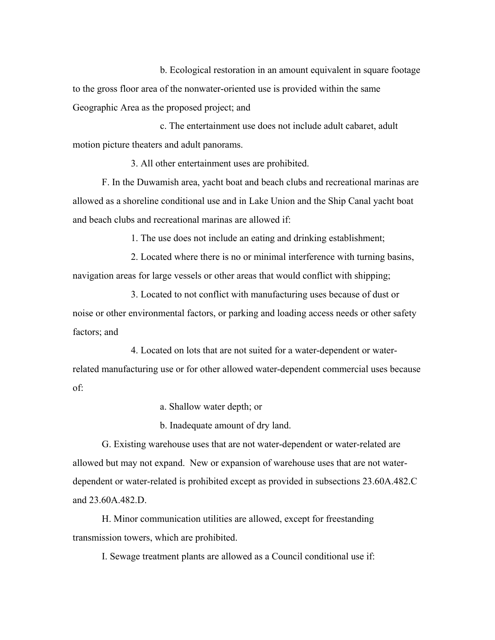b. Ecological restoration in an amount equivalent in square footage to the gross floor area of the nonwater-oriented use is provided within the same Geographic Area as the proposed project; and

c. The entertainment use does not include adult cabaret, adult motion picture theaters and adult panorams.

3. All other entertainment uses are prohibited.

F. In the Duwamish area, yacht boat and beach clubs and recreational marinas are allowed as a shoreline conditional use and in Lake Union and the Ship Canal yacht boat and beach clubs and recreational marinas are allowed if:

1. The use does not include an eating and drinking establishment;

2. Located where there is no or minimal interference with turning basins, navigation areas for large vessels or other areas that would conflict with shipping;

3. Located to not conflict with manufacturing uses because of dust or noise or other environmental factors, or parking and loading access needs or other safety factors; and

4. Located on lots that are not suited for a water-dependent or waterrelated manufacturing use or for other allowed water-dependent commercial uses because of:

a. Shallow water depth; or

b. Inadequate amount of dry land.

G. Existing warehouse uses that are not water-dependent or water-related are allowed but may not expand. New or expansion of warehouse uses that are not waterdependent or water-related is prohibited except as provided in subsections 23.60A.482.C and 23.60A.482.D.

H. Minor communication utilities are allowed, except for freestanding transmission towers, which are prohibited.

I. Sewage treatment plants are allowed as a Council conditional use if: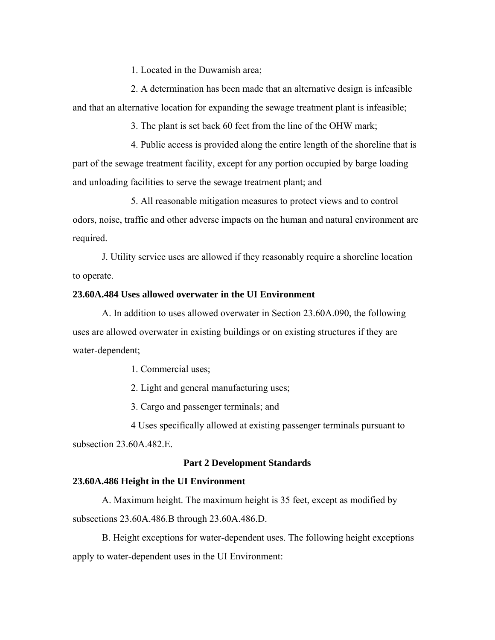1. Located in the Duwamish area;

2. A determination has been made that an alternative design is infeasible and that an alternative location for expanding the sewage treatment plant is infeasible;

3. The plant is set back 60 feet from the line of the OHW mark;

4. Public access is provided along the entire length of the shoreline that is part of the sewage treatment facility, except for any portion occupied by barge loading and unloading facilities to serve the sewage treatment plant; and

5. All reasonable mitigation measures to protect views and to control odors, noise, traffic and other adverse impacts on the human and natural environment are required.

J. Utility service uses are allowed if they reasonably require a shoreline location to operate.

# **23.60A.484 Uses allowed overwater in the UI Environment**

A. In addition to uses allowed overwater in Section 23.60A.090, the following uses are allowed overwater in existing buildings or on existing structures if they are water-dependent;

1. Commercial uses;

2. Light and general manufacturing uses;

3. Cargo and passenger terminals; and

4 Uses specifically allowed at existing passenger terminals pursuant to subsection  $23,60A,482$  E.

#### **Part 2 Development Standards**

#### **23.60A.486 Height in the UI Environment**

A. Maximum height. The maximum height is 35 feet, except as modified by subsections 23.60A.486.B through 23.60A.486.D.

B. Height exceptions for water-dependent uses. The following height exceptions apply to water-dependent uses in the UI Environment: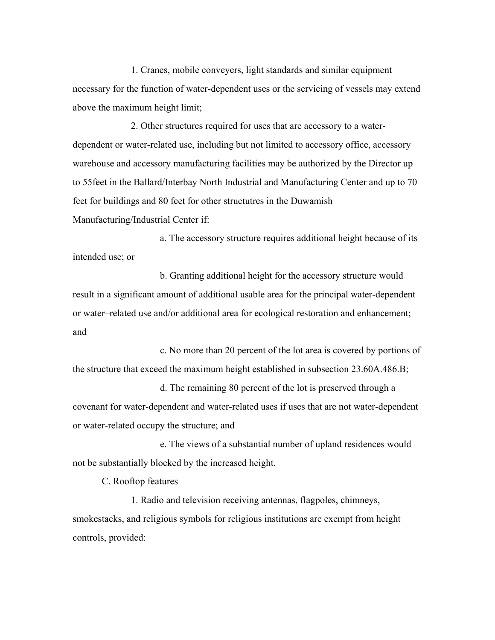1. Cranes, mobile conveyers, light standards and similar equipment necessary for the function of water-dependent uses or the servicing of vessels may extend above the maximum height limit;

2. Other structures required for uses that are accessory to a waterdependent or water-related use, including but not limited to accessory office, accessory warehouse and accessory manufacturing facilities may be authorized by the Director up to 55feet in the Ballard/Interbay North Industrial and Manufacturing Center and up to 70 feet for buildings and 80 feet for other structutres in the Duwamish Manufacturing/Industrial Center if:

a. The accessory structure requires additional height because of its intended use; or

b. Granting additional height for the accessory structure would result in a significant amount of additional usable area for the principal water-dependent or water–related use and/or additional area for ecological restoration and enhancement; and

c. No more than 20 percent of the lot area is covered by portions of the structure that exceed the maximum height established in subsection 23.60A.486.B;

d. The remaining 80 percent of the lot is preserved through a covenant for water-dependent and water-related uses if uses that are not water-dependent or water-related occupy the structure; and

e. The views of a substantial number of upland residences would not be substantially blocked by the increased height.

C. Rooftop features

1. Radio and television receiving antennas, flagpoles, chimneys, smokestacks, and religious symbols for religious institutions are exempt from height controls, provided: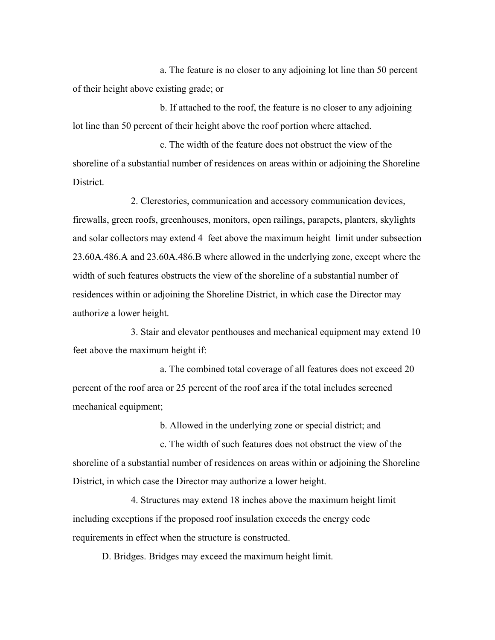a. The feature is no closer to any adjoining lot line than 50 percent of their height above existing grade; or

b. If attached to the roof, the feature is no closer to any adjoining lot line than 50 percent of their height above the roof portion where attached.

c. The width of the feature does not obstruct the view of the shoreline of a substantial number of residences on areas within or adjoining the Shoreline **District** 

2. Clerestories, communication and accessory communication devices, firewalls, green roofs, greenhouses, monitors, open railings, parapets, planters, skylights and solar collectors may extend 4 feet above the maximum height limit under subsection 23.60A.486.A and 23.60A.486.B where allowed in the underlying zone, except where the width of such features obstructs the view of the shoreline of a substantial number of residences within or adjoining the Shoreline District, in which case the Director may authorize a lower height.

3. Stair and elevator penthouses and mechanical equipment may extend 10 feet above the maximum height if:

a. The combined total coverage of all features does not exceed 20 percent of the roof area or 25 percent of the roof area if the total includes screened mechanical equipment;

b. Allowed in the underlying zone or special district; and

c. The width of such features does not obstruct the view of the shoreline of a substantial number of residences on areas within or adjoining the Shoreline District, in which case the Director may authorize a lower height.

4. Structures may extend 18 inches above the maximum height limit including exceptions if the proposed roof insulation exceeds the energy code requirements in effect when the structure is constructed.

D. Bridges. Bridges may exceed the maximum height limit.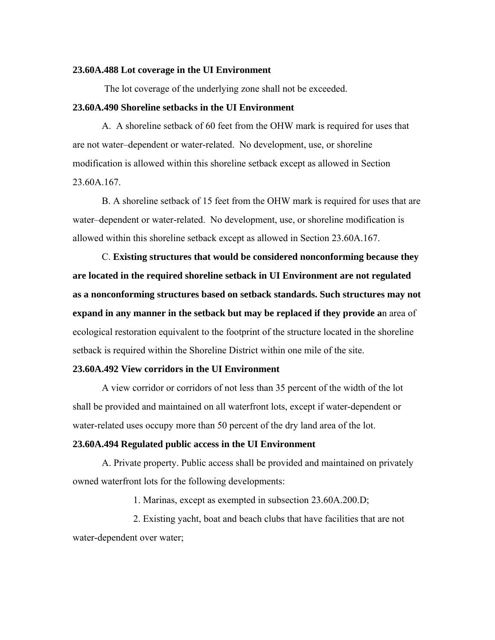#### **23.60A.488 Lot coverage in the UI Environment**

The lot coverage of the underlying zone shall not be exceeded.

## **23.60A.490 Shoreline setbacks in the UI Environment**

A. A shoreline setback of 60 feet from the OHW mark is required for uses that are not water–dependent or water-related. No development, use, or shoreline modification is allowed within this shoreline setback except as allowed in Section 23.60A.167.

B. A shoreline setback of 15 feet from the OHW mark is required for uses that are water–dependent or water-related. No development, use, or shoreline modification is allowed within this shoreline setback except as allowed in Section 23.60A.167.

C. **Existing structures that would be considered nonconforming because they are located in the required shoreline setback in UI Environment are not regulated as a nonconforming structures based on setback standards. Such structures may not expand in any manner in the setback but may be replaced if they provide a**n area of ecological restoration equivalent to the footprint of the structure located in the shoreline setback is required within the Shoreline District within one mile of the site.

### **23.60A.492 View corridors in the UI Environment**

A view corridor or corridors of not less than 35 percent of the width of the lot shall be provided and maintained on all waterfront lots, except if water-dependent or water-related uses occupy more than 50 percent of the dry land area of the lot.

#### **23.60A.494 Regulated public access in the UI Environment**

A. Private property. Public access shall be provided and maintained on privately owned waterfront lots for the following developments:

1. Marinas, except as exempted in subsection 23.60A.200.D;

 2. Existing yacht, boat and beach clubs that have facilities that are not water-dependent over water;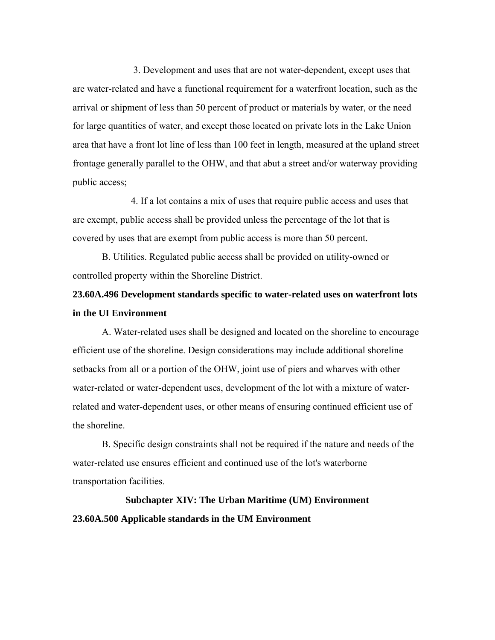3. Development and uses that are not water-dependent, except uses that are water-related and have a functional requirement for a waterfront location, such as the arrival or shipment of less than 50 percent of product or materials by water, or the need for large quantities of water, and except those located on private lots in the Lake Union area that have a front lot line of less than 100 feet in length, measured at the upland street frontage generally parallel to the OHW, and that abut a street and/or waterway providing public access;

4. If a lot contains a mix of uses that require public access and uses that are exempt, public access shall be provided unless the percentage of the lot that is covered by uses that are exempt from public access is more than 50 percent.

B. Utilities. Regulated public access shall be provided on utility-owned or controlled property within the Shoreline District.

# **23.60A.496 Development standards specific to water-related uses on waterfront lots in the UI Environment**

A. Water-related uses shall be designed and located on the shoreline to encourage efficient use of the shoreline. Design considerations may include additional shoreline setbacks from all or a portion of the OHW, joint use of piers and wharves with other water-related or water-dependent uses, development of the lot with a mixture of waterrelated and water-dependent uses, or other means of ensuring continued efficient use of the shoreline.

B. Specific design constraints shall not be required if the nature and needs of the water-related use ensures efficient and continued use of the lot's waterborne transportation facilities.

# **Subchapter XIV: The Urban Maritime (UM) Environment 23.60A.500 Applicable standards in the UM Environment**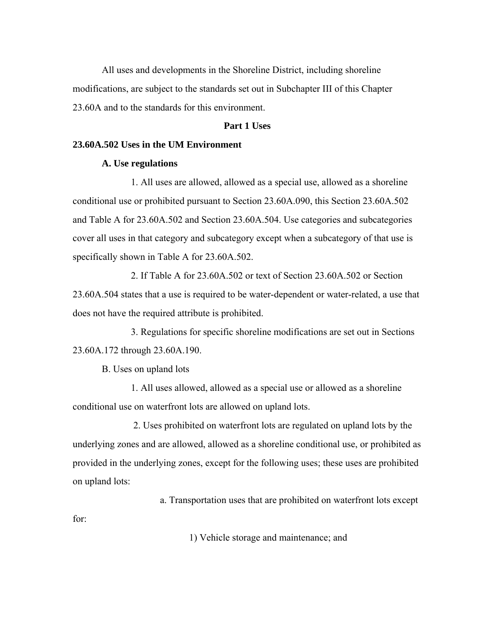All uses and developments in the Shoreline District, including shoreline modifications, are subject to the standards set out in Subchapter III of this Chapter 23.60A and to the standards for this environment.

# **Part 1 Uses**

# **23.60A.502 Uses in the UM Environment**

# **A. Use regulations**

1. All uses are allowed, allowed as a special use, allowed as a shoreline conditional use or prohibited pursuant to Section 23.60A.090, this Section 23.60A.502 and Table A for 23.60A.502 and Section 23.60A.504. Use categories and subcategories cover all uses in that category and subcategory except when a subcategory of that use is specifically shown in Table A for 23.60A.502.

2. If Table A for 23.60A.502 or text of Section 23.60A.502 or Section 23.60A.504 states that a use is required to be water-dependent or water-related, a use that does not have the required attribute is prohibited.

3. Regulations for specific shoreline modifications are set out in Sections 23.60A.172 through 23.60A.190.

B. Uses on upland lots

1. All uses allowed, allowed as a special use or allowed as a shoreline conditional use on waterfront lots are allowed on upland lots.

 2. Uses prohibited on waterfront lots are regulated on upland lots by the underlying zones and are allowed, allowed as a shoreline conditional use, or prohibited as provided in the underlying zones, except for the following uses; these uses are prohibited on upland lots:

a. Transportation uses that are prohibited on waterfront lots except

for:

1) Vehicle storage and maintenance; and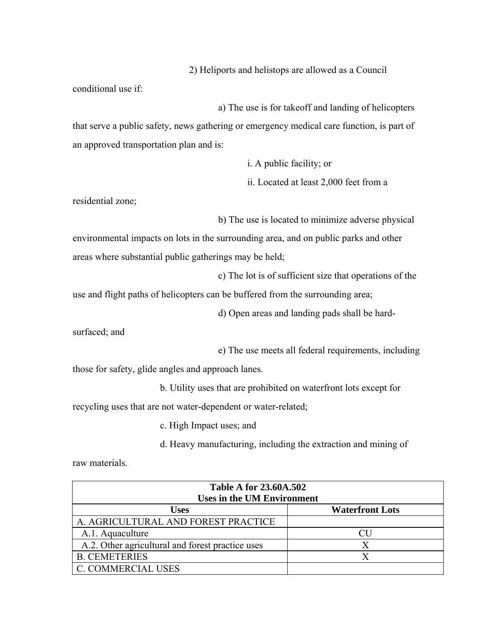2) Heliports and helistops are allowed as a Council

conditional use if:

 a) The use is for takeoff and landing of helicopters that serve a public safety, news gathering or emergency medical care function, is part of an approved transportation plan and is:

i. A public facility; or

ii. Located at least 2,000 feet from a

residential zone;

b) The use is located to minimize adverse physical

environmental impacts on lots in the surrounding area, and on public parks and other areas where substantial public gatherings may be held;

c) The lot is of sufficient size that operations of the

use and flight paths of helicopters can be buffered from the surrounding area;

d) Open areas and landing pads shall be hard-

surfaced; and

e) The use meets all federal requirements, including

those for safety, glide angles and approach lanes.

b. Utility uses that are prohibited on waterfront lots except for

recycling uses that are not water-dependent or water-related;

c. High Impact uses; and

d. Heavy manufacturing, including the extraction and mining of

raw materials.

| <b>Table A for 23.60A.502</b><br><b>Uses in the UM Environment</b> |                        |  |
|--------------------------------------------------------------------|------------------------|--|
| <b>Uses</b>                                                        | <b>Waterfront Lots</b> |  |
| A. AGRICULTURAL AND FOREST PRACTICE                                |                        |  |
| A.1. Aquaculture                                                   |                        |  |
| A.2. Other agricultural and forest practice uses                   |                        |  |
| <b>B. CEMETERIES</b>                                               |                        |  |
| <b>C. COMMERCIAL USES</b>                                          |                        |  |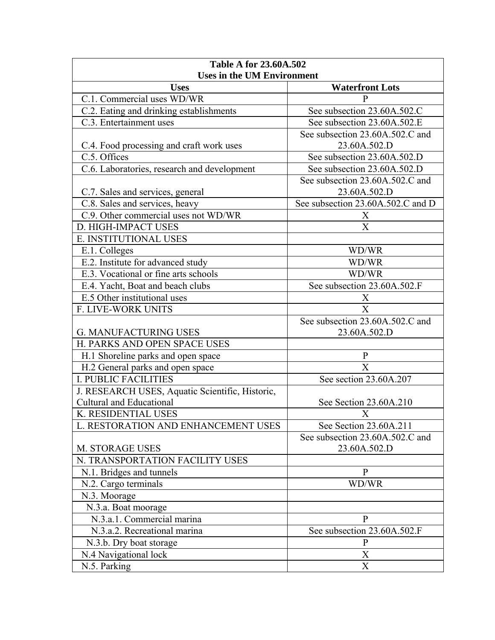| <b>Table A for 23.60A.502</b><br><b>Uses in the UM Environment</b> |                                   |  |
|--------------------------------------------------------------------|-----------------------------------|--|
| <b>Uses</b>                                                        | <b>Waterfront Lots</b>            |  |
| C.1. Commercial uses WD/WR                                         | P                                 |  |
| C.2. Eating and drinking establishments                            | See subsection 23.60A.502.C       |  |
| C.3. Entertainment uses                                            | See subsection 23.60A.502.E       |  |
|                                                                    | See subsection 23.60A.502.C and   |  |
| C.4. Food processing and craft work uses                           | 23.60A.502.D                      |  |
| C.5. Offices                                                       | See subsection 23.60A.502.D       |  |
| C.6. Laboratories, research and development                        | See subsection 23.60A.502.D       |  |
|                                                                    | See subsection 23.60A.502.C and   |  |
| C.7. Sales and services, general                                   | 23.60A.502.D                      |  |
| C.8. Sales and services, heavy                                     | See subsection 23.60A.502.C and D |  |
| C.9. Other commercial uses not WD/WR                               | X                                 |  |
| D. HIGH-IMPACT USES                                                | $\overline{X}$                    |  |
| E. INSTITUTIONAL USES                                              |                                   |  |
| E.1. Colleges                                                      | WD/WR                             |  |
| E.2. Institute for advanced study                                  | WD/WR                             |  |
| E.3. Vocational or fine arts schools                               | WD/WR                             |  |
| E.4. Yacht, Boat and beach clubs                                   | See subsection 23.60A.502.F       |  |
| E.5 Other institutional uses                                       | X                                 |  |
| F. LIVE-WORK UNITS                                                 | X                                 |  |
|                                                                    | See subsection 23.60A.502.C and   |  |
| <b>G. MANUFACTURING USES</b>                                       | 23.60A.502.D                      |  |
| H. PARKS AND OPEN SPACE USES                                       |                                   |  |
| H.1 Shoreline parks and open space                                 | $\mathbf{P}$                      |  |
| H.2 General parks and open space                                   | $\overline{X}$                    |  |
| <b>I. PUBLIC FACILITIES</b>                                        | See section 23.60A.207            |  |
| J. RESEARCH USES, Aquatic Scientific, Historic,                    |                                   |  |
| <b>Cultural and Educational</b>                                    | See Section 23.60A.210            |  |
| K. RESIDENTIAL USES                                                | X                                 |  |
| L. RESTORATION AND ENHANCEMENT USES                                | See Section 23.60A.211            |  |
|                                                                    | See subsection 23.60A.502.C and   |  |
| <b>M. STORAGE USES</b>                                             | 23.60A.502.D                      |  |
| N. TRANSPORTATION FACILITY USES                                    |                                   |  |
| N.1. Bridges and tunnels                                           | $\mathbf{P}$                      |  |
| N.2. Cargo terminals                                               | WD/WR                             |  |
| N.3. Moorage                                                       |                                   |  |
| N.3.a. Boat moorage                                                |                                   |  |
| N.3.a.1. Commercial marina                                         | $\mathbf{P}$                      |  |
| N.3.a.2. Recreational marina                                       | See subsection 23.60A.502.F       |  |
| N.3.b. Dry boat storage                                            | $\mathbf{P}$                      |  |
| N.4 Navigational lock                                              | X                                 |  |
| N.5. Parking                                                       | X                                 |  |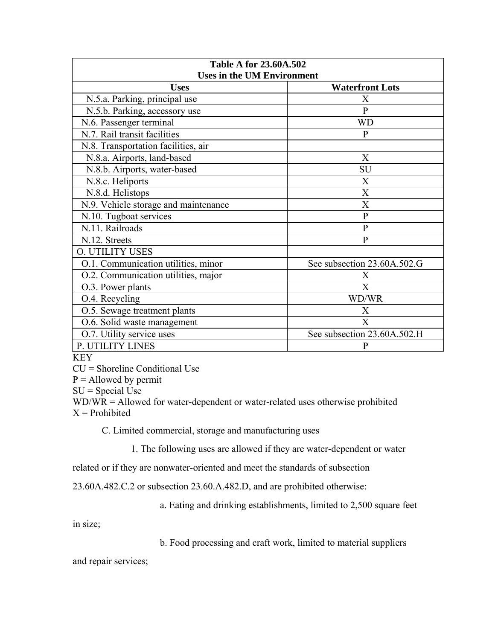| <b>Table A for 23.60A.502</b>        |                             |  |
|--------------------------------------|-----------------------------|--|
| <b>Uses in the UM Environment</b>    |                             |  |
| <b>Uses</b>                          | <b>Waterfront Lots</b>      |  |
| N.5.a. Parking, principal use        | X                           |  |
| N.5.b. Parking, accessory use        | $\mathbf{P}$                |  |
| N.6. Passenger terminal              | <b>WD</b>                   |  |
| N.7. Rail transit facilities         | $\mathbf{P}$                |  |
| N.8. Transportation facilities, air  |                             |  |
| N.8.a. Airports, land-based          | X                           |  |
| N.8.b. Airports, water-based         | SU                          |  |
| N.8.c. Heliports                     | X                           |  |
| N.8.d. Helistops                     | X                           |  |
| N.9. Vehicle storage and maintenance | X                           |  |
| N.10. Tugboat services               | $\mathbf{P}$                |  |
| N.11. Railroads                      | $\mathbf{P}$                |  |
| N.12. Streets                        | $\mathbf{P}$                |  |
| <b>O. UTILITY USES</b>               |                             |  |
| O.1. Communication utilities, minor  | See subsection 23.60A.502.G |  |
| O.2. Communication utilities, major  | X                           |  |
| O.3. Power plants                    | $\mathbf{X}$                |  |
| O.4. Recycling                       | WD/WR                       |  |
| O.5. Sewage treatment plants         | X                           |  |
| O.6. Solid waste management          | $\mathbf{X}$                |  |
| O.7. Utility service uses            | See subsection 23.60A.502.H |  |
| P. UTILITY LINES                     | $\mathbf{P}$                |  |

KEY

CU = Shoreline Conditional Use

 $P =$  Allowed by permit

 $SU = Special Use$ 

WD/WR = Allowed for water-dependent or water-related uses otherwise prohibited  $X =$ Prohibited

C. Limited commercial, storage and manufacturing uses

1. The following uses are allowed if they are water-dependent or water

related or if they are nonwater-oriented and meet the standards of subsection

23.60A.482.C.2 or subsection 23.60.A.482.D, and are prohibited otherwise:

a. Eating and drinking establishments, limited to 2,500 square feet

in size;

b. Food processing and craft work, limited to material suppliers

and repair services;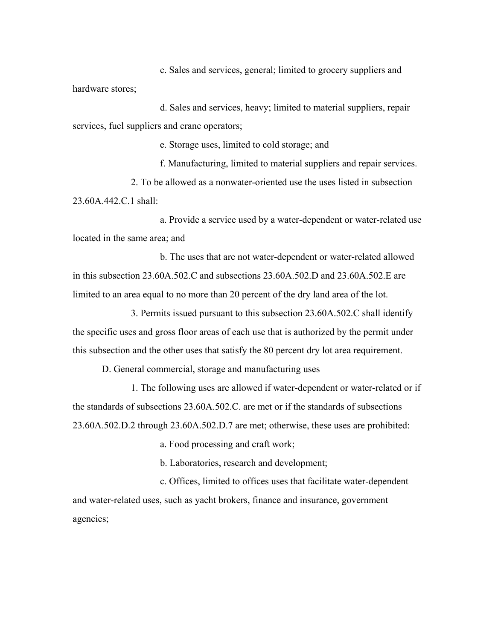c. Sales and services, general; limited to grocery suppliers and hardware stores;

d. Sales and services, heavy; limited to material suppliers, repair services, fuel suppliers and crane operators;

e. Storage uses, limited to cold storage; and

f. Manufacturing, limited to material suppliers and repair services. 2. To be allowed as a nonwater-oriented use the uses listed in subsection 23.60A.442.C.1 shall:

a. Provide a service used by a water-dependent or water-related use located in the same area; and

b. The uses that are not water-dependent or water-related allowed in this subsection 23.60A.502.C and subsections 23.60A.502.D and 23.60A.502.E are limited to an area equal to no more than 20 percent of the dry land area of the lot.

3. Permits issued pursuant to this subsection 23.60A.502.C shall identify the specific uses and gross floor areas of each use that is authorized by the permit under this subsection and the other uses that satisfy the 80 percent dry lot area requirement.

D. General commercial, storage and manufacturing uses

1. The following uses are allowed if water-dependent or water-related or if the standards of subsections 23.60A.502.C. are met or if the standards of subsections 23.60A.502.D.2 through 23.60A.502.D.7 are met; otherwise, these uses are prohibited:

a. Food processing and craft work;

b. Laboratories, research and development;

c. Offices, limited to offices uses that facilitate water-dependent and water-related uses, such as yacht brokers, finance and insurance, government agencies;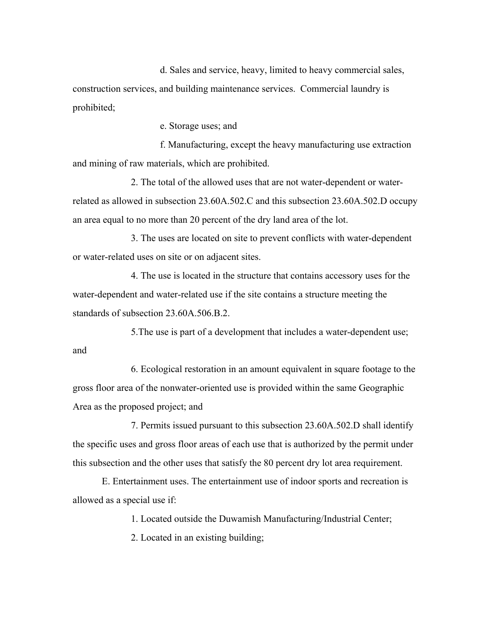d. Sales and service, heavy, limited to heavy commercial sales, construction services, and building maintenance services. Commercial laundry is prohibited;

e. Storage uses; and

f. Manufacturing, except the heavy manufacturing use extraction and mining of raw materials, which are prohibited.

2. The total of the allowed uses that are not water-dependent or waterrelated as allowed in subsection 23.60A.502.C and this subsection 23.60A.502.D occupy an area equal to no more than 20 percent of the dry land area of the lot.

3. The uses are located on site to prevent conflicts with water-dependent or water-related uses on site or on adjacent sites.

4. The use is located in the structure that contains accessory uses for the water-dependent and water-related use if the site contains a structure meeting the standards of subsection 23.60A.506.B.2.

5.The use is part of a development that includes a water-dependent use; and

6. Ecological restoration in an amount equivalent in square footage to the gross floor area of the nonwater-oriented use is provided within the same Geographic Area as the proposed project; and

7. Permits issued pursuant to this subsection 23.60A.502.D shall identify the specific uses and gross floor areas of each use that is authorized by the permit under this subsection and the other uses that satisfy the 80 percent dry lot area requirement.

E. Entertainment uses. The entertainment use of indoor sports and recreation is allowed as a special use if:

1. Located outside the Duwamish Manufacturing/Industrial Center;

2. Located in an existing building;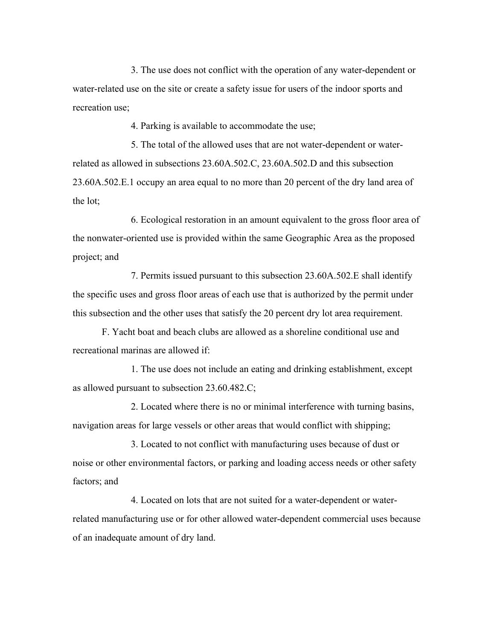3. The use does not conflict with the operation of any water-dependent or water-related use on the site or create a safety issue for users of the indoor sports and recreation use;

4. Parking is available to accommodate the use;

5. The total of the allowed uses that are not water-dependent or waterrelated as allowed in subsections 23.60A.502.C, 23.60A.502.D and this subsection 23.60A.502.E.1 occupy an area equal to no more than 20 percent of the dry land area of the lot;

6. Ecological restoration in an amount equivalent to the gross floor area of the nonwater-oriented use is provided within the same Geographic Area as the proposed project; and

7. Permits issued pursuant to this subsection 23.60A.502.E shall identify the specific uses and gross floor areas of each use that is authorized by the permit under this subsection and the other uses that satisfy the 20 percent dry lot area requirement.

F. Yacht boat and beach clubs are allowed as a shoreline conditional use and recreational marinas are allowed if:

1. The use does not include an eating and drinking establishment, except as allowed pursuant to subsection 23.60.482.C;

2. Located where there is no or minimal interference with turning basins, navigation areas for large vessels or other areas that would conflict with shipping;

3. Located to not conflict with manufacturing uses because of dust or noise or other environmental factors, or parking and loading access needs or other safety factors; and

4. Located on lots that are not suited for a water-dependent or waterrelated manufacturing use or for other allowed water-dependent commercial uses because of an inadequate amount of dry land.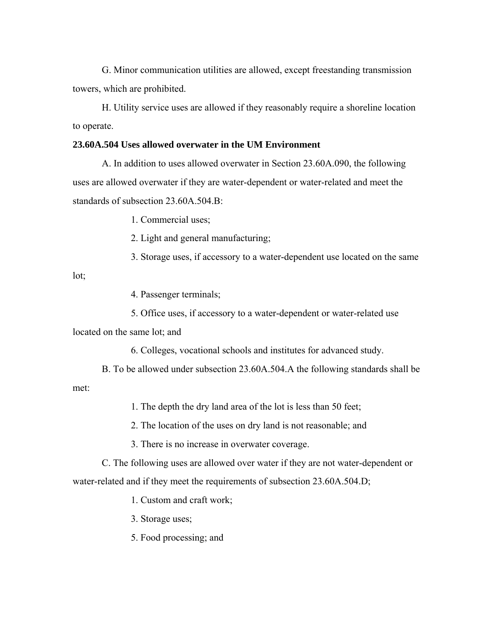G. Minor communication utilities are allowed, except freestanding transmission towers, which are prohibited.

H. Utility service uses are allowed if they reasonably require a shoreline location to operate.

# **23.60A.504 Uses allowed overwater in the UM Environment**

A. In addition to uses allowed overwater in Section 23.60A.090, the following uses are allowed overwater if they are water-dependent or water-related and meet the standards of subsection 23.60A.504.B:

1. Commercial uses;

2. Light and general manufacturing;

3. Storage uses, if accessory to a water-dependent use located on the same

lot;

4. Passenger terminals;

5. Office uses, if accessory to a water-dependent or water-related use

located on the same lot; and

6. Colleges, vocational schools and institutes for advanced study.

B. To be allowed under subsection 23.60A.504.A the following standards shall be met:

1. The depth the dry land area of the lot is less than 50 feet;

2. The location of the uses on dry land is not reasonable; and

3. There is no increase in overwater coverage.

C. The following uses are allowed over water if they are not water-dependent or water-related and if they meet the requirements of subsection 23.60A.504.D;

1. Custom and craft work;

3. Storage uses;

5. Food processing; and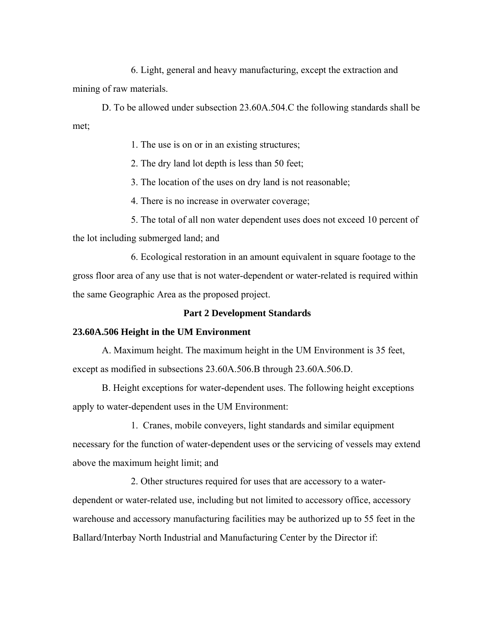6. Light, general and heavy manufacturing, except the extraction and mining of raw materials.

D. To be allowed under subsection 23.60A.504.C the following standards shall be met;

1. The use is on or in an existing structures;

2. The dry land lot depth is less than 50 feet;

3. The location of the uses on dry land is not reasonable;

4. There is no increase in overwater coverage;

5. The total of all non water dependent uses does not exceed 10 percent of the lot including submerged land; and

6. Ecological restoration in an amount equivalent in square footage to the gross floor area of any use that is not water-dependent or water-related is required within the same Geographic Area as the proposed project.

# **Part 2 Development Standards**

# **23.60A.506 Height in the UM Environment**

A. Maximum height. The maximum height in the UM Environment is 35 feet, except as modified in subsections 23.60A.506.B through 23.60A.506.D.

B. Height exceptions for water-dependent uses. The following height exceptions apply to water-dependent uses in the UM Environment:

1. Cranes, mobile conveyers, light standards and similar equipment necessary for the function of water-dependent uses or the servicing of vessels may extend above the maximum height limit; and

2. Other structures required for uses that are accessory to a waterdependent or water-related use, including but not limited to accessory office, accessory warehouse and accessory manufacturing facilities may be authorized up to 55 feet in the Ballard/Interbay North Industrial and Manufacturing Center by the Director if: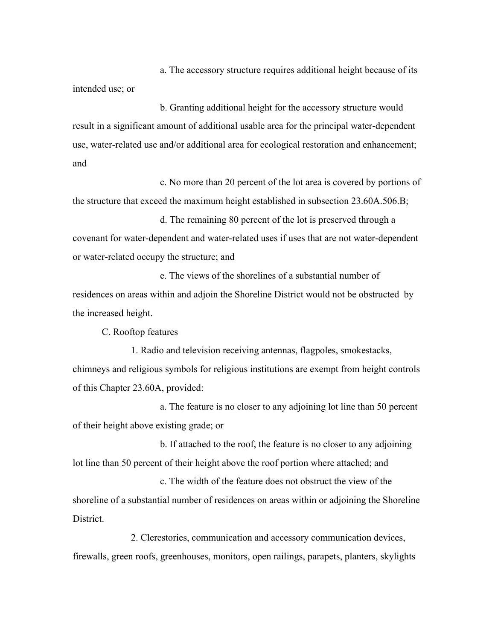a. The accessory structure requires additional height because of its intended use; or

b. Granting additional height for the accessory structure would result in a significant amount of additional usable area for the principal water-dependent use, water-related use and/or additional area for ecological restoration and enhancement; and

c. No more than 20 percent of the lot area is covered by portions of the structure that exceed the maximum height established in subsection 23.60A.506.B;

d. The remaining 80 percent of the lot is preserved through a covenant for water-dependent and water-related uses if uses that are not water-dependent or water-related occupy the structure; and

e. The views of the shorelines of a substantial number of residences on areas within and adjoin the Shoreline District would not be obstructed by the increased height.

C. Rooftop features

1. Radio and television receiving antennas, flagpoles, smokestacks, chimneys and religious symbols for religious institutions are exempt from height controls of this Chapter 23.60A, provided:

a. The feature is no closer to any adjoining lot line than 50 percent of their height above existing grade; or

b. If attached to the roof, the feature is no closer to any adjoining lot line than 50 percent of their height above the roof portion where attached; and

c. The width of the feature does not obstruct the view of the shoreline of a substantial number of residences on areas within or adjoining the Shoreline District.

2. Clerestories, communication and accessory communication devices, firewalls, green roofs, greenhouses, monitors, open railings, parapets, planters, skylights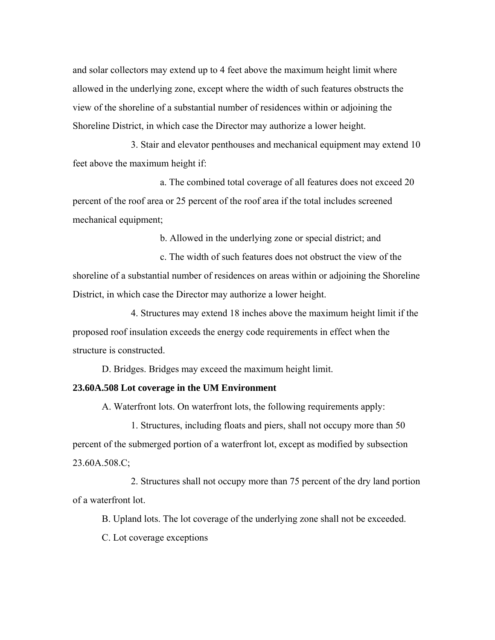and solar collectors may extend up to 4 feet above the maximum height limit where allowed in the underlying zone, except where the width of such features obstructs the view of the shoreline of a substantial number of residences within or adjoining the Shoreline District, in which case the Director may authorize a lower height.

3. Stair and elevator penthouses and mechanical equipment may extend 10 feet above the maximum height if:

a. The combined total coverage of all features does not exceed 20 percent of the roof area or 25 percent of the roof area if the total includes screened mechanical equipment;

b. Allowed in the underlying zone or special district; and

c. The width of such features does not obstruct the view of the shoreline of a substantial number of residences on areas within or adjoining the Shoreline District, in which case the Director may authorize a lower height.

4. Structures may extend 18 inches above the maximum height limit if the proposed roof insulation exceeds the energy code requirements in effect when the structure is constructed.

D. Bridges. Bridges may exceed the maximum height limit.

#### **23.60A.508 Lot coverage in the UM Environment**

A. Waterfront lots. On waterfront lots, the following requirements apply:

1. Structures, including floats and piers, shall not occupy more than 50 percent of the submerged portion of a waterfront lot, except as modified by subsection 23.60A.508.C;

2. Structures shall not occupy more than 75 percent of the dry land portion of a waterfront lot.

B. Upland lots. The lot coverage of the underlying zone shall not be exceeded.

C. Lot coverage exceptions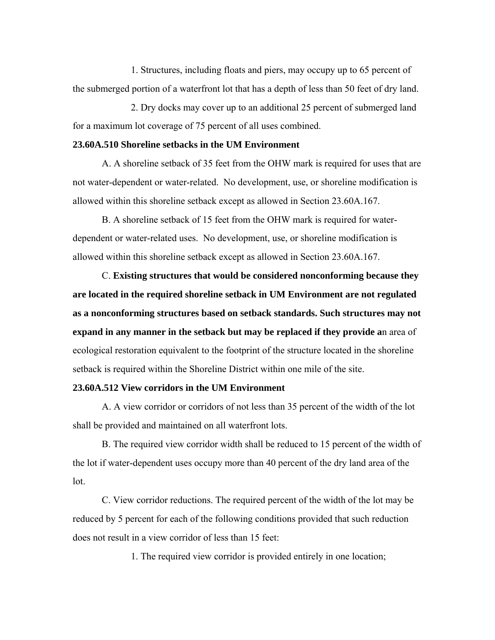1. Structures, including floats and piers, may occupy up to 65 percent of the submerged portion of a waterfront lot that has a depth of less than 50 feet of dry land.

2. Dry docks may cover up to an additional 25 percent of submerged land for a maximum lot coverage of 75 percent of all uses combined.

## **23.60A.510 Shoreline setbacks in the UM Environment**

A. A shoreline setback of 35 feet from the OHW mark is required for uses that are not water-dependent or water-related. No development, use, or shoreline modification is allowed within this shoreline setback except as allowed in Section 23.60A.167.

B. A shoreline setback of 15 feet from the OHW mark is required for waterdependent or water-related uses. No development, use, or shoreline modification is allowed within this shoreline setback except as allowed in Section 23.60A.167.

C. **Existing structures that would be considered nonconforming because they are located in the required shoreline setback in UM Environment are not regulated as a nonconforming structures based on setback standards. Such structures may not expand in any manner in the setback but may be replaced if they provide a**n area of ecological restoration equivalent to the footprint of the structure located in the shoreline setback is required within the Shoreline District within one mile of the site.

## **23.60A.512 View corridors in the UM Environment**

A. A view corridor or corridors of not less than 35 percent of the width of the lot shall be provided and maintained on all waterfront lots.

B. The required view corridor width shall be reduced to 15 percent of the width of the lot if water-dependent uses occupy more than 40 percent of the dry land area of the lot.

C. View corridor reductions. The required percent of the width of the lot may be reduced by 5 percent for each of the following conditions provided that such reduction does not result in a view corridor of less than 15 feet:

1. The required view corridor is provided entirely in one location;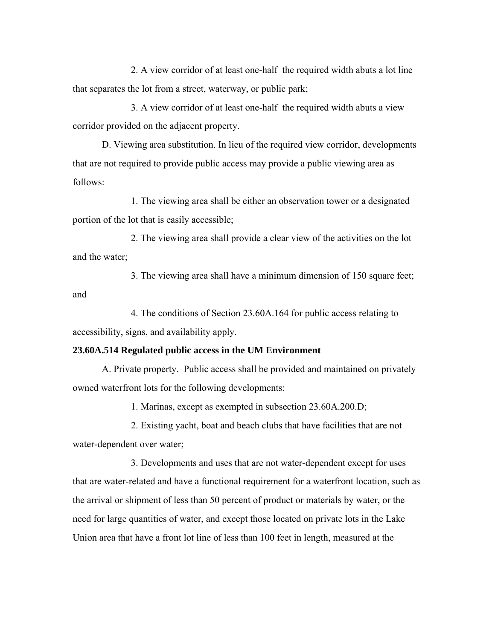2. A view corridor of at least one-half the required width abuts a lot line that separates the lot from a street, waterway, or public park;

3. A view corridor of at least one-half the required width abuts a view corridor provided on the adjacent property.

D. Viewing area substitution. In lieu of the required view corridor, developments that are not required to provide public access may provide a public viewing area as follows:

1. The viewing area shall be either an observation tower or a designated portion of the lot that is easily accessible;

2. The viewing area shall provide a clear view of the activities on the lot and the water;

3. The viewing area shall have a minimum dimension of 150 square feet; and

4. The conditions of Section 23.60A.164 for public access relating to accessibility, signs, and availability apply.

# **23.60A.514 Regulated public access in the UM Environment**

A. Private property. Public access shall be provided and maintained on privately owned waterfront lots for the following developments:

1. Marinas, except as exempted in subsection 23.60A.200.D;

2. Existing yacht, boat and beach clubs that have facilities that are not water-dependent over water;

3. Developments and uses that are not water-dependent except for uses that are water-related and have a functional requirement for a waterfront location, such as the arrival or shipment of less than 50 percent of product or materials by water, or the need for large quantities of water, and except those located on private lots in the Lake Union area that have a front lot line of less than 100 feet in length, measured at the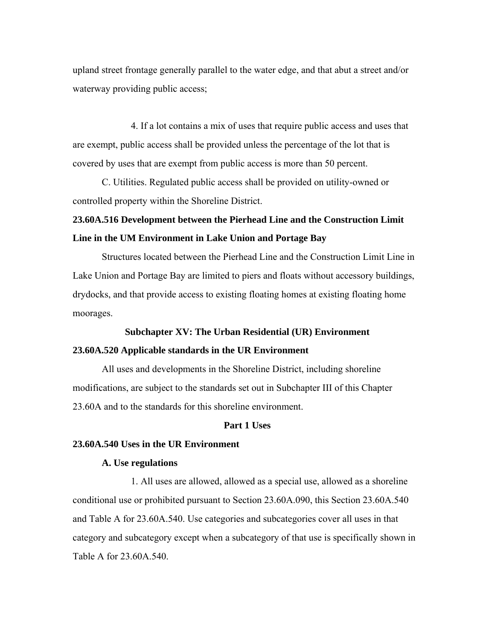upland street frontage generally parallel to the water edge, and that abut a street and/or waterway providing public access;

4. If a lot contains a mix of uses that require public access and uses that are exempt, public access shall be provided unless the percentage of the lot that is covered by uses that are exempt from public access is more than 50 percent.

C. Utilities. Regulated public access shall be provided on utility-owned or controlled property within the Shoreline District.

# **23.60A.516 Development between the Pierhead Line and the Construction Limit Line in the UM Environment in Lake Union and Portage Bay**

Structures located between the Pierhead Line and the Construction Limit Line in Lake Union and Portage Bay are limited to piers and floats without accessory buildings, drydocks, and that provide access to existing floating homes at existing floating home moorages.

### **Subchapter XV: The Urban Residential (UR) Environment**

# **23.60A.520 Applicable standards in the UR Environment**

All uses and developments in the Shoreline District, including shoreline modifications, are subject to the standards set out in Subchapter III of this Chapter 23.60A and to the standards for this shoreline environment.

## **Part 1 Uses**

# **23.60A.540 Uses in the UR Environment**

# **A. Use regulations**

1. All uses are allowed, allowed as a special use, allowed as a shoreline conditional use or prohibited pursuant to Section 23.60A.090, this Section 23.60A.540 and Table A for 23.60A.540. Use categories and subcategories cover all uses in that category and subcategory except when a subcategory of that use is specifically shown in Table A for 23.60A.540.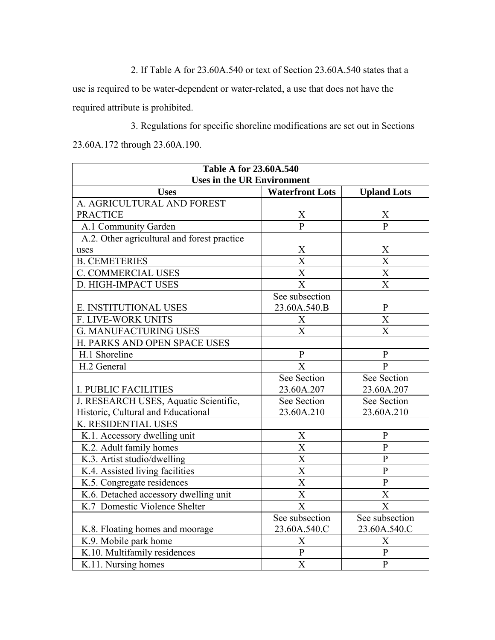2. If Table A for 23.60A.540 or text of Section 23.60A.540 states that a

use is required to be water-dependent or water-related, a use that does not have the required attribute is prohibited.

3. Regulations for specific shoreline modifications are set out in Sections 23.60A.172 through 23.60A.190.

| <b>Table A for 23.60A.540</b>               |                        |                         |  |
|---------------------------------------------|------------------------|-------------------------|--|
| <b>Uses in the UR Environment</b>           |                        |                         |  |
| <b>Uses</b>                                 | <b>Waterfront Lots</b> | <b>Upland Lots</b>      |  |
| A. AGRICULTURAL AND FOREST                  |                        |                         |  |
| <b>PRACTICE</b>                             | X                      | X                       |  |
| A.1 Community Garden                        | $\overline{P}$         | $\overline{P}$          |  |
| A.2. Other agricultural and forest practice |                        |                         |  |
| uses                                        | X                      | $\frac{X}{X}$           |  |
| <b>B. CEMETERIES</b>                        | $\overline{\text{X}}$  |                         |  |
| C. COMMERCIAL USES                          | $\overline{\text{X}}$  | $\overline{\text{X}}$   |  |
| D. HIGH-IMPACT USES                         | X                      | $\overline{\text{X}}$   |  |
|                                             | See subsection         |                         |  |
| E. INSTITUTIONAL USES                       | 23.60A.540.B           | ${\bf P}$               |  |
| F. LIVE-WORK UNITS                          | X                      | $\overline{\text{X}}$   |  |
| <b>G. MANUFACTURING USES</b>                | $\overline{X}$         | $\overline{\mathrm{X}}$ |  |
| H. PARKS AND OPEN SPACE USES                |                        |                         |  |
| H.1 Shoreline                               | $\mathbf{P}$           | $\mathbf{P}$            |  |
| H.2 General                                 | X                      | $\mathbf{P}$            |  |
|                                             | See Section            | See Section             |  |
| <b>I. PUBLIC FACILITIES</b>                 | 23.60A.207             | 23.60A.207              |  |
| J. RESEARCH USES, Aquatic Scientific,       | See Section            | See Section             |  |
| Historic, Cultural and Educational          | 23.60A.210             | 23.60A.210              |  |
| K. RESIDENTIAL USES                         |                        |                         |  |
| K.1. Accessory dwelling unit                | X                      | $\mathbf{P}$            |  |
| K.2. Adult family homes                     | $\overline{\text{X}}$  | $\mathbf{P}$            |  |
| K.3. Artist studio/dwelling                 | $\overline{\text{X}}$  | $\overline{P}$          |  |
| K.4. Assisted living facilities             | $\overline{\text{X}}$  | $\overline{P}$          |  |
| K.5. Congregate residences                  | $\overline{\text{X}}$  | $\overline{P}$          |  |
| K.6. Detached accessory dwelling unit       | $\overline{\text{X}}$  | $\overline{X}$          |  |
| K.7 Domestic Violence Shelter               | X                      | X                       |  |
|                                             | See subsection         | See subsection          |  |
| K.8. Floating homes and moorage             | 23.60A.540.C           | 23.60A.540.C            |  |
| K.9. Mobile park home                       | $\mathbf X$            | X                       |  |
| K.10. Multifamily residences                | ${\bf P}$              | $\mathbf{P}$            |  |
| K.11. Nursing homes                         | $\overline{\text{X}}$  | $\overline{P}$          |  |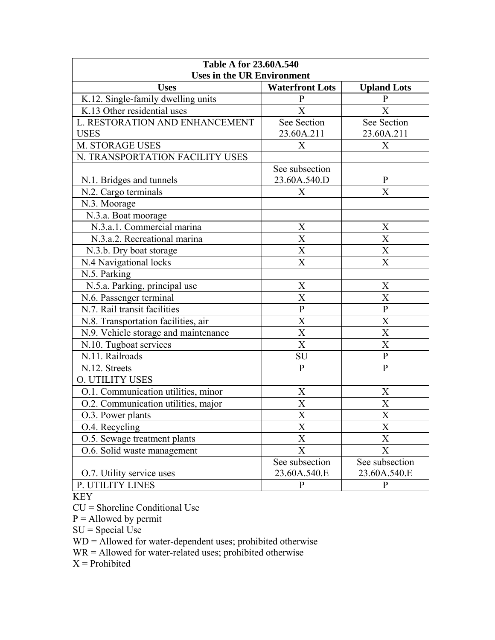| <b>Table A for 23.60A.540</b><br><b>Uses in the UR Environment</b> |                        |                       |
|--------------------------------------------------------------------|------------------------|-----------------------|
| <b>Uses</b>                                                        | <b>Waterfront Lots</b> | <b>Upland Lots</b>    |
| K.12. Single-family dwelling units                                 | P                      | $\mathbf{P}$          |
| K.13 Other residential uses                                        | X                      | X                     |
| L. RESTORATION AND ENHANCEMENT                                     | See Section            | See Section           |
| <b>USES</b>                                                        | 23.60A.211             | 23.60A.211            |
| M. STORAGE USES                                                    | X                      | X                     |
| N. TRANSPORTATION FACILITY USES                                    |                        |                       |
|                                                                    | See subsection         |                       |
| N.1. Bridges and tunnels                                           | 23.60A.540.D           | $\mathbf{P}$          |
| N.2. Cargo terminals                                               | X                      | $\overline{X}$        |
| N.3. Moorage                                                       |                        |                       |
| N.3.a. Boat moorage                                                |                        |                       |
| N.3.a.1. Commercial marina                                         | X                      | X                     |
| N.3.a.2. Recreational marina                                       | X                      | X                     |
| N.3.b. Dry boat storage                                            | X                      | $\overline{X}$        |
| N.4 Navigational locks                                             | X                      | X                     |
| N.5. Parking                                                       |                        |                       |
| N.5.a. Parking, principal use                                      | X                      | $\boldsymbol{X}$      |
| N.6. Passenger terminal                                            | X                      | $\overline{X}$        |
| N.7. Rail transit facilities                                       | ${\bf P}$              | ${\bf P}$             |
| N.8. Transportation facilities, air                                | X                      | X                     |
| N.9. Vehicle storage and maintenance                               | X                      | $\overline{\text{X}}$ |
| N.10. Tugboat services                                             | X                      | X                     |
| N.11. Railroads                                                    | SU                     | ${\bf P}$             |
| N.12. Streets                                                      | $\mathbf{P}$           | $\mathbf{P}$          |
| <b>O. UTILITY USES</b>                                             |                        |                       |
| O.1. Communication utilities, minor                                | X                      | X                     |
| O.2. Communication utilities, major                                | $\overline{X}$         | $\overline{X}$        |
| O.3. Power plants                                                  | X                      | X                     |
| O.4. Recycling                                                     | X                      | X                     |
| O.5. Sewage treatment plants                                       | X                      | X                     |
| O.6. Solid waste management                                        | X                      | X                     |
|                                                                    | See subsection         | See subsection        |
| O.7. Utility service uses                                          | 23.60A.540.E           | 23.60A.540.E          |
| P. UTILITY LINES                                                   | $\mathbf{P}$           | ${\bf P}$             |

KEY

CU = Shoreline Conditional Use

 $P =$  Allowed by permit

 $SU = Special Use$ 

WD = Allowed for water-dependent uses; prohibited otherwise

WR = Allowed for water-related uses; prohibited otherwise

 $X =$ Prohibited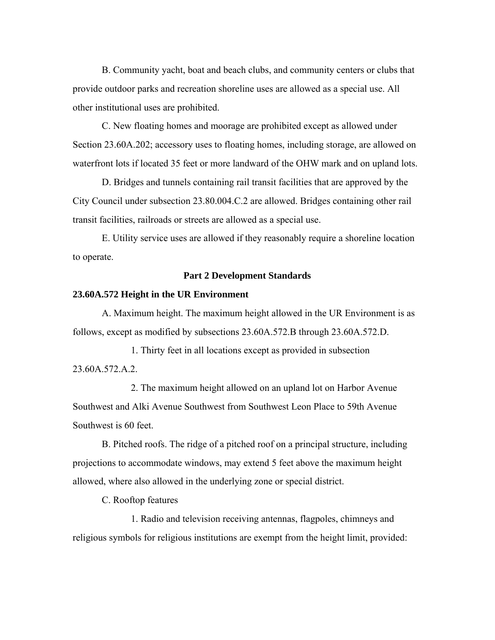B. Community yacht, boat and beach clubs, and community centers or clubs that provide outdoor parks and recreation shoreline uses are allowed as a special use. All other institutional uses are prohibited.

C. New floating homes and moorage are prohibited except as allowed under Section 23.60A.202; accessory uses to floating homes, including storage, are allowed on waterfront lots if located 35 feet or more landward of the OHW mark and on upland lots.

D. Bridges and tunnels containing rail transit facilities that are approved by the City Council under subsection 23.80.004.C.2 are allowed. Bridges containing other rail transit facilities, railroads or streets are allowed as a special use.

E. Utility service uses are allowed if they reasonably require a shoreline location to operate.

#### **Part 2 Development Standards**

#### **23.60A.572 Height in the UR Environment**

A. Maximum height. The maximum height allowed in the UR Environment is as follows, except as modified by subsections 23.60A.572.B through 23.60A.572.D.

1. Thirty feet in all locations except as provided in subsection 23.60A.572.A.2.

2. The maximum height allowed on an upland lot on Harbor Avenue Southwest and Alki Avenue Southwest from Southwest Leon Place to 59th Avenue Southwest is 60 feet.

B. Pitched roofs. The ridge of a pitched roof on a principal structure, including projections to accommodate windows, may extend 5 feet above the maximum height allowed, where also allowed in the underlying zone or special district.

C. Rooftop features

1. Radio and television receiving antennas, flagpoles, chimneys and religious symbols for religious institutions are exempt from the height limit, provided: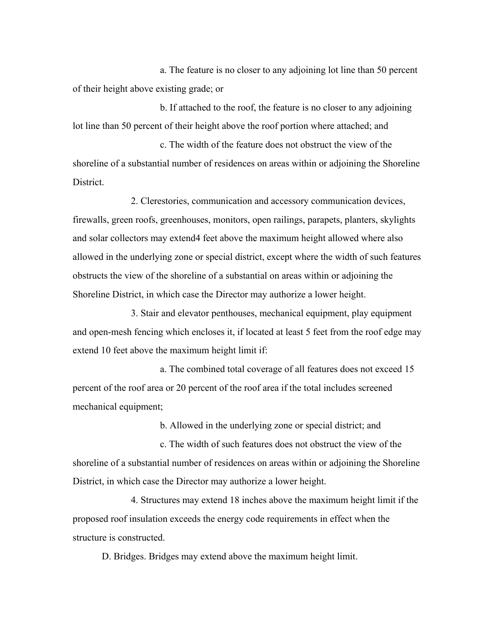a. The feature is no closer to any adjoining lot line than 50 percent of their height above existing grade; or

b. If attached to the roof, the feature is no closer to any adjoining lot line than 50 percent of their height above the roof portion where attached; and

c. The width of the feature does not obstruct the view of the shoreline of a substantial number of residences on areas within or adjoining the Shoreline **District** 

2. Clerestories, communication and accessory communication devices, firewalls, green roofs, greenhouses, monitors, open railings, parapets, planters, skylights and solar collectors may extend4 feet above the maximum height allowed where also allowed in the underlying zone or special district, except where the width of such features obstructs the view of the shoreline of a substantial on areas within or adjoining the Shoreline District, in which case the Director may authorize a lower height.

3. Stair and elevator penthouses, mechanical equipment, play equipment and open-mesh fencing which encloses it, if located at least 5 feet from the roof edge may extend 10 feet above the maximum height limit if:

a. The combined total coverage of all features does not exceed 15 percent of the roof area or 20 percent of the roof area if the total includes screened mechanical equipment;

b. Allowed in the underlying zone or special district; and

c. The width of such features does not obstruct the view of the shoreline of a substantial number of residences on areas within or adjoining the Shoreline District, in which case the Director may authorize a lower height.

4. Structures may extend 18 inches above the maximum height limit if the proposed roof insulation exceeds the energy code requirements in effect when the structure is constructed.

D. Bridges. Bridges may extend above the maximum height limit.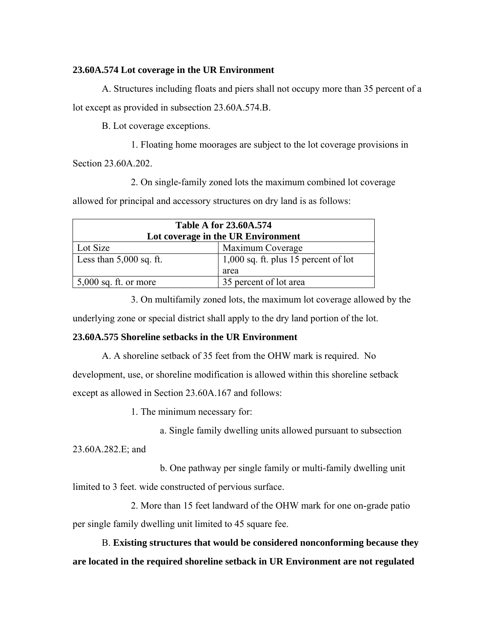# **23.60A.574 Lot coverage in the UR Environment**

A. Structures including floats and piers shall not occupy more than 35 percent of a lot except as provided in subsection 23.60A.574.B.

B. Lot coverage exceptions.

1. Floating home moorages are subject to the lot coverage provisions in

Section 23.60A.202.

2. On single-family zoned lots the maximum combined lot coverage

allowed for principal and accessory structures on dry land is as follows:

| <b>Table A for 23.60A.574</b>      |                                        |  |
|------------------------------------|----------------------------------------|--|
| Lot coverage in the UR Environment |                                        |  |
| Lot Size                           | Maximum Coverage                       |  |
| Less than $5,000$ sq. ft.          | $1,000$ sq. ft. plus 15 percent of lot |  |
|                                    | area                                   |  |
| $5,000$ sq. ft. or more            | 35 percent of lot area                 |  |

3. On multifamily zoned lots, the maximum lot coverage allowed by the

underlying zone or special district shall apply to the dry land portion of the lot.

# **23.60A.575 Shoreline setbacks in the UR Environment**

A. A shoreline setback of 35 feet from the OHW mark is required. No development, use, or shoreline modification is allowed within this shoreline setback except as allowed in Section 23.60A.167 and follows:

1. The minimum necessary for:

a. Single family dwelling units allowed pursuant to subsection

23.60A.282.E; and

b. One pathway per single family or multi-family dwelling unit limited to 3 feet. wide constructed of pervious surface.

2. More than 15 feet landward of the OHW mark for one on-grade patio

per single family dwelling unit limited to 45 square fee.

B. **Existing structures that would be considered nonconforming because they are located in the required shoreline setback in UR Environment are not regulated**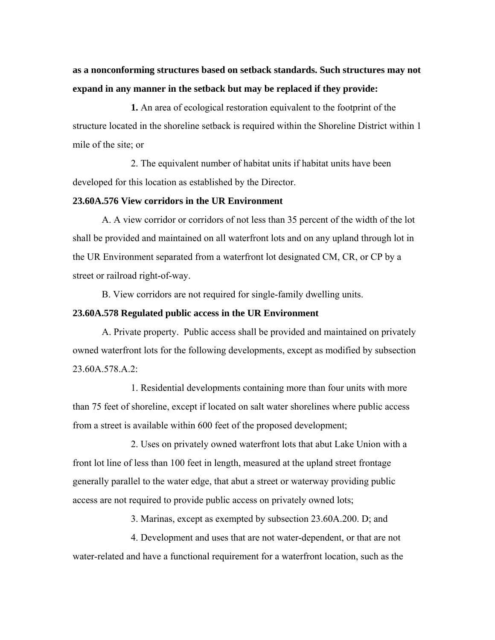**as a nonconforming structures based on setback standards. Such structures may not expand in any manner in the setback but may be replaced if they provide:**

**1.** An area of ecological restoration equivalent to the footprint of the structure located in the shoreline setback is required within the Shoreline District within 1 mile of the site; or

2. The equivalent number of habitat units if habitat units have been developed for this location as established by the Director.

# **23.60A.576 View corridors in the UR Environment**

A. A view corridor or corridors of not less than 35 percent of the width of the lot shall be provided and maintained on all waterfront lots and on any upland through lot in the UR Environment separated from a waterfront lot designated CM, CR, or CP by a street or railroad right-of-way.

B. View corridors are not required for single-family dwelling units.

## **23.60A.578 Regulated public access in the UR Environment**

A. Private property. Public access shall be provided and maintained on privately owned waterfront lots for the following developments, except as modified by subsection 23.60A.578.A.2:

1. Residential developments containing more than four units with more than 75 feet of shoreline, except if located on salt water shorelines where public access from a street is available within 600 feet of the proposed development;

2. Uses on privately owned waterfront lots that abut Lake Union with a front lot line of less than 100 feet in length, measured at the upland street frontage generally parallel to the water edge, that abut a street or waterway providing public access are not required to provide public access on privately owned lots;

3. Marinas, except as exempted by subsection 23.60A.200. D; and

4. Development and uses that are not water-dependent, or that are not water-related and have a functional requirement for a waterfront location, such as the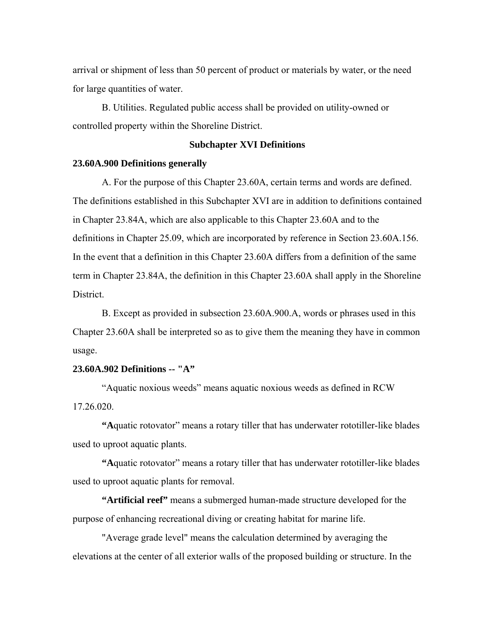arrival or shipment of less than 50 percent of product or materials by water, or the need for large quantities of water.

B. Utilities. Regulated public access shall be provided on utility-owned or controlled property within the Shoreline District.

#### **Subchapter XVI Definitions**

#### **23.60A.900 Definitions generally**

A. For the purpose of this Chapter 23.60A, certain terms and words are defined. The definitions established in this Subchapter XVI are in addition to definitions contained in Chapter 23.84A, which are also applicable to this Chapter 23.60A and to the definitions in Chapter 25.09, which are incorporated by reference in Section 23.60A.156. In the event that a definition in this Chapter 23.60A differs from a definition of the same term in Chapter 23.84A, the definition in this Chapter 23.60A shall apply in the Shoreline District.

B. Except as provided in subsection 23.60A.900.A, words or phrases used in this Chapter 23.60A shall be interpreted so as to give them the meaning they have in common usage.

# **23.60A.902 Definitions -- "A"**

"Aquatic noxious weeds" means aquatic noxious weeds as defined in RCW 17.26.020.

**"A**quatic rotovator" means a rotary tiller that has underwater rototiller-like blades used to uproot aquatic plants.

**"A**quatic rotovator" means a rotary tiller that has underwater rototiller-like blades used to uproot aquatic plants for removal.

**"Artificial reef"** means a submerged human-made structure developed for the purpose of enhancing recreational diving or creating habitat for marine life.

"Average grade level" means the calculation determined by averaging the elevations at the center of all exterior walls of the proposed building or structure. In the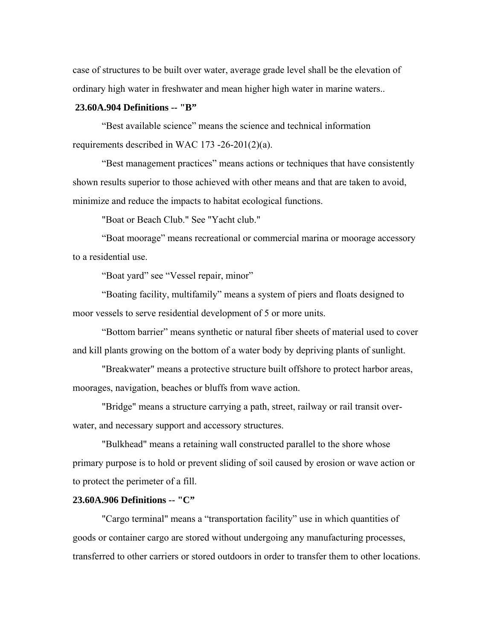case of structures to be built over water, average grade level shall be the elevation of ordinary high water in freshwater and mean higher high water in marine waters..

# **23.60A.904 Definitions -- "B"**

"Best available science" means the science and technical information requirements described in WAC 173 -26-201(2)(a).

"Best management practices" means actions or techniques that have consistently shown results superior to those achieved with other means and that are taken to avoid, minimize and reduce the impacts to habitat ecological functions.

"Boat or Beach Club." See "Yacht club."

"Boat moorage" means recreational or commercial marina or moorage accessory to a residential use.

"Boat yard" see "Vessel repair, minor"

"Boating facility, multifamily" means a system of piers and floats designed to moor vessels to serve residential development of 5 or more units.

"Bottom barrier" means synthetic or natural fiber sheets of material used to cover and kill plants growing on the bottom of a water body by depriving plants of sunlight.

"Breakwater" means a protective structure built offshore to protect harbor areas, moorages, navigation, beaches or bluffs from wave action.

"Bridge" means a structure carrying a path, street, railway or rail transit overwater, and necessary support and accessory structures.

"Bulkhead" means a retaining wall constructed parallel to the shore whose primary purpose is to hold or prevent sliding of soil caused by erosion or wave action or to protect the perimeter of a fill.

#### **23.60A.906 Definitions -- "C"**

"Cargo terminal" means a "transportation facility" use in which quantities of goods or container cargo are stored without undergoing any manufacturing processes, transferred to other carriers or stored outdoors in order to transfer them to other locations.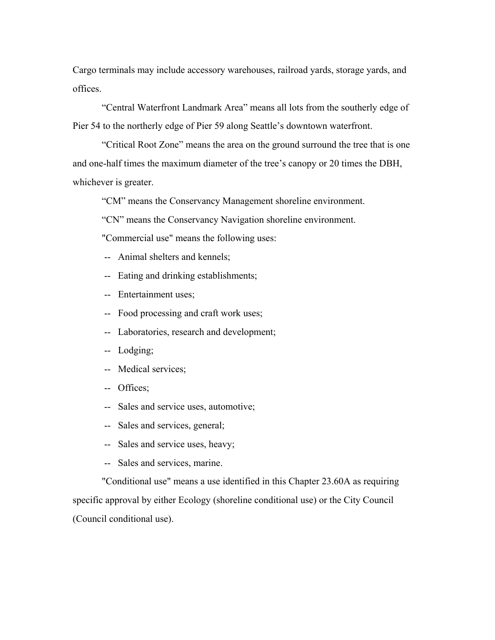Cargo terminals may include accessory warehouses, railroad yards, storage yards, and offices.

"Central Waterfront Landmark Area" means all lots from the southerly edge of Pier 54 to the northerly edge of Pier 59 along Seattle's downtown waterfront.

"Critical Root Zone" means the area on the ground surround the tree that is one and one-half times the maximum diameter of the tree's canopy or 20 times the DBH, whichever is greater.

"CM" means the Conservancy Management shoreline environment.

"CN" means the Conservancy Navigation shoreline environment.

"Commercial use" means the following uses:

- -- Animal shelters and kennels;
- -- Eating and drinking establishments;
- -- Entertainment uses;
- -- Food processing and craft work uses;
- -- Laboratories, research and development;
- -- Lodging;
- -- Medical services;
- -- Offices;
- -- Sales and service uses, automotive;

-- Sales and services, general;

- -- Sales and service uses, heavy;
- -- Sales and services, marine.

"Conditional use" means a use identified in this Chapter 23.60A as requiring specific approval by either Ecology (shoreline conditional use) or the City Council (Council conditional use).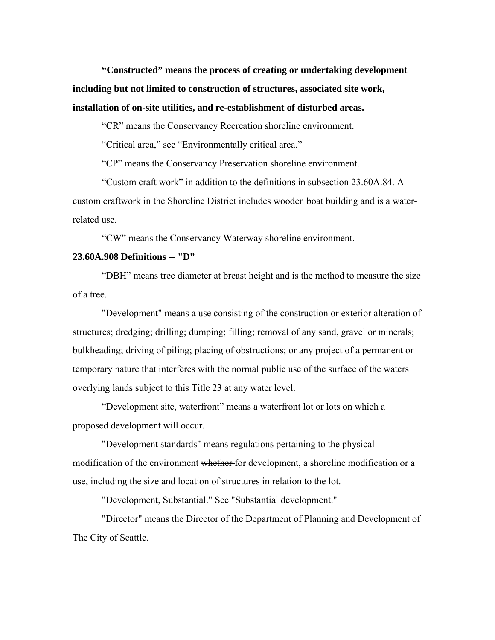**"Constructed" means the process of creating or undertaking development including but not limited to construction of structures, associated site work, installation of on-site utilities, and re-establishment of disturbed areas.** 

"CR" means the Conservancy Recreation shoreline environment.

"Critical area," see "Environmentally critical area."

"CP" means the Conservancy Preservation shoreline environment.

"Custom craft work" in addition to the definitions in subsection 23.60A.84. A custom craftwork in the Shoreline District includes wooden boat building and is a waterrelated use.

"CW" means the Conservancy Waterway shoreline environment.

#### **23.60A.908 Definitions -- "D"**

"DBH" means tree diameter at breast height and is the method to measure the size of a tree.

"Development" means a use consisting of the construction or exterior alteration of structures; dredging; drilling; dumping; filling; removal of any sand, gravel or minerals; bulkheading; driving of piling; placing of obstructions; or any project of a permanent or temporary nature that interferes with the normal public use of the surface of the waters overlying lands subject to this Title 23 at any water level.

"Development site, waterfront" means a waterfront lot or lots on which a proposed development will occur.

"Development standards" means regulations pertaining to the physical modification of the environment whether for development, a shoreline modification or a use, including the size and location of structures in relation to the lot.

"Development, Substantial." See "Substantial development."

"Director" means the Director of the Department of Planning and Development of The City of Seattle.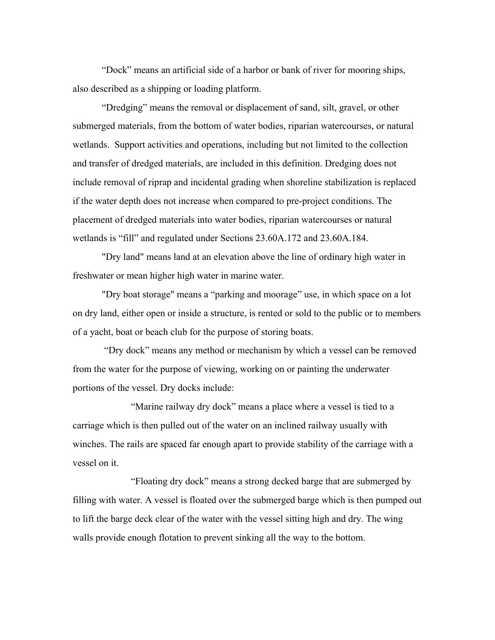"Dock" means an artificial side of a harbor or bank of river for mooring ships, also described as a shipping or loading platform.

"Dredging" means the removal or displacement of sand, silt, gravel, or other submerged materials, from the bottom of water bodies, riparian watercourses, or natural wetlands. Support activities and operations, including but not limited to the collection and transfer of dredged materials, are included in this definition. Dredging does not include removal of riprap and incidental grading when shoreline stabilization is replaced if the water depth does not increase when compared to pre-project conditions. The placement of dredged materials into water bodies, riparian watercourses or natural wetlands is "fill" and regulated under Sections 23.60A.172 and 23.60A.184.

"Dry land" means land at an elevation above the line of ordinary high water in freshwater or mean higher high water in marine water.

"Dry boat storage" means a "parking and moorage" use, in which space on a lot on dry land, either open or inside a structure, is rented or sold to the public or to members of a yacht, boat or beach club for the purpose of storing boats.

 "Dry dock" means any method or mechanism by which a vessel can be removed from the water for the purpose of viewing, working on or painting the underwater portions of the vessel. Dry docks include:

"Marine railway dry dock" means a place where a vessel is tied to a carriage which is then pulled out of the water on an inclined railway usually with winches. The rails are spaced far enough apart to provide stability of the carriage with a vessel on it.

"Floating dry dock" means a strong decked barge that are submerged by filling with water. A vessel is floated over the submerged barge which is then pumped out to lift the barge deck clear of the water with the vessel sitting high and dry. The wing walls provide enough flotation to prevent sinking all the way to the bottom.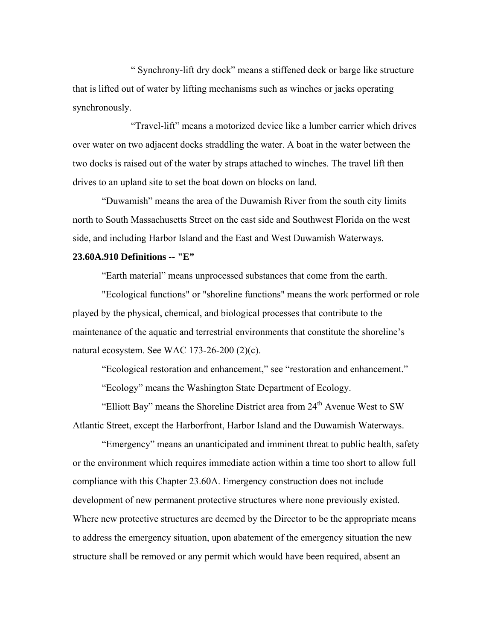" Synchrony-lift dry dock" means a stiffened deck or barge like structure that is lifted out of water by lifting mechanisms such as winches or jacks operating synchronously.

"Travel-lift" means a motorized device like a lumber carrier which drives over water on two adjacent docks straddling the water. A boat in the water between the two docks is raised out of the water by straps attached to winches. The travel lift then drives to an upland site to set the boat down on blocks on land.

"Duwamish" means the area of the Duwamish River from the south city limits north to South Massachusetts Street on the east side and Southwest Florida on the west side, and including Harbor Island and the East and West Duwamish Waterways.

#### **23.60A.910 Definitions -- "E"**

"Earth material" means unprocessed substances that come from the earth.

"Ecological functions" or "shoreline functions" means the work performed or role played by the physical, chemical, and biological processes that contribute to the maintenance of the aquatic and terrestrial environments that constitute the shoreline's natural ecosystem. See WAC 173-26-200 (2)(c).

"Ecological restoration and enhancement," see "restoration and enhancement."

"Ecology" means the Washington State Department of Ecology.

"Elliott Bay" means the Shoreline District area from  $24<sup>th</sup>$  Avenue West to SW Atlantic Street, except the Harborfront, Harbor Island and the Duwamish Waterways.

"Emergency" means an unanticipated and imminent threat to public health, safety or the environment which requires immediate action within a time too short to allow full compliance with this Chapter 23.60A. Emergency construction does not include development of new permanent protective structures where none previously existed. Where new protective structures are deemed by the Director to be the appropriate means to address the emergency situation, upon abatement of the emergency situation the new structure shall be removed or any permit which would have been required, absent an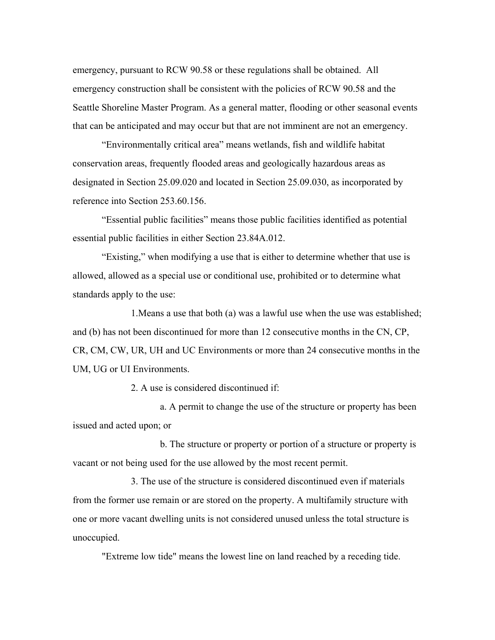emergency, pursuant to RCW 90.58 or these regulations shall be obtained. All emergency construction shall be consistent with the policies of RCW 90.58 and the Seattle Shoreline Master Program. As a general matter, flooding or other seasonal events that can be anticipated and may occur but that are not imminent are not an emergency.

"Environmentally critical area" means wetlands, fish and wildlife habitat conservation areas, frequently flooded areas and geologically hazardous areas as designated in Section 25.09.020 and located in Section 25.09.030, as incorporated by reference into Section 253.60.156.

"Essential public facilities" means those public facilities identified as potential essential public facilities in either Section 23.84A.012.

"Existing," when modifying a use that is either to determine whether that use is allowed, allowed as a special use or conditional use, prohibited or to determine what standards apply to the use:

1.Means a use that both (a) was a lawful use when the use was established; and (b) has not been discontinued for more than 12 consecutive months in the CN, CP, CR, CM, CW, UR, UH and UC Environments or more than 24 consecutive months in the UM, UG or UI Environments.

2. A use is considered discontinued if:

a. A permit to change the use of the structure or property has been issued and acted upon; or

b. The structure or property or portion of a structure or property is vacant or not being used for the use allowed by the most recent permit.

3. The use of the structure is considered discontinued even if materials from the former use remain or are stored on the property. A multifamily structure with one or more vacant dwelling units is not considered unused unless the total structure is unoccupied.

"Extreme low tide" means the lowest line on land reached by a receding tide.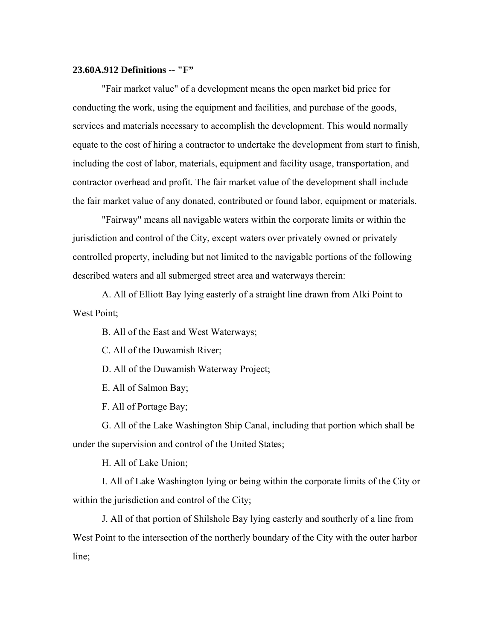#### **23.60A.912 Definitions -- "F"**

"Fair market value" of a development means the open market bid price for conducting the work, using the equipment and facilities, and purchase of the goods, services and materials necessary to accomplish the development. This would normally equate to the cost of hiring a contractor to undertake the development from start to finish, including the cost of labor, materials, equipment and facility usage, transportation, and contractor overhead and profit. The fair market value of the development shall include the fair market value of any donated, contributed or found labor, equipment or materials.

"Fairway" means all navigable waters within the corporate limits or within the jurisdiction and control of the City, except waters over privately owned or privately controlled property, including but not limited to the navigable portions of the following described waters and all submerged street area and waterways therein:

A. All of Elliott Bay lying easterly of a straight line drawn from Alki Point to West Point:

B. All of the East and West Waterways;

C. All of the Duwamish River;

D. All of the Duwamish Waterway Project;

E. All of Salmon Bay;

F. All of Portage Bay;

G. All of the Lake Washington Ship Canal, including that portion which shall be under the supervision and control of the United States;

H. All of Lake Union;

I. All of Lake Washington lying or being within the corporate limits of the City or within the jurisdiction and control of the City;

J. All of that portion of Shilshole Bay lying easterly and southerly of a line from West Point to the intersection of the northerly boundary of the City with the outer harbor line;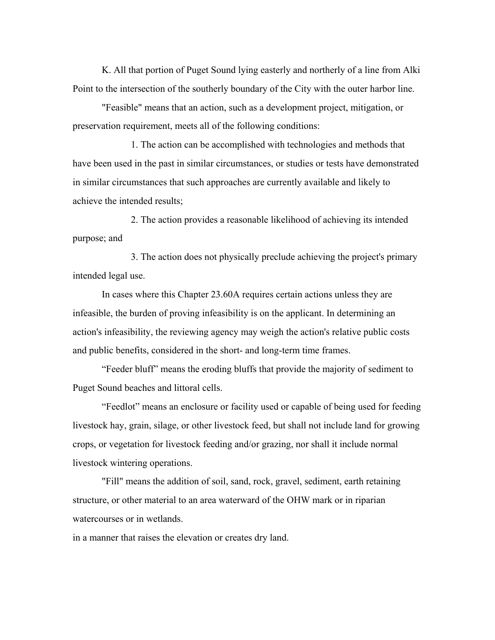K. All that portion of Puget Sound lying easterly and northerly of a line from Alki Point to the intersection of the southerly boundary of the City with the outer harbor line.

"Feasible" means that an action, such as a development project, mitigation, or preservation requirement, meets all of the following conditions:

1. The action can be accomplished with technologies and methods that have been used in the past in similar circumstances, or studies or tests have demonstrated in similar circumstances that such approaches are currently available and likely to achieve the intended results;

2. The action provides a reasonable likelihood of achieving its intended purpose; and

3. The action does not physically preclude achieving the project's primary intended legal use.

In cases where this Chapter 23.60A requires certain actions unless they are infeasible, the burden of proving infeasibility is on the applicant. In determining an action's infeasibility, the reviewing agency may weigh the action's relative public costs and public benefits, considered in the short- and long-term time frames.

"Feeder bluff" means the eroding bluffs that provide the majority of sediment to Puget Sound beaches and littoral cells.

"Feedlot" means an enclosure or facility used or capable of being used for feeding livestock hay, grain, silage, or other livestock feed, but shall not include land for growing crops, or vegetation for livestock feeding and/or grazing, nor shall it include normal livestock wintering operations.

"Fill" means the addition of soil, sand, rock, gravel, sediment, earth retaining structure, or other material to an area waterward of the OHW mark or in riparian watercourses or in wetlands.

in a manner that raises the elevation or creates dry land.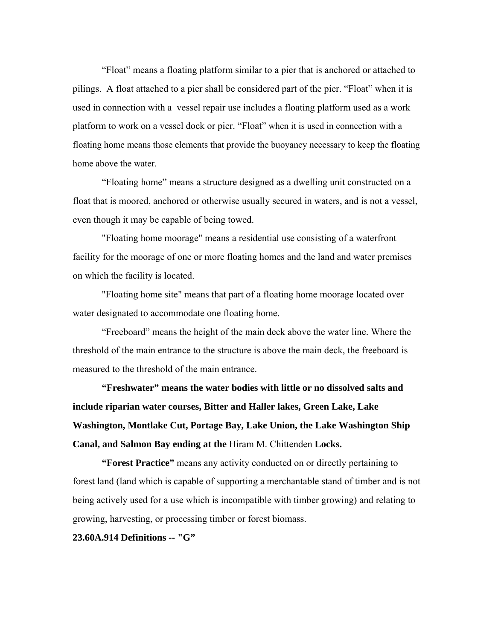"Float" means a floating platform similar to a pier that is anchored or attached to pilings. A float attached to a pier shall be considered part of the pier. "Float" when it is used in connection with a vessel repair use includes a floating platform used as a work platform to work on a vessel dock or pier. "Float" when it is used in connection with a floating home means those elements that provide the buoyancy necessary to keep the floating home above the water.

"Floating home" means a structure designed as a dwelling unit constructed on a float that is moored, anchored or otherwise usually secured in waters, and is not a vessel, even though it may be capable of being towed.

"Floating home moorage" means a residential use consisting of a waterfront facility for the moorage of one or more floating homes and the land and water premises on which the facility is located.

"Floating home site" means that part of a floating home moorage located over water designated to accommodate one floating home.

"Freeboard" means the height of the main deck above the water line. Where the threshold of the main entrance to the structure is above the main deck, the freeboard is measured to the threshold of the main entrance.

**"Freshwater" means the water bodies with little or no dissolved salts and include riparian water courses, Bitter and Haller lakes, Green Lake, Lake Washington, Montlake Cut, Portage Bay, Lake Union, the Lake Washington Ship Canal, and Salmon Bay ending at the** Hiram M. Chittenden **Locks.** 

**"Forest Practice"** means any activity conducted on or directly pertaining to forest land (land which is capable of supporting a merchantable stand of timber and is not being actively used for a use which is incompatible with timber growing) and relating to growing, harvesting, or processing timber or forest biomass.

**23.60A.914 Definitions -- "G"**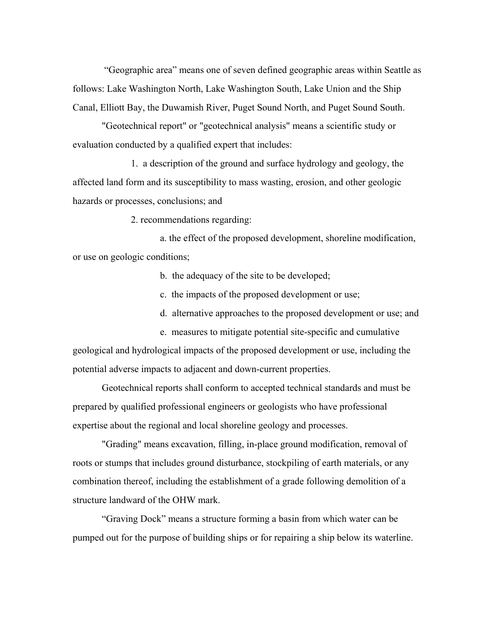"Geographic area" means one of seven defined geographic areas within Seattle as follows: Lake Washington North, Lake Washington South, Lake Union and the Ship Canal, Elliott Bay, the Duwamish River, Puget Sound North, and Puget Sound South.

"Geotechnical report" or "geotechnical analysis" means a scientific study or evaluation conducted by a qualified expert that includes:

1. a description of the ground and surface hydrology and geology, the affected land form and its susceptibility to mass wasting, erosion, and other geologic hazards or processes, conclusions; and

2. recommendations regarding:

 a. the effect of the proposed development, shoreline modification, or use on geologic conditions;

b. the adequacy of the site to be developed;

c. the impacts of the proposed development or use;

d. alternative approaches to the proposed development or use; and

e. measures to mitigate potential site-specific and cumulative geological and hydrological impacts of the proposed development or use, including the potential adverse impacts to adjacent and down-current properties.

Geotechnical reports shall conform to accepted technical standards and must be prepared by qualified professional engineers or geologists who have professional expertise about the regional and local shoreline geology and processes.

"Grading" means excavation, filling, in-place ground modification, removal of roots or stumps that includes ground disturbance, stockpiling of earth materials, or any combination thereof, including the establishment of a grade following demolition of a structure landward of the OHW mark.

"Graving Dock" means a structure forming a basin from which water can be pumped out for the purpose of building ships or for repairing a ship below its waterline.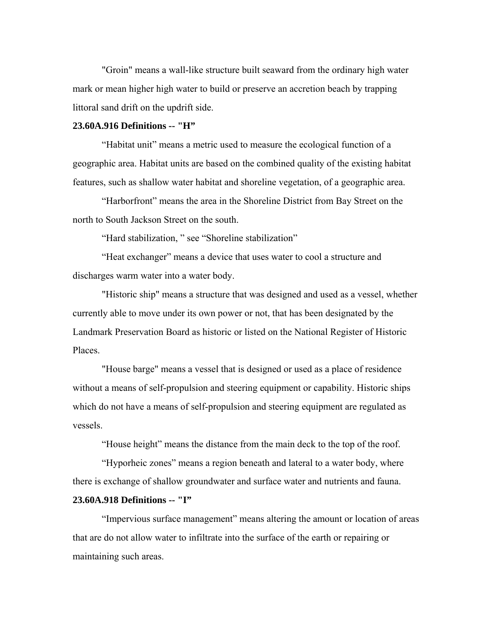"Groin" means a wall-like structure built seaward from the ordinary high water mark or mean higher high water to build or preserve an accretion beach by trapping littoral sand drift on the updrift side.

# **23.60A.916 Definitions -- "H"**

"Habitat unit" means a metric used to measure the ecological function of a geographic area. Habitat units are based on the combined quality of the existing habitat features, such as shallow water habitat and shoreline vegetation, of a geographic area.

"Harborfront" means the area in the Shoreline District from Bay Street on the north to South Jackson Street on the south.

"Hard stabilization, " see "Shoreline stabilization"

"Heat exchanger" means a device that uses water to cool a structure and discharges warm water into a water body.

"Historic ship" means a structure that was designed and used as a vessel, whether currently able to move under its own power or not, that has been designated by the Landmark Preservation Board as historic or listed on the National Register of Historic Places.

"House barge" means a vessel that is designed or used as a place of residence without a means of self-propulsion and steering equipment or capability. Historic ships which do not have a means of self-propulsion and steering equipment are regulated as vessels.

"House height" means the distance from the main deck to the top of the roof.

"Hyporheic zones" means a region beneath and lateral to a water body, where there is exchange of shallow groundwater and surface water and nutrients and fauna.

## **23.60A.918 Definitions -- "I"**

"Impervious surface management" means altering the amount or location of areas that are do not allow water to infiltrate into the surface of the earth or repairing or maintaining such areas.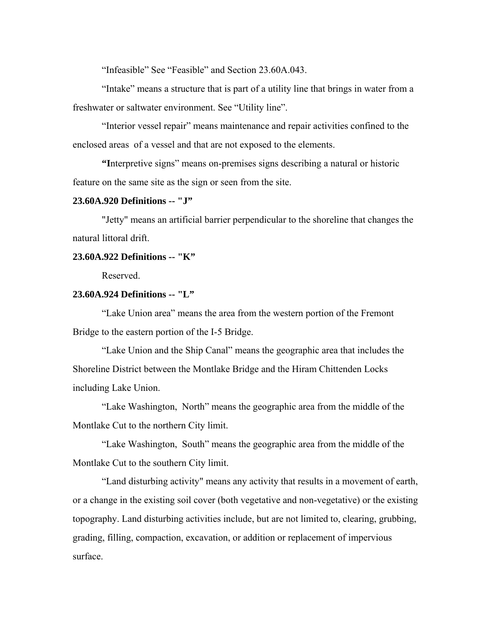"Infeasible" See "Feasible" and Section 23.60A.043.

"Intake" means a structure that is part of a utility line that brings in water from a freshwater or saltwater environment. See "Utility line".

"Interior vessel repair" means maintenance and repair activities confined to the enclosed areas of a vessel and that are not exposed to the elements.

**"I**nterpretive signs" means on-premises signs describing a natural or historic feature on the same site as the sign or seen from the site.

## **23.60A.920 Definitions -- "J"**

"Jetty" means an artificial barrier perpendicular to the shoreline that changes the natural littoral drift.

#### **23.60A.922 Definitions -- "K"**

Reserved.

# **23.60A.924 Definitions -- "L"**

"Lake Union area" means the area from the western portion of the Fremont Bridge to the eastern portion of the I-5 Bridge.

"Lake Union and the Ship Canal" means the geographic area that includes the Shoreline District between the Montlake Bridge and the Hiram Chittenden Locks including Lake Union.

"Lake Washington, North" means the geographic area from the middle of the Montlake Cut to the northern City limit.

"Lake Washington, South" means the geographic area from the middle of the Montlake Cut to the southern City limit.

"Land disturbing activity" means any activity that results in a movement of earth, or a change in the existing soil cover (both vegetative and non-vegetative) or the existing topography. Land disturbing activities include, but are not limited to, clearing, grubbing, grading, filling, compaction, excavation, or addition or replacement of impervious surface.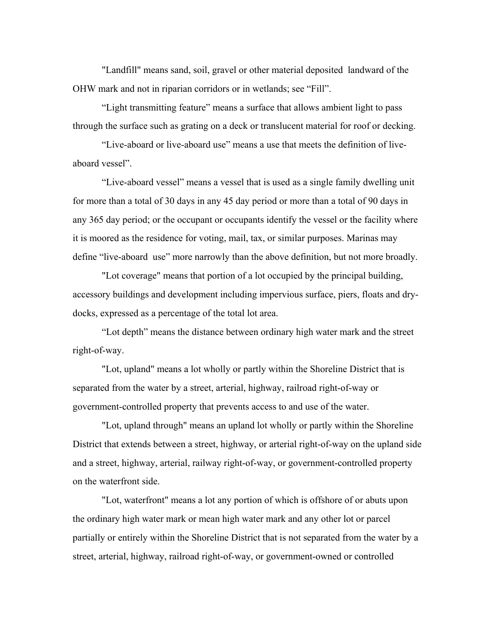"Landfill" means sand, soil, gravel or other material deposited landward of the OHW mark and not in riparian corridors or in wetlands; see "Fill".

"Light transmitting feature" means a surface that allows ambient light to pass through the surface such as grating on a deck or translucent material for roof or decking.

"Live-aboard or live-aboard use" means a use that meets the definition of liveaboard vessel".

"Live-aboard vessel" means a vessel that is used as a single family dwelling unit for more than a total of 30 days in any 45 day period or more than a total of 90 days in any 365 day period; or the occupant or occupants identify the vessel or the facility where it is moored as the residence for voting, mail, tax, or similar purposes. Marinas may define "live-aboard use" more narrowly than the above definition, but not more broadly.

"Lot coverage" means that portion of a lot occupied by the principal building, accessory buildings and development including impervious surface, piers, floats and drydocks, expressed as a percentage of the total lot area.

"Lot depth" means the distance between ordinary high water mark and the street right-of-way.

"Lot, upland" means a lot wholly or partly within the Shoreline District that is separated from the water by a street, arterial, highway, railroad right-of-way or government-controlled property that prevents access to and use of the water.

"Lot, upland through" means an upland lot wholly or partly within the Shoreline District that extends between a street, highway, or arterial right-of-way on the upland side and a street, highway, arterial, railway right-of-way, or government-controlled property on the waterfront side.

"Lot, waterfront" means a lot any portion of which is offshore of or abuts upon the ordinary high water mark or mean high water mark and any other lot or parcel partially or entirely within the Shoreline District that is not separated from the water by a street, arterial, highway, railroad right-of-way, or government-owned or controlled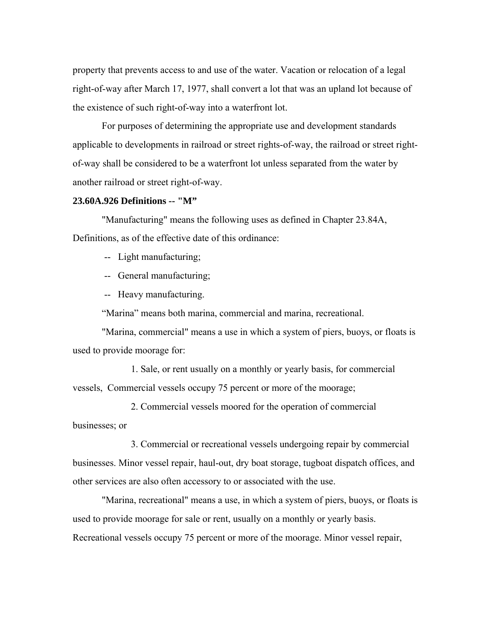property that prevents access to and use of the water. Vacation or relocation of a legal right-of-way after March 17, 1977, shall convert a lot that was an upland lot because of the existence of such right-of-way into a waterfront lot.

For purposes of determining the appropriate use and development standards applicable to developments in railroad or street rights-of-way, the railroad or street rightof-way shall be considered to be a waterfront lot unless separated from the water by another railroad or street right-of-way.

#### **23.60A.926 Definitions -- "M"**

"Manufacturing" means the following uses as defined in Chapter 23.84A, Definitions, as of the effective date of this ordinance:

-- Light manufacturing;

-- General manufacturing;

-- Heavy manufacturing.

"Marina" means both marina, commercial and marina, recreational.

"Marina, commercial" means a use in which a system of piers, buoys, or floats is used to provide moorage for:

1. Sale, or rent usually on a monthly or yearly basis, for commercial vessels, Commercial vessels occupy 75 percent or more of the moorage;

2. Commercial vessels moored for the operation of commercial businesses; or

3. Commercial or recreational vessels undergoing repair by commercial businesses. Minor vessel repair, haul-out, dry boat storage, tugboat dispatch offices, and other services are also often accessory to or associated with the use.

"Marina, recreational" means a use, in which a system of piers, buoys, or floats is used to provide moorage for sale or rent, usually on a monthly or yearly basis. Recreational vessels occupy 75 percent or more of the moorage. Minor vessel repair,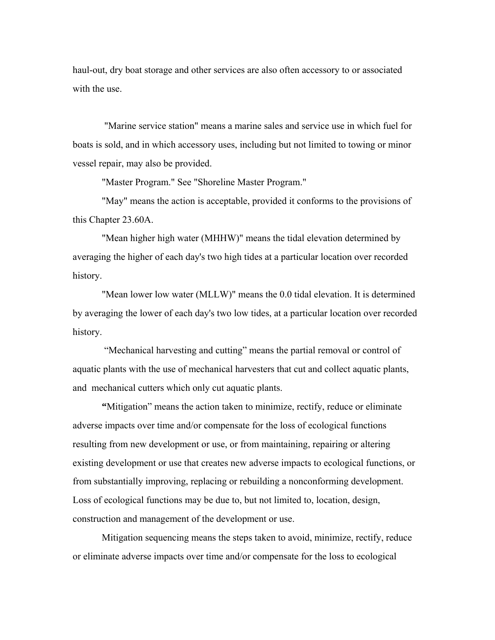haul-out, dry boat storage and other services are also often accessory to or associated with the use.

 "Marine service station" means a marine sales and service use in which fuel for boats is sold, and in which accessory uses, including but not limited to towing or minor vessel repair, may also be provided.

"Master Program." See "Shoreline Master Program."

"May" means the action is acceptable, provided it conforms to the provisions of this Chapter 23.60A.

"Mean higher high water (MHHW)" means the tidal elevation determined by averaging the higher of each day's two high tides at a particular location over recorded history.

"Mean lower low water (MLLW)" means the 0.0 tidal elevation. It is determined by averaging the lower of each day's two low tides, at a particular location over recorded history.

 "Mechanical harvesting and cutting" means the partial removal or control of aquatic plants with the use of mechanical harvesters that cut and collect aquatic plants, and mechanical cutters which only cut aquatic plants.

**"**Mitigation" means the action taken to minimize, rectify, reduce or eliminate adverse impacts over time and/or compensate for the loss of ecological functions resulting from new development or use, or from maintaining, repairing or altering existing development or use that creates new adverse impacts to ecological functions, or from substantially improving, replacing or rebuilding a nonconforming development. Loss of ecological functions may be due to, but not limited to, location, design, construction and management of the development or use.

Mitigation sequencing means the steps taken to avoid, minimize, rectify, reduce or eliminate adverse impacts over time and/or compensate for the loss to ecological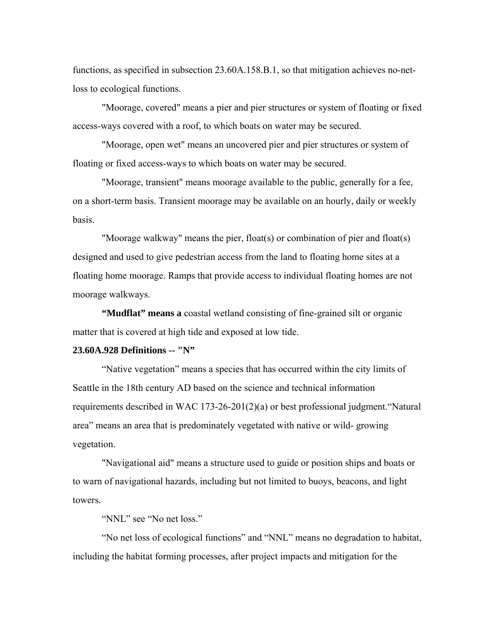functions, as specified in subsection 23.60A.158.B.1, so that mitigation achieves no-netloss to ecological functions.

"Moorage, covered" means a pier and pier structures or system of floating or fixed access-ways covered with a roof, to which boats on water may be secured.

"Moorage, open wet" means an uncovered pier and pier structures or system of floating or fixed access-ways to which boats on water may be secured.

"Moorage, transient" means moorage available to the public, generally for a fee, on a short-term basis. Transient moorage may be available on an hourly, daily or weekly basis.

"Moorage walkway" means the pier, float(s) or combination of pier and float(s) designed and used to give pedestrian access from the land to floating home sites at a floating home moorage. Ramps that provide access to individual floating homes are not moorage walkways.

**"Mudflat" means a** coastal wetland consisting of fine-grained silt or organic matter that is covered at high tide and exposed at low tide.

#### **23.60A.928 Definitions -- "N"**

"Native vegetation" means a species that has occurred within the city limits of Seattle in the 18th century AD based on the science and technical information requirements described in WAC 173-26-201(2)(a) or best professional judgment."Natural area" means an area that is predominately vegetated with native or wild- growing vegetation.

"Navigational aid" means a structure used to guide or position ships and boats or to warn of navigational hazards, including but not limited to buoys, beacons, and light towers.

"NNL" see "No net loss."

"No net loss of ecological functions" and "NNL" means no degradation to habitat, including the habitat forming processes, after project impacts and mitigation for the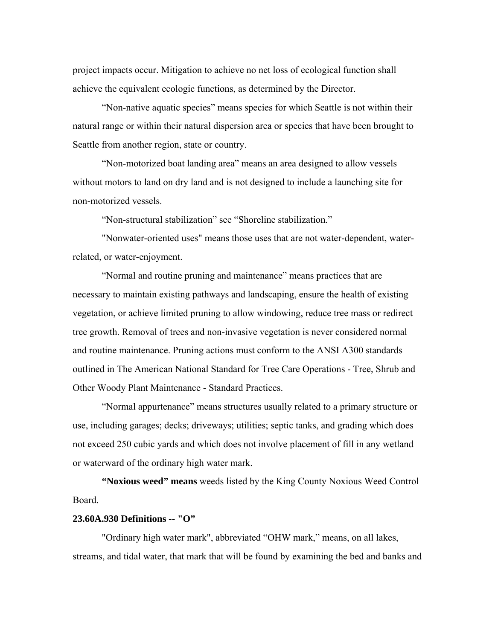project impacts occur. Mitigation to achieve no net loss of ecological function shall achieve the equivalent ecologic functions, as determined by the Director.

"Non-native aquatic species" means species for which Seattle is not within their natural range or within their natural dispersion area or species that have been brought to Seattle from another region, state or country.

"Non-motorized boat landing area" means an area designed to allow vessels without motors to land on dry land and is not designed to include a launching site for non-motorized vessels.

"Non-structural stabilization" see "Shoreline stabilization."

"Nonwater-oriented uses" means those uses that are not water-dependent, waterrelated, or water-enjoyment.

"Normal and routine pruning and maintenance" means practices that are necessary to maintain existing pathways and landscaping, ensure the health of existing vegetation, or achieve limited pruning to allow windowing, reduce tree mass or redirect tree growth. Removal of trees and non-invasive vegetation is never considered normal and routine maintenance. Pruning actions must conform to the ANSI A300 standards outlined in The American National Standard for Tree Care Operations - Tree, Shrub and Other Woody Plant Maintenance - Standard Practices.

"Normal appurtenance" means structures usually related to a primary structure or use, including garages; decks; driveways; utilities; septic tanks, and grading which does not exceed 250 cubic yards and which does not involve placement of fill in any wetland or waterward of the ordinary high water mark.

**"Noxious weed" means** weeds listed by the King County Noxious Weed Control Board.

# **23.60A.930 Definitions -- "O"**

"Ordinary high water mark", abbreviated "OHW mark," means, on all lakes, streams, and tidal water, that mark that will be found by examining the bed and banks and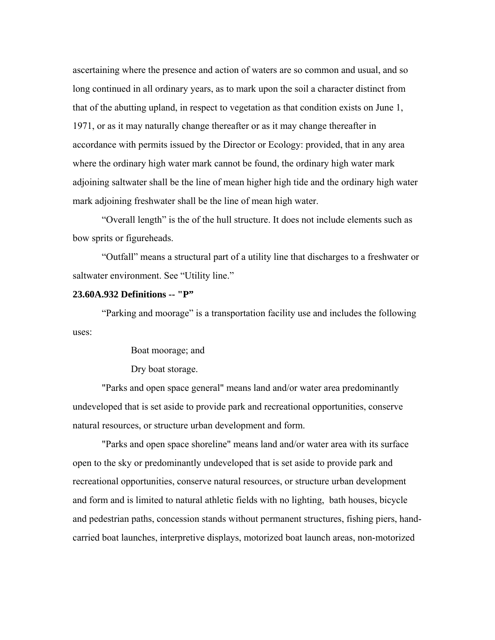ascertaining where the presence and action of waters are so common and usual, and so long continued in all ordinary years, as to mark upon the soil a character distinct from that of the abutting upland, in respect to vegetation as that condition exists on June 1, 1971, or as it may naturally change thereafter or as it may change thereafter in accordance with permits issued by the Director or Ecology: provided, that in any area where the ordinary high water mark cannot be found, the ordinary high water mark adjoining saltwater shall be the line of mean higher high tide and the ordinary high water mark adjoining freshwater shall be the line of mean high water.

 "Overall length" is the of the hull structure. It does not include elements such as bow sprits or figureheads.

"Outfall" means a structural part of a utility line that discharges to a freshwater or saltwater environment. See "Utility line."

# **23.60A.932 Definitions -- "P"**

"Parking and moorage" is a transportation facility use and includes the following uses:

Boat moorage; and

Dry boat storage.

"Parks and open space general" means land and/or water area predominantly undeveloped that is set aside to provide park and recreational opportunities, conserve natural resources, or structure urban development and form.

"Parks and open space shoreline" means land and/or water area with its surface open to the sky or predominantly undeveloped that is set aside to provide park and recreational opportunities, conserve natural resources, or structure urban development and form and is limited to natural athletic fields with no lighting, bath houses, bicycle and pedestrian paths, concession stands without permanent structures, fishing piers, handcarried boat launches, interpretive displays, motorized boat launch areas, non-motorized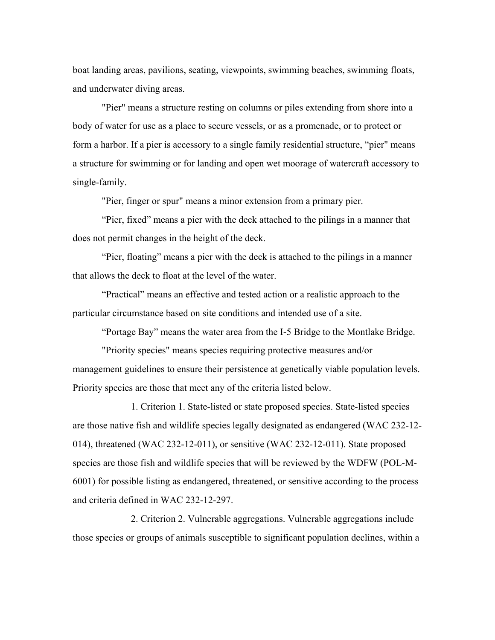boat landing areas, pavilions, seating, viewpoints, swimming beaches, swimming floats, and underwater diving areas.

"Pier" means a structure resting on columns or piles extending from shore into a body of water for use as a place to secure vessels, or as a promenade, or to protect or form a harbor. If a pier is accessory to a single family residential structure, "pier" means a structure for swimming or for landing and open wet moorage of watercraft accessory to single-family.

"Pier, finger or spur" means a minor extension from a primary pier.

"Pier, fixed" means a pier with the deck attached to the pilings in a manner that does not permit changes in the height of the deck.

"Pier, floating" means a pier with the deck is attached to the pilings in a manner that allows the deck to float at the level of the water.

"Practical" means an effective and tested action or a realistic approach to the particular circumstance based on site conditions and intended use of a site.

"Portage Bay" means the water area from the I-5 Bridge to the Montlake Bridge.

"Priority species" means species requiring protective measures and/or management guidelines to ensure their persistence at genetically viable population levels. Priority species are those that meet any of the criteria listed below.

1. Criterion 1. State-listed or state proposed species. State-listed species are those native fish and wildlife species legally designated as endangered (WAC 232-12- 014), threatened (WAC 232-12-011), or sensitive (WAC 232-12-011). State proposed species are those fish and wildlife species that will be reviewed by the WDFW (POL-M-6001) for possible listing as endangered, threatened, or sensitive according to the process and criteria defined in WAC 232-12-297.

2. Criterion 2. Vulnerable aggregations. Vulnerable aggregations include those species or groups of animals susceptible to significant population declines, within a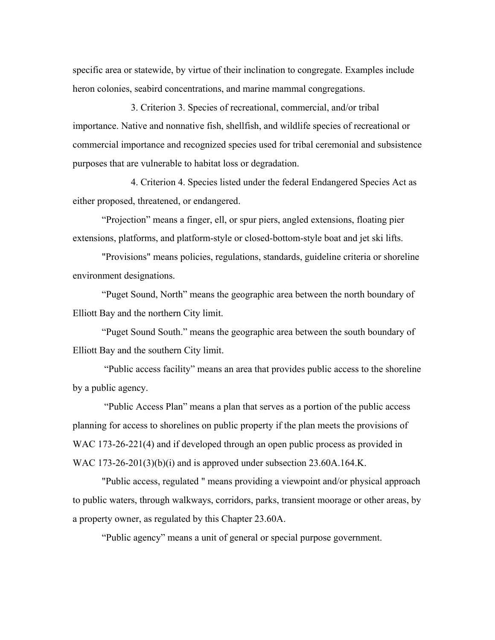specific area or statewide, by virtue of their inclination to congregate. Examples include heron colonies, seabird concentrations, and marine mammal congregations.

3. Criterion 3. Species of recreational, commercial, and/or tribal importance. Native and nonnative fish, shellfish, and wildlife species of recreational or commercial importance and recognized species used for tribal ceremonial and subsistence purposes that are vulnerable to habitat loss or degradation.

4. Criterion 4. Species listed under the federal Endangered Species Act as either proposed, threatened, or endangered.

"Projection" means a finger, ell, or spur piers, angled extensions, floating pier extensions, platforms, and platform-style or closed-bottom-style boat and jet ski lifts.

"Provisions" means policies, regulations, standards, guideline criteria or shoreline environment designations.

"Puget Sound, North" means the geographic area between the north boundary of Elliott Bay and the northern City limit.

"Puget Sound South." means the geographic area between the south boundary of Elliott Bay and the southern City limit.

 "Public access facility" means an area that provides public access to the shoreline by a public agency.

 "Public Access Plan" means a plan that serves as a portion of the public access planning for access to shorelines on public property if the plan meets the provisions of WAC 173-26-221(4) and if developed through an open public process as provided in WAC 173-26-201(3)(b)(i) and is approved under subsection 23.60A.164.K.

"Public access, regulated " means providing a viewpoint and/or physical approach to public waters, through walkways, corridors, parks, transient moorage or other areas, by a property owner, as regulated by this Chapter 23.60A.

"Public agency" means a unit of general or special purpose government.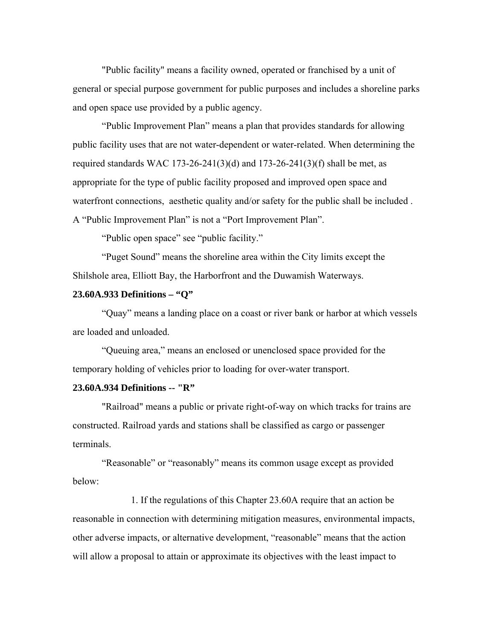"Public facility" means a facility owned, operated or franchised by a unit of general or special purpose government for public purposes and includes a shoreline parks and open space use provided by a public agency.

"Public Improvement Plan" means a plan that provides standards for allowing public facility uses that are not water-dependent or water-related. When determining the required standards WAC 173-26-241(3)(d) and 173-26-241(3)(f) shall be met, as appropriate for the type of public facility proposed and improved open space and waterfront connections, aesthetic quality and/or safety for the public shall be included . A "Public Improvement Plan" is not a "Port Improvement Plan".

"Public open space" see "public facility."

"Puget Sound" means the shoreline area within the City limits except the Shilshole area, Elliott Bay, the Harborfront and the Duwamish Waterways.

# **23.60A.933 Definitions – "Q"**

"Quay" means a landing place on a coast or river bank or harbor at which vessels are loaded and unloaded.

"Queuing area," means an enclosed or unenclosed space provided for the temporary holding of vehicles prior to loading for over-water transport.

## **23.60A.934 Definitions -- "R"**

"Railroad" means a public or private right-of-way on which tracks for trains are constructed. Railroad yards and stations shall be classified as cargo or passenger terminals.

"Reasonable" or "reasonably" means its common usage except as provided below:

1. If the regulations of this Chapter 23.60A require that an action be reasonable in connection with determining mitigation measures, environmental impacts, other adverse impacts, or alternative development, "reasonable" means that the action will allow a proposal to attain or approximate its objectives with the least impact to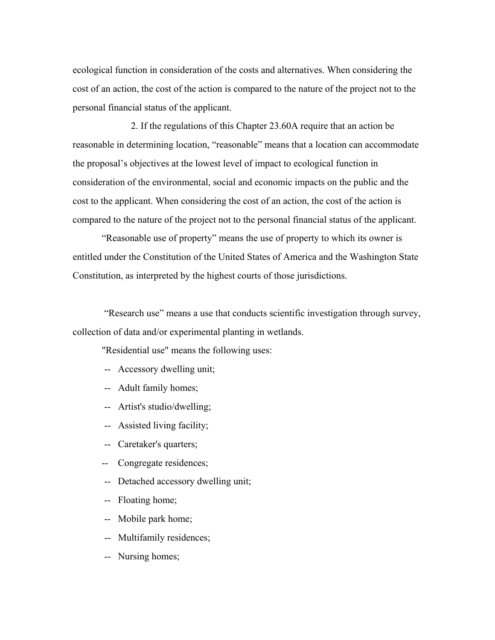ecological function in consideration of the costs and alternatives. When considering the cost of an action, the cost of the action is compared to the nature of the project not to the personal financial status of the applicant.

2. If the regulations of this Chapter 23.60A require that an action be reasonable in determining location, "reasonable" means that a location can accommodate the proposal's objectives at the lowest level of impact to ecological function in consideration of the environmental, social and economic impacts on the public and the cost to the applicant. When considering the cost of an action, the cost of the action is compared to the nature of the project not to the personal financial status of the applicant.

"Reasonable use of property" means the use of property to which its owner is entitled under the Constitution of the United States of America and the Washington State Constitution, as interpreted by the highest courts of those jurisdictions.

 "Research use" means a use that conducts scientific investigation through survey, collection of data and/or experimental planting in wetlands.

"Residential use" means the following uses:

- -- Accessory dwelling unit;
- -- Adult family homes;
- -- Artist's studio/dwelling;
- -- Assisted living facility;
- -- Caretaker's quarters;
- -- Congregate residences;
- -- Detached accessory dwelling unit;
- -- Floating home;
- -- Mobile park home;
- -- Multifamily residences;
- -- Nursing homes;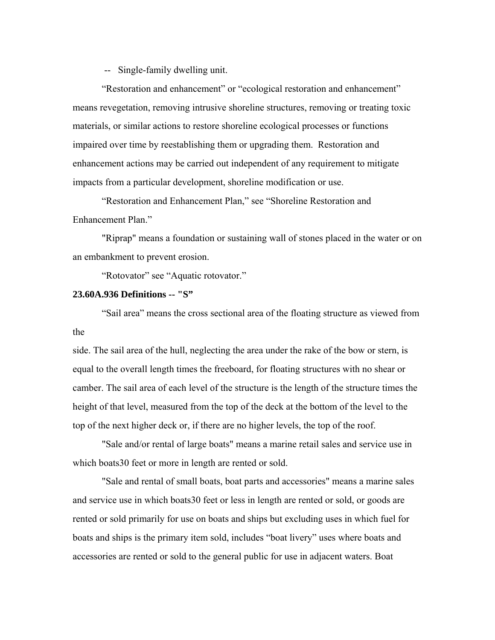-- Single-family dwelling unit.

"Restoration and enhancement" or "ecological restoration and enhancement" means revegetation, removing intrusive shoreline structures, removing or treating toxic materials, or similar actions to restore shoreline ecological processes or functions impaired over time by reestablishing them or upgrading them. Restoration and enhancement actions may be carried out independent of any requirement to mitigate impacts from a particular development, shoreline modification or use.

"Restoration and Enhancement Plan," see "Shoreline Restoration and Enhancement Plan."

"Riprap" means a foundation or sustaining wall of stones placed in the water or on an embankment to prevent erosion.

"Rotovator" see "Aquatic rotovator."

# **23.60A.936 Definitions -- "S"**

"Sail area" means the cross sectional area of the floating structure as viewed from the

side. The sail area of the hull, neglecting the area under the rake of the bow or stern, is equal to the overall length times the freeboard, for floating structures with no shear or camber. The sail area of each level of the structure is the length of the structure times the height of that level, measured from the top of the deck at the bottom of the level to the top of the next higher deck or, if there are no higher levels, the top of the roof.

"Sale and/or rental of large boats" means a marine retail sales and service use in which boats30 feet or more in length are rented or sold.

"Sale and rental of small boats, boat parts and accessories" means a marine sales and service use in which boats30 feet or less in length are rented or sold, or goods are rented or sold primarily for use on boats and ships but excluding uses in which fuel for boats and ships is the primary item sold, includes "boat livery" uses where boats and accessories are rented or sold to the general public for use in adjacent waters. Boat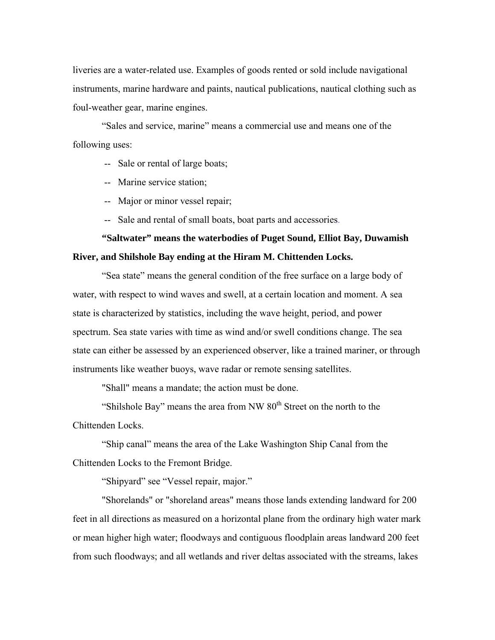liveries are a water-related use. Examples of goods rented or sold include navigational instruments, marine hardware and paints, nautical publications, nautical clothing such as foul-weather gear, marine engines.

"Sales and service, marine" means a commercial use and means one of the following uses:

-- Sale or rental of large boats;

-- Marine service station;

-- Major or minor vessel repair;

-- Sale and rental of small boats, boat parts and accessories.

# **"Saltwater" means the waterbodies of Puget Sound, Elliot Bay, Duwamish River, and Shilshole Bay ending at the Hiram M. Chittenden Locks.**

"Sea state" means the general condition of the free surface on a large body of water, with respect to wind waves and swell, at a certain location and moment. A sea state is characterized by statistics, including the wave height, period, and power spectrum. Sea state varies with time as wind and/or swell conditions change. The sea state can either be assessed by an experienced observer, like a trained mariner, or through instruments like weather buoys, wave radar or remote sensing satellites.

"Shall" means a mandate; the action must be done.

"Shilshole Bay" means the area from NW  $80<sup>th</sup>$  Street on the north to the Chittenden Locks.

"Ship canal" means the area of the Lake Washington Ship Canal from the Chittenden Locks to the Fremont Bridge.

"Shipyard" see "Vessel repair, major."

"Shorelands" or "shoreland areas" means those lands extending landward for 200 feet in all directions as measured on a horizontal plane from the ordinary high water mark or mean higher high water; floodways and contiguous floodplain areas landward 200 feet from such floodways; and all wetlands and river deltas associated with the streams, lakes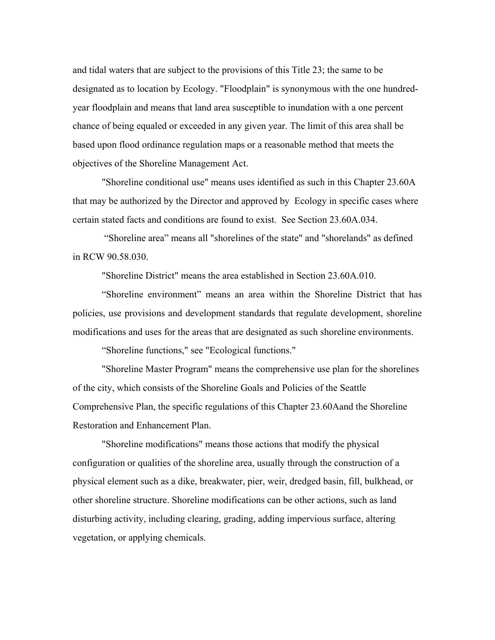and tidal waters that are subject to the provisions of this Title 23; the same to be designated as to location by Ecology. "Floodplain" is synonymous with the one hundredyear floodplain and means that land area susceptible to inundation with a one percent chance of being equaled or exceeded in any given year. The limit of this area shall be based upon flood ordinance regulation maps or a reasonable method that meets the objectives of the Shoreline Management Act.

"Shoreline conditional use" means uses identified as such in this Chapter 23.60A that may be authorized by the Director and approved by Ecology in specific cases where certain stated facts and conditions are found to exist. See Section 23.60A.034.

 "Shoreline area" means all "shorelines of the state" and "shorelands" as defined in RCW 90.58.030.

"Shoreline District" means the area established in Section 23.60A.010.

"Shoreline environment" means an area within the Shoreline District that has policies, use provisions and development standards that regulate development, shoreline modifications and uses for the areas that are designated as such shoreline environments.

"Shoreline functions," see "Ecological functions."

"Shoreline Master Program" means the comprehensive use plan for the shorelines of the city, which consists of the Shoreline Goals and Policies of the Seattle Comprehensive Plan, the specific regulations of this Chapter 23.60Aand the Shoreline Restoration and Enhancement Plan.

"Shoreline modifications" means those actions that modify the physical configuration or qualities of the shoreline area, usually through the construction of a physical element such as a dike, breakwater, pier, weir, dredged basin, fill, bulkhead, or other shoreline structure. Shoreline modifications can be other actions, such as land disturbing activity, including clearing, grading, adding impervious surface, altering vegetation, or applying chemicals.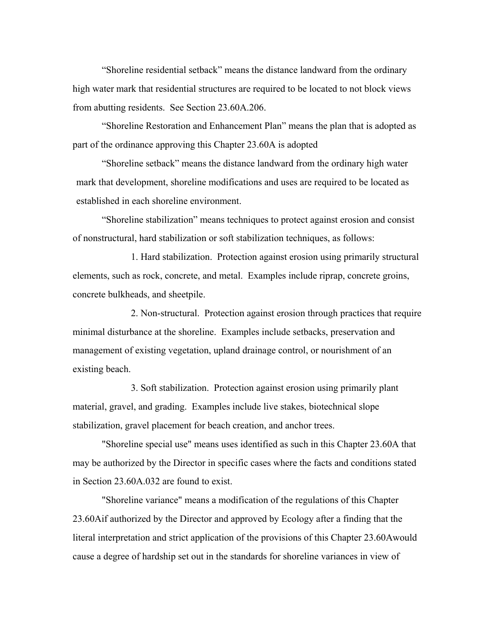"Shoreline residential setback" means the distance landward from the ordinary high water mark that residential structures are required to be located to not block views from abutting residents. See Section 23.60A.206.

"Shoreline Restoration and Enhancement Plan" means the plan that is adopted as part of the ordinance approving this Chapter 23.60A is adopted

"Shoreline setback" means the distance landward from the ordinary high water mark that development, shoreline modifications and uses are required to be located as established in each shoreline environment.

"Shoreline stabilization" means techniques to protect against erosion and consist of nonstructural, hard stabilization or soft stabilization techniques, as follows:

1. Hard stabilization. Protection against erosion using primarily structural elements, such as rock, concrete, and metal. Examples include riprap, concrete groins, concrete bulkheads, and sheetpile.

2. Non-structural. Protection against erosion through practices that require minimal disturbance at the shoreline. Examples include setbacks, preservation and management of existing vegetation, upland drainage control, or nourishment of an existing beach.

3. Soft stabilization. Protection against erosion using primarily plant material, gravel, and grading. Examples include live stakes, biotechnical slope stabilization, gravel placement for beach creation, and anchor trees.

"Shoreline special use" means uses identified as such in this Chapter 23.60A that may be authorized by the Director in specific cases where the facts and conditions stated in Section 23.60A.032 are found to exist.

"Shoreline variance" means a modification of the regulations of this Chapter 23.60Aif authorized by the Director and approved by Ecology after a finding that the literal interpretation and strict application of the provisions of this Chapter 23.60Awould cause a degree of hardship set out in the standards for shoreline variances in view of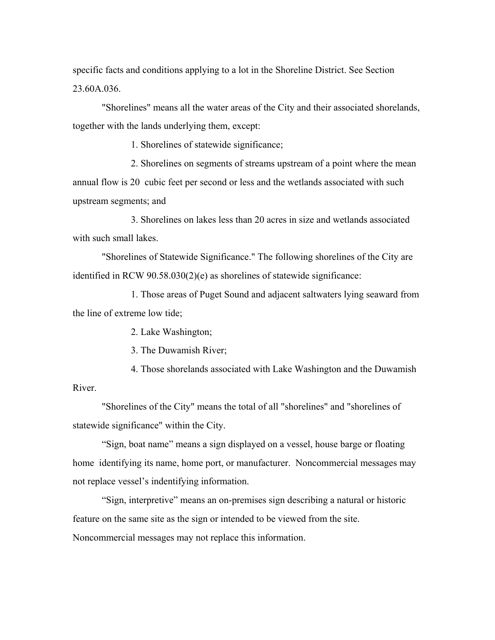specific facts and conditions applying to a lot in the Shoreline District. See Section 23.60A.036.

"Shorelines" means all the water areas of the City and their associated shorelands, together with the lands underlying them, except:

1. Shorelines of statewide significance;

2. Shorelines on segments of streams upstream of a point where the mean annual flow is 20 cubic feet per second or less and the wetlands associated with such upstream segments; and

3. Shorelines on lakes less than 20 acres in size and wetlands associated with such small lakes.

"Shorelines of Statewide Significance." The following shorelines of the City are identified in RCW 90.58.030(2)(e) as shorelines of statewide significance:

1. Those areas of Puget Sound and adjacent saltwaters lying seaward from the line of extreme low tide;

2. Lake Washington;

3. The Duwamish River;

4. Those shorelands associated with Lake Washington and the Duwamish River.

"Shorelines of the City" means the total of all "shorelines" and "shorelines of statewide significance" within the City.

"Sign, boat name" means a sign displayed on a vessel, house barge or floating home identifying its name, home port, or manufacturer. Noncommercial messages may not replace vessel's indentifying information.

"Sign, interpretive" means an on-premises sign describing a natural or historic feature on the same site as the sign or intended to be viewed from the site. Noncommercial messages may not replace this information.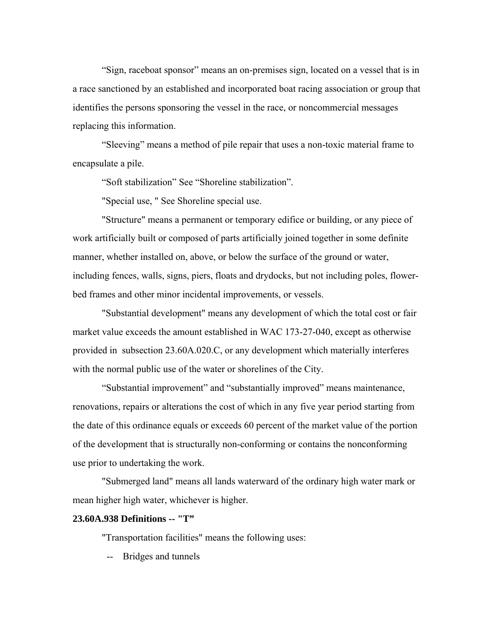"Sign, raceboat sponsor" means an on-premises sign, located on a vessel that is in a race sanctioned by an established and incorporated boat racing association or group that identifies the persons sponsoring the vessel in the race, or noncommercial messages replacing this information.

"Sleeving" means a method of pile repair that uses a non-toxic material frame to encapsulate a pile.

"Soft stabilization" See "Shoreline stabilization".

"Special use, " See Shoreline special use.

"Structure" means a permanent or temporary edifice or building, or any piece of work artificially built or composed of parts artificially joined together in some definite manner, whether installed on, above, or below the surface of the ground or water, including fences, walls, signs, piers, floats and drydocks, but not including poles, flowerbed frames and other minor incidental improvements, or vessels.

"Substantial development" means any development of which the total cost or fair market value exceeds the amount established in WAC 173-27-040, except as otherwise provided in subsection 23.60A.020.C, or any development which materially interferes with the normal public use of the water or shorelines of the City.

"Substantial improvement" and "substantially improved" means maintenance, renovations, repairs or alterations the cost of which in any five year period starting from the date of this ordinance equals or exceeds 60 percent of the market value of the portion of the development that is structurally non-conforming or contains the nonconforming use prior to undertaking the work.

"Submerged land" means all lands waterward of the ordinary high water mark or mean higher high water, whichever is higher.

### **23.60A.938 Definitions -- "T"**

"Transportation facilities" means the following uses:

-- Bridges and tunnels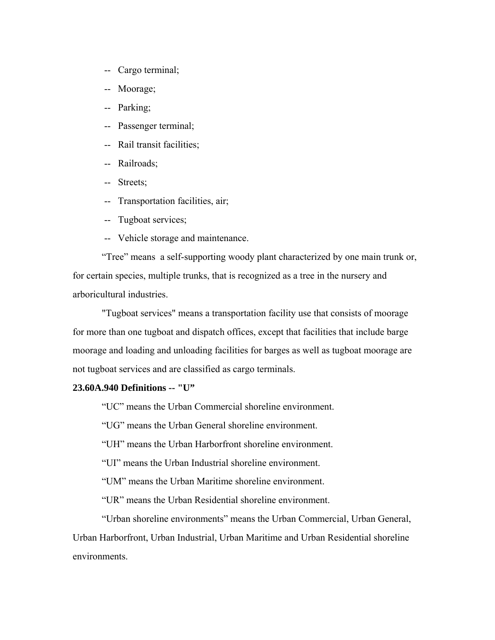- -- Cargo terminal;
- -- Moorage;
- -- Parking;
- -- Passenger terminal;
- -- Rail transit facilities;
- -- Railroads;
- -- Streets;
- -- Transportation facilities, air;
- -- Tugboat services;
- -- Vehicle storage and maintenance.

"Tree" means a self-supporting woody plant characterized by one main trunk or, for certain species, multiple trunks, that is recognized as a tree in the nursery and arboricultural industries.

"Tugboat services" means a transportation facility use that consists of moorage for more than one tugboat and dispatch offices, except that facilities that include barge moorage and loading and unloading facilities for barges as well as tugboat moorage are not tugboat services and are classified as cargo terminals.

### **23.60A.940 Definitions -- "U"**

"UC" means the Urban Commercial shoreline environment.

"UG" means the Urban General shoreline environment.

"UH" means the Urban Harborfront shoreline environment.

"UI" means the Urban Industrial shoreline environment.

"UM" means the Urban Maritime shoreline environment.

"UR" means the Urban Residential shoreline environment.

"Urban shoreline environments" means the Urban Commercial, Urban General, Urban Harborfront, Urban Industrial, Urban Maritime and Urban Residential shoreline environments.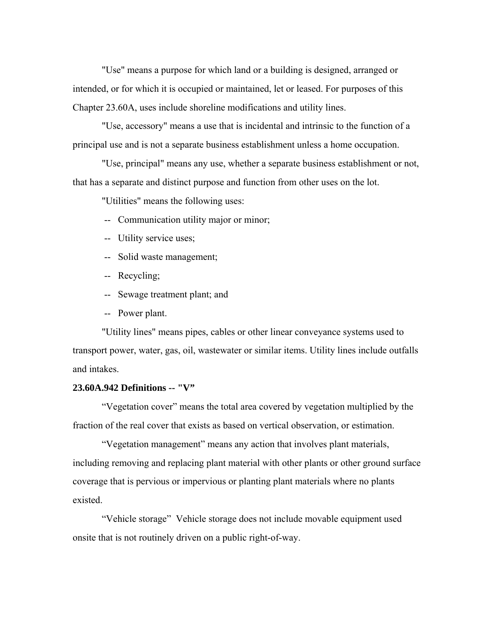"Use" means a purpose for which land or a building is designed, arranged or intended, or for which it is occupied or maintained, let or leased. For purposes of this Chapter 23.60A, uses include shoreline modifications and utility lines.

"Use, accessory" means a use that is incidental and intrinsic to the function of a principal use and is not a separate business establishment unless a home occupation.

"Use, principal" means any use, whether a separate business establishment or not, that has a separate and distinct purpose and function from other uses on the lot.

"Utilities" means the following uses:

-- Communication utility major or minor;

-- Utility service uses;

-- Solid waste management;

-- Recycling;

-- Sewage treatment plant; and

-- Power plant.

"Utility lines" means pipes, cables or other linear conveyance systems used to transport power, water, gas, oil, wastewater or similar items. Utility lines include outfalls and intakes.

### **23.60A.942 Definitions -- "V"**

"Vegetation cover" means the total area covered by vegetation multiplied by the fraction of the real cover that exists as based on vertical observation, or estimation.

"Vegetation management" means any action that involves plant materials, including removing and replacing plant material with other plants or other ground surface coverage that is pervious or impervious or planting plant materials where no plants existed.

"Vehicle storage" Vehicle storage does not include movable equipment used onsite that is not routinely driven on a public right-of-way.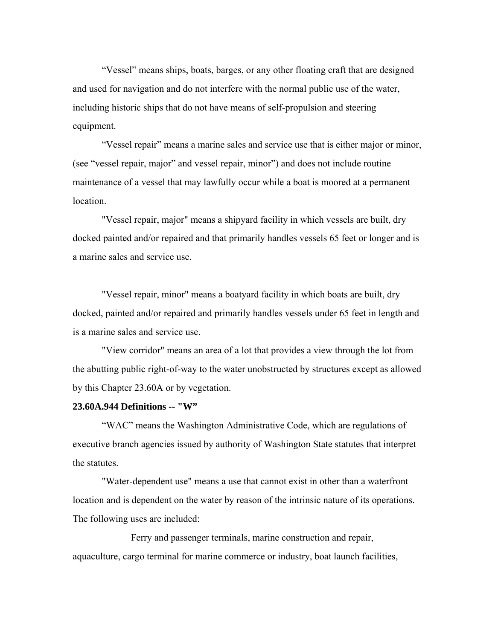"Vessel" means ships, boats, barges, or any other floating craft that are designed and used for navigation and do not interfere with the normal public use of the water, including historic ships that do not have means of self-propulsion and steering equipment.

"Vessel repair" means a marine sales and service use that is either major or minor, (see "vessel repair, major" and vessel repair, minor") and does not include routine maintenance of a vessel that may lawfully occur while a boat is moored at a permanent location.

"Vessel repair, major" means a shipyard facility in which vessels are built, dry docked painted and/or repaired and that primarily handles vessels 65 feet or longer and is a marine sales and service use.

"Vessel repair, minor" means a boatyard facility in which boats are built, dry docked, painted and/or repaired and primarily handles vessels under 65 feet in length and is a marine sales and service use.

"View corridor" means an area of a lot that provides a view through the lot from the abutting public right-of-way to the water unobstructed by structures except as allowed by this Chapter 23.60A or by vegetation.

### **23.60A.944 Definitions -- "W"**

"WAC" means the Washington Administrative Code, which are regulations of executive branch agencies issued by authority of Washington State statutes that interpret the statutes.

"Water-dependent use" means a use that cannot exist in other than a waterfront location and is dependent on the water by reason of the intrinsic nature of its operations. The following uses are included:

Ferry and passenger terminals, marine construction and repair, aquaculture, cargo terminal for marine commerce or industry, boat launch facilities,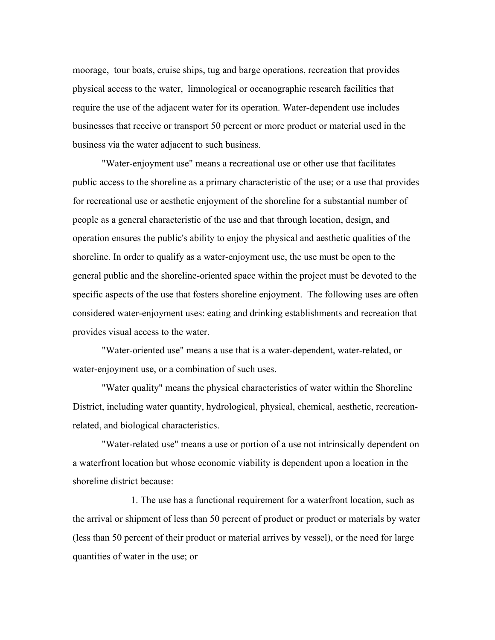moorage, tour boats, cruise ships, tug and barge operations, recreation that provides physical access to the water, limnological or oceanographic research facilities that require the use of the adjacent water for its operation. Water-dependent use includes businesses that receive or transport 50 percent or more product or material used in the business via the water adjacent to such business.

"Water-enjoyment use" means a recreational use or other use that facilitates public access to the shoreline as a primary characteristic of the use; or a use that provides for recreational use or aesthetic enjoyment of the shoreline for a substantial number of people as a general characteristic of the use and that through location, design, and operation ensures the public's ability to enjoy the physical and aesthetic qualities of the shoreline. In order to qualify as a water-enjoyment use, the use must be open to the general public and the shoreline-oriented space within the project must be devoted to the specific aspects of the use that fosters shoreline enjoyment. The following uses are often considered water-enjoyment uses: eating and drinking establishments and recreation that provides visual access to the water.

"Water-oriented use" means a use that is a water-dependent, water-related, or water-enjoyment use, or a combination of such uses.

"Water quality" means the physical characteristics of water within the Shoreline District, including water quantity, hydrological, physical, chemical, aesthetic, recreationrelated, and biological characteristics.

"Water-related use" means a use or portion of a use not intrinsically dependent on a waterfront location but whose economic viability is dependent upon a location in the shoreline district because:

1. The use has a functional requirement for a waterfront location, such as the arrival or shipment of less than 50 percent of product or product or materials by water (less than 50 percent of their product or material arrives by vessel), or the need for large quantities of water in the use; or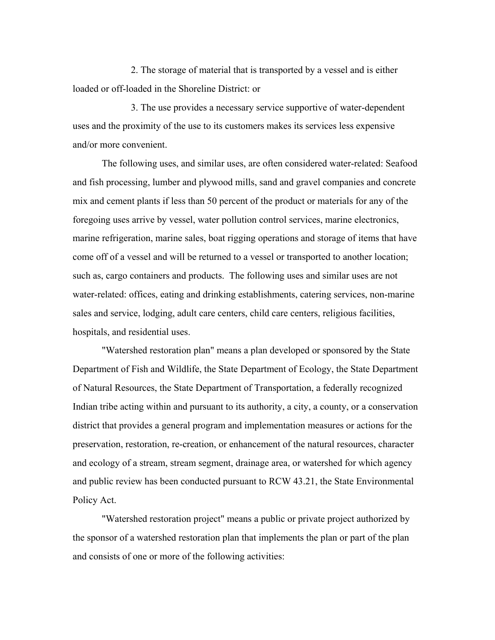2. The storage of material that is transported by a vessel and is either loaded or off-loaded in the Shoreline District: or

3. The use provides a necessary service supportive of water-dependent uses and the proximity of the use to its customers makes its services less expensive and/or more convenient.

The following uses, and similar uses, are often considered water-related: Seafood and fish processing, lumber and plywood mills, sand and gravel companies and concrete mix and cement plants if less than 50 percent of the product or materials for any of the foregoing uses arrive by vessel, water pollution control services, marine electronics, marine refrigeration, marine sales, boat rigging operations and storage of items that have come off of a vessel and will be returned to a vessel or transported to another location; such as, cargo containers and products. The following uses and similar uses are not water-related: offices, eating and drinking establishments, catering services, non-marine sales and service, lodging, adult care centers, child care centers, religious facilities, hospitals, and residential uses.

"Watershed restoration plan" means a plan developed or sponsored by the State Department of Fish and Wildlife, the State Department of Ecology, the State Department of Natural Resources, the State Department of Transportation, a federally recognized Indian tribe acting within and pursuant to its authority, a city, a county, or a conservation district that provides a general program and implementation measures or actions for the preservation, restoration, re-creation, or enhancement of the natural resources, character and ecology of a stream, stream segment, drainage area, or watershed for which agency and public review has been conducted pursuant to RCW 43.21, the State Environmental Policy Act.

"Watershed restoration project" means a public or private project authorized by the sponsor of a watershed restoration plan that implements the plan or part of the plan and consists of one or more of the following activities: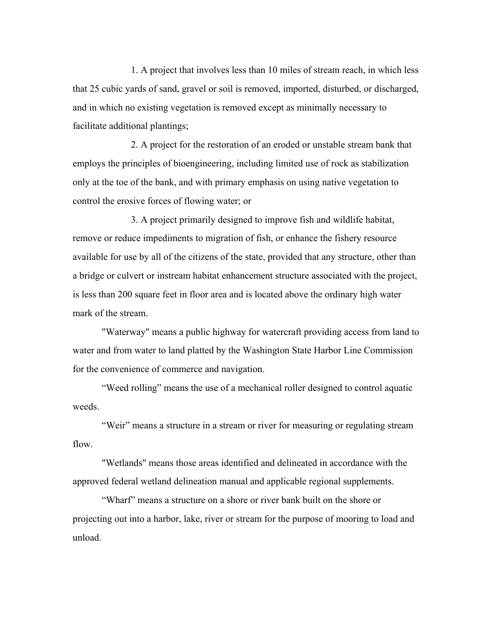1. A project that involves less than 10 miles of stream reach, in which less that 25 cubic yards of sand, gravel or soil is removed, imported, disturbed, or discharged, and in which no existing vegetation is removed except as minimally necessary to facilitate additional plantings;

2. A project for the restoration of an eroded or unstable stream bank that employs the principles of bioengineering, including limited use of rock as stabilization only at the toe of the bank, and with primary emphasis on using native vegetation to control the erosive forces of flowing water; or

3. A project primarily designed to improve fish and wildlife habitat, remove or reduce impediments to migration of fish, or enhance the fishery resource available for use by all of the citizens of the state, provided that any structure, other than a bridge or culvert or instream habitat enhancement structure associated with the project, is less than 200 square feet in floor area and is located above the ordinary high water mark of the stream.

"Waterway" means a public highway for watercraft providing access from land to water and from water to land platted by the Washington State Harbor Line Commission for the convenience of commerce and navigation.

"Weed rolling" means the use of a mechanical roller designed to control aquatic weeds.

"Weir" means a structure in a stream or river for measuring or regulating stream flow.

"Wetlands" means those areas identified and delineated in accordance with the approved federal wetland delineation manual and applicable regional supplements.

"Wharf" means a structure on a shore or river bank built on the shore or projecting out into a harbor, lake, river or stream for the purpose of mooring to load and unload.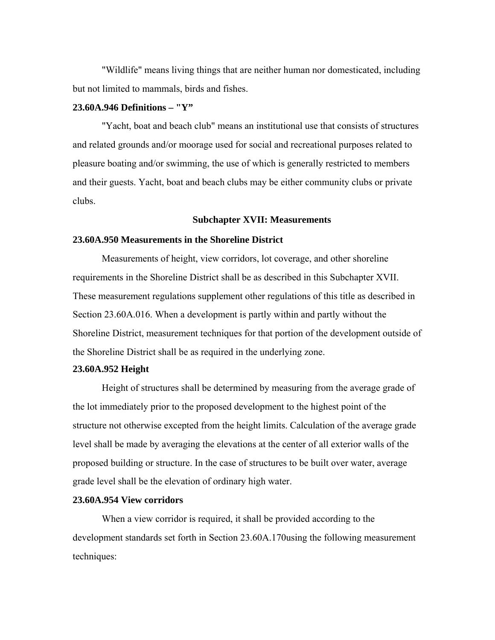"Wildlife" means living things that are neither human nor domesticated, including but not limited to mammals, birds and fishes.

## **23.60A.946 Definitions – "Y"**

"Yacht, boat and beach club" means an institutional use that consists of structures and related grounds and/or moorage used for social and recreational purposes related to pleasure boating and/or swimming, the use of which is generally restricted to members and their guests. Yacht, boat and beach clubs may be either community clubs or private clubs.

#### **Subchapter XVII: Measurements**

## **23.60A.950 Measurements in the Shoreline District**

Measurements of height, view corridors, lot coverage, and other shoreline requirements in the Shoreline District shall be as described in this Subchapter XVII. These measurement regulations supplement other regulations of this title as described in Section 23.60A.016. When a development is partly within and partly without the Shoreline District, measurement techniques for that portion of the development outside of the Shoreline District shall be as required in the underlying zone.

### **23.60A.952 Height**

Height of structures shall be determined by measuring from the average grade of the lot immediately prior to the proposed development to the highest point of the structure not otherwise excepted from the height limits. Calculation of the average grade level shall be made by averaging the elevations at the center of all exterior walls of the proposed building or structure. In the case of structures to be built over water, average grade level shall be the elevation of ordinary high water.

#### **23.60A.954 View corridors**

When a view corridor is required, it shall be provided according to the development standards set forth in Section 23.60A.170using the following measurement techniques: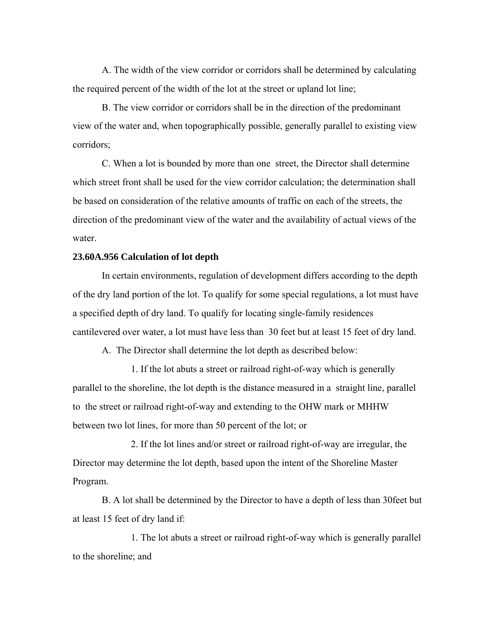A. The width of the view corridor or corridors shall be determined by calculating the required percent of the width of the lot at the street or upland lot line;

B. The view corridor or corridors shall be in the direction of the predominant view of the water and, when topographically possible, generally parallel to existing view corridors;

C. When a lot is bounded by more than one street, the Director shall determine which street front shall be used for the view corridor calculation; the determination shall be based on consideration of the relative amounts of traffic on each of the streets, the direction of the predominant view of the water and the availability of actual views of the water.

## **23.60A.956 Calculation of lot depth**

In certain environments, regulation of development differs according to the depth of the dry land portion of the lot. To qualify for some special regulations, a lot must have a specified depth of dry land. To qualify for locating single-family residences cantilevered over water, a lot must have less than 30 feet but at least 15 feet of dry land.

A. The Director shall determine the lot depth as described below:

1. If the lot abuts a street or railroad right-of-way which is generally parallel to the shoreline, the lot depth is the distance measured in a straight line, parallel to the street or railroad right-of-way and extending to the OHW mark or MHHW between two lot lines, for more than 50 percent of the lot; or

2. If the lot lines and/or street or railroad right-of-way are irregular, the Director may determine the lot depth, based upon the intent of the Shoreline Master Program.

B. A lot shall be determined by the Director to have a depth of less than 30feet but at least 15 feet of dry land if:

1. The lot abuts a street or railroad right-of-way which is generally parallel to the shoreline; and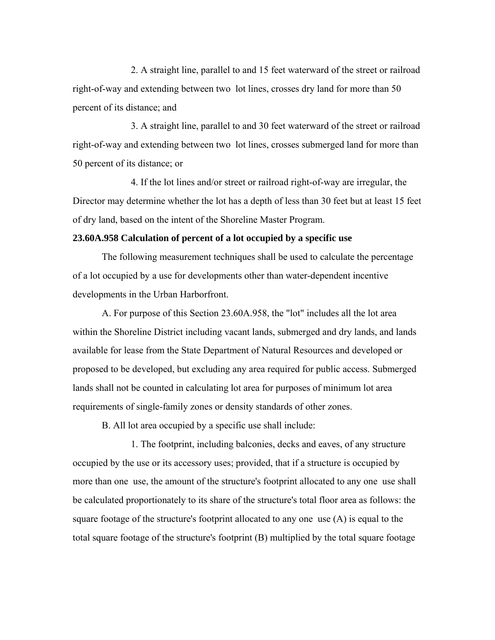2. A straight line, parallel to and 15 feet waterward of the street or railroad right-of-way and extending between two lot lines, crosses dry land for more than 50 percent of its distance; and

3. A straight line, parallel to and 30 feet waterward of the street or railroad right-of-way and extending between two lot lines, crosses submerged land for more than 50 percent of its distance; or

4. If the lot lines and/or street or railroad right-of-way are irregular, the Director may determine whether the lot has a depth of less than 30 feet but at least 15 feet of dry land, based on the intent of the Shoreline Master Program.

## **23.60A.958 Calculation of percent of a lot occupied by a specific use**

The following measurement techniques shall be used to calculate the percentage of a lot occupied by a use for developments other than water-dependent incentive developments in the Urban Harborfront.

A. For purpose of this Section 23.60A.958, the "lot" includes all the lot area within the Shoreline District including vacant lands, submerged and dry lands, and lands available for lease from the State Department of Natural Resources and developed or proposed to be developed, but excluding any area required for public access. Submerged lands shall not be counted in calculating lot area for purposes of minimum lot area requirements of single-family zones or density standards of other zones.

B. All lot area occupied by a specific use shall include:

1. The footprint, including balconies, decks and eaves, of any structure occupied by the use or its accessory uses; provided, that if a structure is occupied by more than one use, the amount of the structure's footprint allocated to any one use shall be calculated proportionately to its share of the structure's total floor area as follows: the square footage of the structure's footprint allocated to any one use (A) is equal to the total square footage of the structure's footprint (B) multiplied by the total square footage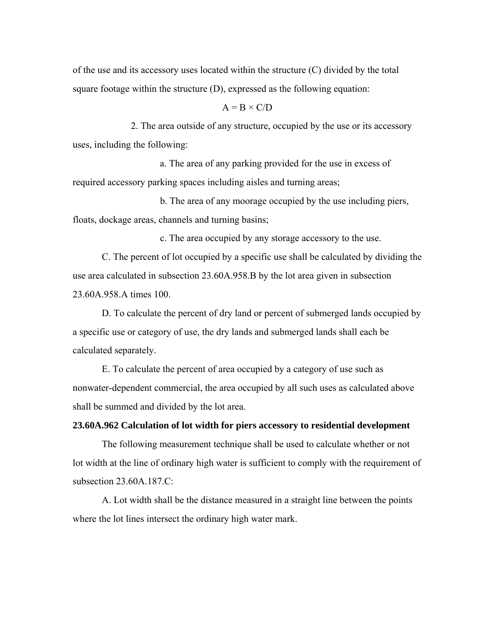of the use and its accessory uses located within the structure (C) divided by the total square footage within the structure (D), expressed as the following equation:

#### $A = B \times C/D$

2. The area outside of any structure, occupied by the use or its accessory uses, including the following:

a. The area of any parking provided for the use in excess of required accessory parking spaces including aisles and turning areas;

b. The area of any moorage occupied by the use including piers, floats, dockage areas, channels and turning basins;

c. The area occupied by any storage accessory to the use.

C. The percent of lot occupied by a specific use shall be calculated by dividing the use area calculated in subsection 23.60A.958.B by the lot area given in subsection 23.60A.958.A times 100.

D. To calculate the percent of dry land or percent of submerged lands occupied by a specific use or category of use, the dry lands and submerged lands shall each be calculated separately.

E. To calculate the percent of area occupied by a category of use such as nonwater-dependent commercial, the area occupied by all such uses as calculated above shall be summed and divided by the lot area.

## **23.60A.962 Calculation of lot width for piers accessory to residential development**

The following measurement technique shall be used to calculate whether or not lot width at the line of ordinary high water is sufficient to comply with the requirement of subsection 23.60A.187.C:

A. Lot width shall be the distance measured in a straight line between the points where the lot lines intersect the ordinary high water mark.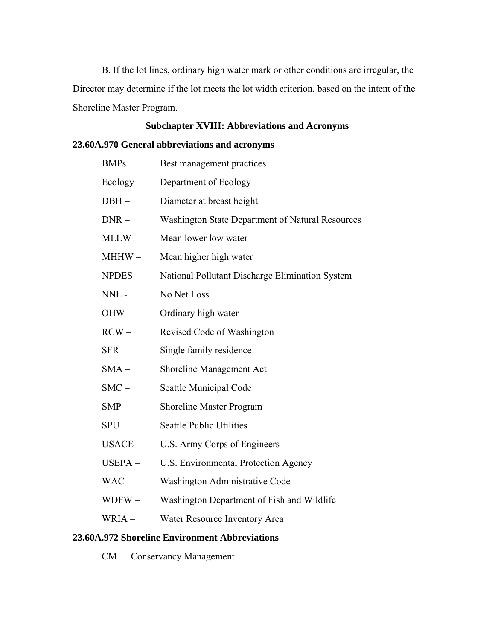B. If the lot lines, ordinary high water mark or other conditions are irregular, the Director may determine if the lot meets the lot width criterion, based on the intent of the Shoreline Master Program.

# **Subchapter XVIII: Abbreviations and Acronyms**

# **23.60A.970 General abbreviations and acronyms**

| $BMPs -$      | Best management practices                        |
|---------------|--------------------------------------------------|
| $Ecology -$   | Department of Ecology                            |
| DBH –         | Diameter at breast height                        |
| $DNR -$       | Washington State Department of Natural Resources |
| $MLLW -$      | Mean lower low water                             |
| MHHW –        | Mean higher high water                           |
| NPDES-        | National Pollutant Discharge Elimination System  |
| $NNL$ -       | No Net Loss                                      |
| OHW-          | Ordinary high water                              |
| $RCW -$       | Revised Code of Washington                       |
| ${\rm SFR}$ – | Single family residence                          |
| $SMA -$       | Shoreline Management Act                         |
| $SMC -$       | Seattle Municipal Code                           |
| $SMP -$       | <b>Shoreline Master Program</b>                  |
| SPU –         | <b>Seattle Public Utilities</b>                  |
| USACE-        | U.S. Army Corps of Engineers                     |
| USEPA-        | <b>U.S. Environmental Protection Agency</b>      |
| $WAC -$       | Washington Administrative Code                   |
| $WDFW -$      | Washington Department of Fish and Wildlife       |
| WRIA-         | Water Resource Inventory Area                    |
|               |                                                  |

## **23.60A.972 Shoreline Environment Abbreviations**

CM – Conservancy Management